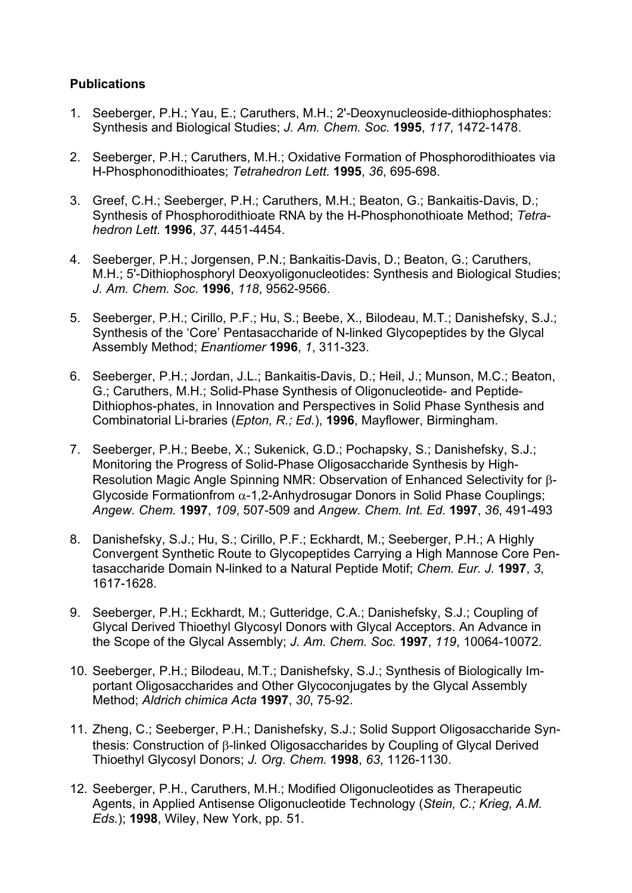## **Publications**

- 1. Seeberger, P.H.; Yau, E.; Caruthers, M.H.; 2'-Deoxynucleoside-dithiophosphates: Synthesis and Biological Studies; *J. Am. Chem. Soc.* **1995**, *117*, 1472-1478.
- 2. Seeberger, P.H.; Caruthers, M.H.; Oxidative Formation of Phosphorodithioates via H-Phosphonodithioates; *Tetrahedron Lett.* **1995**, *36*, 695-698.
- 3. Greef, C.H.; Seeberger, P.H.; Caruthers, M.H.; Beaton, G.; Bankaitis-Davis, D.; Synthesis of Phosphorodithioate RNA by the H-Phosphonothioate Method; *Tetrahedron Lett.* **1996**, *37*, 4451-4454.
- 4. Seeberger, P.H.; Jorgensen, P.N.; Bankaitis-Davis, D.; Beaton, G.; Caruthers, M.H.; 5'-Dithiophosphoryl Deoxyoligonucleotides: Synthesis and Biological Studies; *J. Am. Chem. Soc.* **1996**, *118*, 9562-9566.
- 5. Seeberger, P.H.; Cirillo, P.F.; Hu, S.; Beebe, X., Bilodeau, M.T.; Danishefsky, S.J.; Synthesis of the 'Core' Pentasaccharide of N-linked Glycopeptides by the Glycal Assembly Method; *Enantiomer* **1996**, *1*, 311-323.
- 6. Seeberger, P.H.; Jordan, J.L.; Bankaitis-Davis, D.; Heil, J.; Munson, M.C.; Beaton, G.; Caruthers, M.H.; Solid-Phase Synthesis of Oligonucleotide- and Peptide-Dithiophos-phates, in Innovation and Perspectives in Solid Phase Synthesis and Combinatorial Li-braries (*Epton, R.; Ed.*), **1996**, Mayflower, Birmingham.
- 7. Seeberger, P.H.; Beebe, X.; Sukenick, G.D.; Pochapsky, S.; Danishefsky, S.J.; Monitoring the Progress of Solid-Phase Oligosaccharide Synthesis by High-Resolution Magic Angle Spinning NMR: Observation of Enhanced Selectivity for  $\beta$ -Glycoside Formationfrom  $\alpha$ -1,2-Anhydrosugar Donors in Solid Phase Couplings; *Angew. Chem.* **1997**, *109*, 507-509 and *Angew. Chem. Int. Ed.* **1997**, *36*, 491-493
- 8. Danishefsky, S.J.; Hu, S.; Cirillo, P.F.; Eckhardt, M.; Seeberger, P.H.; A Highly Convergent Synthetic Route to Glycopeptides Carrying a High Mannose Core Pentasaccharide Domain N-linked to a Natural Peptide Motif; *Chem. Eur. J.* **1997**, *3*, 1617-1628.
- 9. Seeberger, P.H.; Eckhardt, M.; Gutteridge, C.A.; Danishefsky, S.J.; Coupling of Glycal Derived Thioethyl Glycosyl Donors with Glycal Acceptors. An Advance in the Scope of the Glycal Assembly; *J. Am. Chem. Soc.* **1997**, *119*, 10064-10072.
- 10. Seeberger, P.H.; Bilodeau, M.T.; Danishefsky, S.J.; Synthesis of Biologically Important Oligosaccharides and Other Glycoconjugates by the Glycal Assembly Method; *Aldrich chimica Acta* **1997**, *30*, 75-92.
- 11. Zheng, C.; Seeberger, P.H.; Danishefsky, S.J.; Solid Support Oligosaccharide Synthesis: Construction of  $\beta$ -linked Oligosaccharides by Coupling of Glycal Derived Thioethyl Glycosyl Donors; *J. Org. Chem.* **1998**, *63*, 1126-1130.
- 12. Seeberger, P.H., Caruthers, M.H.; Modified Oligonucleotides as Therapeutic Agents, in Applied Antisense Oligonucleotide Technology (*Stein, C.; Krieg, A.M. Eds.*); **1998**, Wiley, New York, pp. 51.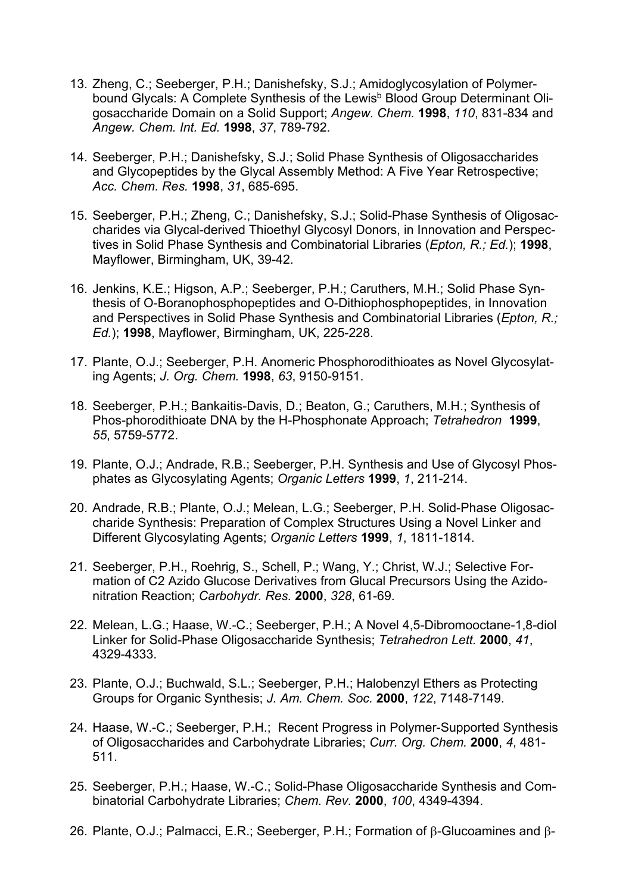- 13. Zheng, C.; Seeberger, P.H.; Danishefsky, S.J.; Amidoglycosylation of Polymerbound Glycals: A Complete Synthesis of the Lewis<sup>b</sup> Blood Group Determinant Oligosaccharide Domain on a Solid Support; *Angew. Chem.* **1998**, *110*, 831-834 and *Angew. Chem. Int. Ed.* **1998**, *37*, 789-792.
- 14. Seeberger, P.H.; Danishefsky, S.J.; Solid Phase Synthesis of Oligosaccharides and Glycopeptides by the Glycal Assembly Method: A Five Year Retrospective; *Acc. Chem. Res.* **1998**, *31*, 685-695.
- 15. Seeberger, P.H.; Zheng, C.; Danishefsky, S.J.; Solid-Phase Synthesis of Oligosaccharides via Glycal-derived Thioethyl Glycosyl Donors, in Innovation and Perspectives in Solid Phase Synthesis and Combinatorial Libraries (*Epton, R.; Ed.*); **1998**, Mayflower, Birmingham, UK, 39-42.
- 16. Jenkins, K.E.; Higson, A.P.; Seeberger, P.H.; Caruthers, M.H.; Solid Phase Synthesis of O-Boranophosphopeptides and O-Dithiophosphopeptides, in Innovation and Perspectives in Solid Phase Synthesis and Combinatorial Libraries (*Epton, R.; Ed.*); **1998**, Mayflower, Birmingham, UK, 225-228.
- 17. Plante, O.J.; Seeberger, P.H. Anomeric Phosphorodithioates as Novel Glycosylating Agents; *J. Org. Chem.* **1998**, *63*, 9150-9151.
- 18. Seeberger, P.H.; Bankaitis-Davis, D.; Beaton, G.; Caruthers, M.H.; Synthesis of Phos-phorodithioate DNA by the H-Phosphonate Approach; *Tetrahedron* **1999**, *55*, 5759-5772.
- 19. Plante, O.J.; Andrade, R.B.; Seeberger, P.H. Synthesis and Use of Glycosyl Phosphates as Glycosylating Agents; *Organic Letters* **1999**, *1*, 211-214.
- 20. Andrade, R.B.; Plante, O.J.; Melean, L.G.; Seeberger, P.H. Solid-Phase Oligosaccharide Synthesis: Preparation of Complex Structures Using a Novel Linker and Different Glycosylating Agents; *Organic Letters* **1999**, *1*, 1811-1814.
- 21. Seeberger, P.H., Roehrig, S., Schell, P.; Wang, Y.; Christ, W.J.; Selective Formation of C2 Azido Glucose Derivatives from Glucal Precursors Using the Azidonitration Reaction; *Carbohydr. Res.* **2000**, *328*, 61-69.
- 22. Melean, L.G.; Haase, W.-C.; Seeberger, P.H.; A Novel 4,5-Dibromooctane-1,8-diol Linker for Solid-Phase Oligosaccharide Synthesis; *Tetrahedron Lett.* **2000**, *41*, 4329-4333.
- 23. Plante, O.J.; Buchwald, S.L.; Seeberger, P.H.; Halobenzyl Ethers as Protecting Groups for Organic Synthesis; *J. Am. Chem. Soc.* **2000**, *122*, 7148-7149.
- 24. Haase, W.-C.; Seeberger, P.H.; Recent Progress in Polymer-Supported Synthesis of Oligosaccharides and Carbohydrate Libraries; *Curr. Org. Chem.* **2000**, *4*, 481- 511.
- 25. Seeberger, P.H.; Haase, W.-C.; Solid-Phase Oligosaccharide Synthesis and Combinatorial Carbohydrate Libraries; *Chem. Rev.* **2000**, *100*, 4349-4394.
- 26. Plante, O.J.; Palmacci, E.R.; Seeberger, P.H.; Formation of  $\beta$ -Glucoamines and  $\beta$ -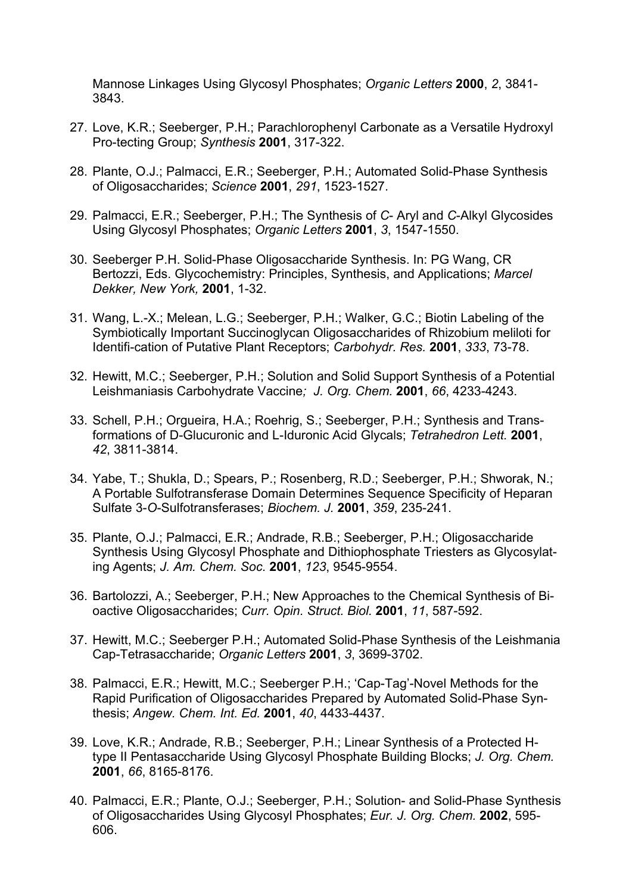Mannose Linkages Using Glycosyl Phosphates; *Organic Letters* **2000**, *2*, 3841- 3843.

- 27. Love, K.R.; Seeberger, P.H.; Parachlorophenyl Carbonate as a Versatile Hydroxyl Pro-tecting Group; *Synthesis* **2001**, 317-322.
- 28. Plante, O.J.; Palmacci, E.R.; Seeberger, P.H.; Automated Solid-Phase Synthesis of Oligosaccharides; *Science* **2001**, *291*, 1523-1527.
- 29. Palmacci, E.R.; Seeberger, P.H.; The Synthesis of *C* Aryl and *C*-Alkyl Glycosides Using Glycosyl Phosphates; *Organic Letters* **2001**, *3*, 1547-1550.
- 30. Seeberger P.H. Solid-Phase Oligosaccharide Synthesis. In: PG Wang, CR Bertozzi, Eds. Glycochemistry: Principles, Synthesis, and Applications; *Marcel Dekker, New York,* **2001**, 1-32.
- 31. Wang, L.-X.; Melean, L.G.; Seeberger, P.H.; Walker, G.C.; Biotin Labeling of the Symbiotically Important Succinoglycan Oligosaccharides of Rhizobium meliloti for Identifi-cation of Putative Plant Receptors; *Carbohydr. Res.* **2001**, *333*, 73-78.
- 32. Hewitt, M.C.; Seeberger, P.H.; Solution and Solid Support Synthesis of a Potential Leishmaniasis Carbohydrate Vaccine*; J. Org. Chem.* **2001**, *66*, 4233-4243.
- 33. Schell, P.H.; Orgueira, H.A.; Roehrig, S.; Seeberger, P.H.; Synthesis and Transformations of D-Glucuronic and L-Iduronic Acid Glycals; *Tetrahedron Lett.* **2001**, *42*, 3811-3814.
- 34. Yabe, T.; Shukla, D.; Spears, P.; Rosenberg, R.D.; Seeberger, P.H.; Shworak, N.; A Portable Sulfotransferase Domain Determines Sequence Specificity of Heparan Sulfate 3-*O*-Sulfotransferases; *Biochem. J.* **2001**, *359*, 235-241.
- 35. Plante, O.J.; Palmacci, E.R.; Andrade, R.B.; Seeberger, P.H.; Oligosaccharide Synthesis Using Glycosyl Phosphate and Dithiophosphate Triesters as Glycosylating Agents; *J. Am. Chem. Soc.* **2001**, *123*, 9545-9554.
- 36. Bartolozzi, A.; Seeberger, P.H.; New Approaches to the Chemical Synthesis of Bioactive Oligosaccharides; *Curr. Opin. Struct. Biol.* **2001**, *11*, 587-592.
- 37. Hewitt, M.C.; Seeberger P.H.; Automated Solid-Phase Synthesis of the Leishmania Cap-Tetrasaccharide; *Organic Letters* **2001**, *3*, 3699-3702.
- 38. Palmacci, E.R.; Hewitt, M.C.; Seeberger P.H.; 'Cap-Tag'-Novel Methods for the Rapid Purification of Oligosaccharides Prepared by Automated Solid-Phase Synthesis; *Angew. Chem. Int. Ed.* **2001**, *40*, 4433-4437.
- 39. Love, K.R.; Andrade, R.B.; Seeberger, P.H.; Linear Synthesis of a Protected Htype II Pentasaccharide Using Glycosyl Phosphate Building Blocks; *J. Org. Chem.* **2001**, *66*, 8165-8176.
- 40. Palmacci, E.R.; Plante, O.J.; Seeberger, P.H.; Solution- and Solid-Phase Synthesis of Oligosaccharides Using Glycosyl Phosphates; *Eur. J. Org. Chem.* **2002**, 595- 606.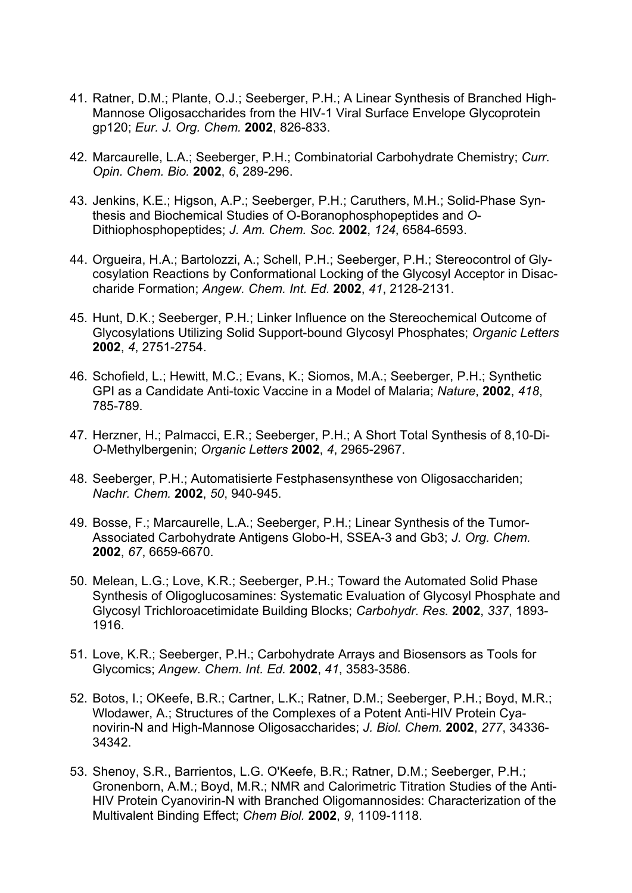- 41. Ratner, D.M.; Plante, O.J.; Seeberger, P.H.; A Linear Synthesis of Branched High-Mannose Oligosaccharides from the HIV-1 Viral Surface Envelope Glycoprotein gp120; *Eur. J. Org. Chem.* **2002**, 826-833.
- 42. Marcaurelle, L.A.; Seeberger, P.H.; Combinatorial Carbohydrate Chemistry; *Curr. Opin. Chem. Bio.* **2002**, *6*, 289-296.
- 43. Jenkins, K.E.; Higson, A.P.; Seeberger, P.H.; Caruthers, M.H.; Solid-Phase Synthesis and Biochemical Studies of O-Boranophosphopeptides and *O*-Dithiophosphopeptides; *J. Am. Chem. Soc.* **2002**, *124*, 6584-6593.
- 44. Orgueira, H.A.; Bartolozzi, A.; Schell, P.H.; Seeberger, P.H.; Stereocontrol of Glycosylation Reactions by Conformational Locking of the Glycosyl Acceptor in Disaccharide Formation; *Angew. Chem. Int. Ed.* **2002**, *41*, 2128-2131.
- 45. Hunt, D.K.; Seeberger, P.H.; Linker Influence on the Stereochemical Outcome of Glycosylations Utilizing Solid Support-bound Glycosyl Phosphates; *Organic Letters* **2002**, *4*, 2751-2754.
- 46. Schofield, L.; Hewitt, M.C.; Evans, K.; Siomos, M.A.; Seeberger, P.H.; Synthetic GPI as a Candidate Anti-toxic Vaccine in a Model of Malaria; *Nature*, **2002**, *418*, 785-789.
- 47. Herzner, H.; Palmacci, E.R.; Seeberger, P.H.; A Short Total Synthesis of 8,10-Di-*O*-Methylbergenin; *Organic Letters* **2002**, *4*, 2965-2967.
- 48. Seeberger, P.H.; Automatisierte Festphasensynthese von Oligosacchariden; *Nachr. Chem.* **2002**, *50*, 940-945.
- 49. Bosse, F.; Marcaurelle, L.A.; Seeberger, P.H.; Linear Synthesis of the Tumor-Associated Carbohydrate Antigens Globo-H, SSEA-3 and Gb3; *J. Org. Chem.* **2002**, *67*, 6659-6670.
- 50. Melean, L.G.; Love, K.R.; Seeberger, P.H.; Toward the Automated Solid Phase Synthesis of Oligoglucosamines: Systematic Evaluation of Glycosyl Phosphate and Glycosyl Trichloroacetimidate Building Blocks; *Carbohydr. Res.* **2002**, *337*, 1893- 1916.
- 51. Love, K.R.; Seeberger, P.H.; Carbohydrate Arrays and Biosensors as Tools for Glycomics; *Angew. Chem. Int. Ed.* **2002**, *41*, 3583-3586.
- 52. Botos, I.; OKeefe, B.R.; Cartner, L.K.; Ratner, D.M.; Seeberger, P.H.; Boyd, M.R.; Wlodawer, A.; Structures of the Complexes of a Potent Anti-HIV Protein Cyanovirin-N and High-Mannose Oligosaccharides; *J. Biol. Chem.* **2002**, *277*, 34336- 34342.
- 53. Shenoy, S.R., Barrientos, L.G. O'Keefe, B.R.; Ratner, D.M.; Seeberger, P.H.; Gronenborn, A.M.; Boyd, M.R.; NMR and Calorimetric Titration Studies of the Anti-HIV Protein Cyanovirin-N with Branched Oligomannosides: Characterization of the Multivalent Binding Effect; *Chem Biol.* **2002**, *9*, 1109-1118.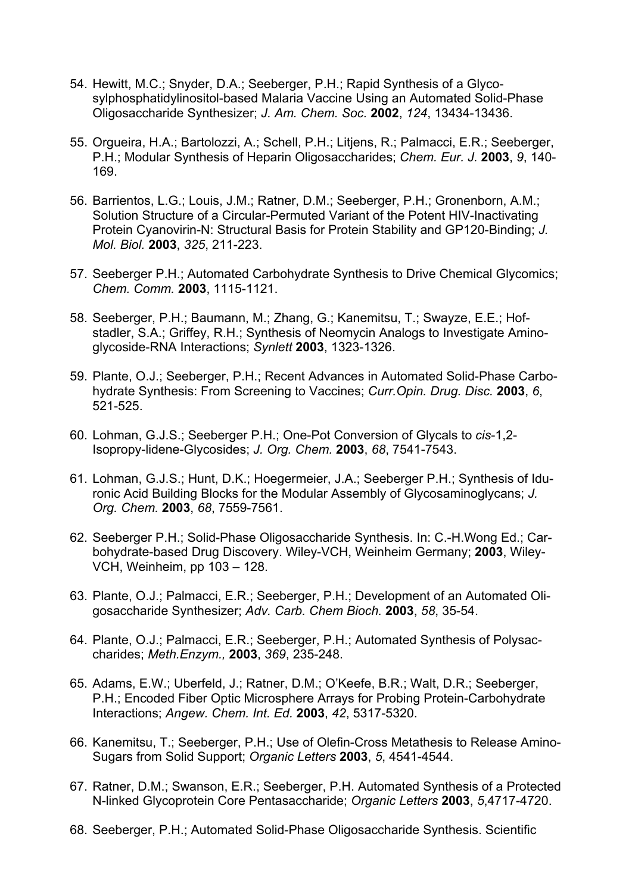- 54. Hewitt, M.C.; Snyder, D.A.; Seeberger, P.H.; Rapid Synthesis of a Glycosylphosphatidylinositol-based Malaria Vaccine Using an Automated Solid-Phase Oligosaccharide Synthesizer; *J. Am. Chem. Soc.* **2002**, *124*, 13434-13436.
- 55. Orgueira, H.A.; Bartolozzi, A.; Schell, P.H.; Litjens, R.; Palmacci, E.R.; Seeberger, P.H.; Modular Synthesis of Heparin Oligosaccharides; *Chem. Eur. J.* **2003**, *9*, 140- 169.
- 56. Barrientos, L.G.; Louis, J.M.; Ratner, D.M.; Seeberger, P.H.; Gronenborn, A.M.; Solution Structure of a Circular-Permuted Variant of the Potent HIV-Inactivating Protein Cyanovirin-N: Structural Basis for Protein Stability and GP120-Binding; *J. Mol. Biol.* **2003**, *325*, 211-223.
- 57. Seeberger P.H.; Automated Carbohydrate Synthesis to Drive Chemical Glycomics; *Chem. Comm.* **2003**, 1115-1121.
- 58. Seeberger, P.H.; Baumann, M.; Zhang, G.; Kanemitsu, T.; Swayze, E.E.; Hofstadler, S.A.; Griffey, R.H.; Synthesis of Neomycin Analogs to Investigate Aminoglycoside-RNA Interactions; *Synlett* **2003**, 1323-1326.
- 59. Plante, O.J.; Seeberger, P.H.; Recent Advances in Automated Solid-Phase Carbohydrate Synthesis: From Screening to Vaccines; *Curr.Opin. Drug. Disc.* **2003**, *6*, 521-525.
- 60. Lohman, G.J.S.; Seeberger P.H.; One-Pot Conversion of Glycals to *cis*-1,2- Isopropy-lidene-Glycosides; *J. Org. Chem.* **2003**, *68*, 7541-7543.
- 61. Lohman, G.J.S.; Hunt, D.K.; Hoegermeier, J.A.; Seeberger P.H.; Synthesis of Iduronic Acid Building Blocks for the Modular Assembly of Glycosaminoglycans; *J. Org. Chem.* **2003**, *68*, 7559-7561.
- 62. Seeberger P.H.; Solid-Phase Oligosaccharide Synthesis. In: C.-H.Wong Ed.; Carbohydrate-based Drug Discovery. Wiley-VCH, Weinheim Germany; **2003**, Wiley-VCH, Weinheim, pp 103 – 128.
- 63. Plante, O.J.; Palmacci, E.R.; Seeberger, P.H.; Development of an Automated Oligosaccharide Synthesizer; *Adv. Carb. Chem Bioch.* **2003**, *58*, 35-54.
- 64. Plante, O.J.; Palmacci, E.R.; Seeberger, P.H.; Automated Synthesis of Polysaccharides; *Meth.Enzym.,* **2003**, *369*, 235-248.
- 65. Adams, E.W.; Uberfeld, J.; Ratner, D.M.; O'Keefe, B.R.; Walt, D.R.; Seeberger, P.H.; Encoded Fiber Optic Microsphere Arrays for Probing Protein-Carbohydrate Interactions; *Angew. Chem. Int. Ed.* **2003**, *42*, 5317-5320.
- 66. Kanemitsu, T.; Seeberger, P.H.; Use of Olefin-Cross Metathesis to Release Amino-Sugars from Solid Support; *Organic Letters* **2003**, *5*, 4541-4544.
- 67. Ratner, D.M.; Swanson, E.R.; Seeberger, P.H. Automated Synthesis of a Protected N-linked Glycoprotein Core Pentasaccharide; *Organic Letters* **2003**, *5*,4717-4720.
- 68. Seeberger, P.H.; Automated Solid-Phase Oligosaccharide Synthesis. Scientific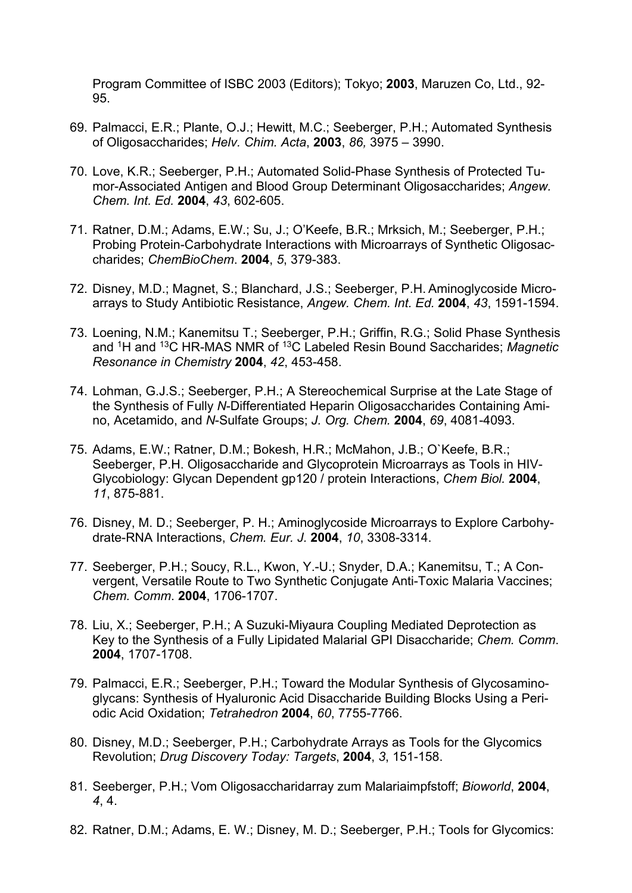Program Committee of ISBC 2003 (Editors); Tokyo; **2003**, Maruzen Co, Ltd., 92- 95.

- 69. Palmacci, E.R.; Plante, O.J.; Hewitt, M.C.; Seeberger, P.H.; Automated Synthesis of Oligosaccharides; *Helv. Chim. Acta*, **2003**, *86,* 3975 – 3990.
- 70. Love, K.R.; Seeberger, P.H.; Automated Solid-Phase Synthesis of Protected Tumor-Associated Antigen and Blood Group Determinant Oligosaccharides; *Angew. Chem. Int. Ed.* **2004**, *43*, 602-605.
- 71. Ratner, D.M.; Adams, E.W.; Su, J.; O'Keefe, B.R.; Mrksich, M.; Seeberger, P.H.; Probing Protein-Carbohydrate Interactions with Microarrays of Synthetic Oligosaccharides; *ChemBioChem*. **2004**, *5*, 379-383.
- 72. Disney, M.D.; Magnet, S.; Blanchard, J.S.; Seeberger, P.H. Aminoglycoside Microarrays to Study Antibiotic Resistance, *Angew. Chem. Int. Ed.* **2004**, *43*, 1591-1594.
- 73. Loening, N.M.; Kanemitsu T.; Seeberger, P.H.; Griffin, R.G.; Solid Phase Synthesis and 1H and 13C HR-MAS NMR of 13C Labeled Resin Bound Saccharides; *Magnetic Resonance in Chemistry* **2004**, *42*, 453-458.
- 74. Lohman, G.J.S.; Seeberger, P.H.; A Stereochemical Surprise at the Late Stage of the Synthesis of Fully *N*-Differentiated Heparin Oligosaccharides Containing Amino, Acetamido, and *N*-Sulfate Groups; *J. Org. Chem.* **2004**, *69*, 4081-4093.
- 75. Adams, E.W.; Ratner, D.M.; Bokesh, H.R.; McMahon, J.B.; O`Keefe, B.R.; Seeberger, P.H. Oligosaccharide and Glycoprotein Microarrays as Tools in HIV-Glycobiology: Glycan Dependent gp120 / protein Interactions, *Chem Biol.* **2004**, *11*, 875-881.
- 76. Disney, M. D.; Seeberger, P. H.; Aminoglycoside Microarrays to Explore Carbohydrate-RNA Interactions, *Chem. Eur. J.* **2004**, *10*, 3308-3314.
- 77. Seeberger, P.H.; Soucy, R.L., Kwon, Y.-U.; Snyder, D.A.; Kanemitsu, T.; A Convergent, Versatile Route to Two Synthetic Conjugate Anti-Toxic Malaria Vaccines; *Chem. Comm*. **2004**, 1706-1707.
- 78. Liu, X.; Seeberger, P.H.; A Suzuki-Miyaura Coupling Mediated Deprotection as Key to the Synthesis of a Fully Lipidated Malarial GPI Disaccharide; *Chem. Comm*. **2004**, 1707-1708.
- 79. Palmacci, E.R.; Seeberger, P.H.; Toward the Modular Synthesis of Glycosaminoglycans: Synthesis of Hyaluronic Acid Disaccharide Building Blocks Using a Periodic Acid Oxidation; *Tetrahedron* **2004**, *60*, 7755-7766.
- 80. Disney, M.D.; Seeberger, P.H.; Carbohydrate Arrays as Tools for the Glycomics Revolution; *Drug Discovery Today: Targets*, **2004**, *3*, 151-158.
- 81. Seeberger, P.H.; Vom Oligosaccharidarray zum Malariaimpfstoff; *Bioworld*, **2004**, *4*, 4.
- 82. Ratner, D.M.; Adams, E. W.; Disney, M. D.; Seeberger, P.H.; Tools for Glycomics: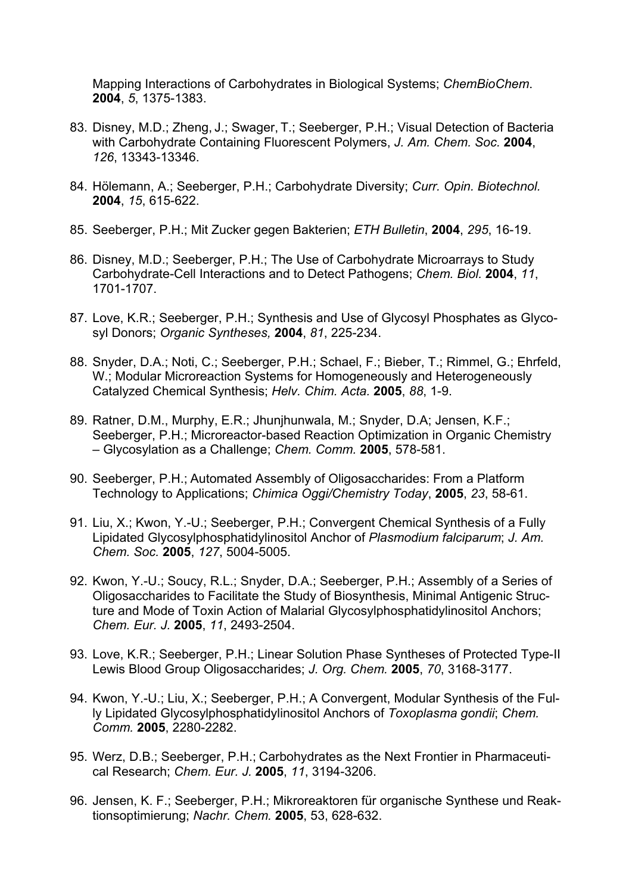Mapping Interactions of Carbohydrates in Biological Systems; *ChemBioChem*. **2004**, *5*, 1375-1383.

- 83. Disney, M.D.; Zheng, J.; Swager, T.; Seeberger, P.H.; Visual Detection of Bacteria with Carbohydrate Containing Fluorescent Polymers, *J. Am. Chem. Soc.* **2004**, *126*, 13343-13346.
- 84. Hölemann, A.; Seeberger, P.H.; Carbohydrate Diversity; *Curr. Opin. Biotechnol.* **2004**, *15*, 615-622.
- 85. Seeberger, P.H.; Mit Zucker gegen Bakterien; *ETH Bulletin*, **2004**, *295*, 16-19.
- 86. Disney, M.D.; Seeberger, P.H.; The Use of Carbohydrate Microarrays to Study Carbohydrate-Cell Interactions and to Detect Pathogens; *Chem. Biol.* **2004**, *11*, 1701-1707.
- 87. Love, K.R.; Seeberger, P.H.; Synthesis and Use of Glycosyl Phosphates as Glycosyl Donors; *Organic Syntheses,* **2004**, *81*, 225-234.
- 88. Snyder, D.A.; Noti, C.; Seeberger, P.H.; Schael, F.; Bieber, T.; Rimmel, G.; Ehrfeld, W.; Modular Microreaction Systems for Homogeneously and Heterogeneously Catalyzed Chemical Synthesis; *Helv. Chim. Acta.* **2005**, *88*, 1-9.
- 89. Ratner, D.M., Murphy, E.R.; Jhunjhunwala, M.; Snyder, D.A; Jensen, K.F.; Seeberger, P.H.; Microreactor-based Reaction Optimization in Organic Chemistry – Glycosylation as a Challenge; *Chem. Comm.* **2005**, 578-581.
- 90. Seeberger, P.H.; Automated Assembly of Oligosaccharides: From a Platform Technology to Applications; *Chimica Oggi/Chemistry Today*, **2005**, *23*, 58-61.
- 91. Liu, X.; Kwon, Y.-U.; Seeberger, P.H.; Convergent Chemical Synthesis of a Fully Lipidated Glycosylphosphatidylinositol Anchor of *Plasmodium falciparum*; *J. Am. Chem. Soc.* **2005**, *127*, 5004-5005.
- 92. Kwon, Y.-U.; Soucy, R.L.; Snyder, D.A.; Seeberger, P.H.; Assembly of a Series of Oligosaccharides to Facilitate the Study of Biosynthesis, Minimal Antigenic Structure and Mode of Toxin Action of Malarial Glycosylphosphatidylinositol Anchors; *Chem. Eur. J.* **2005**, *11*, 2493-2504.
- 93. Love, K.R.; Seeberger, P.H.; Linear Solution Phase Syntheses of Protected Type-II Lewis Blood Group Oligosaccharides; *J. Org. Chem.* **2005**, *70*, 3168-3177.
- 94. Kwon, Y.-U.; Liu, X.; Seeberger, P.H.; A Convergent, Modular Synthesis of the Fully Lipidated Glycosylphosphatidylinositol Anchors of *Toxoplasma gondii*; *Chem. Comm.* **2005**, 2280-2282.
- 95. Werz, D.B.; Seeberger, P.H.; Carbohydrates as the Next Frontier in Pharmaceutical Research; *Chem. Eur. J.* **2005**, *11*, 3194-3206.
- 96. Jensen, K. F.; Seeberger, P.H.; Mikroreaktoren für organische Synthese und Reaktionsoptimierung; *Nachr. Chem.* **2005**, 53, 628-632.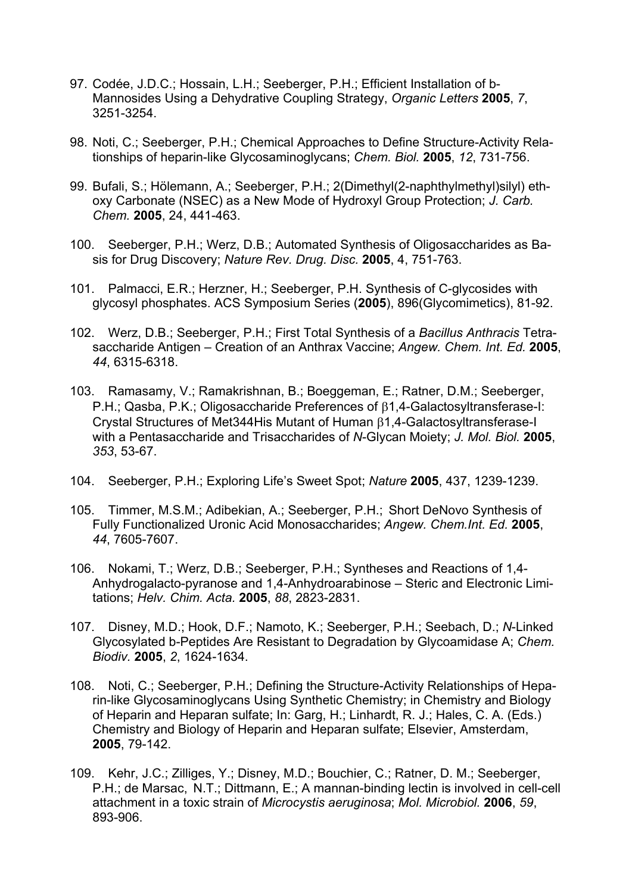- 97. Codée, J.D.C.; Hossain, L.H.; Seeberger, P.H.; Efficient Installation of b-Mannosides Using a Dehydrative Coupling Strategy, *Organic Letters* **2005**, *7*, 3251-3254.
- 98. Noti, C.; Seeberger, P.H.; Chemical Approaches to Define Structure-Activity Relationships of heparin-like Glycosaminoglycans; *Chem. Biol.* **2005**, *12*, 731-756.
- 99. Bufali, S.; Hölemann, A.; Seeberger, P.H.; 2(Dimethyl(2-naphthylmethyl)silyl) ethoxy Carbonate (NSEC) as a New Mode of Hydroxyl Group Protection; *J. Carb. Chem.* **2005**, 24, 441-463.
- 100. Seeberger, P.H.; Werz, D.B.; Automated Synthesis of Oligosaccharides as Basis for Drug Discovery; *Nature Rev. Drug. Disc.* **2005**, 4, 751-763.
- 101. Palmacci, E.R.; Herzner, H.; Seeberger, P.H. Synthesis of C-glycosides with glycosyl phosphates. ACS Symposium Series (**2005**), 896(Glycomimetics), 81-92.
- 102. Werz, D.B.; Seeberger, P.H.; First Total Synthesis of a *Bacillus Anthracis* Tetrasaccharide Antigen – Creation of an Anthrax Vaccine; *Angew. Chem. Int. Ed.* **2005**, *44*, 6315-6318.
- 103. Ramasamy, V.; Ramakrishnan, B.; Boeggeman, E.; Ratner, D.M.; Seeberger,  $P.H.:$  Qasba,  $P.K.:$  Oligosaccharide Preferences of  $\beta$ 1,4-Galactosyltransferase-I: Crystal Structures of Met344His Mutant of Human  $\beta$ 1,4-Galactosyltransferase-I with a Pentasaccharide and Trisaccharides of *N*-Glycan Moiety; *J. Mol. Biol.* **2005**, *353*, 53-67.
- 104. Seeberger, P.H.; Exploring Life's Sweet Spot; *Nature* **2005**, 437, 1239-1239.
- 105. Timmer, M.S.M.; Adibekian, A.; Seeberger, P.H.; Short DeNovo Synthesis of Fully Functionalized Uronic Acid Monosaccharides; *Angew. Chem.Int. Ed.* **2005**, *44*, 7605-7607.
- 106. Nokami, T.; Werz, D.B.; Seeberger, P.H.; Syntheses and Reactions of 1,4- Anhydrogalacto-pyranose and 1,4-Anhydroarabinose – Steric and Electronic Limitations; *Helv. Chim. Acta.* **2005**, *88*, 2823-2831.
- 107. Disney, M.D.; Hook, D.F.; Namoto, K.; Seeberger, P.H.; Seebach, D.; *N*-Linked Glycosylated b-Peptides Are Resistant to Degradation by Glycoamidase A; *Chem. Biodiv.* **2005**, *2*, 1624-1634.
- 108. Noti, C.; Seeberger, P.H.; Defining the Structure-Activity Relationships of Heparin-like Glycosaminoglycans Using Synthetic Chemistry; in Chemistry and Biology of Heparin and Heparan sulfate; In: Garg, H.; Linhardt, R. J.; Hales, C. A. (Eds.) Chemistry and Biology of Heparin and Heparan sulfate; Elsevier, Amsterdam, **2005**, 79-142.
- 109. Kehr, J.C.; Zilliges, Y.; Disney, M.D.; Bouchier, C.; Ratner, D. M.; Seeberger, P.H.; de Marsac, N.T.; Dittmann, E.; A mannan-binding lectin is involved in cell-cell attachment in a toxic strain of *Microcystis aeruginosa*; *Mol. Microbiol.* **2006**, *59*, 893-906.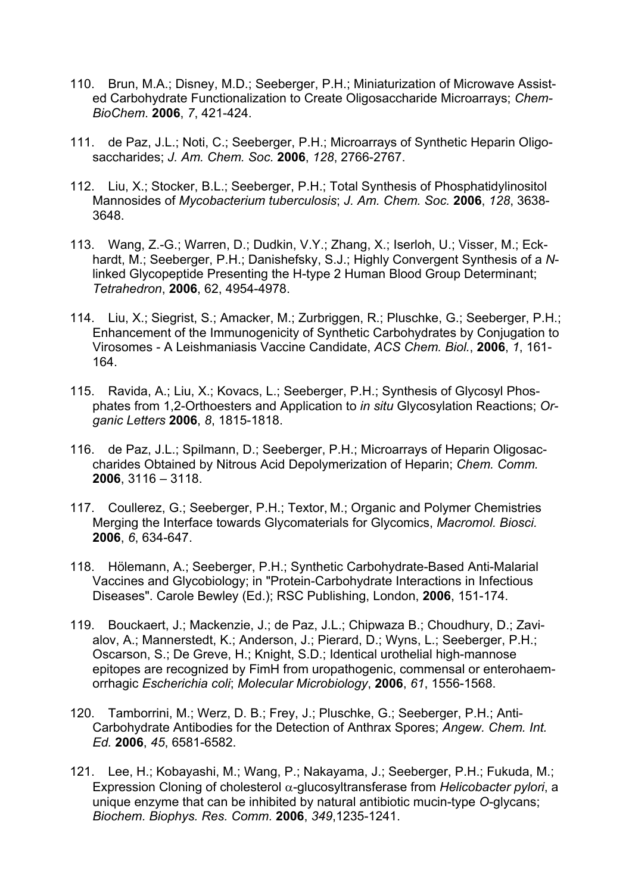- 110. Brun, M.A.; Disney, M.D.; Seeberger, P.H.; Miniaturization of Microwave Assisted Carbohydrate Functionalization to Create Oligosaccharide Microarrays; *Chem-BioChem*. **2006**, *7*, 421-424.
- 111. de Paz, J.L.; Noti, C.; Seeberger, P.H.; Microarrays of Synthetic Heparin Oligosaccharides; *J. Am. Chem. Soc.* **2006**, *128*, 2766-2767.
- 112. Liu, X.; Stocker, B.L.; Seeberger, P.H.; Total Synthesis of Phosphatidylinositol Mannosides of *Mycobacterium tuberculosis*; *J. Am. Chem. Soc.* **2006**, *128*, 3638- 3648.
- 113. Wang, Z.-G.; Warren, D.; Dudkin, V.Y.; Zhang, X.; Iserloh, U.; Visser, M.; Eckhardt, M.; Seeberger, P.H.; Danishefsky, S.J.; Highly Convergent Synthesis of a *N*linked Glycopeptide Presenting the H-type 2 Human Blood Group Determinant; *Tetrahedron*, **2006**, 62, 4954-4978.
- 114. Liu, X.; Siegrist, S.; Amacker, M.; Zurbriggen, R.; Pluschke, G.; Seeberger, P.H.; Enhancement of the Immunogenicity of Synthetic Carbohydrates by Conjugation to Virosomes - A Leishmaniasis Vaccine Candidate, *ACS Chem. Biol.*, **2006**, *1*, 161- 164.
- 115. Ravida, A.; Liu, X.; Kovacs, L.; Seeberger, P.H.; Synthesis of Glycosyl Phosphates from 1,2-Orthoesters and Application to *in situ* Glycosylation Reactions; *Organic Letters* **2006**, *8*, 1815-1818.
- 116. de Paz, J.L.; Spilmann, D.; Seeberger, P.H.; Microarrays of Heparin Oligosaccharides Obtained by Nitrous Acid Depolymerization of Heparin; *Chem. Comm.* **2006**, 3116 – 3118.
- 117. Coullerez, G.; Seeberger, P.H.; Textor, M.; Organic and Polymer Chemistries Merging the Interface towards Glycomaterials for Glycomics, *Macromol. Biosci.* **2006**, *6*, 634-647.
- 118. Hölemann, A.; Seeberger, P.H.; Synthetic Carbohydrate-Based Anti-Malarial Vaccines and Glycobiology; in "Protein-Carbohydrate Interactions in Infectious Diseases". Carole Bewley (Ed.); RSC Publishing, London, **2006**, 151-174.
- 119. Bouckaert, J.; Mackenzie, J.; de Paz, J.L.; Chipwaza B.; Choudhury, D.; Zavialov, A.; Mannerstedt, K.; Anderson, J.; Pierard, D.; Wyns, L.; Seeberger, P.H.; Oscarson, S.; De Greve, H.; Knight, S.D.; Identical urothelial high-mannose epitopes are recognized by FimH from uropathogenic, commensal or enterohaemorrhagic *Escherichia coli*; *Molecular Microbiology*, **2006**, *61*, 1556-1568.
- 120. Tamborrini, M.; Werz, D. B.; Frey, J.; Pluschke, G.; Seeberger, P.H.; Anti-Carbohydrate Antibodies for the Detection of Anthrax Spores; *Angew. Chem. Int. Ed.* **2006**, *45*, 6581-6582.
- 121. Lee, H.; Kobayashi, M.; Wang, P.; Nakayama, J.; Seeberger, P.H.; Fukuda, M.; Expression Cloning of cholesterol  $\alpha$ -glucosyltransferase from *Helicobacter pylori*, a unique enzyme that can be inhibited by natural antibiotic mucin-type *O*-glycans; *Biochem. Biophys. Res. Comm.* **2006**, *349*,1235-1241.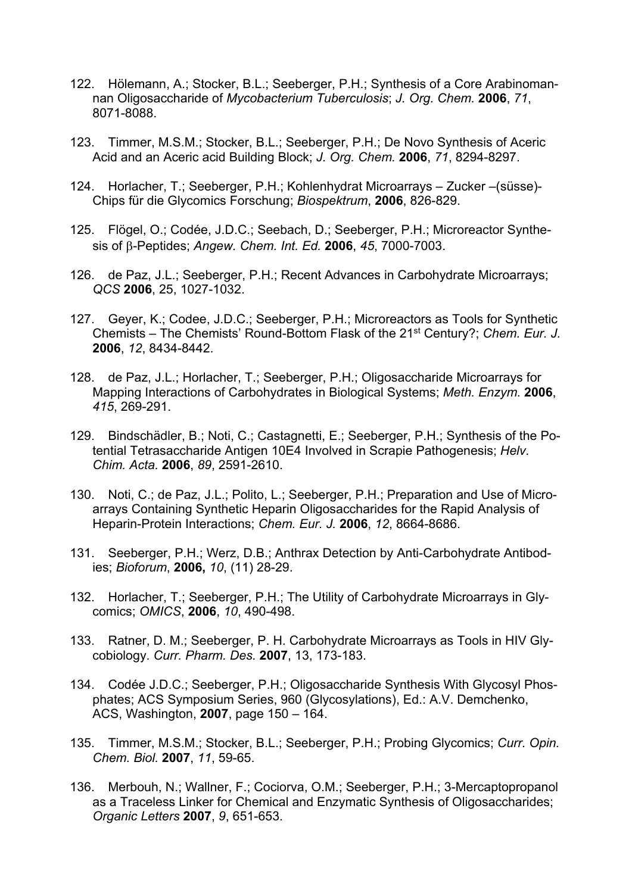- 122. Hölemann, A.; Stocker, B.L.; Seeberger, P.H.; Synthesis of a Core Arabinomannan Oligosaccharide of *Mycobacterium Tuberculosis*; *J. Org. Chem.* **2006**, *71*, 8071-8088.
- 123. Timmer, M.S.M.; Stocker, B.L.; Seeberger, P.H.; De Novo Synthesis of Aceric Acid and an Aceric acid Building Block; *J. Org. Chem.* **2006**, *71*, 8294-8297.
- 124. Horlacher, T.; Seeberger, P.H.; Kohlenhydrat Microarrays Zucker –(süsse)- Chips für die Glycomics Forschung; *Biospektrum*, **2006**, 826-829.
- 125. Flögel, O.; Codée, J.D.C.; Seebach, D.; Seeberger, P.H.; Microreactor Synthesis of β-Peptides; *Angew. Chem. Int. Ed.* **2006**, 45, 7000-7003.
- 126. de Paz, J.L.; Seeberger, P.H.; Recent Advances in Carbohydrate Microarrays; *QCS* **2006**, 25, 1027-1032.
- 127. Geyer, K.; Codee, J.D.C.; Seeberger, P.H.; Microreactors as Tools for Synthetic Chemists – The Chemists' Round-Bottom Flask of the 21st Century?; *Chem. Eur. J.* **2006**, *12*, 8434-8442.
- 128. de Paz, J.L.; Horlacher, T.; Seeberger, P.H.; Oligosaccharide Microarrays for Mapping Interactions of Carbohydrates in Biological Systems; *Meth. Enzym.* **2006**, *415*, 269-291.
- 129. Bindschädler, B.; Noti, C.; Castagnetti, E.; Seeberger, P.H.; Synthesis of the Potential Tetrasaccharide Antigen 10E4 Involved in Scrapie Pathogenesis; *Helv. Chim. Acta.* **2006**, *89*, 2591-2610.
- 130. Noti, C.; de Paz, J.L.; Polito, L.; Seeberger, P.H.; Preparation and Use of Microarrays Containing Synthetic Heparin Oligosaccharides for the Rapid Analysis of Heparin-Protein Interactions; *Chem. Eur. J.* **2006**, *12*, 8664-8686.
- 131. Seeberger, P.H.; Werz, D.B.; Anthrax Detection by Anti-Carbohydrate Antibodies; *Bioforum*, **2006,** *10*, (11) 28-29.
- 132. Horlacher, T.; Seeberger, P.H.; The Utility of Carbohydrate Microarrays in Glycomics; *OMICS*, **2006**, *10*, 490-498.
- 133. Ratner, D. M.; Seeberger, P. H. Carbohydrate Microarrays as Tools in HIV Glycobiology. *Curr. Pharm. Des.* **2007**, 13, 173-183.
- 134. Codée J.D.C.; Seeberger, P.H.; Oligosaccharide Synthesis With Glycosyl Phosphates; ACS Symposium Series, 960 (Glycosylations), Ed.: A.V. Demchenko, ACS, Washington, **2007**, page 150 – 164.
- 135. Timmer, M.S.M.; Stocker, B.L.; Seeberger, P.H.; Probing Glycomics; *Curr. Opin. Chem. Biol.* **2007**, *11*, 59-65.
- 136. Merbouh, N.; Wallner, F.; Cociorva, O.M.; Seeberger, P.H.; 3-Mercaptopropanol as a Traceless Linker for Chemical and Enzymatic Synthesis of Oligosaccharides; *Organic Letters* **2007**, *9*, 651-653.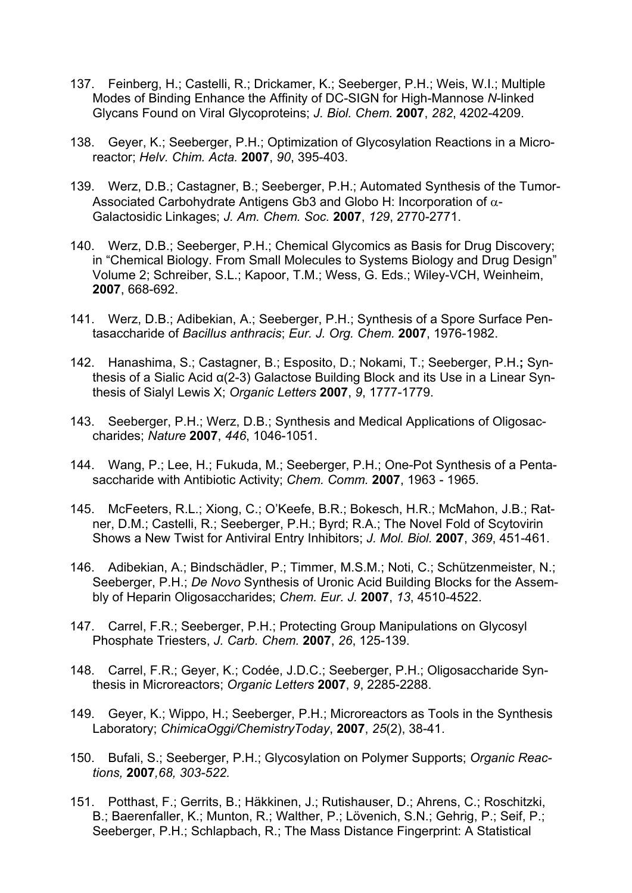- 137. Feinberg, H.; Castelli, R.; Drickamer, K.; Seeberger, P.H.; Weis, W.I.; Multiple Modes of Binding Enhance the Affinity of DC-SIGN for High-Mannose *N*-linked Glycans Found on Viral Glycoproteins; *J. Biol. Chem.* **2007**, *282*, 4202-4209.
- 138. Geyer, K.; Seeberger, P.H.; Optimization of Glycosylation Reactions in a Microreactor; *Helv. Chim. Acta.* **2007**, *90*, 395-403.
- 139. Werz, D.B.; Castagner, B.; Seeberger, P.H.; Automated Synthesis of the Tumor-Associated Carbohydrate Antigens Gb3 and Globo H: Incorporation of  $\alpha$ -Galactosidic Linkages; *J. Am. Chem. Soc.* **2007**, *129*, 2770-2771.
- 140. Werz, D.B.; Seeberger, P.H.; Chemical Glycomics as Basis for Drug Discovery; in "Chemical Biology. From Small Molecules to Systems Biology and Drug Design" Volume 2; Schreiber, S.L.; Kapoor, T.M.; Wess, G. Eds.; Wiley-VCH, Weinheim, **2007**, 668-692.
- 141. Werz, D.B.; Adibekian, A.; Seeberger, P.H.; Synthesis of a Spore Surface Pentasaccharide of *Bacillus anthracis*; *Eur. J. Org. Chem.* **2007**, 1976-1982.
- 142. Hanashima, S.; Castagner, B.; Esposito, D.; Nokami, T.; Seeberger, P.H.**;** Synthesis of a Sialic Acid α(2-3) Galactose Building Block and its Use in a Linear Synthesis of Sialyl Lewis X; *Organic Letters* **2007**, *9*, 1777-1779.
- 143. Seeberger, P.H.; Werz, D.B.; Synthesis and Medical Applications of Oligosaccharides; *Nature* **2007**, *446*, 1046-1051.
- 144. Wang, P.; Lee, H.; Fukuda, M.; Seeberger, P.H.; One-Pot Synthesis of a Pentasaccharide with Antibiotic Activity; *Chem. Comm.* **2007**, 1963 - 1965.
- 145. McFeeters, R.L.; Xiong, C.; O'Keefe, B.R.; Bokesch, H.R.; McMahon, J.B.; Ratner, D.M.; Castelli, R.; Seeberger, P.H.; Byrd; R.A.; The Novel Fold of Scytovirin Shows a New Twist for Antiviral Entry Inhibitors; *J. Mol. Biol.* **2007**, *369*, 451-461.
- 146. Adibekian, A.; Bindschädler, P.; Timmer, M.S.M.; Noti, C.; Schützenmeister, N.; Seeberger, P.H.; *De Novo* Synthesis of Uronic Acid Building Blocks for the Assembly of Heparin Oligosaccharides; *Chem. Eur. J.* **2007**, *13*, 4510-4522.
- 147. Carrel, F.R.; Seeberger, P.H.; Protecting Group Manipulations on Glycosyl Phosphate Triesters, *J. Carb. Chem.* **2007**, *26*, 125-139.
- 148. Carrel, F.R.; Geyer, K.; Codée, J.D.C.; Seeberger, P.H.; Oligosaccharide Synthesis in Microreactors; *Organic Letters* **2007**, *9*, 2285-2288.
- 149. Geyer, K.; Wippo, H.; Seeberger, P.H.; Microreactors as Tools in the Synthesis Laboratory; *ChimicaOggi/ChemistryToday*, **2007**, *25*(2), 38-41.
- 150. Bufali, S.; Seeberger, P.H.; Glycosylation on Polymer Supports; *Organic Reactions,* **2007***,68, 303-522.*
- 151. Potthast, F.; Gerrits, B.; Häkkinen, J.; Rutishauser, D.; Ahrens, C.; Roschitzki, B.; Baerenfaller, K.; Munton, R.; Walther, P.; Lövenich, S.N.; Gehrig, P.; Seif, P.; Seeberger, P.H.; Schlapbach, R.; The Mass Distance Fingerprint: A Statistical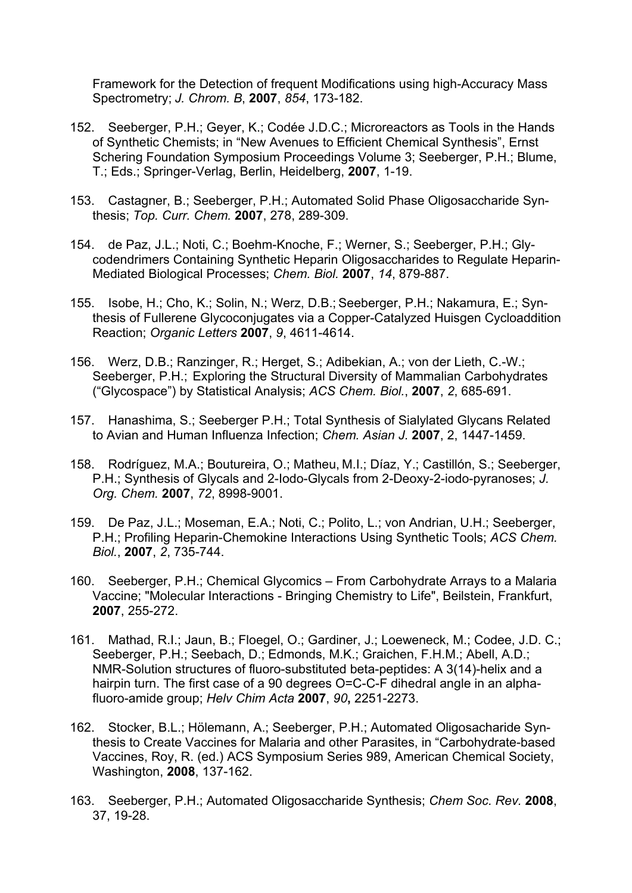Framework for the Detection of frequent Modifications using high-Accuracy Mass Spectrometry; *J. Chrom. B*, **2007**, *854*, 173-182.

- 152. Seeberger, P.H.; Geyer, K.; Codée J.D.C.; Microreactors as Tools in the Hands of Synthetic Chemists; in "New Avenues to Efficient Chemical Synthesis", Ernst Schering Foundation Symposium Proceedings Volume 3; Seeberger, P.H.; Blume, T.; Eds.; Springer-Verlag, Berlin, Heidelberg, **2007**, 1-19.
- 153. Castagner, B.; Seeberger, P.H.; Automated Solid Phase Oligosaccharide Synthesis; *Top. Curr. Chem.* **2007**, 278, 289-309.
- 154. de Paz, J.L.; Noti, C.; Boehm-Knoche, F.; Werner, S.; Seeberger, P.H.; Glycodendrimers Containing Synthetic Heparin Oligosaccharides to Regulate Heparin-Mediated Biological Processes; *Chem. Biol.* **2007**, *14*, 879-887.
- 155. Isobe, H.; Cho, K.; Solin, N.; Werz, D.B.; Seeberger, P.H.; Nakamura, E.; Synthesis of Fullerene Glycoconjugates via a Copper-Catalyzed Huisgen Cycloaddition Reaction; *Organic Letters* **2007**, *9*, 4611-4614.
- 156. Werz, D.B.; Ranzinger, R.; Herget, S.; Adibekian, A.; von der Lieth, C.-W.; Seeberger, P.H.; Exploring the Structural Diversity of Mammalian Carbohydrates ("Glycospace") by Statistical Analysis; *ACS Chem. Biol.*, **2007**, *2*, 685-691.
- 157. Hanashima, S.; Seeberger P.H.; Total Synthesis of Sialylated Glycans Related to Avian and Human Influenza Infection; *Chem. Asian J.* **2007**, 2, 1447-1459.
- 158. Rodríguez, M.A.; Boutureira, O.; Matheu, M.I.; Díaz, Y.; Castillón, S.; Seeberger, P.H.; Synthesis of Glycals and 2-Iodo-Glycals from 2-Deoxy-2-iodo-pyranoses; *J. Org. Chem.* **2007**, *72*, 8998-9001.
- 159. De Paz, J.L.; Moseman, E.A.; Noti, C.; Polito, L.; von Andrian, U.H.; Seeberger, P.H.; Profiling Heparin-Chemokine Interactions Using Synthetic Tools; *ACS Chem. Biol.*, **2007**, *2*, 735-744.
- 160. Seeberger, P.H.; Chemical Glycomics From Carbohydrate Arrays to a Malaria Vaccine; "Molecular Interactions - Bringing Chemistry to Life", Beilstein, Frankfurt, **2007**, 255-272.
- 161. Mathad, R.I.; Jaun, B.; Floegel, O.; Gardiner, J.; Loeweneck, M.; Codee, J.D. C.; Seeberger, P.H.; Seebach, D.; Edmonds, M.K.; Graichen, F.H.M.; Abell, A.D.; NMR-Solution structures of fluoro-substituted beta-peptides: A 3(14)-helix and a hairpin turn. The first case of a 90 degrees O=C-C-F dihedral angle in an alphafluoro-amide group; *Helv Chim Acta* **2007**, *90***,** 2251-2273.
- 162. Stocker, B.L.; Hölemann, A.; Seeberger, P.H.; Automated Oligosacharide Synthesis to Create Vaccines for Malaria and other Parasites, in "Carbohydrate-based Vaccines, Roy, R. (ed.) ACS Symposium Series 989, American Chemical Society, Washington, **2008**, 137-162.
- 163. Seeberger, P.H.; Automated Oligosaccharide Synthesis; *Chem Soc. Rev.* **2008**, 37, 19-28.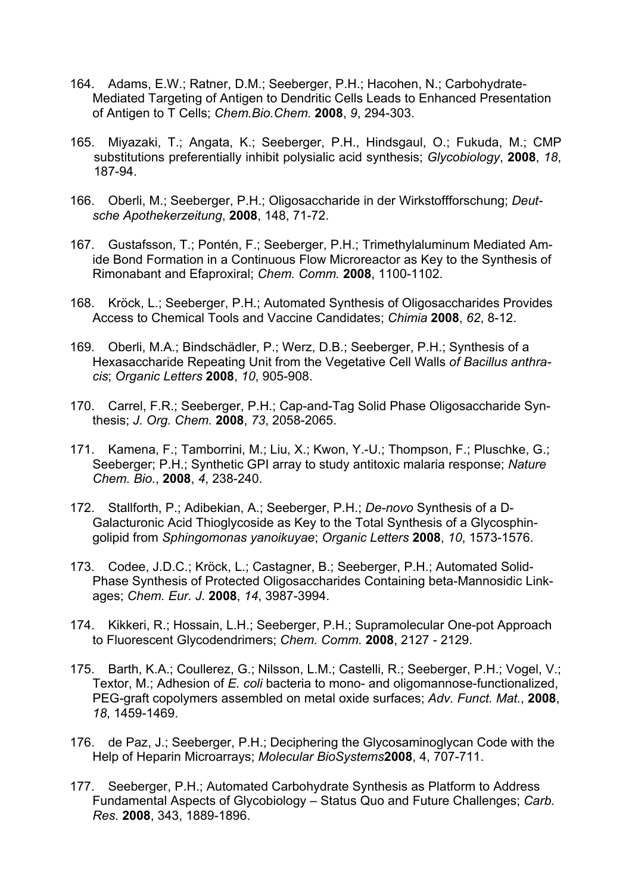- 164. Adams, E.W.; Ratner, D.M.; Seeberger, P.H.; Hacohen, N.; Carbohydrate-Mediated Targeting of Antigen to Dendritic Cells Leads to Enhanced Presentation of Antigen to T Cells; *Chem.Bio.Chem.* **2008**, *9*, 294-303.
- 165. Miyazaki, T.; Angata, K.; Seeberger, P.H., Hindsgaul, O.; Fukuda, M.; CMP substitutions preferentially inhibit polysialic acid synthesis; *Glycobiology*, **2008**, *18*, 187-94.
- 166. Oberli, M.; Seeberger, P.H.; Oligosaccharide in der Wirkstoffforschung; *Deutsche Apothekerzeitung*, **2008**, 148, 71-72.
- 167. Gustafsson, T.; Pontén, F.; Seeberger, P.H.; Trimethylaluminum Mediated Amide Bond Formation in a Continuous Flow Microreactor as Key to the Synthesis of Rimonabant and Efaproxiral; *Chem. Comm.* **2008**, 1100-1102.
- 168. Kröck, L.; Seeberger, P.H.; Automated Synthesis of Oligosaccharides Provides Access to Chemical Tools and Vaccine Candidates; *Chimia* **2008**, *62*, 8-12.
- 169. Oberli, M.A.; Bindschädler, P.; Werz, D.B.; Seeberger, P.H.; Synthesis of a Hexasaccharide Repeating Unit from the Vegetative Cell Walls *of Bacillus anthracis*; *Organic Letters* **2008**, *10*, 905-908.
- 170. Carrel, F.R.; Seeberger, P.H.; Cap-and-Tag Solid Phase Oligosaccharide Synthesis; *J. Org. Chem.* **2008**, *73*, 2058-2065.
- 171. Kamena, F.; Tamborrini, M.; Liu, X.; Kwon, Y.-U.; Thompson, F.; Pluschke, G.; Seeberger; P.H.; Synthetic GPI array to study antitoxic malaria response; *Nature Chem. Bio.*, **2008**, *4*, 238-240.
- 172. Stallforth, P.; Adibekian, A.; Seeberger, P.H.; *De-novo* Synthesis of a D-Galacturonic Acid Thioglycoside as Key to the Total Synthesis of a Glycosphingolipid from *Sphingomonas yanoikuyae*; *Organic Letters* **2008**, *10*, 1573-1576.
- 173. Codee, J.D.C.; Kröck, L.; Castagner, B.; Seeberger, P.H.; Automated Solid-Phase Synthesis of Protected Oligosaccharides Containing beta-Mannosidic Linkages; *Chem. Eur. J.* **2008**, *14*, 3987-3994.
- 174. Kikkeri, R.; Hossain, L.H.; Seeberger, P.H.; Supramolecular One-pot Approach to Fluorescent Glycodendrimers; *Chem. Comm.* **2008**, 2127 - 2129.
- 175. Barth, K.A.; Coullerez, G.; Nilsson, L.M.; Castelli, R.; Seeberger, P.H.; Vogel, V.; Textor, M.; Adhesion of *E. coli* bacteria to mono- and oligomannose-functionalized, PEG-graft copolymers assembled on metal oxide surfaces; *Adv. Funct. Mat.*, **2008**, *18*, 1459-1469.
- 176. de Paz, J.; Seeberger, P.H.; Deciphering the Glycosaminoglycan Code with the Help of Heparin Microarrays; *Molecular BioSystems***2008**, 4, 707-711.
- 177. Seeberger, P.H.; Automated Carbohydrate Synthesis as Platform to Address Fundamental Aspects of Glycobiology – Status Quo and Future Challenges; *Carb. Res.* **2008**, 343, 1889-1896.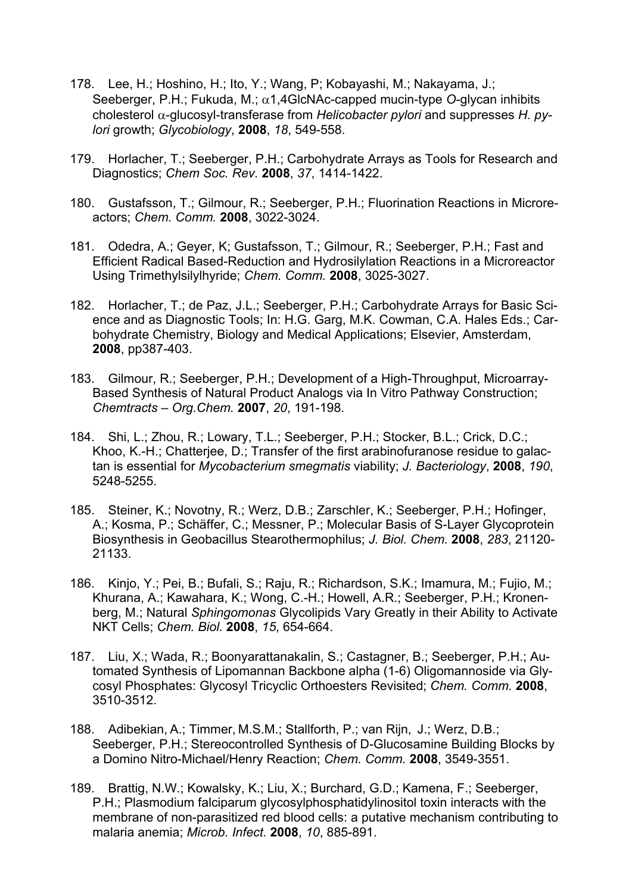- 178. Lee, H.; Hoshino, H.; Ito, Y.; Wang, P; Kobayashi, M.; Nakayama, J.; Seeberger, P.H.; Fukuda, M.; α1,4GlcNAc-capped mucin-type *O*-glycan inhibits  $\alpha$ -glucosyl-transferase from *Helicobacter pylori* and suppresses *H. pylori* growth; *Glycobiology*, **2008**, *18*, 549-558.
- 179. Horlacher, T.; Seeberger, P.H.; Carbohydrate Arrays as Tools for Research and Diagnostics; *Chem Soc. Rev.* **2008**, *37*, 1414-1422.
- 180. Gustafsson, T.; Gilmour, R.; Seeberger, P.H.; Fluorination Reactions in Microreactors; *Chem. Comm.* **2008**, 3022-3024.
- 181. Odedra, A.; Geyer, K; Gustafsson, T.; Gilmour, R.; Seeberger, P.H.; Fast and Efficient Radical Based-Reduction and Hydrosilylation Reactions in a Microreactor Using Trimethylsilylhyride; *Chem. Comm.* **2008**, 3025-3027.
- 182. Horlacher, T.; de Paz, J.L.; Seeberger, P.H.; Carbohydrate Arrays for Basic Science and as Diagnostic Tools; In: H.G. Garg, M.K. Cowman, C.A. Hales Eds.; Carbohydrate Chemistry, Biology and Medical Applications; Elsevier, Amsterdam, **2008**, pp387-403.
- 183. Gilmour, R.; Seeberger, P.H.; Development of a High-Throughput, Microarray-Based Synthesis of Natural Product Analogs via In Vitro Pathway Construction; *Chemtracts – Org.Chem.* **2007**, *20*, 191-198.
- 184. Shi, L.; Zhou, R.; Lowary, T.L.; Seeberger, P.H.; Stocker, B.L.; Crick, D.C.; Khoo, K.-H.; Chatterjee, D.; Transfer of the first arabinofuranose residue to galactan is essential for *Mycobacterium smegmatis* viability; *J. Bacteriology*, **2008**, *190*, 5248-5255.
- 185. Steiner, K.; Novotny, R.; Werz, D.B.; Zarschler, K.; Seeberger, P.H.; Hofinger, A.; Kosma, P.; Schäffer, C.; Messner, P.; Molecular Basis of S-Layer Glycoprotein Biosynthesis in Geobacillus Stearothermophilus; *J. Biol. Chem.* **2008**, *283*, 21120- 21133.
- 186. Kinjo, Y.; Pei, B.; Bufali, S.; Raju, R.; Richardson, S.K.; Imamura, M.; Fujio, M.; Khurana, A.; Kawahara, K.; Wong, C.-H.; Howell, A.R.; Seeberger, P.H.; Kronenberg, M.; Natural *Sphingomonas* Glycolipids Vary Greatly in their Ability to Activate NKT Cells; *Chem. Biol.* **2008**, *15*, 654-664.
- 187. Liu, X.; Wada, R.; Boonyarattanakalin, S.; Castagner, B.; Seeberger, P.H.; Automated Synthesis of Lipomannan Backbone alpha (1-6) Oligomannoside via Glycosyl Phosphates: Glycosyl Tricyclic Orthoesters Revisited; *Chem. Comm.* **2008**, 3510-3512.
- 188. Adibekian, A.; Timmer, M.S.M.; Stallforth, P.; van Rijn, J.; Werz, D.B.; Seeberger, P.H.; Stereocontrolled Synthesis of D-Glucosamine Building Blocks by a Domino Nitro-Michael/Henry Reaction; *Chem. Comm.* **2008**, 3549-3551.
- 189. Brattig, N.W.; Kowalsky, K.; Liu, X.; Burchard, G.D.; Kamena, F.; Seeberger, P.H.; Plasmodium falciparum glycosylphosphatidylinositol toxin interacts with the membrane of non-parasitized red blood cells: a putative mechanism contributing to malaria anemia; *Microb. Infect.* **2008**, *10*, 885-891.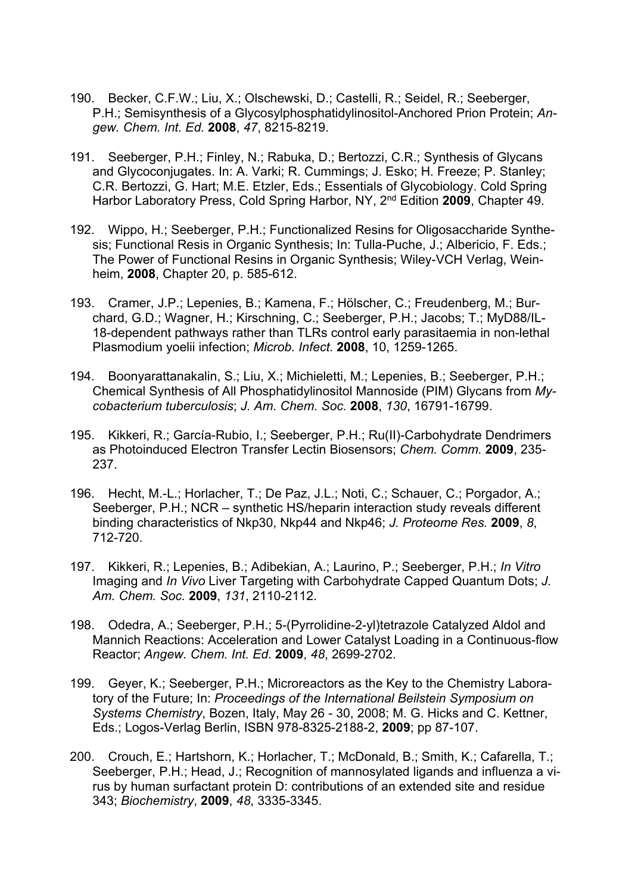- 190. Becker, C.F.W.; Liu, X.; Olschewski, D.; Castelli, R.; Seidel, R.; Seeberger, P.H.; Semisynthesis of a Glycosylphosphatidylinositol-Anchored Prion Protein; *Angew. Chem. Int. Ed.* **2008**, *47*, 8215-8219.
- 191. Seeberger, P.H.; Finley, N.; Rabuka, D.; Bertozzi, C.R.; Synthesis of Glycans and Glycoconjugates. In: A. Varki; R. Cummings; J. Esko; H. Freeze; P. Stanley; C.R. Bertozzi, G. Hart; M.E. Etzler, Eds.; Essentials of Glycobiology. Cold Spring Harbor Laboratory Press, Cold Spring Harbor, NY, 2nd Edition **2009**, Chapter 49.
- 192. Wippo, H.; Seeberger, P.H.; Functionalized Resins for Oligosaccharide Synthesis; Functional Resis in Organic Synthesis; In: Tulla-Puche, J.; Albericio, F. Eds.; The Power of Functional Resins in Organic Synthesis; Wiley-VCH Verlag, Weinheim, **2008**, Chapter 20, p. 585-612.
- 193. Cramer, J.P.; Lepenies, B.; Kamena, F.; Hölscher, C.; Freudenberg, M.; Burchard, G.D.; Wagner, H.; Kirschning, C.; Seeberger, P.H.; Jacobs; T.; MyD88/IL-18-dependent pathways rather than TLRs control early parasitaemia in non-lethal Plasmodium yoelii infection; *Microb. Infect.* **2008**, 10, 1259-1265.
- 194. Boonyarattanakalin, S.; Liu, X.; Michieletti, M.; Lepenies, B.; Seeberger, P.H.; Chemical Synthesis of All Phosphatidylinositol Mannoside (PIM) Glycans from *Mycobacterium tuberculosis*; *J. Am. Chem. Soc.* **2008**, *130*, 16791-16799.
- 195. Kikkeri, R.; García-Rubio, I.; Seeberger, P.H.; Ru(II)-Carbohydrate Dendrimers as Photoinduced Electron Transfer Lectin Biosensors; *Chem. Comm.* **2009**, 235- 237.
- 196. Hecht, M.-L.; Horlacher, T.; De Paz, J.L.; Noti, C.; Schauer, C.; Porgador, A.; Seeberger, P.H.; NCR – synthetic HS/heparin interaction study reveals different binding characteristics of Nkp30, Nkp44 and Nkp46; *J. Proteome Res.* **2009**, *8*, 712-720.
- 197. Kikkeri, R.; Lepenies, B.; Adibekian, A.; Laurino, P.; Seeberger, P.H.; *In Vitro*  Imaging and *In Vivo* Liver Targeting with Carbohydrate Capped Quantum Dots; *J. Am. Chem. Soc.* **2009**, *131*, 2110-2112.
- 198. Odedra, A.; Seeberger, P.H.; 5-(Pyrrolidine-2-yl)tetrazole Catalyzed Aldol and Mannich Reactions: Acceleration and Lower Catalyst Loading in a Continuous-flow Reactor; *Angew. Chem. Int. Ed.* **2009**, *48*, 2699-2702.
- 199. Geyer, K.; Seeberger, P.H.; Microreactors as the Key to the Chemistry Laboratory of the Future; In: *Proceedings of the International Beilstein Symposium on Systems Chemistry*, Bozen, Italy, May 26 - 30, 2008; M. G. Hicks and C. Kettner, Eds.; Logos-Verlag Berlin, ISBN 978-8325-2188-2, **2009**; pp 87-107.
- 200. Crouch, E.; Hartshorn, K.; Horlacher, T.; McDonald, B.; Smith, K.; Cafarella, T.; Seeberger, P.H.; Head, J.; Recognition of mannosylated ligands and influenza a virus by human surfactant protein D: contributions of an extended site and residue 343; *Biochemistry*, **2009**, *48*, 3335-3345.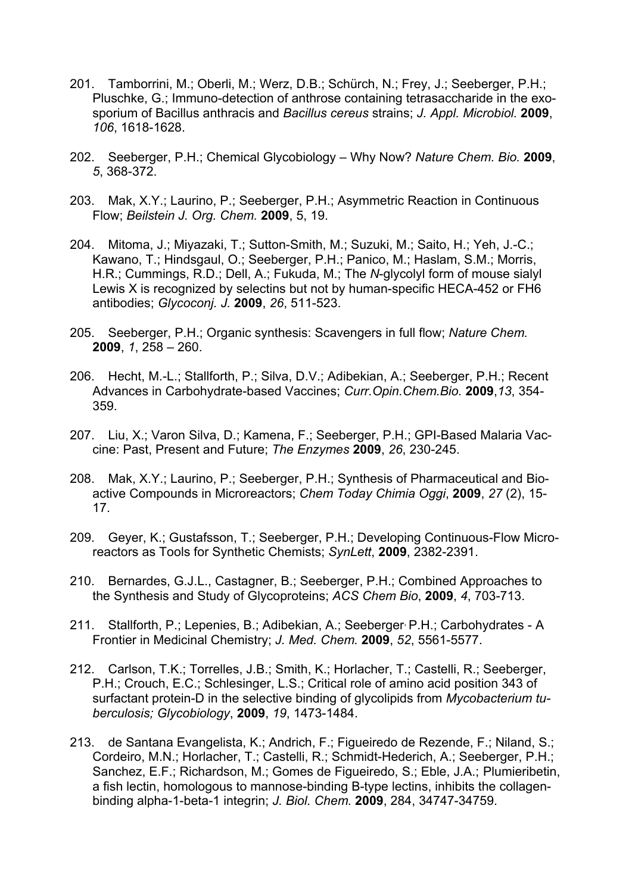- 201. Tamborrini, M.; Oberli, M.; Werz, D.B.; Schürch, N.; Frey, J.; Seeberger, P.H.; Pluschke, G.; Immuno-detection of anthrose containing tetrasaccharide in the exosporium of Bacillus anthracis and *Bacillus cereus* strains; *J. Appl. Microbiol.* **2009**, *106*, 1618-1628.
- 202. Seeberger, P.H.; Chemical Glycobiology Why Now? *Nature Chem. Bio.* **2009**, *5*, 368-372.
- 203. Mak, X.Y.; Laurino, P.; Seeberger, P.H.; Asymmetric Reaction in Continuous Flow; *Beilstein J. Org. Chem.* **2009**, 5, 19.
- 204. Mitoma, J.; Miyazaki, T.; Sutton-Smith, M.; Suzuki, M.; Saito, H.; Yeh, J.-C.; Kawano, T.; Hindsgaul, O.; Seeberger, P.H.; Panico, M.; Haslam, S.M.; Morris, H.R.; Cummings, R.D.; Dell, A.; Fukuda, M.; The *N*-glycolyl form of mouse sialyl Lewis X is recognized by selectins but not by human-specific HECA-452 or FH6 antibodies; *Glycoconj. J.* **2009**, *26*, 511-523.
- 205. Seeberger, P.H.; Organic synthesis: Scavengers in full flow; *Nature Chem.* **2009**, *1*, 258 – 260.
- 206. Hecht, M.-L.; Stallforth, P.; Silva, D.V.; Adibekian, A.; Seeberger, P.H.; Recent Advances in Carbohydrate-based Vaccines; *Curr.Opin.Chem.Bio.* **2009**,*13*, 354- 359.
- 207. Liu, X.; Varon Silva, D.; Kamena, F.; Seeberger, P.H.; GPI-Based Malaria Vaccine: Past, Present and Future; *The Enzymes* **2009**, *26*, 230-245.
- 208. Mak, X.Y.; Laurino, P.; Seeberger, P.H.; Synthesis of Pharmaceutical and Bioactive Compounds in Microreactors; *Chem Today Chimia Oggi*, **2009**, *27* (2), 15- 17.
- 209. Geyer, K.; Gustafsson, T.; Seeberger, P.H.; Developing Continuous-Flow Microreactors as Tools for Synthetic Chemists; *SynLett*, **2009**, 2382-2391.
- 210. Bernardes, G.J.L., Castagner, B.; Seeberger, P.H.; Combined Approaches to the Synthesis and Study of Glycoproteins; *ACS Chem Bio*, **2009**, *4*, 703-713.
- 211. Stallforth, P.; Lepenies, B.; Adibekian, A.; Seeberger, P.H.; Carbohydrates A Frontier in Medicinal Chemistry; *J. Med. Chem.* **2009**, *52*, 5561-5577.
- 212. Carlson, T.K.; Torrelles, J.B.; Smith, K.; Horlacher, T.; Castelli, R.; Seeberger, P.H.; Crouch, E.C.; Schlesinger, L.S.; Critical role of amino acid position 343 of surfactant protein-D in the selective binding of glycolipids from *Mycobacterium tuberculosis; Glycobiology*, **2009**, *19*, 1473-1484.
- 213. de Santana Evangelista, K.; Andrich, F.; Figueiredo de Rezende, F.; Niland, S.; Cordeiro, M.N.; Horlacher, T.; Castelli, R.; Schmidt-Hederich, A.; Seeberger, P.H.; Sanchez, E.F.; Richardson, M.; Gomes de Figueiredo, S.; Eble, J.A.; Plumieribetin, a fish lectin, homologous to mannose-binding B-type lectins, inhibits the collagenbinding alpha-1-beta-1 integrin; *J. Biol. Chem.* **2009**, 284, 34747-34759.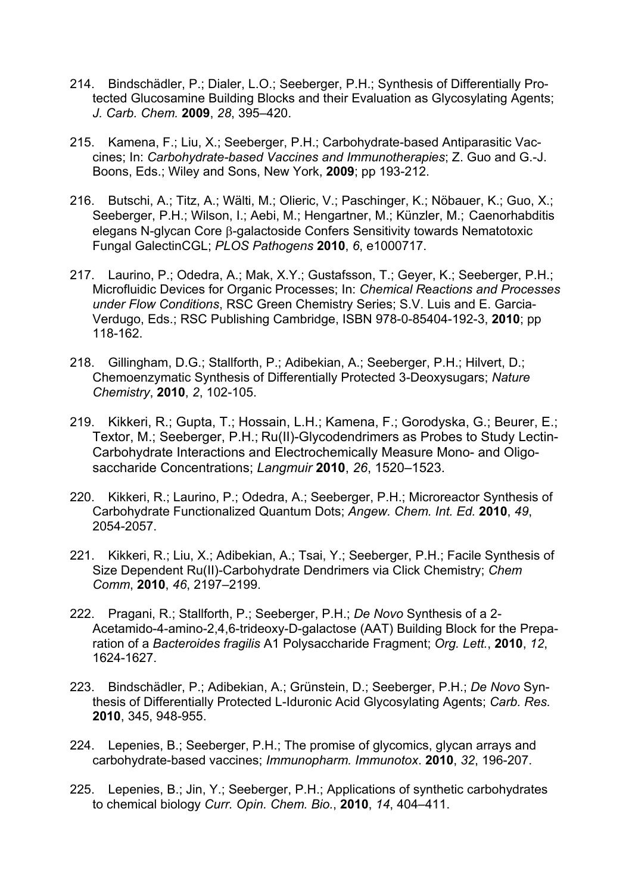- 214. Bindschädler, P.; Dialer, L.O.; Seeberger, P.H.; Synthesis of Differentially Protected Glucosamine Building Blocks and their Evaluation as Glycosylating Agents; *J. Carb. Chem.* **2009**, *28*, 395–420.
- 215. Kamena, F.; Liu, X.; Seeberger, P.H.; Carbohydrate-based Antiparasitic Vaccines; In: *Carbohydrate-based Vaccines and Immunotherapies*; Z. Guo and G.-J. Boons, Eds.; Wiley and Sons, New York, **2009**; pp 193-212.
- 216. Butschi, A.; Titz, A.; Wälti, M.; Olieric, V.; Paschinger, K.; Nöbauer, K.; Guo, X.; Seeberger, P.H.; Wilson, I.; Aebi, M.; Hengartner, M.; Künzler, M.; Caenorhabditis elegans N-glycan Core B-galactoside Confers Sensitivity towards Nematotoxic Fungal GalectinCGL; *PLOS Pathogens* **2010**, *6*, e1000717.
- 217. Laurino, P.; Odedra, A.; Mak, X.Y.; Gustafsson, T.; Geyer, K.; Seeberger, P.H.; Microfluidic Devices for Organic Processes; In: *Chemical R*e*actions and Processes under Flow Conditions*, RSC Green Chemistry Series; S.V. Luis and E. Garcia-Verdugo, Eds.; RSC Publishing Cambridge, ISBN 978-0-85404-192-3, **2010**; pp 118-162.
- 218. Gillingham, D.G.; Stallforth, P.; Adibekian, A.; Seeberger, P.H.; Hilvert, D.; Chemoenzymatic Synthesis of Differentially Protected 3-Deoxysugars; *Nature Chemistry*, **2010**, *2*, 102-105.
- 219. Kikkeri, R.; Gupta, T.; Hossain, L.H.; Kamena, F.; Gorodyska, G.; Beurer, E.; Textor, M.; Seeberger, P.H.; Ru(II)-Glycodendrimers as Probes to Study Lectin-Carbohydrate Interactions and Electrochemically Measure Mono- and Oligosaccharide Concentrations; *Langmuir* **2010**, *26*, 1520–1523.
- 220. Kikkeri, R.; Laurino, P.; Odedra, A.; Seeberger, P.H.; Microreactor Synthesis of Carbohydrate Functionalized Quantum Dots; *Angew. Chem. Int. Ed.* **2010**, *49*, 2054-2057.
- 221. Kikkeri, R.; Liu, X.; Adibekian, A.; Tsai, Y.; Seeberger, P.H.; Facile Synthesis of Size Dependent Ru(II)-Carbohydrate Dendrimers via Click Chemistry; *Chem Comm*, **2010**, *46*, 2197–2199.
- 222. Pragani, R.; Stallforth, P.; Seeberger, P.H.; *De Novo* Synthesis of a 2- Acetamido-4-amino-2,4,6-trideoxy-D-galactose (AAT) Building Block for the Preparation of a *Bacteroides fragilis* A1 Polysaccharide Fragment; *Org. Lett.*, **2010**, *12*, 1624-1627.
- 223. Bindschädler, P.; Adibekian, A.; Grünstein, D.; Seeberger, P.H.; *De Novo* Synthesis of Differentially Protected L-Iduronic Acid Glycosylating Agents; *Carb. Res.* **2010**, 345, 948-955.
- 224. Lepenies, B.; Seeberger, P.H.; The promise of glycomics, glycan arrays and carbohydrate-based vaccines; *Immunopharm. Immunotox*. **2010**, *32*, 196-207.
- 225. Lepenies, B.; Jin, Y.; Seeberger, P.H.; Applications of synthetic carbohydrates to chemical biology *Curr. Opin. Chem. Bio.*, **2010**, *14*, 404–411.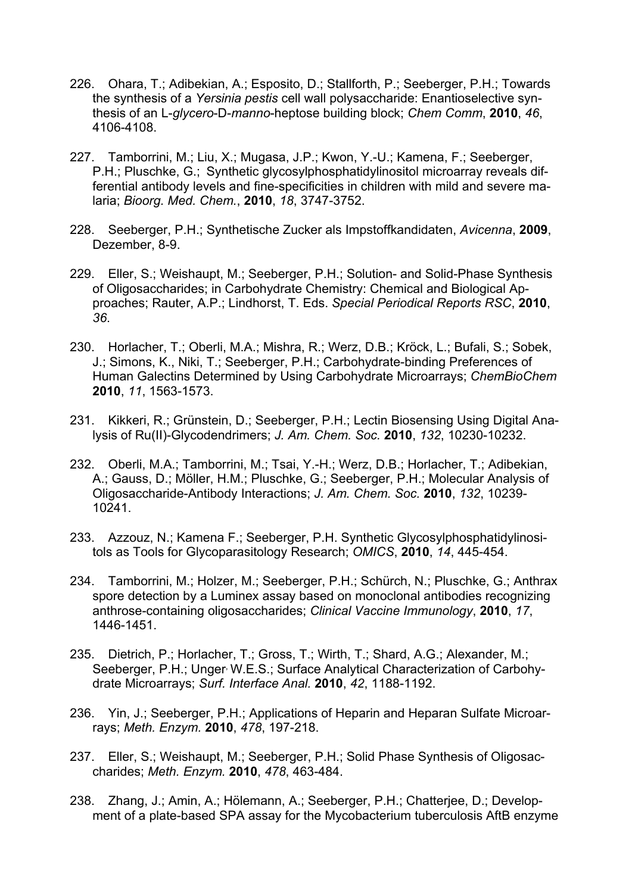- 226. Ohara, T.; Adibekian, A.; Esposito, D.; Stallforth, P.; Seeberger, P.H.; Towards the synthesis of a *Yersinia pestis* cell wall polysaccharide: Enantioselective synthesis of an L-*glycero*-D-*manno*-heptose building block; *Chem Comm*, **2010**, *46*, 4106-4108.
- 227. Tamborrini, M.; Liu, X.; Mugasa, J.P.; Kwon, Y.-U.; Kamena, F.; Seeberger, P.H.; Pluschke, G.; Synthetic glycosylphosphatidylinositol microarray reveals differential antibody levels and fine-specificities in children with mild and severe malaria; *Bioorg. Med. Chem.*, **2010**, *18*, 3747-3752.
- 228. Seeberger, P.H.; Synthetische Zucker als Impstoffkandidaten, *Avicenna*, **2009**, Dezember, 8-9.
- 229. Eller, S.; Weishaupt, M.; Seeberger, P.H.; Solution- and Solid-Phase Synthesis of Oligosaccharides; in Carbohydrate Chemistry: Chemical and Biological Approaches; Rauter, A.P.; Lindhorst, T. Eds. *Special Periodical Reports RSC*, **2010**, *36*.
- 230. Horlacher, T.; Oberli, M.A.; Mishra, R.; Werz, D.B.; Kröck, L.; Bufali, S.; Sobek, J.; Simons, K., Niki, T.; Seeberger, P.H.; Carbohydrate-binding Preferences of Human Galectins Determined by Using Carbohydrate Microarrays; *ChemBioChem* **2010**, *11*, 1563-1573.
- 231. Kikkeri, R.; Grünstein, D.; Seeberger, P.H.; Lectin Biosensing Using Digital Analysis of Ru(II)-Glycodendrimers; *J. Am. Chem. Soc.* **2010**, *132*, 10230-10232.
- 232. Oberli, M.A.; Tamborrini, M.; Tsai, Y.-H.; Werz, D.B.; Horlacher, T.; Adibekian, A.; Gauss, D.; Möller, H.M.; Pluschke, G.; Seeberger, P.H.; Molecular Analysis of Oligosaccharide-Antibody Interactions; *J. Am. Chem. Soc.* **2010**, *132*, 10239- 10241.
- 233. Azzouz, N.; Kamena F.; Seeberger, P.H. Synthetic Glycosylphosphatidylinositols as Tools for Glycoparasitology Research; *OMICS*, **2010**, *14*, 445-454.
- 234. Tamborrini, M.; Holzer, M.; Seeberger, P.H.; Schürch, N.; Pluschke, G.; Anthrax spore detection by a Luminex assay based on monoclonal antibodies recognizing anthrose-containing oligosaccharides; *Clinical Vaccine Immunology*, **2010**, *17*, 1446-1451.
- 235. Dietrich, P.; Horlacher, T.; Gross, T.; Wirth, T.; Shard, A.G.; Alexander, M.; Seeberger, P.H.; Unger<sup>,</sup> W.E.S.; Surface Analytical Characterization of Carbohydrate Microarrays; *Surf. Interface Anal.* **2010**, *42*, 1188-1192.
- 236. Yin, J.; Seeberger, P.H.; Applications of Heparin and Heparan Sulfate Microarrays; *Meth. Enzym.* **2010**, *478*, 197-218.
- 237. Eller, S.; Weishaupt, M.; Seeberger, P.H.; Solid Phase Synthesis of Oligosaccharides; *Meth. Enzym.* **2010**, *478*, 463-484.
- 238. Zhang, J.; Amin, A.; Hölemann, A.; Seeberger, P.H.; Chatterjee, D.; Development of a plate-based SPA assay for the Mycobacterium tuberculosis AftB enzyme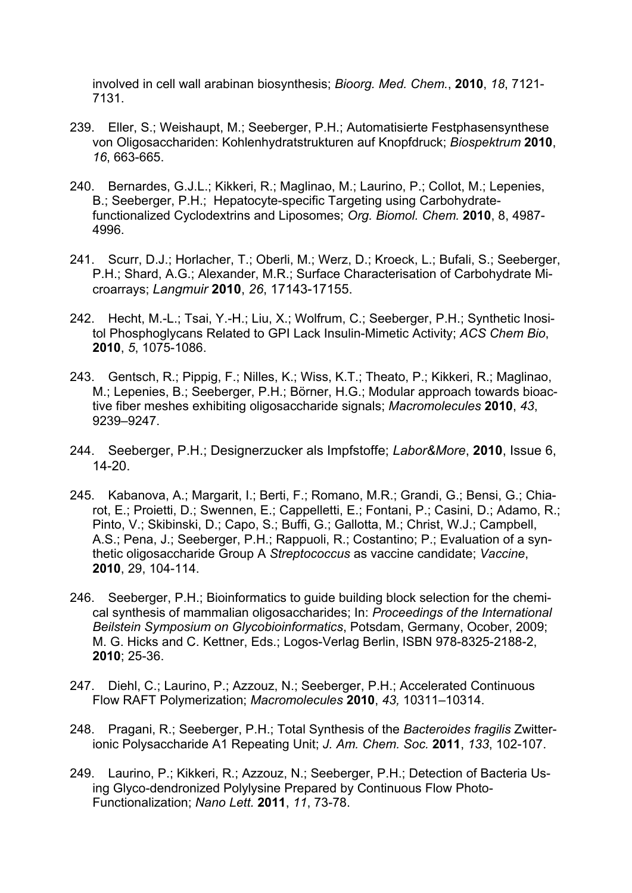involved in cell wall arabinan biosynthesis; *Bioorg. Med. Chem.*, **2010**, *18*, 7121- 7131.

- 239. Eller, S.; Weishaupt, M.; Seeberger, P.H.; Automatisierte Festphasensynthese von Oligosacchariden: Kohlenhydratstrukturen auf Knopfdruck; *Biospektrum* **2010**, *16*, 663-665.
- 240. Bernardes, G.J.L.; Kikkeri, R.; Maglinao, M.; Laurino, P.; Collot, M.; Lepenies, B.; Seeberger, P.H.; Hepatocyte-specific Targeting using Carbohydratefunctionalized Cyclodextrins and Liposomes; *Org. Biomol. Chem.* **2010**, 8, 4987- 4996.
- 241. Scurr, D.J.; Horlacher, T.; Oberli, M.; Werz, D.; Kroeck, L.; Bufali, S.; Seeberger, P.H.; Shard, A.G.; Alexander, M.R.; Surface Characterisation of Carbohydrate Microarrays; *Langmuir* **2010**, *26*, 17143-17155.
- 242. Hecht, M.-L.; Tsai, Y.-H.; Liu, X.; Wolfrum, C.; Seeberger, P.H.; Synthetic Inositol Phosphoglycans Related to GPI Lack Insulin-Mimetic Activity; *ACS Chem Bio*, **2010**, *5*, 1075-1086.
- 243. Gentsch, R.; Pippig, F.; Nilles, K.; Wiss, K.T.; Theato, P.; Kikkeri, R.; Maglinao, M.; Lepenies, B.; Seeberger, P.H.; Börner, H.G.; Modular approach towards bioactive fiber meshes exhibiting oligosaccharide signals; *Macromolecules* **2010**, *43*, 9239–9247.
- 244. Seeberger, P.H.; Designerzucker als Impfstoffe; *Labor&More*, **2010**, Issue 6, 14-20.
- 245. Kabanova, A.; Margarit, I.; Berti, F.; Romano, M.R.; Grandi, G.; Bensi, G.; Chiarot, E.; Proietti, D.; Swennen, E.; Cappelletti, E.; Fontani, P.; Casini, D.; Adamo, R.; Pinto, V.; Skibinski, D.; Capo, S.; Buffi, G.; Gallotta, M.; Christ, W.J.; Campbell, A.S.; Pena, J.; Seeberger, P.H.; Rappuoli, R.; Costantino; P.; Evaluation of a synthetic oligosaccharide Group A *Streptococcus* as vaccine candidate; *Vaccine*, **2010**, 29, 104-114.
- 246. Seeberger, P.H.; Bioinformatics to guide building block selection for the chemical synthesis of mammalian oligosaccharides; In: *Proceedings of the International Beilstein Symposium on Glycobioinformatics*, Potsdam, Germany, Ocober, 2009; M. G. Hicks and C. Kettner, Eds.; Logos-Verlag Berlin, ISBN 978-8325-2188-2, **2010**; 25-36.
- 247. Diehl, C.; Laurino, P.; Azzouz, N.; Seeberger, P.H.; Accelerated Continuous Flow RAFT Polymerization; *Macromolecules* **2010**, *43,* 10311–10314.
- 248. Pragani, R.; Seeberger, P.H.; Total Synthesis of the *Bacteroides fragilis* Zwitterionic Polysaccharide A1 Repeating Unit; *J. Am. Chem. Soc.* **2011**, *133*, 102-107.
- 249. Laurino, P.; Kikkeri, R.; Azzouz, N.; Seeberger, P.H.; Detection of Bacteria Using Glyco-dendronized Polylysine Prepared by Continuous Flow Photo-Functionalization; *Nano Lett.* **2011**, *11*, 73-78.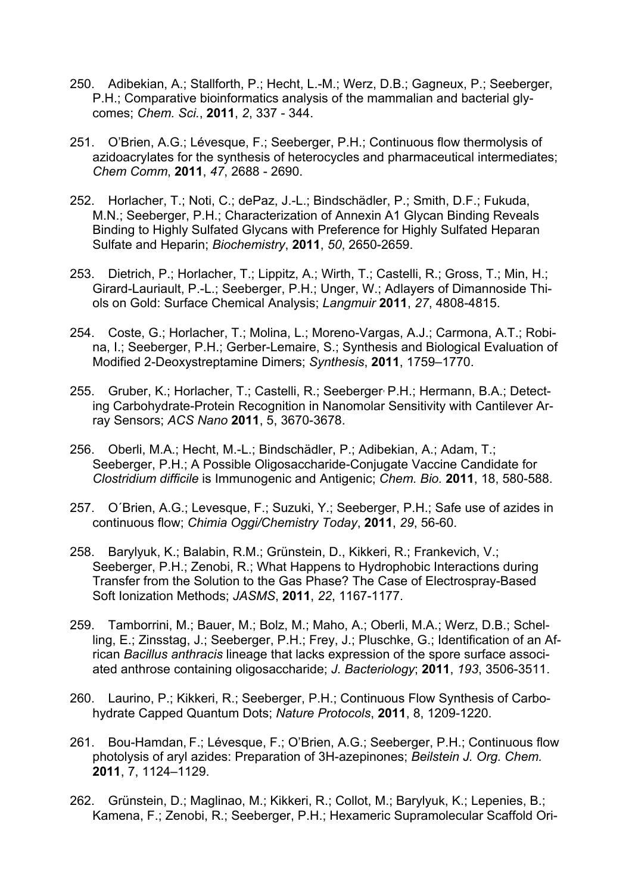- 250. Adibekian, A.; Stallforth, P.; Hecht, L.-M.; Werz, D.B.; Gagneux, P.; Seeberger, P.H.; Comparative bioinformatics analysis of the mammalian and bacterial glycomes; *Chem. Sci.*, **2011**, *2*, 337 - 344.
- 251. O'Brien, A.G.; Lévesque, F.; Seeberger, P.H.; Continuous flow thermolysis of azidoacrylates for the synthesis of heterocycles and pharmaceutical intermediates; *Chem Comm*, **2011**, *47*, 2688 - 2690.
- 252. Horlacher, T.; Noti, C.; dePaz, J.-L.; Bindschädler, P.; Smith, D.F.; Fukuda, M.N.; Seeberger, P.H.; Characterization of Annexin A1 Glycan Binding Reveals Binding to Highly Sulfated Glycans with Preference for Highly Sulfated Heparan Sulfate and Heparin; *Biochemistry*, **2011**, *50*, 2650-2659.
- 253. Dietrich, P.; Horlacher, T.; Lippitz, A.; Wirth, T.; Castelli, R.; Gross, T.; Min, H.; Girard-Lauriault, P.-L.; Seeberger, P.H.; Unger, W.; Adlayers of Dimannoside Thiols on Gold: Surface Chemical Analysis; *Langmuir* **2011**, *27*, 4808-4815.
- 254. Coste, G.; Horlacher, T.; Molina, L.; Moreno-Vargas, A.J.; Carmona, A.T.; Robina, I.; Seeberger, P.H.; Gerber-Lemaire, S.; Synthesis and Biological Evaluation of Modified 2-Deoxystreptamine Dimers; *Synthesis*, **2011**, 1759–1770.
- 255. Gruber, K.; Horlacher, T.; Castelli, R.; Seeberger, P.H.; Hermann, B.A.; Detecting Carbohydrate-Protein Recognition in Nanomolar Sensitivity with Cantilever Array Sensors; *ACS Nano* **2011**, 5, 3670-3678.
- 256. Oberli, M.A.; Hecht, M.-L.; Bindschädler, P.; Adibekian, A.; Adam, T.; Seeberger, P.H.; A Possible Oligosaccharide-Conjugate Vaccine Candidate for *Clostridium difficile* is Immunogenic and Antigenic; *Chem. Bio.* **2011**, 18, 580-588.
- 257. O´Brien, A.G.; Levesque, F.; Suzuki, Y.; Seeberger, P.H.; Safe use of azides in continuous flow; *Chimia Oggi/Chemistry Today*, **2011**, *29*, 56-60.
- 258. Barylyuk, K.; Balabin, R.M.; Grünstein, D., Kikkeri, R.; Frankevich, V.; Seeberger, P.H.; Zenobi, R.; What Happens to Hydrophobic Interactions during Transfer from the Solution to the Gas Phase? The Case of Electrospray-Based Soft Ionization Methods; *JASMS*, **2011**, *22*, 1167-1177.
- 259. Tamborrini, M.; Bauer, M.; Bolz, M.; Maho, A.; Oberli, M.A.; Werz, D.B.; Schelling, E.; Zinsstag, J.; Seeberger, P.H.; Frey, J.; Pluschke, G.; Identification of an African *Bacillus anthracis* lineage that lacks expression of the spore surface associated anthrose containing oligosaccharide; *J. Bacteriology*; **2011**, *193*, 3506-3511.
- 260. Laurino, P.; Kikkeri, R.; Seeberger, P.H.; Continuous Flow Synthesis of Carbohydrate Capped Quantum Dots; *Nature Protocols*, **2011**, 8, 1209-1220.
- 261. Bou-Hamdan, F.; Lévesque, F.; O'Brien, A.G.; Seeberger, P.H.; Continuous flow photolysis of aryl azides: Preparation of 3H-azepinones; *Beilstein J. Org. Chem.* **2011**, 7, 1124–1129.
- 262. Grünstein, D.; Maglinao, M.; Kikkeri, R.; Collot, M.; Barylyuk, K.; Lepenies, B.; Kamena, F.; Zenobi, R.; Seeberger, P.H.; Hexameric Supramolecular Scaffold Ori-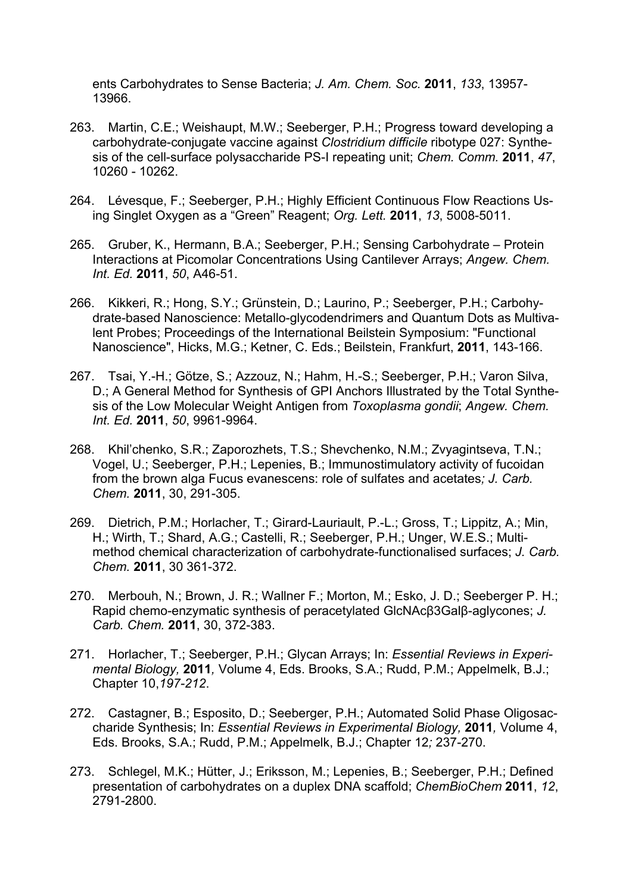ents Carbohydrates to Sense Bacteria; *J. Am. Chem. Soc.* **2011**, *133*, 13957- 13966.

- 263. Martin, C.E.; Weishaupt, M.W.; Seeberger, P.H.; Progress toward developing a carbohydrate-conjugate vaccine against *Clostridium difficile* ribotype 027: Synthesis of the cell-surface polysaccharide PS-I repeating unit; *Chem. Comm.* **2011**, *47*, 10260 - 10262.
- 264. Lévesque, F.; Seeberger, P.H.; Highly Efficient Continuous Flow Reactions Using Singlet Oxygen as a "Green" Reagent; *Org. Lett.* **2011**, *13*, 5008-5011.
- 265. Gruber, K., Hermann, B.A.; Seeberger, P.H.; Sensing Carbohydrate Protein Interactions at Picomolar Concentrations Using Cantilever Arrays; *Angew. Chem. Int. Ed.* **2011**, *50*, A46-51.
- 266. Kikkeri, R.; Hong, S.Y.; Grünstein, D.; Laurino, P.; Seeberger, P.H.; Carbohydrate-based Nanoscience: Metallo-glycodendrimers and Quantum Dots as Multivalent Probes; Proceedings of the International Beilstein Symposium: "Functional Nanoscience", Hicks, M.G.; Ketner, C. Eds.; Beilstein, Frankfurt, **2011**, 143-166.
- 267. Tsai, Y.-H.; Götze, S.; Azzouz, N.; Hahm, H.-S.; Seeberger, P.H.; Varon Silva, D.; A General Method for Synthesis of GPI Anchors Illustrated by the Total Synthesis of the Low Molecular Weight Antigen from *Toxoplasma gondii*; *Angew. Chem. Int. Ed.* **2011**, *50*, 9961-9964.
- 268. Khil'chenko, S.R.; Zaporozhets, T.S.; Shevchenko, N.M.; Zvyagintseva, T.N.; Vogel, U.; Seeberger, P.H.; Lepenies, B.; Immunostimulatory activity of fucoidan from the brown alga Fucus evanescens: role of sulfates and acetates*; J. Carb. Chem.* **2011**, 30, 291-305.
- 269. Dietrich, P.M.; Horlacher, T.; Girard-Lauriault, P.-L.; Gross, T.; Lippitz, A.; Min, H.; Wirth, T.; Shard, A.G.; Castelli, R.; Seeberger, P.H.; Unger, W.E.S.; Multimethod chemical characterization of carbohydrate-functionalised surfaces; *J. Carb. Chem.* **2011**, 30 361-372.
- 270. Merbouh, N.; Brown, J. R.; Wallner F.; Morton, M.; Esko, J. D.; Seeberger P. H.; Rapid chemo-enzymatic synthesis of peracetylated GlcNAcβ3Galβ-aglycones; *J. Carb. Chem.* **2011**, 30, 372-383.
- 271. Horlacher, T.; Seeberger, P.H.; Glycan Arrays; In: *Essential Reviews in Experimental Biology,* **2011***,* Volume 4, Eds. Brooks, S.A.; Rudd, P.M.; Appelmelk, B.J.; Chapter 10,*197-212*.
- 272. Castagner, B.; Esposito, D.; Seeberger, P.H.; Automated Solid Phase Oligosaccharide Synthesis; In: *Essential Reviews in Experimental Biology,* **2011***,* Volume 4, Eds. Brooks, S.A.; Rudd, P.M.; Appelmelk, B.J.; Chapter 12*;* 237-270.
- 273. Schlegel, M.K.; Hütter, J.; Eriksson, M.; Lepenies, B.; Seeberger, P.H.; Defined presentation of carbohydrates on a duplex DNA scaffold; *ChemBioChem* **2011**, *12*, 2791-2800.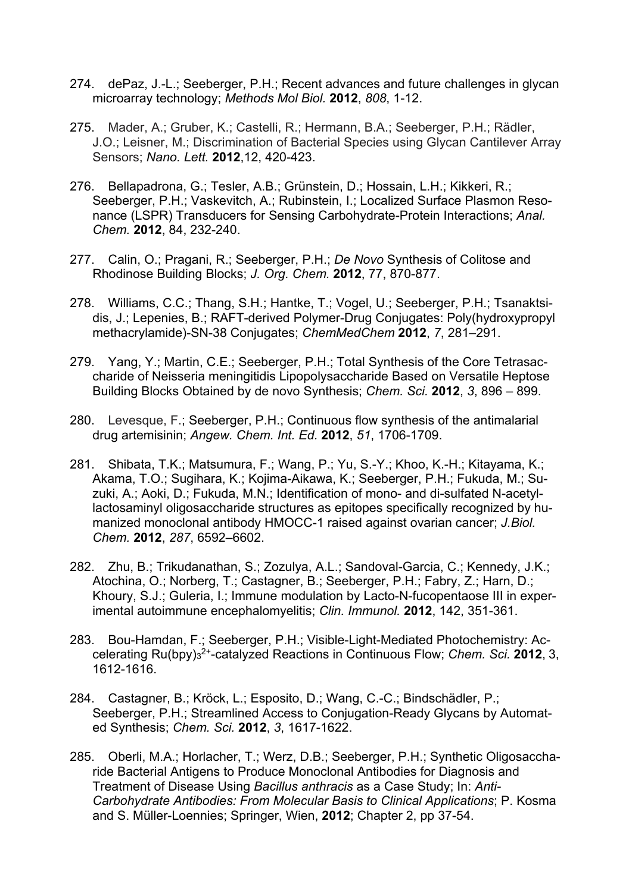- 274. dePaz, J.-L.; Seeberger, P.H.; Recent advances and future challenges in glycan microarray technology; *Methods Mol Biol.* **2012**, *808*, 1-12.
- 275. Mader, A.; Gruber, K.; Castelli, R.; Hermann, B.A.; Seeberger, P.H.; Rädler, J.O.; Leisner, M.; Discrimination of Bacterial Species using Glycan Cantilever Array Sensors; *Nano. Lett.* **2012**,12, 420-423.
- 276. Bellapadrona, G.; Tesler, A.B.; Grünstein, D.; Hossain, L.H.; Kikkeri, R.; Seeberger, P.H.; Vaskevitch, A.; Rubinstein, I.; Localized Surface Plasmon Resonance (LSPR) Transducers for Sensing Carbohydrate-Protein Interactions; *Anal. Chem.* **2012**, 84, 232-240.
- 277. Calin, O.; Pragani, R.; Seeberger, P.H.; *De Novo* Synthesis of Colitose and Rhodinose Building Blocks; *J. Org. Chem.* **2012**, 77, 870-877.
- 278. Williams, C.C.; Thang, S.H.; Hantke, T.; Vogel, U.; Seeberger, P.H.; Tsanaktsidis, J.; Lepenies, B.; RAFT-derived Polymer-Drug Conjugates: Poly(hydroxypropyl methacrylamide)-SN-38 Conjugates; *ChemMedChem* **2012**, *7*, 281–291.
- 279. Yang, Y.; Martin, C.E.; Seeberger, P.H.; Total Synthesis of the Core Tetrasaccharide of Neisseria meningitidis Lipopolysaccharide Based on Versatile Heptose Building Blocks Obtained by de novo Synthesis; *Chem. Sci.* **2012**, *3*, 896 – 899.
- 280. Levesque, F.; Seeberger, P.H.; Continuous flow synthesis of the antimalarial drug artemisinin; *Angew. Chem. Int. Ed.* **2012**, *51*, 1706-1709.
- 281. Shibata, T.K.; Matsumura, F.; Wang, P.; Yu, S.-Y.; Khoo, K.-H.; Kitayama, K.; Akama, T.O.; Sugihara, K.; Kojima-Aikawa, K.; Seeberger, P.H.; Fukuda, M.; Suzuki, A.; Aoki, D.; Fukuda, M.N.; Identification of mono- and di-sulfated N-acetyllactosaminyl oligosaccharide structures as epitopes specifically recognized by humanized monoclonal antibody HMOCC-1 raised against ovarian cancer; *J.Biol. Chem.* **2012**, *287*, 6592–6602.
- 282. Zhu, B.; Trikudanathan, S.; Zozulya, A.L.; Sandoval-Garcia, C.; Kennedy, J.K.; Atochina, O.; Norberg, T.; Castagner, B.; Seeberger, P.H.; Fabry, Z.; Harn, D.; Khoury, S.J.; Guleria, I.; Immune modulation by Lacto-N-fucopentaose III in experimental autoimmune encephalomyelitis; *Clin. Immunol.* **2012**, 142, 351-361.
- 283. Bou-Hamdan, F.; Seeberger, P.H.; Visible-Light-Mediated Photochemistry: Accelerating Ru(bpy)3 2+-catalyzed Reactions in Continuous Flow; *Chem. Sci.* **2012**, 3, 1612-1616.
- 284. Castagner, B.; Kröck, L.; Esposito, D.; Wang, C.-C.; Bindschädler, P.; Seeberger, P.H.; Streamlined Access to Conjugation-Ready Glycans by Automated Synthesis; *Chem. Sci.* **2012**, *3*, 1617-1622.
- 285. Oberli, M.A.; Horlacher, T.; Werz, D.B.; Seeberger, P.H.; Synthetic Oligosaccharide Bacterial Antigens to Produce Monoclonal Antibodies for Diagnosis and Treatment of Disease Using *Bacillus anthracis* as a Case Study; In: *Anti-Carbohydrate Antibodies: From Molecular Basis to Clinical Applications*; P. Kosma and S. Müller-Loennies; Springer, Wien, **2012**; Chapter 2, pp 37-54.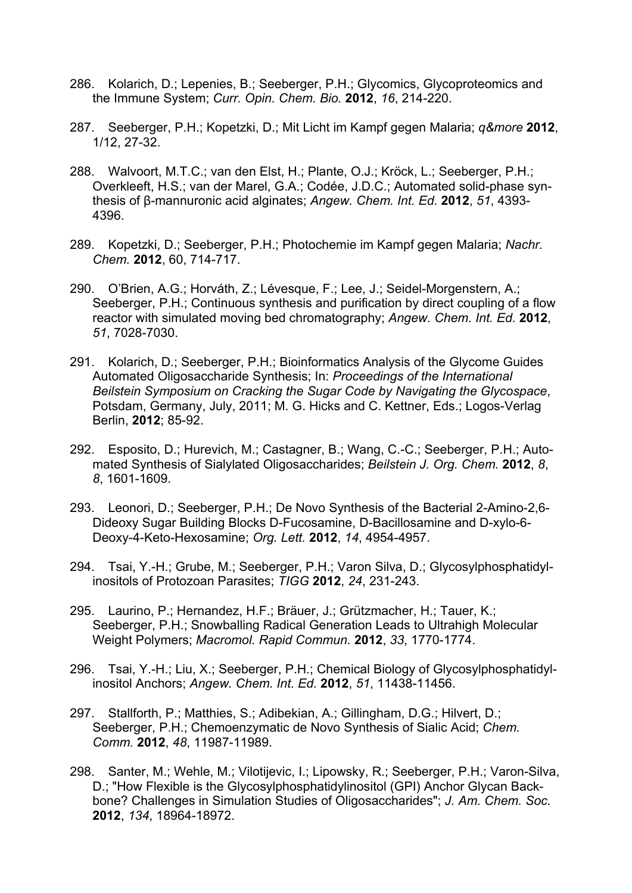- 286. Kolarich, D.; Lepenies, B.; Seeberger, P.H.; Glycomics, Glycoproteomics and the Immune System; *Curr. Opin. Chem. Bio.* **2012**, *16*, 214-220.
- 287. Seeberger, P.H.; Kopetzki, D.; Mit Licht im Kampf gegen Malaria; *q&more* **2012**, 1/12, 27-32.
- 288. Walvoort, M.T.C.; van den Elst, H.; Plante, O.J.; Kröck, L.; Seeberger, P.H.; Overkleeft, H.S.; van der Marel, G.A.; Codée, J.D.C.; Automated solid-phase synthesis of β-mannuronic acid alginates; *Angew. Chem. Int. Ed.* **2012**, *51*, 4393- 4396.
- 289. Kopetzki, D.; Seeberger, P.H.; Photochemie im Kampf gegen Malaria; *Nachr. Chem.* **2012**, 60, 714-717.
- 290. O'Brien, A.G.; Horváth, Z.; Lévesque, F.; Lee, J.; Seidel-Morgenstern, A.; Seeberger, P.H.; Continuous synthesis and purification by direct coupling of a flow reactor with simulated moving bed chromatography; *Angew. Chem. Int. Ed.* **2012**, *51*, 7028-7030.
- 291. Kolarich, D.; Seeberger, P.H.; Bioinformatics Analysis of the Glycome Guides Automated Oligosaccharide Synthesis; In: *Proceedings of the International Beilstein Symposium on Cracking the Sugar Code by Navigating the Glycospace*, Potsdam, Germany, July, 2011; M. G. Hicks and C. Kettner, Eds.; Logos-Verlag Berlin, **2012**; 85-92.
- 292. Esposito, D.; Hurevich, M.; Castagner, B.; Wang, C.-C.; Seeberger, P.H.; Automated Synthesis of Sialylated Oligosaccharides; *Beilstein J. Org. Chem.* **2012**, *8*, *8*, 1601-1609.
- 293. Leonori, D.; Seeberger, P.H.; De Novo Synthesis of the Bacterial 2-Amino-2,6- Dideoxy Sugar Building Blocks D-Fucosamine, D-Bacillosamine and D-xylo-6- Deoxy-4-Keto-Hexosamine; *Org. Lett.* **2012**, *14*, 4954-4957.
- 294. Tsai, Y.-H.; Grube, M.; Seeberger, P.H.; Varon Silva, D.; Glycosylphosphatidylinositols of Protozoan Parasites; *TIGG* **2012**, *24*, 231-243.
- 295. Laurino, P.; Hernandez, H.F.; Bräuer, J.; Grützmacher, H.; Tauer, K.; Seeberger, P.H.; Snowballing Radical Generation Leads to Ultrahigh Molecular Weight Polymers; *Macromol. Rapid Commun.* **2012**, *33*, 1770-1774.
- 296. Tsai, Y.-H.; Liu, X.; Seeberger, P.H.; Chemical Biology of Glycosylphosphatidylinositol Anchors; *Angew. Chem. Int. Ed.* **2012**, *51*, 11438-11456.
- 297. Stallforth, P.; Matthies, S.; Adibekian, A.; Gillingham, D.G.; Hilvert, D.; Seeberger, P.H.; Chemoenzymatic de Novo Synthesis of Sialic Acid; *Chem. Comm.* **2012**, *48*, 11987-11989.
- 298. Santer, M.; Wehle, M.; Vilotijevic, I.; Lipowsky, R.; Seeberger, P.H.; Varon-Silva, D.; "How Flexible is the Glycosylphosphatidylinositol (GPI) Anchor Glycan Backbone? Challenges in Simulation Studies of Oligosaccharides"; *J. Am. Chem. Soc.* **2012**, *134*, 18964-18972.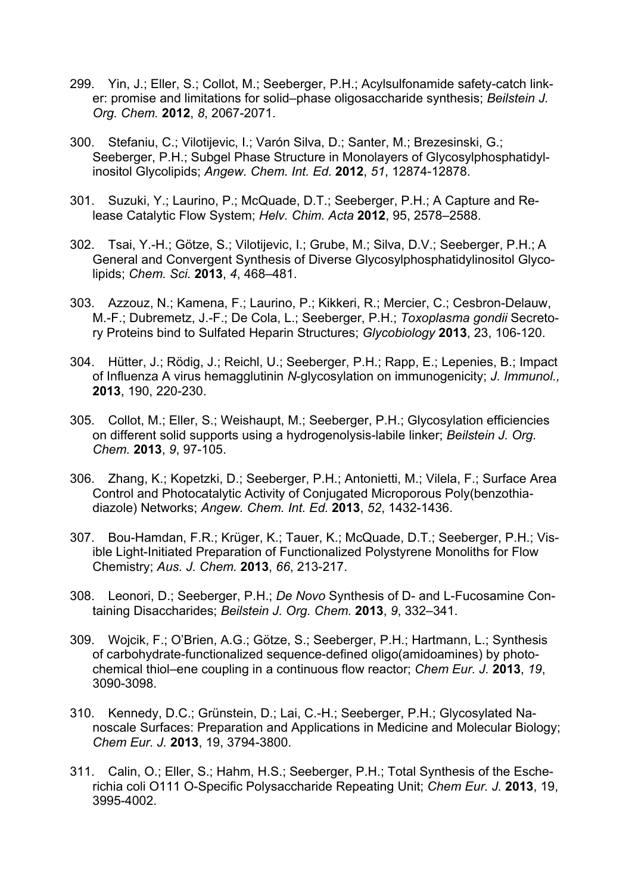- 299. Yin, J.; Eller, S.; Collot, M.; Seeberger, P.H.; Acylsulfonamide safety-catch linker: promise and limitations for solid–phase oligosaccharide synthesis; *Beilstein J. Org. Chem.* **2012**, *8*, 2067-2071.
- 300. Stefaniu, C.; Vilotijevic, I.; Varón Silva, D.; Santer, M.; Brezesinski, G.; Seeberger, P.H.; Subgel Phase Structure in Monolayers of Glycosylphosphatidylinositol Glycolipids; *Angew. Chem. Int. Ed.* **2012**, *51*, 12874-12878.
- 301. Suzuki, Y.; Laurino, P.; McQuade, D.T.; Seeberger, P.H.; A Capture and Release Catalytic Flow System; *Helv. Chim. Acta* **2012**, 95, 2578–2588.
- 302. Tsai, Y.-H.; Götze, S.; Vilotijevic, I.; Grube, M.; Silva, D.V.; Seeberger, P.H.; A General and Convergent Synthesis of Diverse Glycosylphosphatidylinositol Glycolipids; *Chem. Sci.* **2013**, *4*, 468–481.
- 303. Azzouz, N.; Kamena, F.; Laurino, P.; Kikkeri, R.; Mercier, C.; Cesbron-Delauw, M.-F.; Dubremetz, J.-F.; De Cola, L.; Seeberger, P.H.; *Toxoplasma gondii* Secretory Proteins bind to Sulfated Heparin Structures; *Glycobiology* **2013**, 23, 106-120.
- 304. Hütter, J.; Rödig, J.; Reichl, U.; Seeberger, P.H.; Rapp, E.; Lepenies, B.; Impact of Influenza A virus hemagglutinin *N*-glycosylation on immunogenicity; *J. Immunol.,* **2013**, 190, 220-230.
- 305. Collot, M.; Eller, S.; Weishaupt, M.; Seeberger, P.H.; Glycosylation efficiencies on different solid supports using a hydrogenolysis-labile linker; *Beilstein J. Org. Chem.* **2013**, *9*, 97-105.
- 306. Zhang, K.; Kopetzki, D.; Seeberger, P.H.; Antonietti, M.; Vilela, F.; Surface Area Control and Photocatalytic Activity of Conjugated Microporous Poly(benzothiadiazole) Networks; *Angew. Chem. Int. Ed.* **2013**, *52*, 1432-1436.
- 307. Bou-Hamdan, F.R.; Krüger, K.; Tauer, K.; McQuade, D.T.; Seeberger, P.H.; Visible Light-Initiated Preparation of Functionalized Polystyrene Monoliths for Flow Chemistry; *Aus. J. Chem.* **2013**, *66*, 213-217.
- 308. Leonori, D.; Seeberger, P.H.; *De Novo* Synthesis of D- and L-Fucosamine Containing Disaccharides; *Beilstein J. Org. Chem.* **2013**, *9*, 332–341.
- 309. Wojcik, F.; O'Brien, A.G.; Götze, S.; Seeberger, P.H.; Hartmann, L.; Synthesis of carbohydrate-functionalized sequence-defined oligo(amidoamines) by photochemical thiol–ene coupling in a continuous flow reactor; *Chem Eur. J.* **2013**, *19*, 3090-3098.
- 310. Kennedy, D.C.; Grünstein, D.; Lai, C.-H.; Seeberger, P.H.; Glycosylated Nanoscale Surfaces: Preparation and Applications in Medicine and Molecular Biology; *Chem Eur. J.* **2013**, 19, 3794-3800.
- 311. Calin, O.; Eller, S.; Hahm, H.S.; Seeberger, P.H.; Total Synthesis of the Escherichia coli O111 O-Specific Polysaccharide Repeating Unit; *Chem Eur. J.* **2013**, 19, 3995-4002.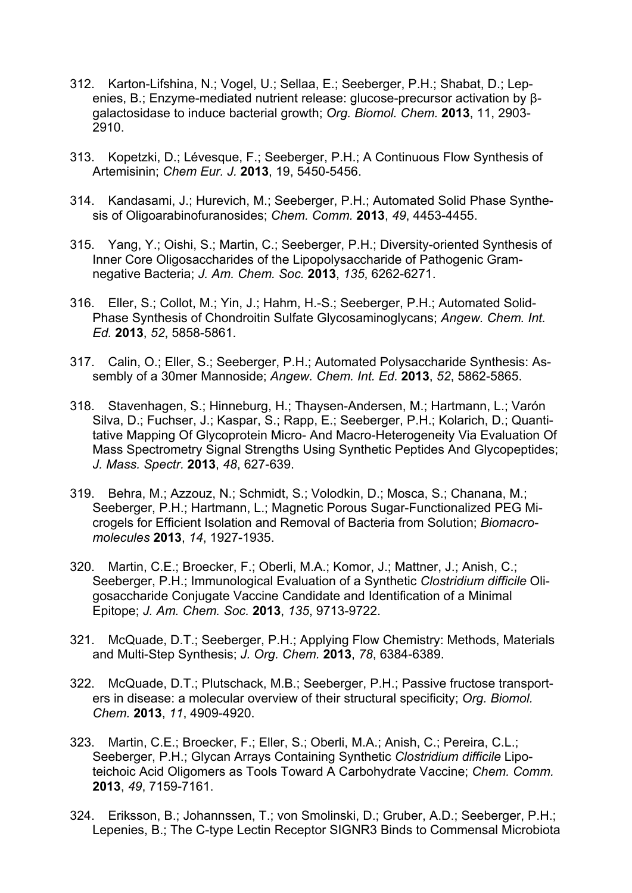- 312. Karton-Lifshina, N.; Vogel, U.; Sellaa, E.; Seeberger, P.H.; Shabat, D.; Lepenies, B.; Enzyme-mediated nutrient release: glucose-precursor activation by βgalactosidase to induce bacterial growth; *Org. Biomol. Chem.* **2013**, 11, 2903- 2910.
- 313. Kopetzki, D.; Lévesque, F.; Seeberger, P.H.; A Continuous Flow Synthesis of Artemisinin; *Chem Eur. J.* **2013**, 19, 5450-5456.
- 314. Kandasami, J.; Hurevich, M.; Seeberger, P.H.; Automated Solid Phase Synthesis of Oligoarabinofuranosides; *Chem. Comm.* **2013**, *49*, 4453-4455.
- 315. Yang, Y.; Oishi, S.; Martin, C.; Seeberger, P.H.; Diversity-oriented Synthesis of Inner Core Oligosaccharides of the Lipopolysaccharide of Pathogenic Gramnegative Bacteria; *J. Am. Chem. Soc.* **2013**, *135*, 6262-6271.
- 316. Eller, S.; Collot, M.; Yin, J.; Hahm, H.-S.; Seeberger, P.H.; Automated Solid-Phase Synthesis of Chondroitin Sulfate Glycosaminoglycans; *Angew. Chem. Int. Ed.* **2013**, *52*, 5858-5861.
- 317. Calin, O.; Eller, S.; Seeberger, P.H.; Automated Polysaccharide Synthesis: Assembly of a 30mer Mannoside; *Angew. Chem. Int. Ed.* **2013**, *52*, 5862-5865.
- 318. Stavenhagen, S.; Hinneburg, H.; Thaysen-Andersen, M.; Hartmann, L.; Varón Silva, D.; Fuchser, J.; Kaspar, S.; Rapp, E.; Seeberger, P.H.; Kolarich, D.; Quantitative Mapping Of Glycoprotein Micro- And Macro-Heterogeneity Via Evaluation Of Mass Spectrometry Signal Strengths Using Synthetic Peptides And Glycopeptides; *J. Mass. Spectr.* **2013**, *48*, 627-639.
- 319. Behra, M.; Azzouz, N.; Schmidt, S.; Volodkin, D.; Mosca, S.; Chanana, M.; Seeberger, P.H.; Hartmann, L.; Magnetic Porous Sugar-Functionalized PEG Microgels for Efficient Isolation and Removal of Bacteria from Solution; *Biomacromolecules* **2013**, *14*, 1927-1935.
- 320. Martin, C.E.; Broecker, F.; Oberli, M.A.; Komor, J.; Mattner, J.; Anish, C.; Seeberger, P.H.; Immunological Evaluation of a Synthetic *Clostridium difficile* Oligosaccharide Conjugate Vaccine Candidate and Identification of a Minimal Epitope; *J. Am. Chem. Soc.* **2013**, *135*, 9713-9722.
- 321. McQuade, D.T.; Seeberger, P.H.; Applying Flow Chemistry: Methods, Materials and Multi-Step Synthesis; *J. Org. Chem.* **2013**, *78*, 6384-6389.
- 322. McQuade, D.T.; Plutschack, M.B.; Seeberger, P.H.; Passive fructose transporters in disease: a molecular overview of their structural specificity; *Org. Biomol. Chem.* **2013**, *11*, 4909-4920.
- 323. Martin, C.E.; Broecker, F.; Eller, S.; Oberli, M.A.; Anish, C.; Pereira, C.L.; Seeberger, P.H.; Glycan Arrays Containing Synthetic *Clostridium difficile* Lipoteichoic Acid Oligomers as Tools Toward A Carbohydrate Vaccine; *Chem. Comm.* **2013**, *49*, 7159-7161.
- 324. Eriksson, B.; Johannssen, T.; von Smolinski, D.; Gruber, A.D.; Seeberger, P.H.; Lepenies, B.; The C-type Lectin Receptor SIGNR3 Binds to Commensal Microbiota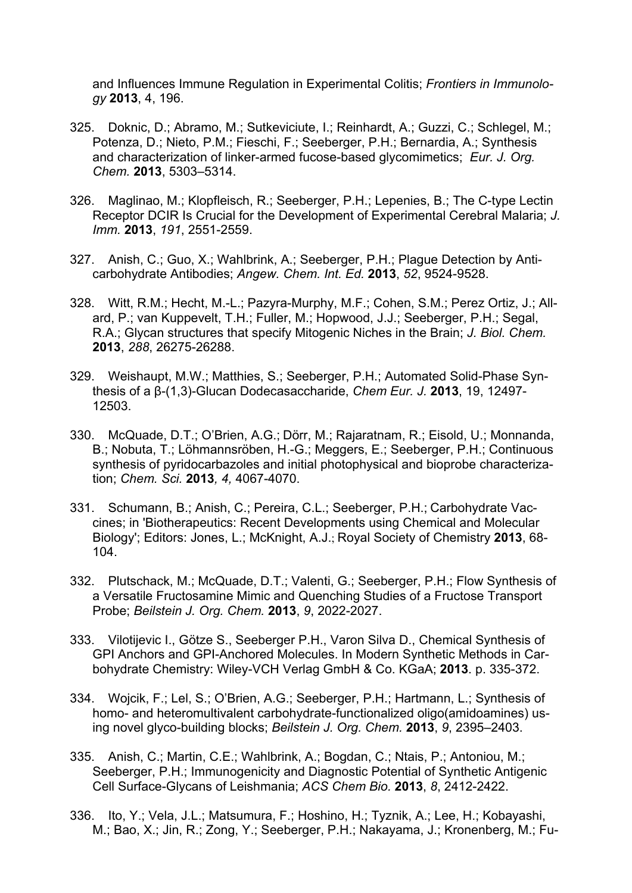and Influences Immune Regulation in Experimental Colitis; *Frontiers in Immunology* **2013**, 4, 196.

- 325. Doknic, D.; Abramo, M.; Sutkeviciute, I.; Reinhardt, A.; Guzzi, C.; Schlegel, M.; Potenza, D.; Nieto, P.M.; Fieschi, F.; Seeberger, P.H.; Bernardia, A.; Synthesis and characterization of linker-armed fucose-based glycomimetics; *Eur. J. Org. Chem.* **2013**, 5303–5314.
- 326. Maglinao, M.; Klopfleisch, R.; Seeberger, P.H.; Lepenies, B.; The C-type Lectin Receptor DCIR Is Crucial for the Development of Experimental Cerebral Malaria; *J. Imm.* **2013**, *191*, 2551-2559.
- 327. Anish, C.; Guo, X.; Wahlbrink, A.; Seeberger, P.H.; Plague Detection by Anticarbohydrate Antibodies; *Angew. Chem. Int. Ed.* **2013**, *52*, 9524-9528.
- 328. Witt, R.M.; Hecht, M.-L.; Pazyra-Murphy, M.F.; Cohen, S.M.; Perez Ortiz, J.; Allard, P.; van Kuppevelt, T.H.; Fuller, M.; Hopwood, J.J.; Seeberger, P.H.; Segal, R.A.; Glycan structures that specify Mitogenic Niches in the Brain; *J. Biol. Chem.*  **2013**, *288*, 26275-26288.
- 329. Weishaupt, M.W.; Matthies, S.; Seeberger, P.H.; Automated Solid-Phase Synthesis of a β-(1,3)-Glucan Dodecasaccharide, *Chem Eur. J.* **2013**, 19, 12497- 12503.
- 330. McQuade, D.T.; O'Brien, A.G.; Dörr, M.; Rajaratnam, R.; Eisold, U.; Monnanda, B.; Nobuta, T.; Löhmannsröben, H.-G.; Meggers, E.; Seeberger, P.H.; Continuous synthesis of pyridocarbazoles and initial photophysical and bioprobe characterization; *Chem. Sci.* **2013***, 4,* 4067-4070.
- 331. Schumann, B.; Anish, C.; Pereira, C.L.; Seeberger, P.H.; Carbohydrate Vaccines; in 'Biotherapeutics: Recent Developments using Chemical and Molecular Biology'; Editors: Jones, L.; McKnight, A.J.; Royal Society of Chemistry **2013**, 68- 104.
- 332. Plutschack, M.; McQuade, D.T.; Valenti, G.; Seeberger, P.H.; Flow Synthesis of a Versatile Fructosamine Mimic and Quenching Studies of a Fructose Transport Probe; *Beilstein J. Org. Chem.* **2013**, *9*, 2022-2027.
- 333. Vilotijevic I., Götze S., Seeberger P.H., Varon Silva D., Chemical Synthesis of GPI Anchors and GPI-Anchored Molecules. In Modern Synthetic Methods in Carbohydrate Chemistry: Wiley-VCH Verlag GmbH & Co. KGaA; **2013**. p. 335-372.
- 334. Wojcik, F.; Lel, S.; O'Brien, A.G.; Seeberger, P.H.; Hartmann, L.; Synthesis of homo- and heteromultivalent carbohydrate-functionalized oligo(amidoamines) using novel glyco-building blocks; *Beilstein J. Org. Chem.* **2013**, *9*, 2395–2403.
- 335. Anish, C.; Martin, C.E.; Wahlbrink, A.; Bogdan, C.; Ntais, P.; Antoniou, M.; Seeberger, P.H.; Immunogenicity and Diagnostic Potential of Synthetic Antigenic Cell Surface-Glycans of Leishmania; *ACS Chem Bio.* **2013**, *8*, 2412-2422.
- 336. Ito, Y.; Vela, J.L.; Matsumura, F.; Hoshino, H.; Tyznik, A.; Lee, H.; Kobayashi, M.; Bao, X.; Jin, R.; Zong, Y.; Seeberger, P.H.; Nakayama, J.; Kronenberg, M.; Fu-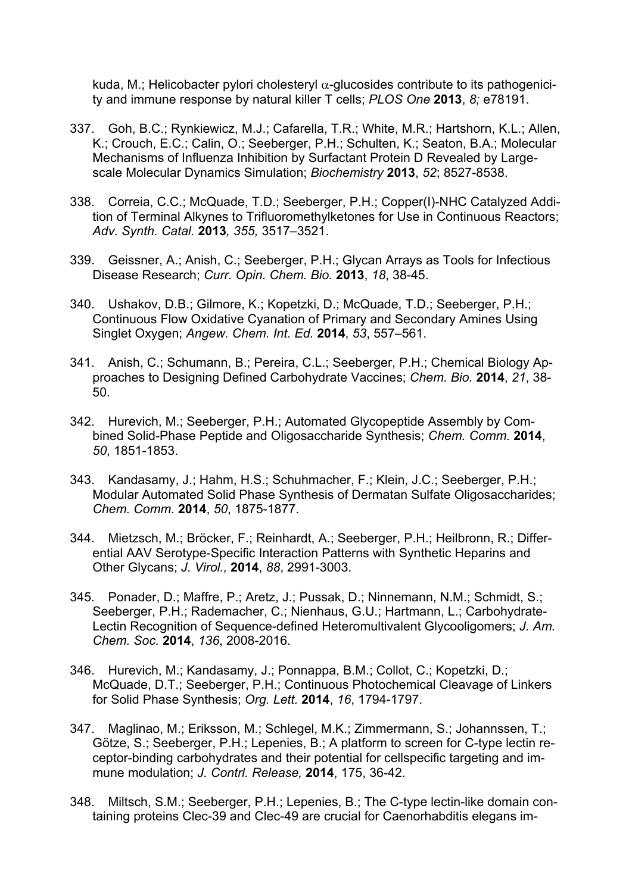kuda, M.; Helicobacter pylori cholesteryl  $\alpha$ -glucosides contribute to its pathogenicity and immune response by natural killer T cells; *PLOS One* **2013**, *8;* e78191.

- 337. Goh, B.C.; Rynkiewicz, M.J.; Cafarella, T.R.; White, M.R.; Hartshorn, K.L.; Allen, K.; Crouch, E.C.; Calin, O.; Seeberger, P.H.; Schulten, K.; Seaton, B.A.; Molecular Mechanisms of Influenza Inhibition by Surfactant Protein D Revealed by Largescale Molecular Dynamics Simulation; *Biochemistry* **2013**, *52*; 8527-8538.
- 338. Correia, C.C.; McQuade, T.D.; Seeberger, P.H.; Copper(I)-NHC Catalyzed Addition of Terminal Alkynes to Trifluoromethylketones for Use in Continuous Reactors; *Adv. Synth. Catal.* **2013***, 355,* 3517–3521.
- 339. Geissner, A.; Anish, C.; Seeberger, P.H.; Glycan Arrays as Tools for Infectious Disease Research; *Curr. Opin. Chem. Bio.* **2013**, *18*, 38-45.
- 340. Ushakov, D.B.; Gilmore, K.; Kopetzki, D.; McQuade, T.D.; Seeberger, P.H.; Continuous Flow Oxidative Cyanation of Primary and Secondary Amines Using Singlet Oxygen; *Angew. Chem. Int. Ed.* **2014**, *53*, 557–561.
- 341. Anish, C.; Schumann, B.; Pereira, C.L.; Seeberger, P.H.; Chemical Biology Approaches to Designing Defined Carbohydrate Vaccines; *Chem. Bio.* **2014**, *21*, 38- 50.
- 342. Hurevich, M.; Seeberger, P.H.; Automated Glycopeptide Assembly by Combined Solid-Phase Peptide and Oligosaccharide Synthesis; *Chem. Comm.* **2014**, *50*, 1851-1853.
- 343. Kandasamy, J.; Hahm, H.S.; Schuhmacher, F.; Klein, J.C.; Seeberger, P.H.; Modular Automated Solid Phase Synthesis of Dermatan Sulfate Oligosaccharides; *Chem. Comm.* **2014**, *50*, 1875-1877.
- 344. Mietzsch, M.; Bröcker, F.; Reinhardt, A.; Seeberger, P.H.; Heilbronn, R.; Differential AAV Serotype-Specific Interaction Patterns with Synthetic Heparins and Other Glycans; *J. Virol.,* **2014**, *88*, 2991-3003.
- 345. Ponader, D.; Maffre, P.; Aretz, J.; Pussak, D.; Ninnemann, N.M.; Schmidt, S.; Seeberger, P.H.; Rademacher, C.; Nienhaus, G.U.; Hartmann, L.; Carbohydrate-Lectin Recognition of Sequence-defined Heteromultivalent Glycooligomers; *J. Am. Chem. Soc.* **2014**, *136*, 2008-2016.
- 346. Hurevich, M.; Kandasamy, J.; Ponnappa, B.M.; Collot, C.; Kopetzki, D.; McQuade, D.T.; Seeberger, P.H.; Continuous Photochemical Cleavage of Linkers for Solid Phase Synthesis; *Org. Lett.* **2014**, *16*, 1794-1797.
- 347. Maglinao, M.; Eriksson, M.; Schlegel, M.K.; Zimmermann, S.; Johannssen, T.; Götze, S.; Seeberger, P.H.; Lepenies, B.; A platform to screen for C-type lectin receptor-binding carbohydrates and their potential for cellspecific targeting and immune modulation; *J. Contrl. Release,* **2014**, 175, 36-42.
- 348. Miltsch, S.M.; Seeberger, P.H.; Lepenies, B.; The C-type lectin-like domain containing proteins Clec-39 and Clec-49 are crucial for Caenorhabditis elegans im-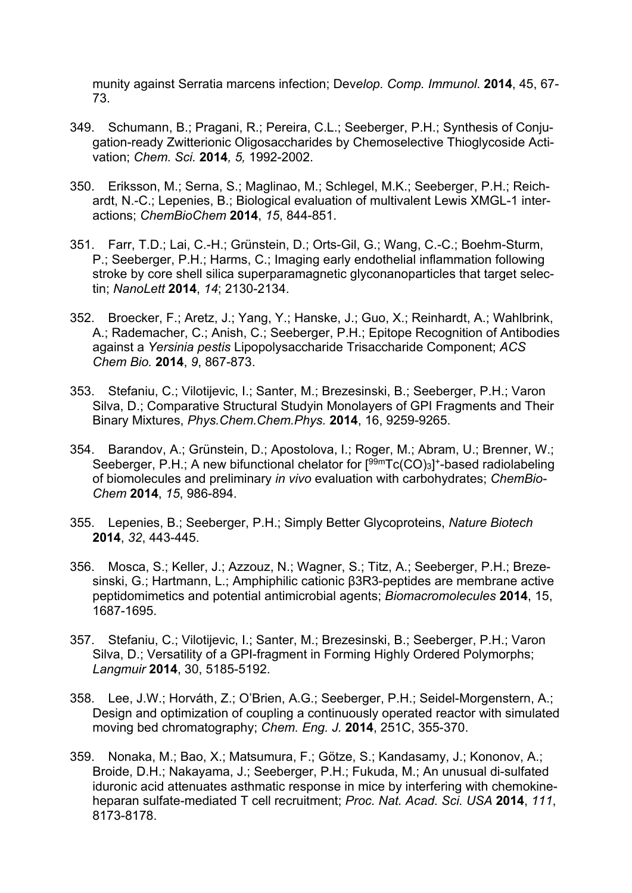munity against Serratia marcens infection; Dev*elop. Comp. Immunol*. **2014**, 45, 67- 73.

- 349. Schumann, B.; Pragani, R.; Pereira, C.L.; Seeberger, P.H.; Synthesis of Conjugation-ready Zwitterionic Oligosaccharides by Chemoselective Thioglycoside Activation; *Chem. Sci.* **2014***, 5,* 1992-2002.
- 350. Eriksson, M.; Serna, S.; Maglinao, M.; Schlegel, M.K.; Seeberger, P.H.; Reichardt, N.-C.; Lepenies, B.; Biological evaluation of multivalent Lewis XMGL-1 interactions; *ChemBioChem* **2014**, *15*, 844-851.
- 351. Farr, T.D.; Lai, C.-H.; Grünstein, D.; Orts-Gil, G.; Wang, C.-C.; Boehm-Sturm, P.; Seeberger, P.H.; Harms, C.; Imaging early endothelial inflammation following stroke by core shell silica superparamagnetic glyconanoparticles that target selectin; *NanoLett* **2014**, *14*; 2130-2134.
- 352. Broecker, F.; Aretz, J.; Yang, Y.; Hanske, J.; Guo, X.; Reinhardt, A.; Wahlbrink, A.; Rademacher, C.; Anish, C.; Seeberger, P.H.; Epitope Recognition of Antibodies against a *Yersinia pestis* Lipopolysaccharide Trisaccharide Component; *ACS Chem Bio.* **2014**, *9*, 867-873.
- 353. Stefaniu, C.; Vilotijevic, I.; Santer, M.; Brezesinski, B.; Seeberger, P.H.; Varon Silva, D.; Comparative Structural Studyin Monolayers of GPI Fragments and Their Binary Mixtures, *Phys.Chem.Chem.Phys.* **2014**, 16, 9259-9265.
- 354. Barandov, A.; Grünstein, D.; Apostolova, I.; Roger, M.; Abram, U.; Brenner, W.; Seeberger, P.H.; A new bifunctional chelator for  $[{}^{99m}Tc(CO)_3]$ <sup>+</sup>-based radiolabeling of biomolecules and preliminary *in vivo* evaluation with carbohydrates; *ChemBio-Chem* **2014**, *15*, 986-894.
- 355. Lepenies, B.; Seeberger, P.H.; Simply Better Glycoproteins, *Nature Biotech* **2014**, *32*, 443-445.
- 356. Mosca, S.; Keller, J.; Azzouz, N.; Wagner, S.; Titz, A.; Seeberger, P.H.; Brezesinski, G.; Hartmann, L.; Amphiphilic cationic β3R3-peptides are membrane active peptidomimetics and potential antimicrobial agents; *Biomacromolecules* **2014**, 15, 1687-1695.
- 357. Stefaniu, C.; Vilotijevic, I.; Santer, M.; Brezesinski, B.; Seeberger, P.H.; Varon Silva, D.; Versatility of a GPI-fragment in Forming Highly Ordered Polymorphs; *Langmuir* **2014**, 30, 5185-5192.
- 358. Lee, J.W.; Horváth, Z.; O'Brien, A.G.; Seeberger, P.H.; Seidel-Morgenstern, A.; Design and optimization of coupling a continuously operated reactor with simulated moving bed chromatography; *Chem. Eng. J.* **2014**, 251C, 355-370.
- 359. Nonaka, M.; Bao, X.; Matsumura, F.; Götze, S.; Kandasamy, J.; Kononov, A.; Broide, D.H.; Nakayama, J.; Seeberger, P.H.; Fukuda, M.; An unusual di-sulfated iduronic acid attenuates asthmatic response in mice by interfering with chemokineheparan sulfate-mediated T cell recruitment; *Proc. Nat. Acad. Sci. USA* **2014**, *111*, 8173-8178.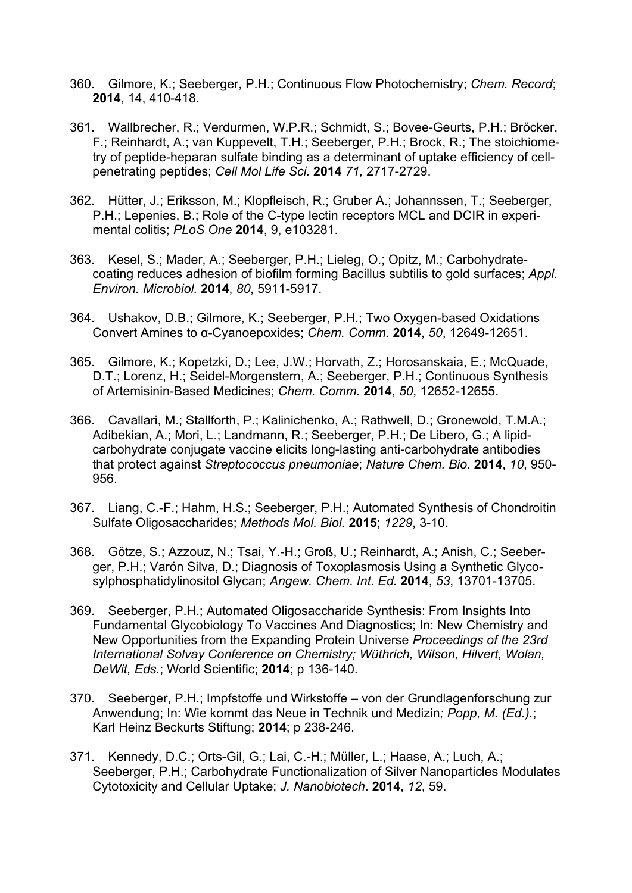- 360. Gilmore, K.; Seeberger, P.H.; Continuous Flow Photochemistry; *Chem. Record*; **2014**, 14, 410-418.
- 361. Wallbrecher, R.; Verdurmen, W.P.R.; Schmidt, S.; Bovee-Geurts, P.H.; Bröcker, F.; Reinhardt, A.; van Kuppevelt, T.H.; Seeberger, P.H.; Brock, R.; The stoichiometry of peptide-heparan sulfate binding as a determinant of uptake efficiency of cellpenetrating peptides; *Cell Mol Life Sci.* **2014** *71,* 2717-2729.
- 362. Hütter, J.; Eriksson, M.; Klopfleisch, R.; Gruber A.; Johannssen, T.; Seeberger, P.H.; Lepenies, B.; Role of the C-type lectin receptors MCL and DCIR in experimental colitis; *PLoS One* **2014**, 9, e103281.
- 363. Kesel, S.; Mader, A.; Seeberger, P.H.; Lieleg, O.; Opitz, M.; Carbohydratecoating reduces adhesion of biofilm forming Bacillus subtilis to gold surfaces; *Appl. Environ. Microbiol.* **2014**, *80*, 5911-5917.
- 364. Ushakov, D.B.; Gilmore, K.; Seeberger, P.H.; Two Oxygen-based Oxidations Convert Amines to α-Cyanoepoxides; *Chem. Comm.* **2014**, *50*, 12649-12651.
- 365. Gilmore, K.; Kopetzki, D.; Lee, J.W.; Horvath, Z.; Horosanskaia, E.; McQuade, D.T.; Lorenz, H.; Seidel-Morgenstern, A.; Seeberger, P.H.; Continuous Synthesis of Artemisinin-Based Medicines; *Chem. Comm.* **2014**, *50*, 12652-12655.
- 366. Cavallari, M.; Stallforth, P.; Kalinichenko, A.; Rathwell, D.; Gronewold, T.M.A.; Adibekian, A.; Mori, L.; Landmann, R.; Seeberger, P.H.; De Libero, G.; A lipidcarbohydrate conjugate vaccine elicits long-lasting anti-carbohydrate antibodies that protect against *Streptococcus pneumoniae*; *Nature Chem. Bio.* **2014**, *10*, 950- 956.
- 367. Liang, C.-F.; Hahm, H.S.; Seeberger, P.H.; Automated Synthesis of Chondroitin Sulfate Oligosaccharides; *Methods Mol. Biol.* **2015**; *1229*, 3-10.
- 368. Götze, S.; Azzouz, N.; Tsai, Y.-H.; Groß, U.; Reinhardt, A.; Anish, C.; Seeberger, P.H.; Varón Silva, D.; Diagnosis of Toxoplasmosis Using a Synthetic Glycosylphosphatidylinositol Glycan; *Angew. Chem. Int. Ed.* **2014**, *53*, 13701-13705.
- 369. Seeberger, P.H.; Automated Oligosaccharide Synthesis: From Insights Into Fundamental Glycobiology To Vaccines And Diagnostics; In: New Chemistry and New Opportunities from the Expanding Protein Universe *Proceedings of the 23rd International Solvay Conference on Chemistry; Wüthrich, Wilson, Hilvert, Wolan, DeWit, Eds.*; World Scientific; **2014**; p 136-140.
- 370. Seeberger, P.H.; Impfstoffe und Wirkstoffe von der Grundlagenforschung zur Anwendung; In: Wie kommt das Neue in Technik und Medizin*; Popp, M. (Ed.).*; Karl Heinz Beckurts Stiftung; **2014**; p 238-246.
- 371. Kennedy, D.C.; Orts-Gil, G.; Lai, C.-H.; Müller, L.; Haase, A.; Luch, A.; Seeberger, P.H.; Carbohydrate Functionalization of Silver Nanoparticles Modulates Cytotoxicity and Cellular Uptake; *J. Nanobiotech*. **2014**, *12*, 59.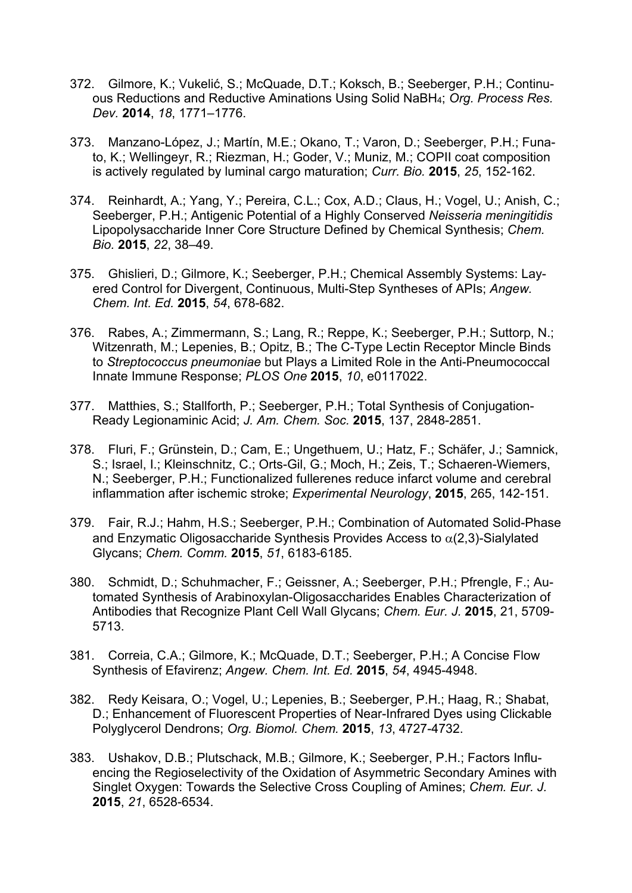- 372. Gilmore, K.; Vukelić, S.; McQuade, D.T.; Koksch, B.; Seeberger, P.H.; Continuous Reductions and Reductive Aminations Using Solid NaBH4; *Org. Process Res. Dev.* **2014**, *18*, 1771–1776.
- 373. Manzano-López, J.; Martín, M.E.; Okano, T.; Varon, D.; Seeberger, P.H.; Funato, K.; Wellingeyr, R.; Riezman, H.; Goder, V.; Muniz, M.; COPII coat composition is actively regulated by luminal cargo maturation; *Curr. Bio.* **2015**, *25*, 152-162.
- 374. Reinhardt, A.; Yang, Y.; Pereira, C.L.; Cox, A.D.; Claus, H.; Vogel, U.; Anish, C.; Seeberger, P.H.; Antigenic Potential of a Highly Conserved *Neisseria meningitidis* Lipopolysaccharide Inner Core Structure Defined by Chemical Synthesis; *Chem. Bio.* **2015**, *22*, 38–49.
- 375. Ghislieri, D.; Gilmore, K.; Seeberger, P.H.; Chemical Assembly Systems: Layered Control for Divergent, Continuous, Multi-Step Syntheses of APIs; *Angew. Chem. Int. Ed.* **2015**, *54*, 678-682.
- 376. Rabes, A.; Zimmermann, S.; Lang, R.; Reppe, K.; Seeberger, P.H.; Suttorp, N.; Witzenrath, M.; Lepenies, B.; Opitz, B.; The C-Type Lectin Receptor Mincle Binds to *Streptococcus pneumoniae* but Plays a Limited Role in the Anti-Pneumococcal Innate Immune Response; *PLOS One* **2015**, *10*, e0117022.
- 377. Matthies, S.; Stallforth, P.; Seeberger, P.H.; Total Synthesis of Conjugation-Ready Legionaminic Acid; *J. Am. Chem. Soc.* **2015**, 137, 2848-2851.
- 378. Fluri, F.; Grünstein, D.; Cam, E.; Ungethuem, U.; Hatz, F.; Schäfer, J.; Samnick, S.; Israel, I.; Kleinschnitz, C.; Orts-Gil, G.; Moch, H.; Zeis, T.; Schaeren-Wiemers, N.; Seeberger, P.H.; Functionalized fullerenes reduce infarct volume and cerebral inflammation after ischemic stroke; *Experimental Neurology*, **2015**, 265, 142-151.
- 379. Fair, R.J.; Hahm, H.S.; Seeberger, P.H.; Combination of Automated Solid-Phase and Enzymatic Oligosaccharide Synthesis Provides Access to  $\alpha(2,3)$ -Sialylated Glycans; *Chem. Comm.* **2015**, *51*, 6183-6185.
- 380. Schmidt, D.; Schuhmacher, F.; Geissner, A.; Seeberger, P.H.; Pfrengle, F.; Automated Synthesis of Arabinoxylan-Oligosaccharides Enables Characterization of Antibodies that Recognize Plant Cell Wall Glycans; *Chem. Eur. J.* **2015**, 21, 5709- 5713.
- 381. Correia, C.A.; Gilmore, K.; McQuade, D.T.; Seeberger, P.H.; A Concise Flow Synthesis of Efavirenz; *Angew. Chem. Int. Ed.* **2015**, *54*, 4945-4948.
- 382. Redy Keisara, O.; Vogel, U.; Lepenies, B.; Seeberger, P.H.; Haag, R.; Shabat, D.; Enhancement of Fluorescent Properties of Near-Infrared Dyes using Clickable Polyglycerol Dendrons; *Org. Biomol. Chem.* **2015**, *13*, 4727-4732.
- 383. Ushakov, D.B.; Plutschack, M.B.; Gilmore, K.; Seeberger, P.H.; Factors Influencing the Regioselectivity of the Oxidation of Asymmetric Secondary Amines with Singlet Oxygen: Towards the Selective Cross Coupling of Amines; *Chem. Eur. J.*  **2015**, *21*, 6528-6534.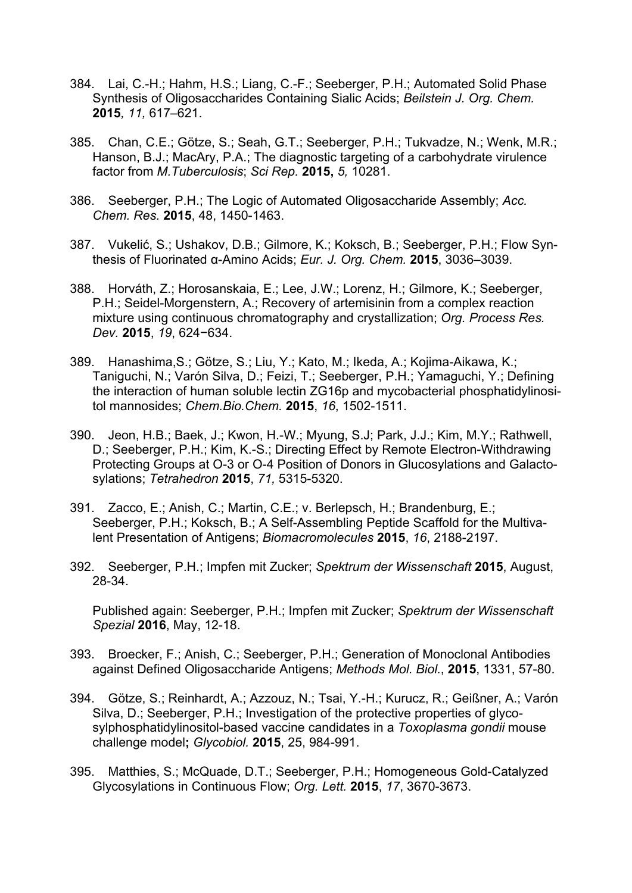- 384. Lai, C.-H.; Hahm, H.S.; Liang, C.-F.; Seeberger, P.H.; Automated Solid Phase Synthesis of Oligosaccharides Containing Sialic Acids; *Beilstein J. Org. Chem.*  **2015***, 11,* 617–621.
- 385. Chan, C.E.; Götze, S.; Seah, G.T.; Seeberger, P.H.; Tukvadze, N.; Wenk, M.R.; Hanson, B.J.; MacAry, P.A.; The diagnostic targeting of a carbohydrate virulence factor from *M.Tuberculosis*; *Sci Rep.* **2015,** *5,* 10281.
- 386. Seeberger, P.H.; The Logic of Automated Oligosaccharide Assembly; *Acc. Chem. Res.* **2015**, 48, 1450-1463.
- 387. Vukelić, S.; Ushakov, D.B.; Gilmore, K.; Koksch, B.; Seeberger, P.H.; Flow Synthesis of Fluorinated α-Amino Acids; *Eur. J. Org. Chem.* **2015**, 3036–3039.
- 388. Horváth, Z.; Horosanskaia, E.; Lee, J.W.; Lorenz, H.; Gilmore, K.; Seeberger, P.H.; Seidel-Morgenstern, A.; Recovery of artemisinin from a complex reaction mixture using continuous chromatography and crystallization; *Org. Process Res. Dev.* **2015**, *19*, 624−634.
- 389. Hanashima,S.; Götze, S.; Liu, Y.; Kato, M.; Ikeda, A.; Kojima-Aikawa, K.; Taniguchi, N.; Varón Silva, D.; Feizi, T.; Seeberger, P.H.; Yamaguchi, Y.; Defining the interaction of human soluble lectin ZG16p and mycobacterial phosphatidylinositol mannosides; *Chem.Bio.Chem.* **2015**, *16*, 1502-1511.
- 390. Jeon, H.B.; Baek, J.; Kwon, H.-W.; Myung, S.J; Park, J.J.; Kim, M.Y.; Rathwell, D.; Seeberger, P.H.; Kim, K.-S.; Directing Effect by Remote Electron-Withdrawing Protecting Groups at O-3 or O-4 Position of Donors in Glucosylations and Galactosylations; *Tetrahedron* **2015**, *71,* 5315-5320.
- 391. Zacco, E.; Anish, C.; Martin, C.E.; v. Berlepsch, H.; Brandenburg, E.; Seeberger, P.H.; Koksch, B.; A Self-Assembling Peptide Scaffold for the Multivalent Presentation of Antigens; *Biomacromolecules* **2015**, *16*, 2188-2197.
- 392. Seeberger, P.H.; Impfen mit Zucker; *Spektrum der Wissenschaft* **2015**, August, 28-34.

Published again: Seeberger, P.H.; Impfen mit Zucker; *Spektrum der Wissenschaft Spezial* **2016**, May, 12-18.

- 393. Broecker, F.; Anish, C.; Seeberger, P.H.; Generation of Monoclonal Antibodies against Defined Oligosaccharide Antigens; *Methods Mol. Biol.*, **2015**, 1331, 57-80.
- 394. Götze, S.; Reinhardt, A.; Azzouz, N.; Tsai, Y.-H.; Kurucz, R.; Geißner, A.; Varón Silva, D.; Seeberger, P.H.; Investigation of the protective properties of glycosylphosphatidylinositol-based vaccine candidates in a *Toxoplasma gondii* mouse challenge model**;** *Glycobiol.* **2015**, 25, 984-991.
- 395. Matthies, S.; McQuade, D.T.; Seeberger, P.H.; Homogeneous Gold-Catalyzed Glycosylations in Continuous Flow; *Org. Lett.* **2015**, *17*, 3670-3673.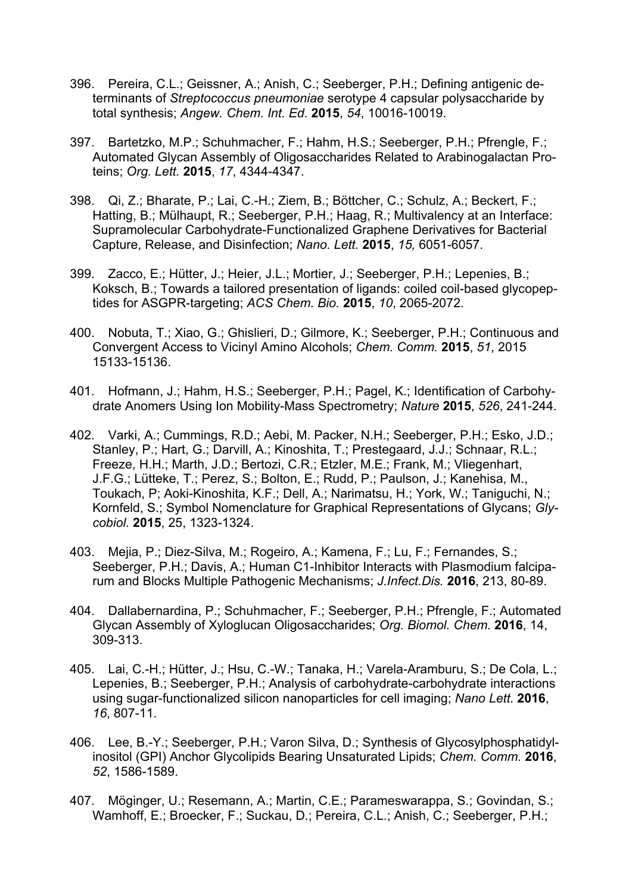- 396. Pereira, C.L.; Geissner, A.; Anish, C.; Seeberger, P.H.; Defining antigenic determinants of *Streptococcus pneumoniae* serotype 4 capsular polysaccharide by total synthesis; *Angew. Chem. Int. Ed.* **2015**, *54*, 10016-10019.
- 397. Bartetzko, M.P.; Schuhmacher, F.; Hahm, H.S.; Seeberger, P.H.; Pfrengle, F.; Automated Glycan Assembly of Oligosaccharides Related to Arabinogalactan Proteins; *Org. Lett.* **2015**, *17*, 4344-4347.
- 398. Qi, Z.; Bharate, P.; Lai, C.-H.; Ziem, B.; Böttcher, C.; Schulz, A.; Beckert, F.; Hatting, B.; Mülhaupt, R.; Seeberger, P.H.; Haag, R.; Multivalency at an Interface: Supramolecular Carbohydrate-Functionalized Graphene Derivatives for Bacterial Capture, Release, and Disinfection; *Nano. Lett.* **2015**, *15,* 6051-6057.
- 399. Zacco, E.; Hütter, J.; Heier, J.L.; Mortier, J.; Seeberger, P.H.; Lepenies, B.; Koksch, B.; Towards a tailored presentation of ligands: coiled coil-based glycopeptides for ASGPR-targeting; *ACS Chem. Bio.* **2015**, *10*, 2065-2072.
- 400. Nobuta, T.; Xiao, G.; Ghislieri, D.; Gilmore, K.; Seeberger, P.H.; Continuous and Convergent Access to Vicinyl Amino Alcohols; *Chem. Comm.* **2015**, *51*, 2015 15133-15136.
- 401. Hofmann, J.; Hahm, H.S.; Seeberger, P.H.; Pagel, K.; Identification of Carbohydrate Anomers Using Ion Mobility-Mass Spectrometry; *Nature* **2015**, *526*, 241-244.
- 402. Varki, A.; Cummings, R.D.; Aebi, M. Packer, N.H.; Seeberger, P.H.; Esko, J.D.; Stanley, P.; Hart, G.; Darvill, A.; Kinoshita, T.; Prestegaard, J.J.; Schnaar, R.L.; Freeze, H.H.; Marth, J.D.; Bertozi, C.R.; Etzler, M.E.; Frank, M.; Vliegenhart, J.F.G.; Lütteke, T.; Perez, S.; Bolton, E.; Rudd, P.; Paulson, J.; Kanehisa, M., Toukach, P; Aoki-Kinoshita, K.F.; Dell, A.; Narimatsu, H.; York, W.; Taniguchi, N.; Kornfeld, S.; Symbol Nomenclature for Graphical Representations of Glycans; *Glycobiol.* **2015**, 25, 1323-1324.
- 403. Mejia, P.; Diez-Silva, M.; Rogeiro, A.; Kamena, F.; Lu, F.; Fernandes, S.; Seeberger, P.H.; Davis, A.; Human C1-Inhibitor Interacts with Plasmodium falciparum and Blocks Multiple Pathogenic Mechanisms; *J.Infect.Dis.* **2016**, 213, 80-89.
- 404. Dallabernardina, P.; Schuhmacher, F.; Seeberger, P.H.; Pfrengle, F.; Automated Glycan Assembly of Xyloglucan Oligosaccharides; *Org. Biomol. Chem.* **2016**, 14, 309-313.
- 405. Lai, C.-H.; Hütter, J.; Hsu, C.-W.; Tanaka, H.; Varela-Aramburu, S.; De Cola, L.; Lepenies, B.; Seeberger, P.H.; Analysis of carbohydrate-carbohydrate interactions using sugar-functionalized silicon nanoparticles for cell imaging; *Nano Lett.* **2016**, *16*, 807-11.
- 406. Lee, B.-Y.; Seeberger, P.H.; Varon Silva, D.; Synthesis of Glycosylphosphatidylinositol (GPI) Anchor Glycolipids Bearing Unsaturated Lipids; *Chem. Comm.* **2016**, *52*, 1586-1589.
- 407. Möginger, U.; Resemann, A.; Martin, C.E.; Parameswarappa, S.; Govindan, S.; Wamhoff, E.; Broecker, F.; Suckau, D.; Pereira, C.L.; Anish, C.; Seeberger, P.H.;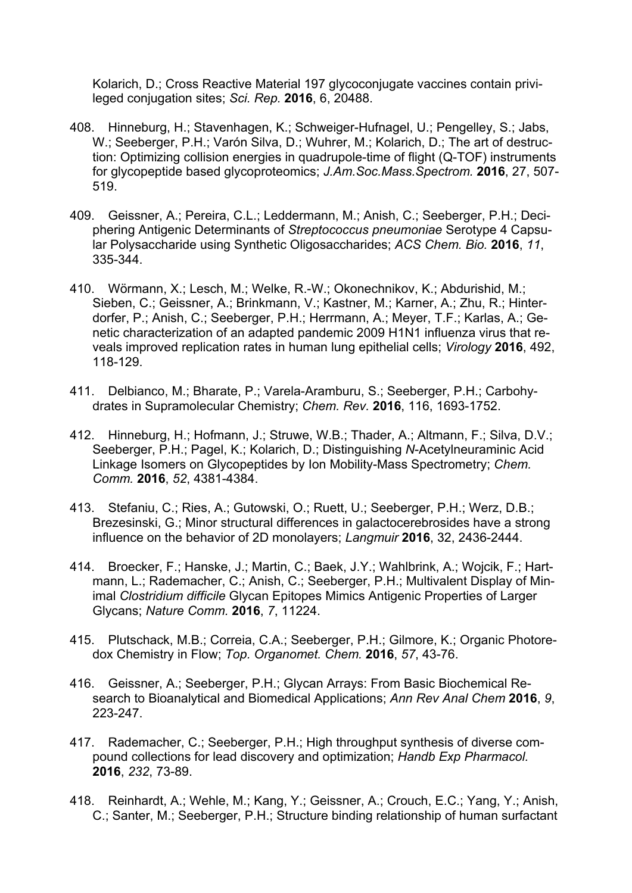Kolarich, D.; Cross Reactive Material 197 glycoconjugate vaccines contain privileged conjugation sites; *Sci. Rep.* **2016**, 6, 20488.

- 408. Hinneburg, H.; Stavenhagen, K.; Schweiger-Hufnagel, U.; Pengelley, S.; Jabs, W.; Seeberger, P.H.; Varón Silva, D.; Wuhrer, M.; Kolarich, D.; The art of destruction: Optimizing collision energies in quadrupole-time of flight (Q-TOF) instruments for glycopeptide based glycoproteomics; *J.Am.Soc.Mass.Spectrom.* **2016**, 27, 507- 519.
- 409. Geissner, A.; Pereira, C.L.; Leddermann, M.; Anish, C.; Seeberger, P.H.; Deciphering Antigenic Determinants of *Streptococcus pneumoniae* Serotype 4 Capsular Polysaccharide using Synthetic Oligosaccharides; *ACS Chem. Bio.* **2016**, *11*, 335-344.
- 410. Wörmann, X.; Lesch, M.; Welke, R.-W.; Okonechnikov, K.; Abdurishid, M.; Sieben, C.; Geissner, A.; Brinkmann, V.; Kastner, M.; Karner, A.; Zhu, R.; Hinterdorfer, P.; Anish, C.; Seeberger, P.H.; Herrmann, A.; Meyer, T.F.; Karlas, A.; Genetic characterization of an adapted pandemic 2009 H1N1 influenza virus that reveals improved replication rates in human lung epithelial cells; *Virology* **2016**, 492, 118-129.
- 411. Delbianco, M.; Bharate, P.; Varela-Aramburu, S.; Seeberger, P.H.; Carbohydrates in Supramolecular Chemistry; *Chem. Rev.* **2016**, 116, 1693-1752.
- 412. Hinneburg, H.; Hofmann, J.; Struwe, W.B.; Thader, A.; Altmann, F.; Silva, D.V.; Seeberger, P.H.; Pagel, K.; Kolarich, D.; Distinguishing *N*-Acetylneuraminic Acid Linkage Isomers on Glycopeptides by Ion Mobility-Mass Spectrometry; *Chem. Comm.* **2016**, *52*, 4381-4384.
- 413. Stefaniu, C.; Ries, A.; Gutowski, O.; Ruett, U.; Seeberger, P.H.; Werz, D.B.; Brezesinski, G.; Minor structural differences in galactocerebrosides have a strong influence on the behavior of 2D monolayers; *Langmuir* **2016**, 32, 2436-2444.
- 414. Broecker, F.; Hanske, J.; Martin, C.; Baek, J.Y.; Wahlbrink, A.; Wojcik, F.; Hartmann, L.; Rademacher, C.; Anish, C.; Seeberger, P.H.; Multivalent Display of Minimal *Clostridium difficile* Glycan Epitopes Mimics Antigenic Properties of Larger Glycans; *Nature Comm.* **2016**, *7*, 11224.
- 415. Plutschack, M.B.; Correia, C.A.; Seeberger, P.H.; Gilmore, K.; Organic Photoredox Chemistry in Flow; *Top. Organomet. Chem.* **2016**, *57*, 43-76.
- 416. Geissner, A.; Seeberger, P.H.; Glycan Arrays: From Basic Biochemical Research to Bioanalytical and Biomedical Applications; *Ann Rev Anal Chem* **2016**, *9*, 223-247.
- 417. Rademacher, C.; Seeberger, P.H.; High throughput synthesis of diverse compound collections for lead discovery and optimization; *Handb Exp Pharmacol.* **2016**, *232*, 73-89.
- 418. Reinhardt, A.; Wehle, M.; Kang, Y.; Geissner, A.; Crouch, E.C.; Yang, Y.; Anish, C.; Santer, M.; Seeberger, P.H.; Structure binding relationship of human surfactant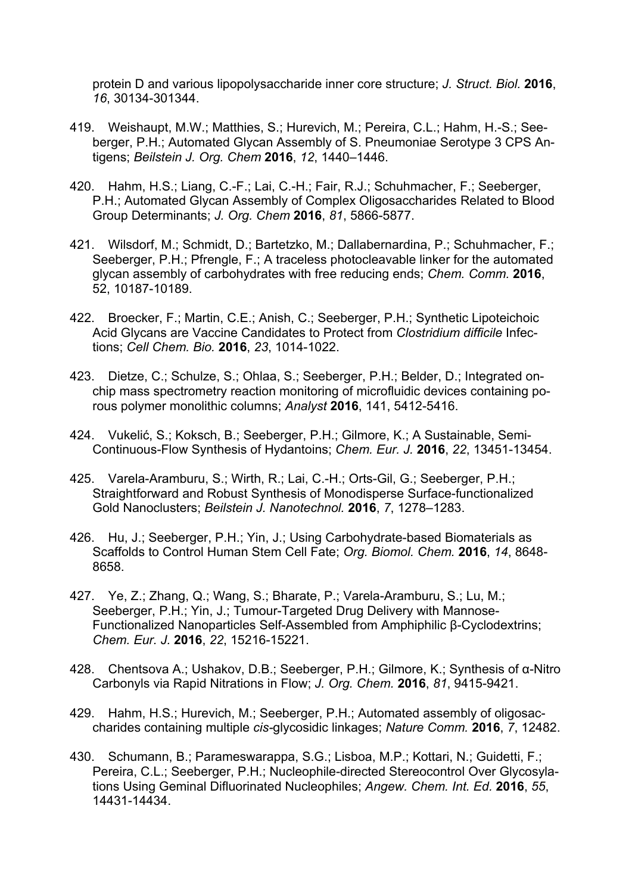protein D and various lipopolysaccharide inner core structure; *J. Struct. Biol.* **2016**, *16*, 30134-301344.

- 419. Weishaupt, M.W.; Matthies, S.; Hurevich, M.; Pereira, C.L.; Hahm, H.-S.; Seeberger, P.H.; Automated Glycan Assembly of S. Pneumoniae Serotype 3 CPS Antigens; *Beilstein J. Org. Chem* **2016**, *12*, 1440–1446.
- 420. Hahm, H.S.; Liang, C.-F.; Lai, C.-H.; Fair, R.J.; Schuhmacher, F.; Seeberger, P.H.; Automated Glycan Assembly of Complex Oligosaccharides Related to Blood Group Determinants; *J. Org. Chem* **2016**, *81*, 5866-5877.
- 421. Wilsdorf, M.; Schmidt, D.; Bartetzko, M.; Dallabernardina, P.; Schuhmacher, F.; Seeberger, P.H.; Pfrengle, F.; A traceless photocleavable linker for the automated glycan assembly of carbohydrates with free reducing ends; *Chem. Comm.* **2016**, 52, 10187-10189.
- 422. Broecker, F.; Martin, C.E.; Anish, C.; Seeberger, P.H.; Synthetic Lipoteichoic Acid Glycans are Vaccine Candidates to Protect from *Clostridium difficile* Infections; *Cell Chem. Bio.* **2016**, *23*, 1014-1022.
- 423. Dietze, C.; Schulze, S.; Ohlaa, S.; Seeberger, P.H.; Belder, D.; Integrated onchip mass spectrometry reaction monitoring of microfluidic devices containing porous polymer monolithic columns; *Analyst* **2016**, 141, 5412-5416.
- 424. Vukelić, S.; Koksch, B.; Seeberger, P.H.; Gilmore, K.; A Sustainable, Semi-Continuous-Flow Synthesis of Hydantoins; *Chem. Eur. J.* **2016**, *22*, 13451-13454.
- 425. Varela-Aramburu, S.; Wirth, R.; Lai, C.-H.; Orts-Gil, G.; Seeberger, P.H.; Straightforward and Robust Synthesis of Monodisperse Surface-functionalized Gold Nanoclusters; *Beilstein J. Nanotechnol.* **2016**, *7*, 1278–1283.
- 426. Hu, J.; Seeberger, P.H.; Yin, J.; Using Carbohydrate-based Biomaterials as Scaffolds to Control Human Stem Cell Fate; *Org. Biomol. Chem.* **2016**, *14*, 8648- 8658.
- 427. Ye, Z.; Zhang, Q.; Wang, S.; Bharate, P.; Varela-Aramburu, S.; Lu, M.; Seeberger, P.H.; Yin, J.; Tumour-Targeted Drug Delivery with Mannose-Functionalized Nanoparticles Self-Assembled from Amphiphilic β-Cyclodextrins; *Chem. Eur. J.* **2016**, *22*, 15216-15221.
- 428. Chentsova A.; Ushakov, D.B.; Seeberger, P.H.; Gilmore, K.; Synthesis of α-Nitro Carbonyls via Rapid Nitrations in Flow; *J. Org. Chem.* **2016**, *81*, 9415-9421.
- 429. Hahm, H.S.; Hurevich, M.; Seeberger, P.H.; Automated assembly of oligosaccharides containing multiple *cis-*glycosidic linkages; *Nature Comm.* **2016**, *7*, 12482.
- 430. Schumann, B.; Parameswarappa, S.G.; Lisboa, M.P.; Kottari, N.; Guidetti, F.; Pereira, C.L.; Seeberger, P.H.; Nucleophile-directed Stereocontrol Over Glycosylations Using Geminal Difluorinated Nucleophiles; *Angew. Chem. Int. Ed.* **2016**, *55*, 14431-14434.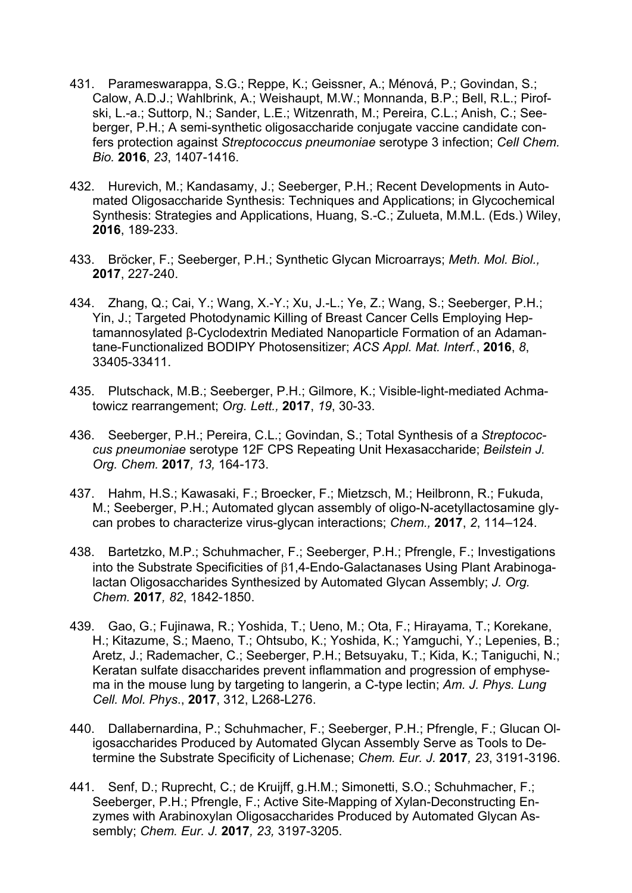- 431. Parameswarappa, S.G.; Reppe, K.; Geissner, A.; Ménová, P.; Govindan, S.; Calow, A.D.J.; Wahlbrink, A.; Weishaupt, M.W.; Monnanda, B.P.; Bell, R.L.; Pirofski, L.-a.; Suttorp, N.; Sander, L.E.; Witzenrath, M.; Pereira, C.L.; Anish, C.; Seeberger, P.H.; A semi-synthetic oligosaccharide conjugate vaccine candidate confers protection against *Streptococcus pneumoniae* serotype 3 infection; *Cell Chem. Bio.* **2016**, *23*, 1407-1416.
- 432. Hurevich, M.; Kandasamy, J.; Seeberger, P.H.; Recent Developments in Automated Oligosaccharide Synthesis: Techniques and Applications; in Glycochemical Synthesis: Strategies and Applications, Huang, S.-C.; Zulueta, M.M.L. (Eds.) Wiley, **2016**, 189-233.
- 433. Bröcker, F.; Seeberger, P.H.; Synthetic Glycan Microarrays; *Meth. Mol. Biol.,* **2017**, 227-240.
- 434. Zhang, Q.; Cai, Y.; Wang, X.-Y.; Xu, J.-L.; Ye, Z.; Wang, S.; Seeberger, P.H.; Yin, J.; Targeted Photodynamic Killing of Breast Cancer Cells Employing Heptamannosylated β-Cyclodextrin Mediated Nanoparticle Formation of an Adamantane-Functionalized BODIPY Photosensitizer; *ACS Appl. Mat. Interf.*, **2016**, *8*, 33405-33411.
- 435. Plutschack, M.B.; Seeberger, P.H.; Gilmore, K.; Visible-light-mediated Achmatowicz rearrangement; *Org. Lett.,* **2017**, *19*, 30-33.
- 436. Seeberger, P.H.; Pereira, C.L.; Govindan, S.; Total Synthesis of a *Streptococcus pneumoniae* serotype 12F CPS Repeating Unit Hexasaccharide; *Beilstein J. Org. Chem.* **2017***, 13,* 164-173.
- 437. Hahm, H.S.; Kawasaki, F.; Broecker, F.; Mietzsch, M.; Heilbronn, R.; Fukuda, M.; Seeberger, P.H.; Automated glycan assembly of oligo-N-acetyllactosamine glycan probes to characterize virus-glycan interactions; *Chem.,* **2017**, *2*, 114–124.
- 438. Bartetzko, M.P.; Schuhmacher, F.; Seeberger, P.H.; Pfrengle, F.; Investigations into the Substrate Specificities of 1,4-Endo-Galactanases Using Plant Arabinogalactan Oligosaccharides Synthesized by Automated Glycan Assembly; *J. Org. Chem.* **2017***, 82*, 1842-1850.
- 439. Gao, G.; Fujinawa, R.; Yoshida, T.; Ueno, M.; Ota, F.; Hirayama, T.; Korekane, H.; Kitazume, S.; Maeno, T.; Ohtsubo, K.; Yoshida, K.; Yamguchi, Y.; Lepenies, B.; Aretz, J.; Rademacher, C.; Seeberger, P.H.; Betsuyaku, T.; Kida, K.; Taniguchi, N.; Keratan sulfate disaccharides prevent inflammation and progression of emphysema in the mouse lung by targeting to langerin, a C-type lectin; *Am. J. Phys. Lung Cell. Mol. Phys*., **2017**, 312, L268-L276.
- 440. Dallabernardina, P.; Schuhmacher, F.; Seeberger, P.H.; Pfrengle, F.; Glucan Oligosaccharides Produced by Automated Glycan Assembly Serve as Tools to Determine the Substrate Specificity of Lichenase; *Chem. Eur. J.* **2017***, 23*, 3191-3196.
- 441. Senf, D.; Ruprecht, C.; de Kruijff, g.H.M.; Simonetti, S.O.; Schuhmacher, F.; Seeberger, P.H.; Pfrengle, F.; Active Site-Mapping of Xylan-Deconstructing Enzymes with Arabinoxylan Oligosaccharides Produced by Automated Glycan Assembly; *Chem. Eur. J.* **2017***, 23,* 3197-3205.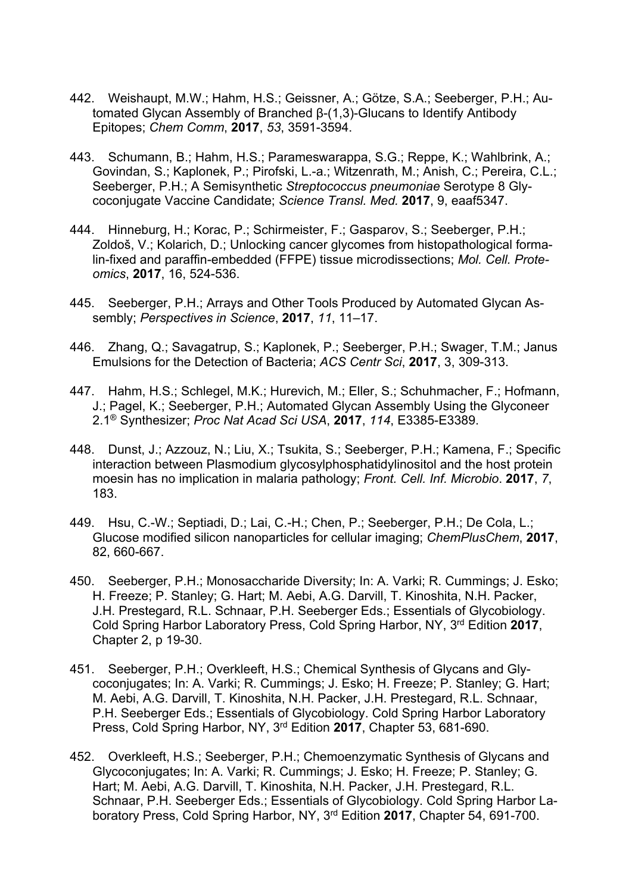- 442. Weishaupt, M.W.; Hahm, H.S.; Geissner, A.; Götze, S.A.; Seeberger, P.H.; Automated Glycan Assembly of Branched β-(1,3)-Glucans to Identify Antibody Epitopes; *Chem Comm*, **2017**, *53*, 3591-3594.
- 443. Schumann, B.; Hahm, H.S.; Parameswarappa, S.G.; Reppe, K.; Wahlbrink, A.; Govindan, S.; Kaplonek, P.; Pirofski, L.-a.; Witzenrath, M.; Anish, C.; Pereira, C.L.; Seeberger, P.H.; A Semisynthetic *Streptococcus pneumoniae* Serotype 8 Glycoconjugate Vaccine Candidate; *Science Transl. Med.* **2017**, 9, eaaf5347.
- 444. Hinneburg, H.; Korac, P.; Schirmeister, F.; Gasparov, S.; Seeberger, P.H.; Zoldoš, V.; Kolarich, D.; Unlocking cancer glycomes from histopathological formalin-fixed and paraffin-embedded (FFPE) tissue microdissections; *Mol. Cell. Proteomics*, **2017**, 16, 524-536.
- 445. Seeberger, P.H.; Arrays and Other Tools Produced by Automated Glycan Assembly; *Perspectives in Science*, **2017**, *11*, 11–17.
- 446. Zhang, Q.; Savagatrup, S.; Kaplonek, P.; Seeberger, P.H.; Swager, T.M.; Janus Emulsions for the Detection of Bacteria; *ACS Centr Sci*, **2017**, 3, 309-313.
- 447. Hahm, H.S.; Schlegel, M.K.; Hurevich, M.; Eller, S.; Schuhmacher, F.; Hofmann, J.; Pagel, K.; Seeberger, P.H.; Automated Glycan Assembly Using the Glyconeer 2.1® Synthesizer; *Proc Nat Acad Sci USA*, **2017**, *114*, E3385-E3389.
- 448. Dunst, J.; Azzouz, N.; Liu, X.; Tsukita, S.; Seeberger, P.H.; Kamena, F.; Specific interaction between Plasmodium glycosylphosphatidylinositol and the host protein moesin has no implication in malaria pathology; *Front. Cell. Inf. Microbio*. **2017**, *7*, 183.
- 449. Hsu, C.-W.; Septiadi, D.; Lai, C.-H.; Chen, P.; Seeberger, P.H.; De Cola, L.; Glucose modified silicon nanoparticles for cellular imaging; *ChemPlusChem*, **2017**, 82, 660-667.
- 450. Seeberger, P.H.; Monosaccharide Diversity; In: A. Varki; R. Cummings; J. Esko; H. Freeze; P. Stanley; G. Hart; M. Aebi, A.G. Darvill, T. Kinoshita, N.H. Packer, J.H. Prestegard, R.L. Schnaar, P.H. Seeberger Eds.; Essentials of Glycobiology. Cold Spring Harbor Laboratory Press, Cold Spring Harbor, NY, 3rd Edition **2017**, Chapter 2, p 19-30.
- 451. Seeberger, P.H.; Overkleeft, H.S.; Chemical Synthesis of Glycans and Glycoconjugates; In: A. Varki; R. Cummings; J. Esko; H. Freeze; P. Stanley; G. Hart; M. Aebi, A.G. Darvill, T. Kinoshita, N.H. Packer, J.H. Prestegard, R.L. Schnaar, P.H. Seeberger Eds.; Essentials of Glycobiology. Cold Spring Harbor Laboratory Press, Cold Spring Harbor, NY, 3rd Edition **2017**, Chapter 53, 681-690.
- 452. Overkleeft, H.S.; Seeberger, P.H.; Chemoenzymatic Synthesis of Glycans and Glycoconjugates; In: A. Varki; R. Cummings; J. Esko; H. Freeze; P. Stanley; G. Hart; M. Aebi, A.G. Darvill, T. Kinoshita, N.H. Packer, J.H. Prestegard, R.L. Schnaar, P.H. Seeberger Eds.; Essentials of Glycobiology. Cold Spring Harbor Laboratory Press, Cold Spring Harbor, NY, 3rd Edition **2017**, Chapter 54, 691-700.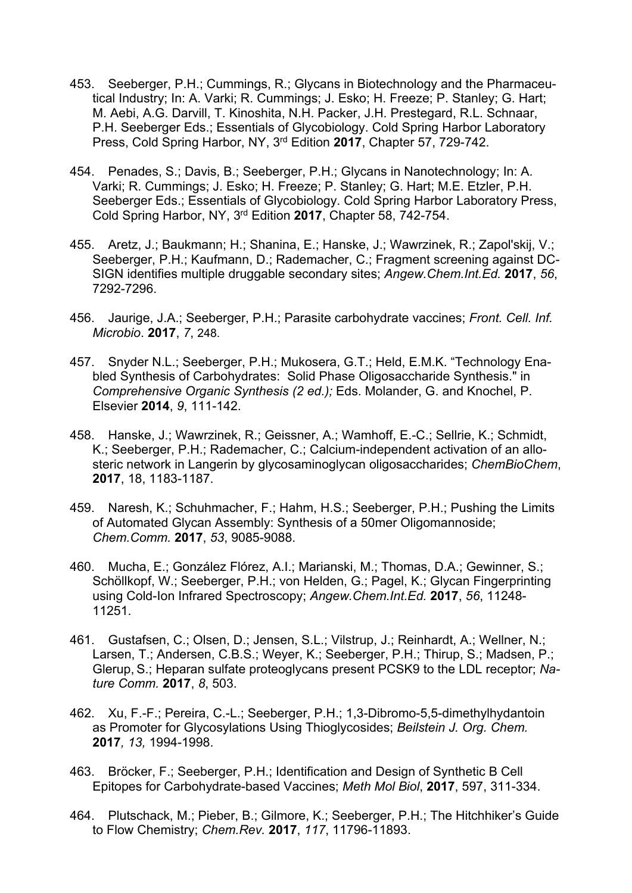- 453. Seeberger, P.H.; Cummings, R.; Glycans in Biotechnology and the Pharmaceutical Industry; In: A. Varki; R. Cummings; J. Esko; H. Freeze; P. Stanley; G. Hart; M. Aebi, A.G. Darvill, T. Kinoshita, N.H. Packer, J.H. Prestegard, R.L. Schnaar, P.H. Seeberger Eds.; Essentials of Glycobiology. Cold Spring Harbor Laboratory Press, Cold Spring Harbor, NY, 3rd Edition **2017**, Chapter 57, 729-742.
- 454. Penades, S.; Davis, B.; Seeberger, P.H.; Glycans in Nanotechnology; In: A. Varki; R. Cummings; J. Esko; H. Freeze; P. Stanley; G. Hart; M.E. Etzler, P.H. Seeberger Eds.; Essentials of Glycobiology. Cold Spring Harbor Laboratory Press, Cold Spring Harbor, NY, 3rd Edition **2017**, Chapter 58, 742-754.
- 455. Aretz, J.; Baukmann; H.; Shanina, E.; Hanske, J.; Wawrzinek, R.; Zapol'skij, V.; Seeberger, P.H.; Kaufmann, D.; Rademacher, C.; Fragment screening against DC-SIGN identifies multiple druggable secondary sites; *Angew.Chem.Int.Ed.* **2017**, *56*, 7292-7296.
- 456. Jaurige, J.A.; Seeberger, P.H.; Parasite carbohydrate vaccines; *Front. Cell. Inf. Microbio*. **2017**, *7*, 248.
- 457. Snyder N.L.; Seeberger, P.H.; Mukosera, G.T.; Held, E.M.K. "Technology Enabled Synthesis of Carbohydrates: Solid Phase Oligosaccharide Synthesis." in *Comprehensive Organic Synthesis (2 ed.);* Eds. Molander, G. and Knochel, P. Elsevier **2014**, *9*, 111-142.
- 458. Hanske, J.; Wawrzinek, R.; Geissner, A.; Wamhoff, E.-C.; Sellrie, K.; Schmidt, K.; Seeberger, P.H.; Rademacher, C.; Calcium-independent activation of an allosteric network in Langerin by glycosaminoglycan oligosaccharides; *ChemBioChem*, **2017**, 18, 1183-1187.
- 459. Naresh, K.; Schuhmacher, F.; Hahm, H.S.; Seeberger, P.H.; Pushing the Limits of Automated Glycan Assembly: Synthesis of a 50mer Oligomannoside; *Chem.Comm.* **2017**, *53*, 9085-9088.
- 460. Mucha, E.; González Flórez, A.I.; Marianski, M.; Thomas, D.A.; Gewinner, S.; Schöllkopf, W.; Seeberger, P.H.; von Helden, G.; Pagel, K.; Glycan Fingerprinting using Cold-Ion Infrared Spectroscopy; *Angew.Chem.Int.Ed.* **2017**, *56*, 11248- 11251.
- 461. Gustafsen, C.; Olsen, D.; Jensen, S.L.; Vilstrup, J.; Reinhardt, A.; Wellner, N.; Larsen, T.; Andersen, C.B.S.; Weyer, K.; Seeberger, P.H.; Thirup, S.; Madsen, P.; Glerup, S.; Heparan sulfate proteoglycans present PCSK9 to the LDL receptor; *Nature Comm.* **2017**, *8*, 503.
- 462. Xu, F.-F.; Pereira, C.-L.; Seeberger, P.H.; 1,3-Dibromo-5,5-dimethylhydantoin as Promoter for Glycosylations Using Thioglycosides; *Beilstein J. Org. Chem.*  **2017***, 13,* 1994-1998.
- 463. Bröcker, F.; Seeberger, P.H.; Identification and Design of Synthetic B Cell Epitopes for Carbohydrate-based Vaccines; *Meth Mol Biol*, **2017**, 597, 311-334.
- 464. Plutschack, M.; Pieber, B.; Gilmore, K.; Seeberger, P.H.; The Hitchhiker's Guide to Flow Chemistry; *Chem.Rev.* **2017**, *117*, 11796-11893.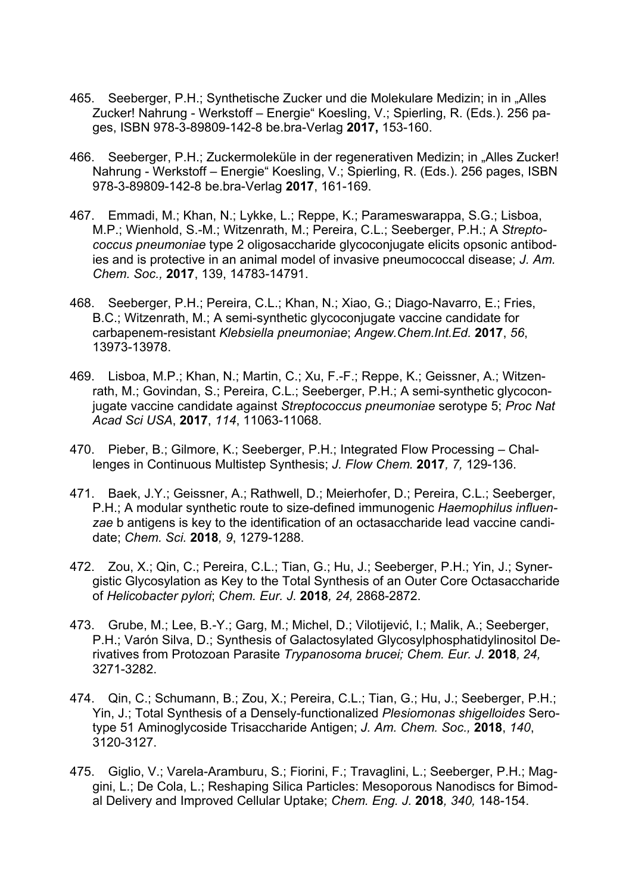- 465. Seeberger, P.H.; Synthetische Zucker und die Molekulare Medizin; in in "Alles Zucker! Nahrung - Werkstoff – Energie" Koesling, V.; Spierling, R. (Eds.). 256 pages, ISBN 978-3-89809-142-8 be.bra-Verlag **2017,** 153-160.
- 466. Seeberger, P.H.; Zuckermoleküle in der regenerativen Medizin; in "Alles Zucker! Nahrung - Werkstoff – Energie" Koesling, V.; Spierling, R. (Eds.). 256 pages, ISBN 978-3-89809-142-8 be.bra-Verlag **2017**, 161-169.
- 467. Emmadi, M.; Khan, N.; Lykke, L.; Reppe, K.; Parameswarappa, S.G.; Lisboa, M.P.; Wienhold, S.-M.; Witzenrath, M.; Pereira, C.L.; Seeberger, P.H.; A *Streptococcus pneumoniae* type 2 oligosaccharide glycoconjugate elicits opsonic antibodies and is protective in an animal model of invasive pneumococcal disease; *J. Am. Chem. Soc.,* **2017**, 139, 14783-14791.
- 468. Seeberger, P.H.; Pereira, C.L.; Khan, N.; Xiao, G.; Diago-Navarro, E.; Fries, B.C.; Witzenrath, M.; A semi-synthetic glycoconjugate vaccine candidate for carbapenem-resistant *Klebsiella pneumoniae*; *Angew.Chem.Int.Ed.* **2017**, *56*, 13973-13978.
- 469. Lisboa, M.P.; Khan, N.; Martin, C.; Xu, F.-F.; Reppe, K.; Geissner, A.; Witzenrath, M.; Govindan, S.; Pereira, C.L.; Seeberger, P.H.; A semi-synthetic glycoconjugate vaccine candidate against *Streptococcus pneumoniae* serotype 5; *Proc Nat Acad Sci USA*, **2017**, *114*, 11063-11068.
- 470. Pieber, B.; Gilmore, K.; Seeberger, P.H.; Integrated Flow Processing Challenges in Continuous Multistep Synthesis; *J. Flow Chem.* **2017***, 7,* 129-136.
- 471. Baek, J.Y.; Geissner, A.; Rathwell, D.; Meierhofer, D.; Pereira, C.L.; Seeberger, P.H.; A modular synthetic route to size-defined immunogenic *Haemophilus influenzae* b antigens is key to the identification of an octasaccharide lead vaccine candidate; *Chem. Sci.* **2018***, 9*, 1279-1288.
- 472. Zou, X.; Qin, C.; Pereira, C.L.; Tian, G.; Hu, J.; Seeberger, P.H.; Yin, J.; Synergistic Glycosylation as Key to the Total Synthesis of an Outer Core Octasaccharide of *Helicobacter pylori*; *Chem. Eur. J.* **2018***, 24,* 2868-2872.
- 473. Grube, M.; Lee, B.-Y.; Garg, M.; Michel, D.; Vilotijević, I.; Malik, A.; Seeberger, P.H.; Varón Silva, D.; Synthesis of Galactosylated Glycosylphosphatidylinositol Derivatives from Protozoan Parasite *Trypanosoma brucei; Chem. Eur. J.* **2018***, 24,*  3271-3282.
- 474. Qin, C.; Schumann, B.; Zou, X.; Pereira, C.L.; Tian, G.; Hu, J.; Seeberger, P.H.; Yin, J.; Total Synthesis of a Densely-functionalized *Plesiomonas shigelloides* Serotype 51 Aminoglycoside Trisaccharide Antigen; *J. Am. Chem. Soc.,* **2018**, *140*, 3120-3127.
- 475. Giglio, V.; Varela-Aramburu, S.; Fiorini, F.; Travaglini, L.; Seeberger, P.H.; Maggini, L.; De Cola, L.; Reshaping Silica Particles: Mesoporous Nanodiscs for Bimodal Delivery and Improved Cellular Uptake; *Chem. Eng. J.* **2018***, 340,* 148-154.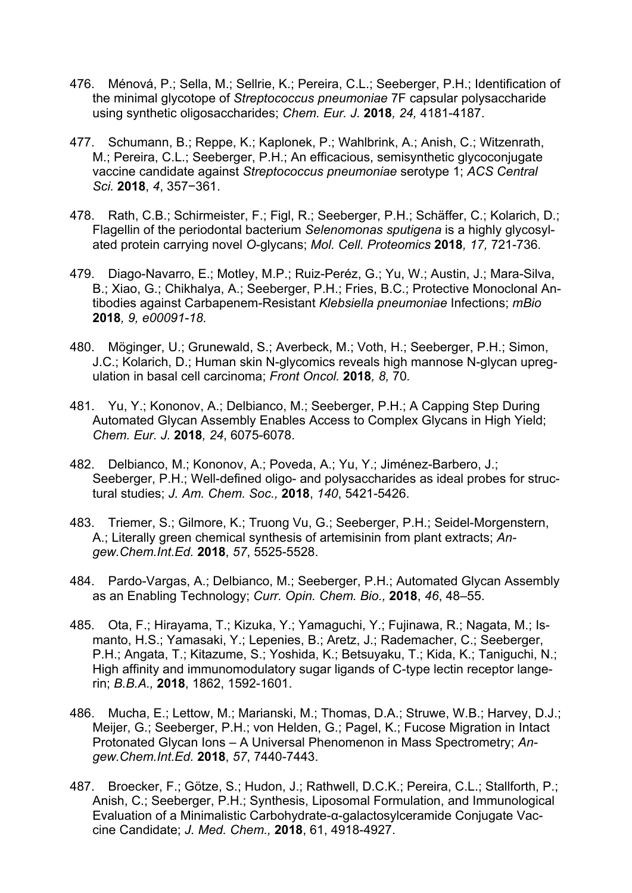- 476. Ménová, P.; Sella, M.; Sellrie, K.; Pereira, C.L.; Seeberger, P.H.; Identification of the minimal glycotope of *Streptococcus pneumoniae* 7F capsular polysaccharide using synthetic oligosaccharides; *Chem. Eur. J.* **2018***, 24,* 4181-4187.
- 477. Schumann, B.; Reppe, K.; Kaplonek, P.; Wahlbrink, A.; Anish, C.; Witzenrath, M.; Pereira, C.L.; Seeberger, P.H.; An efficacious, semisynthetic glycoconjugate vaccine candidate against *Streptococcus pneumoniae* serotype 1; *ACS Central Sci.* **2018**, *4*, 357−361.
- 478. Rath, C.B.; Schirmeister, F.; Figl, R.; Seeberger, P.H.; Schäffer, C.; Kolarich, D.; Flagellin of the periodontal bacterium *Selenomonas sputigena* is a highly glycosylated protein carrying novel *O*-glycans; *Mol. Cell. Proteomics* **2018***, 17,* 721-736*.*
- 479. Diago-Navarro, E.; Motley, M.P.; Ruiz-Peréz, G.; Yu, W.; Austin, J.; Mara-Silva, B.; Xiao, G.; Chikhalya, A.; Seeberger, P.H.; Fries, B.C.; Protective Monoclonal Antibodies against Carbapenem-Resistant *Klebsiella pneumoniae* Infections; *mBio*  **2018***, 9, e00091-18.*
- 480. Möginger, U.; Grunewald, S.; Averbeck, M.; Voth, H.; Seeberger, P.H.; Simon, J.C.; Kolarich, D.; Human skin N-glycomics reveals high mannose N-glycan upregulation in basal cell carcinoma; *Front Oncol.* **2018***, 8,* 70*.*
- 481. Yu, Y.; Kononov, A.; Delbianco, M.; Seeberger, P.H.; A Capping Step During Automated Glycan Assembly Enables Access to Complex Glycans in High Yield; *Chem. Eur. J.* **2018***, 24*, 6075-6078.
- 482. Delbianco, M.; Kononov, A.; Poveda, A.; Yu, Y.; Jiménez-Barbero, J.; Seeberger, P.H.; Well-defined oligo- and polysaccharides as ideal probes for structural studies; *J. Am. Chem. Soc.,* **2018**, *140*, 5421-5426.
- 483. Triemer, S.; Gilmore, K.; Truong Vu, G.; Seeberger, P.H.; Seidel-Morgenstern, A.; Literally green chemical synthesis of artemisinin from plant extracts; *Angew.Chem.Int.Ed.* **2018**, *57*, 5525-5528.
- 484. Pardo-Vargas, A.; Delbianco, M.; Seeberger, P.H.; Automated Glycan Assembly as an Enabling Technology; *Curr. Opin. Chem. Bio.,* **2018**, *46*, 48–55.
- 485. Ota, F.; Hirayama, T.; Kizuka, Y.; Yamaguchi, Y.; Fujinawa, R.; Nagata, M.; Ismanto, H.S.; Yamasaki, Y.; Lepenies, B.; Aretz, J.; Rademacher, C.; Seeberger, P.H.; Angata, T.; Kitazume, S.; Yoshida, K.; Betsuyaku, T.; Kida, K.; Taniguchi, N.; High affinity and immunomodulatory sugar ligands of C-type lectin receptor langerin; *B.B.A.,* **2018**, 1862, 1592-1601.
- 486. Mucha, E.; Lettow, M.; Marianski, M.; Thomas, D.A.; Struwe, W.B.; Harvey, D.J.; Meijer, G.; Seeberger, P.H.; von Helden, G.; Pagel, K.; Fucose Migration in Intact Protonated Glycan Ions – A Universal Phenomenon in Mass Spectrometry; *Angew.Chem.Int.Ed.* **2018**, *57*, 7440-7443.
- 487. Broecker, F.; Götze, S.; Hudon, J.; Rathwell, D.C.K.; Pereira, C.L.; Stallforth, P.; Anish, C.; Seeberger, P.H.; Synthesis, Liposomal Formulation, and Immunological Evaluation of a Minimalistic Carbohydrate-α-galactosylceramide Conjugate Vaccine Candidate; *J. Med. Chem.,* **2018**, 61, 4918-4927.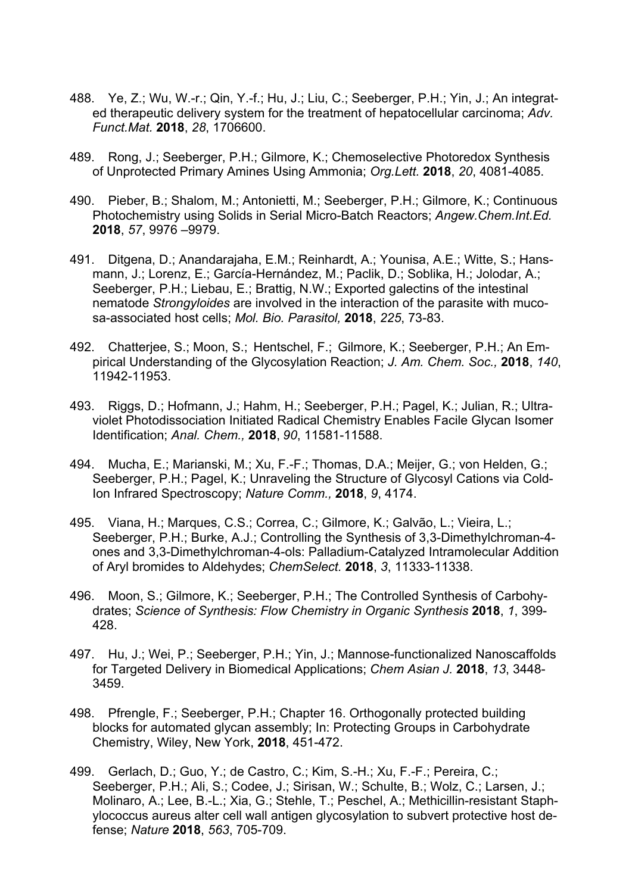- 488. Ye, Z.; Wu, W.-r.; Qin, Y.-f.; Hu, J.; Liu, C.; Seeberger, P.H.; Yin, J.; An integrated therapeutic delivery system for the treatment of hepatocellular carcinoma; *Adv. Funct.Mat.* **2018**, *28*, 1706600.
- 489. Rong, J.; Seeberger, P.H.; Gilmore, K.; Chemoselective Photoredox Synthesis of Unprotected Primary Amines Using Ammonia; *Org.Lett.* **2018**, *20*, 4081-4085.
- 490. Pieber, B.; Shalom, M.; Antonietti, M.; Seeberger, P.H.; Gilmore, K.; Continuous Photochemistry using Solids in Serial Micro-Batch Reactors; *Angew.Chem.Int.Ed.* **2018**, *57*, 9976 –9979.
- 491. Ditgena, D.; Anandarajaha, E.M.; Reinhardt, A.; Younisa, A.E.; Witte, S.; Hansmann, J.; Lorenz, E.; García-Hernández, M.; Paclik, D.; Soblika, H.; Jolodar, A.; Seeberger, P.H.; Liebau, E.; Brattig, N.W.; Exported galectins of the intestinal nematode *Strongyloides* are involved in the interaction of the parasite with mucosa-associated host cells; *Mol. Bio. Parasitol,* **2018**, *225*, 73-83.
- 492. Chatterjee, S.; Moon, S.; Hentschel, F.; Gilmore, K.; Seeberger, P.H.; An Empirical Understanding of the Glycosylation Reaction; *J. Am. Chem. Soc.,* **2018**, *140*, 11942-11953.
- 493. Riggs, D.; Hofmann, J.; Hahm, H.; Seeberger, P.H.; Pagel, K.; Julian, R.; Ultraviolet Photodissociation Initiated Radical Chemistry Enables Facile Glycan Isomer Identification; *Anal. Chem.,* **2018**, *90*, 11581-11588.
- 494. Mucha, E.; Marianski, M.; Xu, F.-F.; Thomas, D.A.; Meijer, G.; von Helden, G.; Seeberger, P.H.; Pagel, K.; Unraveling the Structure of Glycosyl Cations via Cold-Ion Infrared Spectroscopy; *Nature Comm.,* **2018**, *9*, 4174.
- 495. Viana, H.; Marques, C.S.; Correa, C.; Gilmore, K.; Galvão, L.; Vieira, L.; Seeberger, P.H.; Burke, A.J.; Controlling the Synthesis of 3,3-Dimethylchroman-4 ones and 3,3-Dimethylchroman-4-ols: Palladium-Catalyzed Intramolecular Addition of Aryl bromides to Aldehydes; *ChemSelect.* **2018**, *3*, 11333-11338.
- 496. Moon, S.; Gilmore, K.; Seeberger, P.H.; The Controlled Synthesis of Carbohydrates; *Science of Synthesis: Flow Chemistry in Organic Synthesis* **2018**, *1*, 399- 428.
- 497. Hu, J.; Wei, P.; Seeberger, P.H.; Yin, J.; Mannose-functionalized Nanoscaffolds for Targeted Delivery in Biomedical Applications; *Chem Asian J.* **2018**, *13*, 3448- 3459.
- 498. Pfrengle, F.; Seeberger, P.H.; Chapter 16. Orthogonally protected building blocks for automated glycan assembly; In: Protecting Groups in Carbohydrate Chemistry, Wiley, New York, **2018**, 451-472.
- 499. Gerlach, D.; Guo, Y.; de Castro, C.; Kim, S.-H.; Xu, F.-F.; Pereira, C.; Seeberger, P.H.; Ali, S.; Codee, J.; Sirisan, W.; Schulte, B.; Wolz, C.; Larsen, J.; Molinaro, A.; Lee, B.-L.; Xia, G.; Stehle, T.; Peschel, A.; Methicillin-resistant Staphylococcus aureus alter cell wall antigen glycosylation to subvert protective host defense; *Nature* **2018**, *563*, 705-709.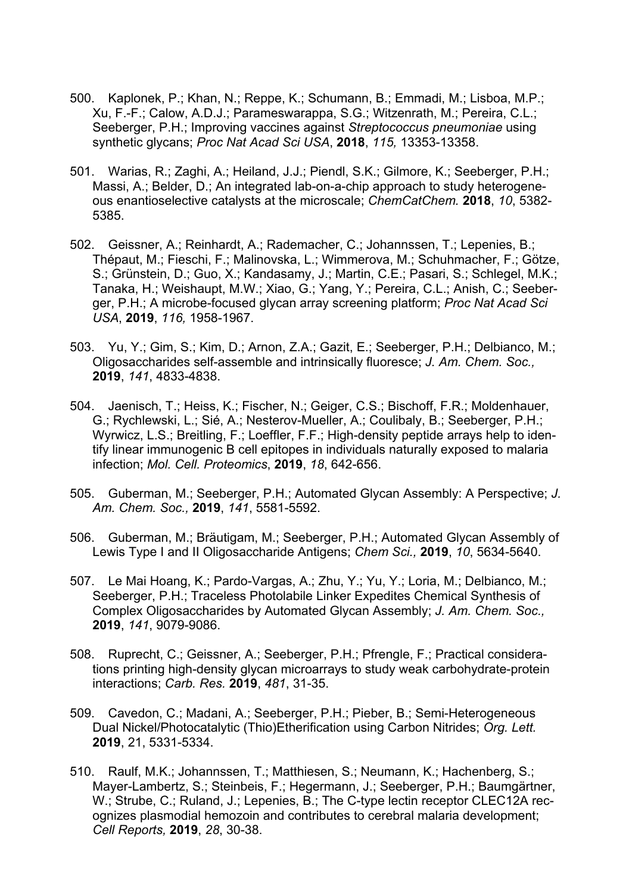- 500. Kaplonek, P.; Khan, N.; Reppe, K.; Schumann, B.; Emmadi, M.; Lisboa, M.P.; Xu, F.-F.; Calow, A.D.J.; Parameswarappa, S.G.; Witzenrath, M.; Pereira, C.L.; Seeberger, P.H.; Improving vaccines against *Streptococcus pneumoniae* using synthetic glycans; *Proc Nat Acad Sci USA*, **2018**, *115,* 13353-13358.
- 501. Warias, R.; Zaghi, A.; Heiland, J.J.; Piendl, S.K.; Gilmore, K.; Seeberger, P.H.; Massi, A.; Belder, D.; An integrated lab-on-a-chip approach to study heterogeneous enantioselective catalysts at the microscale; *ChemCatChem.* **2018**, *10*, 5382- 5385.
- 502. Geissner, A.; Reinhardt, A.; Rademacher, C.; Johannssen, T.; Lepenies, B.; Thépaut, M.; Fieschi, F.; Malinovska, L.; Wimmerova, M.; Schuhmacher, F.; Götze, S.; Grünstein, D.; Guo, X.; Kandasamy, J.; Martin, C.E.; Pasari, S.; Schlegel, M.K.; Tanaka, H.; Weishaupt, M.W.; Xiao, G.; Yang, Y.; Pereira, C.L.; Anish, C.; Seeberger, P.H.; A microbe-focused glycan array screening platform; *Proc Nat Acad Sci USA*, **2019**, *116,* 1958-1967.
- 503. Yu, Y.; Gim, S.; Kim, D.; Arnon, Z.A.; Gazit, E.; Seeberger, P.H.; Delbianco, M.; Oligosaccharides self-assemble and intrinsically fluoresce; *J. Am. Chem. Soc.,* **2019**, *141*, 4833-4838.
- 504. Jaenisch, T.; Heiss, K.; Fischer, N.; Geiger, C.S.; Bischoff, F.R.; Moldenhauer, G.; Rychlewski, L.; Sié, A.; Nesterov-Mueller, A.; Coulibaly, B.; Seeberger, P.H.; Wyrwicz, L.S.; Breitling, F.; Loeffler, F.F.; High-density peptide arrays help to identify linear immunogenic B cell epitopes in individuals naturally exposed to malaria infection; *Mol. Cell. Proteomics*, **2019**, *18*, 642-656.
- 505. Guberman, M.; Seeberger, P.H.; Automated Glycan Assembly: A Perspective; *J. Am. Chem. Soc.,* **2019**, *141*, 5581-5592.
- 506. Guberman, M.; Bräutigam, M.; Seeberger, P.H.; Automated Glycan Assembly of Lewis Type I and II Oligosaccharide Antigens; *Chem Sci.,* **2019**, *10*, 5634-5640.
- 507. Le Mai Hoang, K.; Pardo-Vargas, A.; Zhu, Y.; Yu, Y.; Loria, M.; Delbianco, M.; Seeberger, P.H.; Traceless Photolabile Linker Expedites Chemical Synthesis of Complex Oligosaccharides by Automated Glycan Assembly; *J. Am. Chem. Soc.,* **2019**, *141*, 9079-9086.
- 508. Ruprecht, C.; Geissner, A.; Seeberger, P.H.; Pfrengle, F.; Practical considerations printing high-density glycan microarrays to study weak carbohydrate-protein interactions; *Carb. Res.* **2019**, *481*, 31-35.
- 509. Cavedon, C.; Madani, A.; Seeberger, P.H.; Pieber, B.; Semi-Heterogeneous Dual Nickel/Photocatalytic (Thio)Etherification using Carbon Nitrides; *Org. Lett.* **2019**, 21, 5331-5334.
- 510. Raulf, M.K.; Johannssen, T.; Matthiesen, S.; Neumann, K.; Hachenberg, S.; Mayer-Lambertz, S.; Steinbeis, F.; Hegermann, J.; Seeberger, P.H.; Baumgärtner, W.; Strube, C.; Ruland, J.; Lepenies, B.; The C-type lectin receptor CLEC12A recognizes plasmodial hemozoin and contributes to cerebral malaria development; *Cell Reports,* **2019**, *28*, 30-38.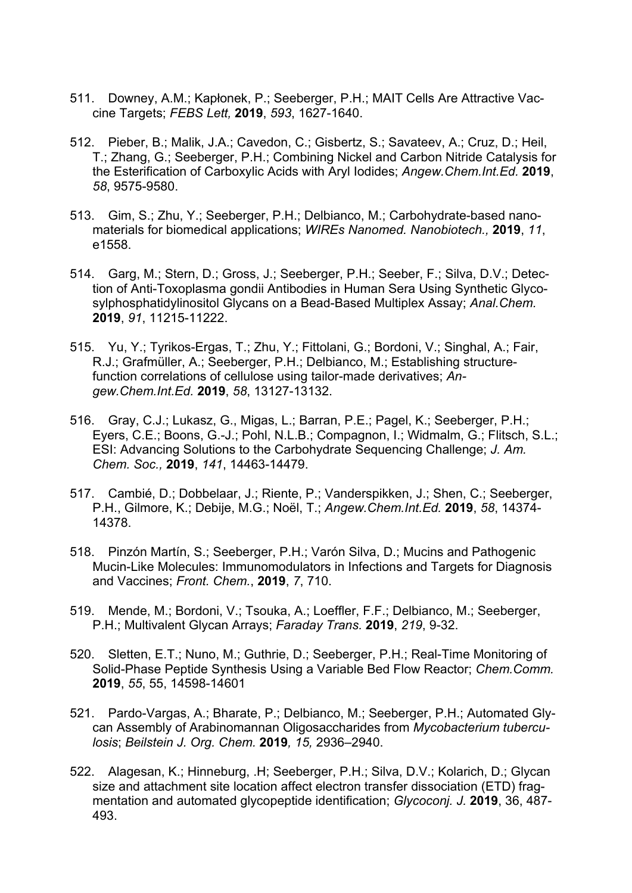- 511. Downey, A.M.; Kapłonek, P.; Seeberger, P.H.; MAIT Cells Are Attractive Vaccine Targets; *FEBS Lett,* **2019**, *593*, 1627-1640.
- 512. Pieber, B.; Malik, J.A.; Cavedon, C.; Gisbertz, S.; Savateev, A.; Cruz, D.; Heil, T.; Zhang, G.; Seeberger, P.H.; Combining Nickel and Carbon Nitride Catalysis for the Esterification of Carboxylic Acids with Aryl Iodides; *Angew.Chem.Int.Ed.* **2019**, *58*, 9575-9580.
- 513. Gim, S.; Zhu, Y.; Seeberger, P.H.; Delbianco, M.; Carbohydrate-based nanomaterials for biomedical applications; *WIREs Nanomed. Nanobiotech.,* **2019**, *11*, e1558.
- 514. Garg, M.; Stern, D.; Gross, J.; Seeberger, P.H.; Seeber, F.; Silva, D.V.; Detection of Anti-Toxoplasma gondii Antibodies in Human Sera Using Synthetic Glycosylphosphatidylinositol Glycans on a Bead-Based Multiplex Assay; *Anal.Chem.* **2019**, *91*, 11215-11222.
- 515. Yu, Y.; Tyrikos-Ergas, T.; Zhu, Y.; Fittolani, G.; Bordoni, V.; Singhal, A.; Fair, R.J.; Grafmüller, A.; Seeberger, P.H.; Delbianco, M.; Establishing structurefunction correlations of cellulose using tailor-made derivatives; *Angew.Chem.Int.Ed.* **2019**, *58*, 13127-13132.
- 516. Gray, C.J.; Lukasz, G., Migas, L.; Barran, P.E.; Pagel, K.; Seeberger, P.H.; Eyers, C.E.; Boons, G.-J.; Pohl, N.L.B.; Compagnon, I.; Widmalm, G.; Flitsch, S.L.; ESI: Advancing Solutions to the Carbohydrate Sequencing Challenge; *J. Am. Chem. Soc.,* **2019**, *141*, 14463-14479.
- 517. Cambié, D.; Dobbelaar, J.; Riente, P.; Vanderspikken, J.; Shen, C.; Seeberger, P.H., Gilmore, K.; Debije, M.G.; Noël, T.; *Angew.Chem.Int.Ed.* **2019**, *58*, 14374- 14378.
- 518. Pinzón Martín, S.; Seeberger, P.H.; Varón Silva, D.; Mucins and Pathogenic Mucin-Like Molecules: Immunomodulators in Infections and Targets for Diagnosis and Vaccines; *Front. Chem.*, **2019**, *7*, 710.
- 519. Mende, M.; Bordoni, V.; Tsouka, A.; Loeffler, F.F.; Delbianco, M.; Seeberger, P.H.; Multivalent Glycan Arrays; *Faraday Trans.* **2019**, *219*, 9-32.
- 520. Sletten, E.T.; Nuno, M.; Guthrie, D.; Seeberger, P.H.; Real-Time Monitoring of Solid-Phase Peptide Synthesis Using a Variable Bed Flow Reactor; *Chem.Comm.* **2019**, *55*, 55, 14598-14601
- 521. Pardo-Vargas, A.; Bharate, P.; Delbianco, M.; Seeberger, P.H.; Automated Glycan Assembly of Arabinomannan Oligosaccharides from *Mycobacterium tuberculosis*; *Beilstein J. Org. Chem.* **2019***, 15,* 2936–2940.
- 522. Alagesan, K.; Hinneburg, .H; Seeberger, P.H.; Silva, D.V.; Kolarich, D.; Glycan size and attachment site location affect electron transfer dissociation (ETD) fragmentation and automated glycopeptide identification; *Glycoconj. J.* **2019**, 36, 487- 493.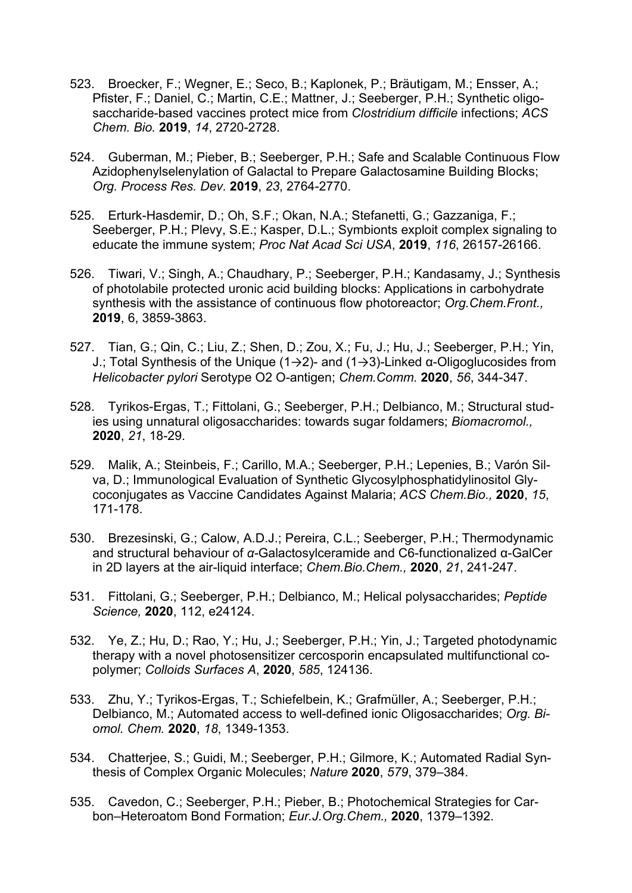- 523. Broecker, F.; Wegner, E.; Seco, B.; Kaplonek, P.; Bräutigam, M.; Ensser, A.; Pfister, F.; Daniel, C.; Martin, C.E.; Mattner, J.; Seeberger, P.H.; Synthetic oligosaccharide-based vaccines protect mice from *Clostridium difficile* infections; *ACS Chem. Bio.* **2019**, *14*, 2720-2728.
- 524. Guberman, M.; Pieber, B.; Seeberger, P.H.; Safe and Scalable Continuous Flow Azidophenylselenylation of Galactal to Prepare Galactosamine Building Blocks; *Org. Process Res. Dev.* **2019**, *23*, 2764-2770.
- 525. Erturk-Hasdemir, D.; Oh, S.F.; Okan, N.A.; Stefanetti, G.; Gazzaniga, F.; Seeberger, P.H.; Plevy, S.E.; Kasper, D.L.; Symbionts exploit complex signaling to educate the immune system; *Proc Nat Acad Sci USA*, **2019**, *116*, 26157-26166.
- 526. Tiwari, V.; Singh, A.; Chaudhary, P.; Seeberger, P.H.; Kandasamy, J.; Synthesis of photolabile protected uronic acid building blocks: Applications in carbohydrate synthesis with the assistance of continuous flow photoreactor; *Org.Chem.Front.,* **2019**, 6, 3859-3863.
- 527. Tian, G.; Qin, C.; Liu, Z.; Shen, D.; Zou, X.; Fu, J.; Hu, J.; Seeberger, P.H.; Yin, J.; Total Synthesis of the Unique (1→2)- and (1→3)-Linked α-Oligoglucosides from *Helicobacter pylori* Serotype O2 O-antigen; *Chem.Comm.* **2020**, *56*, 344-347.
- 528. Tyrikos-Ergas, T.; Fittolani, G.; Seeberger, P.H.; Delbianco, M.; Structural studies using unnatural oligosaccharides: towards sugar foldamers; *Biomacromol.,* **2020**, *21*, 18-29.
- 529. Malik, A.; Steinbeis, F.; Carillo, M.A.; Seeberger, P.H.; Lepenies, B.; Varón Silva, D.; Immunological Evaluation of Synthetic Glycosylphosphatidylinositol Glycoconjugates as Vaccine Candidates Against Malaria; *ACS Chem.Bio.,* **2020**, *15*, 171-178.
- 530. Brezesinski, G.; Calow, A.D.J.; Pereira, C.L.; Seeberger, P.H.; Thermodynamic and structural behaviour of *α-*Galactosylceramide and C6-functionalized α-GalCer in 2D layers at the air-liquid interface; *Chem.Bio.Chem.,* **2020**, *21*, 241-247.
- 531. Fittolani, G.; Seeberger, P.H.; Delbianco, M.; Helical polysaccharides; *Peptide Science,* **2020**, 112, e24124.
- 532. Ye, Z.; Hu, D.; Rao, Y.; Hu, J.; Seeberger, P.H.; Yin, J.; Targeted photodynamic therapy with a novel photosensitizer cercosporin encapsulated multifunctional copolymer; *Colloids Surfaces A*, **2020**, *585*, 124136.
- 533. Zhu, Y.; Tyrikos-Ergas, T.; Schiefelbein, K.; Grafmüller, A.; Seeberger, P.H.; Delbianco, M.; Automated access to well-defined ionic Oligosaccharides; *Org. Biomol. Chem.* **2020**, *18*, 1349-1353.
- 534. Chatterjee, S.; Guidi, M.; Seeberger, P.H.; Gilmore, K.; Automated Radial Synthesis of Complex Organic Molecules; *Nature* **2020**, *579*, 379–384.
- 535. Cavedon, C.; Seeberger, P.H.; Pieber, B.; Photochemical Strategies for Carbon–Heteroatom Bond Formation; *Eur.J.Org.Chem.,* **2020**, 1379–1392.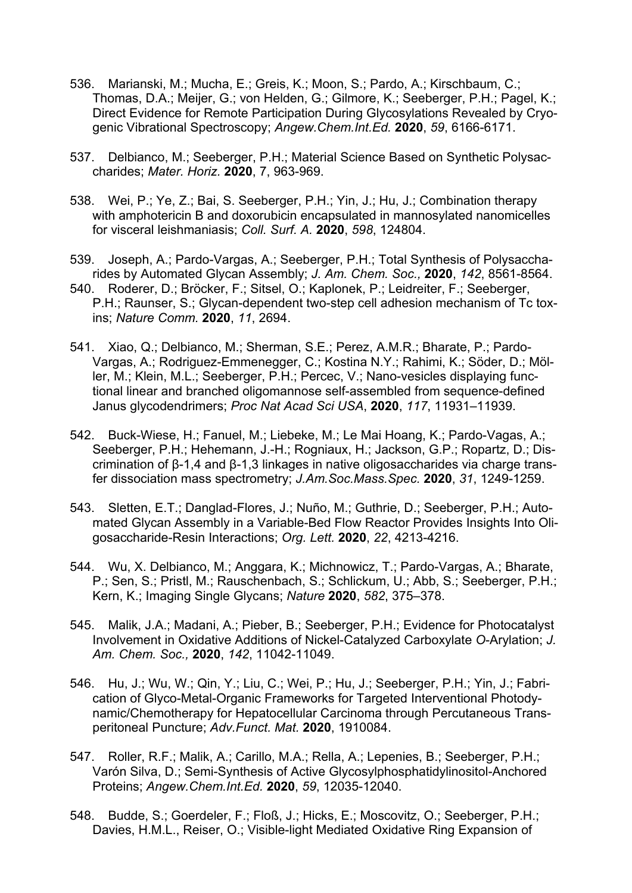- 536. Marianski, M.; Mucha, E.; Greis, K.; Moon, S.; Pardo, A.; Kirschbaum, C.; Thomas, D.A.; Meijer, G.; von Helden, G.; Gilmore, K.; Seeberger, P.H.; Pagel, K.; Direct Evidence for Remote Participation During Glycosylations Revealed by Cryogenic Vibrational Spectroscopy; *Angew.Chem.Int.Ed.* **2020**, *59*, 6166-6171.
- 537. Delbianco, M.; Seeberger, P.H.; Material Science Based on Synthetic Polysaccharides; *Mater. Horiz.* **2020**, 7, 963-969.
- 538. Wei, P.; Ye, Z.; Bai, S. Seeberger, P.H.; Yin, J.; Hu, J.; Combination therapy with amphotericin B and doxorubicin encapsulated in mannosylated nanomicelles for visceral leishmaniasis; *Coll. Surf. A.* **2020**, *598*, 124804.
- 539. Joseph, A.; Pardo-Vargas, A.; Seeberger, P.H.; Total Synthesis of Polysaccharides by Automated Glycan Assembly; *J. Am. Chem. Soc.,* **2020**, *142*, 8561-8564.
- 540. Roderer, D.; Bröcker, F.; Sitsel, O.; Kaplonek, P.; Leidreiter, F.; Seeberger, P.H.; Raunser, S.; Glycan-dependent two-step cell adhesion mechanism of Tc toxins; *Nature Comm.* **2020**, *11*, 2694.
- 541. Xiao, Q.; Delbianco, M.; Sherman, S.E.; Perez, A.M.R.; Bharate, P.; Pardo-Vargas, A.; Rodriguez-Emmenegger, C.; Kostina N.Y.; Rahimi, K.; Söder, D.; Möller, M.; Klein, M.L.; Seeberger, P.H.; Percec, V.; Nano-vesicles displaying functional linear and branched oligomannose self-assembled from sequence-defined Janus glycodendrimers; *Proc Nat Acad Sci USA*, **2020**, *117*, 11931–11939.
- 542. Buck-Wiese, H.; Fanuel, M.; Liebeke, M.; Le Mai Hoang, K.; Pardo-Vagas, A.; Seeberger, P.H.; Hehemann, J.-H.; Rogniaux, H.; Jackson, G.P.; Ropartz, D.; Discrimination of β-1,4 and β-1,3 linkages in native oligosaccharides via charge transfer dissociation mass spectrometry; *J.Am.Soc.Mass.Spec.* **2020**, *31*, 1249-1259.
- 543. Sletten, E.T.; Danglad-Flores, J.; Nuño, M.; Guthrie, D.; Seeberger, P.H.; Automated Glycan Assembly in a Variable-Bed Flow Reactor Provides Insights Into Oligosaccharide-Resin Interactions; *Org. Lett.* **2020**, *22*, 4213-4216.
- 544. Wu, X. Delbianco, M.; Anggara, K.; Michnowicz, T.; Pardo-Vargas, A.; Bharate, P.; Sen, S.; Pristl, M.; Rauschenbach, S.; Schlickum, U.; Abb, S.; Seeberger, P.H.; Kern, K.; Imaging Single Glycans; *Nature* **2020**, *582*, 375–378.
- 545. Malik, J.A.; Madani, A.; Pieber, B.; Seeberger, P.H.; Evidence for Photocatalyst Involvement in Oxidative Additions of Nickel-Catalyzed Carboxylate *O*-Arylation; *J. Am. Chem. Soc.,* **2020**, *142*, 11042-11049.
- 546. Hu, J.; Wu, W.; Qin, Y.; Liu, C.; Wei, P.; Hu, J.; Seeberger, P.H.; Yin, J.; Fabrication of Glyco-Metal-Organic Frameworks for Targeted Interventional Photodynamic/Chemotherapy for Hepatocellular Carcinoma through Percutaneous Transperitoneal Puncture; *Adv.Funct. Mat.* **2020**, 1910084.
- 547. Roller, R.F.; Malik, A.; Carillo, M.A.; Rella, A.; Lepenies, B.; Seeberger, P.H.; Varón Silva, D.; Semi-Synthesis of Active Glycosylphosphatidylinositol-Anchored Proteins; *Angew.Chem.Int.Ed.* **2020**, *59*, 12035-12040.
- 548. Budde, S.; Goerdeler, F.; Floß, J.; Hicks, E.; Moscovitz, O.; Seeberger, P.H.; Davies, H.M.L., Reiser, O.; Visible-light Mediated Oxidative Ring Expansion of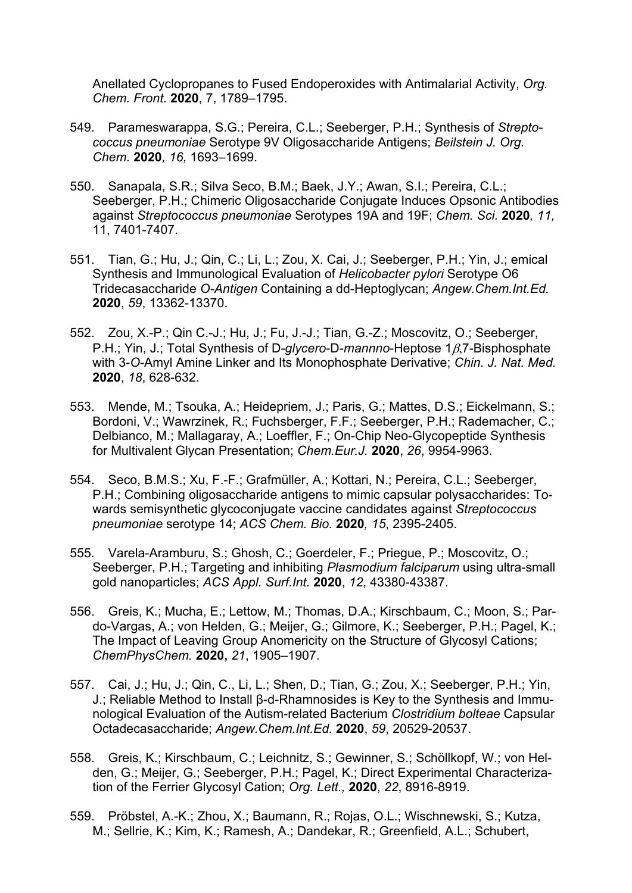Anellated Cyclopropanes to Fused Endoperoxides with Antimalarial Activity, *Org. Chem. Front.* **2020**, 7, 1789–1795.

- 549. Parameswarappa, S.G.; Pereira, C.L.; Seeberger, P.H.; Synthesis of *Streptococcus pneumoniae* Serotype 9V Oligosaccharide Antigens; *Beilstein J. Org. Chem.* **2020***, 16,* 1693–1699.
- 550. Sanapala, S.R.; Silva Seco, B.M.; Baek, J.Y.; Awan, S.I.; Pereira, C.L.; Seeberger, P.H.; Chimeric Oligosaccharide Conjugate Induces Opsonic Antibodies against *Streptococcus pneumoniae* Serotypes 19A and 19F; *Chem. Sci.* **2020***, 11,*  11, 7401-7407.
- 551. Tian, G.; Hu, J.; Qin, C.; Li, L.; Zou, X. Cai, J.; Seeberger, P.H.; Yin, J.; emical Synthesis and Immunological Evaluation of *Helicobacter pylori* Serotype O6 Tridecasaccharide *O-Antigen* Containing a dd-Heptoglycan; *Angew.Chem.Int.Ed.* **2020**, *59*, 13362-13370.
- 552. Zou, X.-P.; Qin C.-J.; Hu, J.; Fu, J.-J.; Tian, G.-Z.; Moscovitz, O.; Seeberger, P.H.; Yin, J.; Total Synthesis of D-*glycero-D-mannno-Heptose 18.7-Bisphosphate* with 3-*O*-Amyl Amine Linker and Its Monophosphate Derivative; *Chin. J. Nat. Med.* **2020**, *18*, 628-632.
- 553. Mende, M.; Tsouka, A.; Heidepriem, J.; Paris, G.; Mattes, D.S.; Eickelmann, S.; Bordoni, V.; Wawrzinek, R.; Fuchsberger, F.F.; Seeberger, P.H.; Rademacher, C.; Delbianco, M.; Mallagaray, A.; Loeffler, F.; On-Chip Neo-Glycopeptide Synthesis for Multivalent Glycan Presentation; *Chem.Eur.J.* **2020**, *26*, 9954-9963.
- 554. Seco, B.M.S.; Xu, F.-F.; Grafmüller, A.; Kottari, N.; Pereira, C.L.; Seeberger, P.H.; Combining oligosaccharide antigens to mimic capsular polysaccharides: Towards semisynthetic glycoconjugate vaccine candidates against *Streptococcus pneumoniae* serotype 14; *ACS Chem. Bio.* **2020***, 15*, 2395-2405.
- 555. Varela-Aramburu, S.; Ghosh, C.; Goerdeler, F.; Priegue, P.; Moscovitz, O.; Seeberger, P.H.; Targeting and inhibiting *Plasmodium falciparum* using ultra-small gold nanoparticles; *ACS Appl. Surf.Int.* **2020**, *12*, 43380-43387.
- 556. Greis, K.; Mucha, E.; Lettow, M.; Thomas, D.A.; Kirschbaum, C.; Moon, S.; Pardo-Vargas, A.; von Helden, G.; Meijer, G.; Gilmore, K.; Seeberger, P.H.; Pagel, K.; The Impact of Leaving Group Anomericity on the Structure of Glycosyl Cations; *ChemPhysChem.* **2020,** *21*, 1905–1907.
- 557. Cai, J.; Hu, J.; Qin, C., Li, L.; Shen, D.; Tian, G.; Zou, X.; Seeberger, P.H.; Yin, J.; Reliable Method to Install β-d-Rhamnosides is Key to the Synthesis and Immunological Evaluation of the Autism-related Bacterium *Clostridium bolteae* Capsular Octadecasaccharide; *Angew.Chem.Int.Ed.* **2020**, *59*, 20529-20537.
- 558. Greis, K.; Kirschbaum, C.; Leichnitz, S.; Gewinner, S.; Schöllkopf, W.; von Helden, G.; Meijer, G.; Seeberger, P.H.; Pagel, K.; Direct Experimental Characterization of the Ferrier Glycosyl Cation; *Org. Lett.,* **2020**, *22*, 8916-8919.
- 559. Pröbstel, A.-K.; Zhou, X.; Baumann, R.; Rojas, O.L.; Wischnewski, S.; Kutza, M.; Sellrie, K.; Kim, K.; Ramesh, A.; Dandekar, R.; Greenfield, A.L.; Schubert,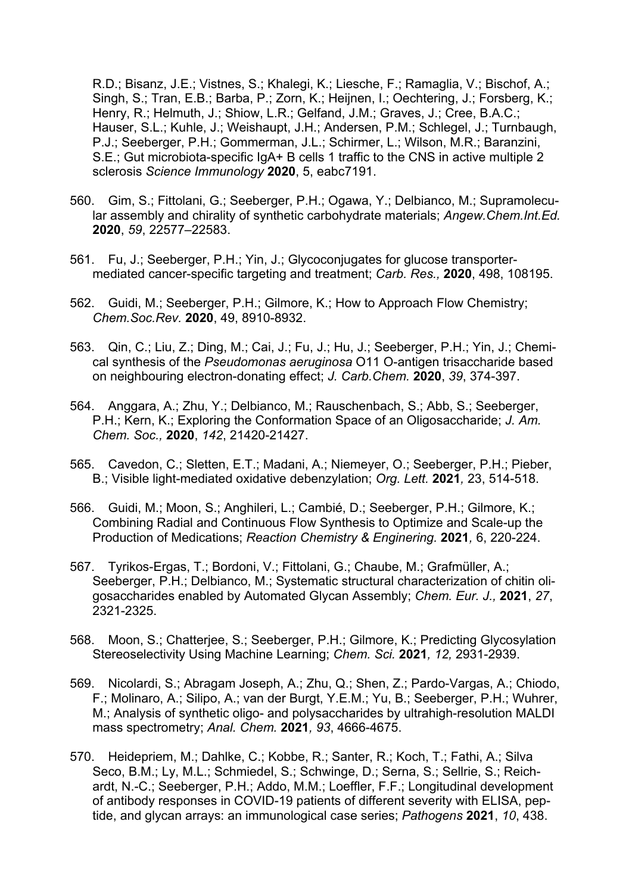R.D.; Bisanz, J.E.; Vistnes, S.; Khalegi, K.; Liesche, F.; Ramaglia, V.; Bischof, A.; Singh, S.; Tran, E.B.; Barba, P.; Zorn, K.; Heijnen, I.; Oechtering, J.; Forsberg, K.; Henry, R.; Helmuth, J.; Shiow, L.R.; Gelfand, J.M.; Graves, J.; Cree, B.A.C.; Hauser, S.L.; Kuhle, J.; Weishaupt, J.H.; Andersen, P.M.; Schlegel, J.; Turnbaugh, P.J.; Seeberger, P.H.; Gommerman, J.L.; Schirmer, L.; Wilson, M.R.; Baranzini, S.E.; Gut microbiota-specific IgA+ B cells 1 traffic to the CNS in active multiple 2 sclerosis *Science Immunology* **2020**, 5, eabc7191.

- 560. Gim, S.; Fittolani, G.; Seeberger, P.H.; Ogawa, Y.; Delbianco, M.; Supramolecular assembly and chirality of synthetic carbohydrate materials; *Angew.Chem.Int.Ed.* **2020**, *59*, 22577–22583.
- 561. Fu, J.; Seeberger, P.H.; Yin, J.; Glycoconjugates for glucose transportermediated cancer-specific targeting and treatment; *Carb. Res.,* **2020**, 498, 108195.
- 562. Guidi, M.; Seeberger, P.H.; Gilmore, K.; How to Approach Flow Chemistry; *Chem.Soc.Rev.* **2020**, 49, 8910-8932.
- 563. Qin, C.; Liu, Z.; Ding, M.; Cai, J.; Fu, J.; Hu, J.; Seeberger, P.H.; Yin, J.; Chemical synthesis of the *Pseudomonas aeruginosa* O11 O-antigen trisaccharide based on neighbouring electron-donating effect; *J. Carb.Chem.* **2020**, *39*, 374-397.
- 564. Anggara, A.; Zhu, Y.; Delbianco, M.; Rauschenbach, S.; Abb, S.; Seeberger, P.H.; Kern, K.; Exploring the Conformation Space of an Oligosaccharide; *J. Am. Chem. Soc.,* **2020**, *142*, 21420-21427.
- 565. Cavedon, C.; Sletten, E.T.; Madani, A.; Niemeyer, O.; Seeberger, P.H.; Pieber, B.; Visible light-mediated oxidative debenzylation; *Org. Lett.* **2021***,* 23, 514-518.
- 566. Guidi, M.; Moon, S.; Anghileri, L.; Cambié, D.; Seeberger, P.H.; Gilmore, K.; Combining Radial and Continuous Flow Synthesis to Optimize and Scale-up the Production of Medications; *Reaction Chemistry & Enginering.* **2021***,* 6, 220-224.
- 567. Tyrikos-Ergas, T.; Bordoni, V.; Fittolani, G.; Chaube, M.; Grafmüller, A.; Seeberger, P.H.; Delbianco, M.; Systematic structural characterization of chitin oligosaccharides enabled by Automated Glycan Assembly; *Chem. Eur. J.,* **2021**, *27*, 2321-2325.
- 568. Moon, S.; Chatterjee, S.; Seeberger, P.H.; Gilmore, K.; Predicting Glycosylation Stereoselectivity Using Machine Learning; *Chem. Sci.* **2021***, 12,* 2931-2939.
- 569. Nicolardi, S.; Abragam Joseph, A.; Zhu, Q.; Shen, Z.; Pardo-Vargas, A.; Chiodo, F.; Molinaro, A.; Silipo, A.; van der Burgt, Y.E.M.; Yu, B.; Seeberger, P.H.; Wuhrer, M.; Analysis of synthetic oligo- and polysaccharides by ultrahigh-resolution MALDI mass spectrometry; *Anal. Chem.* **2021***, 93*, 4666-4675.
- 570. Heidepriem, M.; Dahlke, C.; Kobbe, R.; Santer, R.; Koch, T.; Fathi, A.; Silva Seco, B.M.; Ly, M.L.; Schmiedel, S.; Schwinge, D.; Serna, S.; Sellrie, S.; Reichardt, N.-C.; Seeberger, P.H.; Addo, M.M.; Loeffler, F.F.; Longitudinal development of antibody responses in COVID-19 patients of different severity with ELISA, peptide, and glycan arrays: an immunological case series; *Pathogens* **2021**, *10*, 438.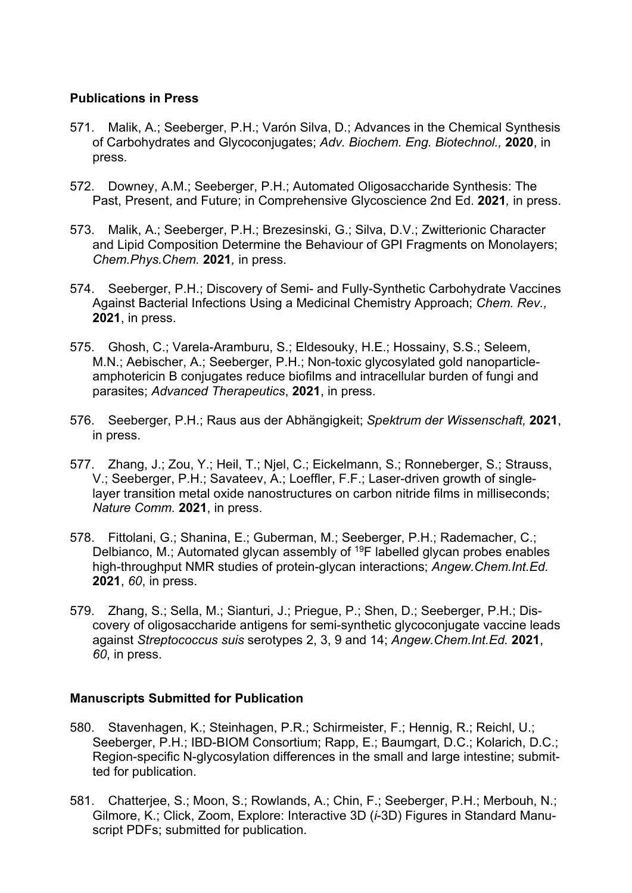#### **Publications in Press**

- 571. Malik, A.; Seeberger, P.H.; Varón Silva, D.; Advances in the Chemical Synthesis of Carbohydrates and Glycoconjugates; *Adv. Biochem. Eng. Biotechnol.,* **2020**, in press.
- 572. Downey, A.M.; Seeberger, P.H.; Automated Oligosaccharide Synthesis: The Past, Present, and Future; in Comprehensive Glycoscience 2nd Ed. **2021***,* in press.
- 573. Malik, A.; Seeberger, P.H.; Brezesinski, G.; Silva, D.V.; Zwitterionic Character and Lipid Composition Determine the Behaviour of GPI Fragments on Monolayers; *Chem.Phys.Chem.* **2021***,* in press.
- 574. Seeberger, P.H.; Discovery of Semi- and Fully-Synthetic Carbohydrate Vaccines Against Bacterial Infections Using a Medicinal Chemistry Approach; *Chem. Rev.,* **2021**, in press.
- 575. Ghosh, C.; Varela-Aramburu, S.; Eldesouky, H.E.; Hossainy, S.S.; Seleem, M.N.; Aebischer, A.; Seeberger, P.H.; Non-toxic glycosylated gold nanoparticleamphotericin B conjugates reduce biofilms and intracellular burden of fungi and parasites; *Advanced Therapeutics*, **2021**, in press.
- 576. Seeberger, P.H.; Raus aus der Abhängigkeit; *Spektrum der Wissenschaft,* **2021**, in press.
- 577. Zhang, J.; Zou, Y.; Heil, T.; Njel, C.; Eickelmann, S.; Ronneberger, S.; Strauss, V.; Seeberger, P.H.; Savateev, A.; Loeffler, F.F.; Laser-driven growth of singlelayer transition metal oxide nanostructures on carbon nitride films in milliseconds; *Nature Comm.* **2021**, in press.
- 578. Fittolani, G.; Shanina, E.; Guberman, M.; Seeberger, P.H.; Rademacher, C.; Delbianco, M.; Automated glycan assembly of 19F labelled glycan probes enables high-throughput NMR studies of protein-glycan interactions; *Angew.Chem.Int.Ed.* **2021**, *60*, in press.
- 579. Zhang, S.; Sella, M.; Sianturi, J.; Priegue, P.; Shen, D.; Seeberger, P.H.; Discovery of oligosaccharide antigens for semi-synthetic glycoconjugate vaccine leads against *Streptococcus suis* serotypes 2, 3, 9 and 14; *Angew.Chem.Int.Ed.* **2021**, *60*, in press.

#### **Manuscripts Submitted for Publication**

- 580. Stavenhagen, K.; Steinhagen, P.R.; Schirmeister, F.; Hennig, R.; Reichl, U.; Seeberger, P.H.; IBD-BIOM Consortium; Rapp, E.; Baumgart, D.C.; Kolarich, D.C.; Region-specific N-glycosylation differences in the small and large intestine; submitted for publication.
- 581. Chatterjee, S.; Moon, S.; Rowlands, A.; Chin, F.; Seeberger, P.H.; Merbouh, N.; Gilmore, K.; Click, Zoom, Explore: Interactive 3D (*i*-3D) Figures in Standard Manuscript PDFs; submitted for publication.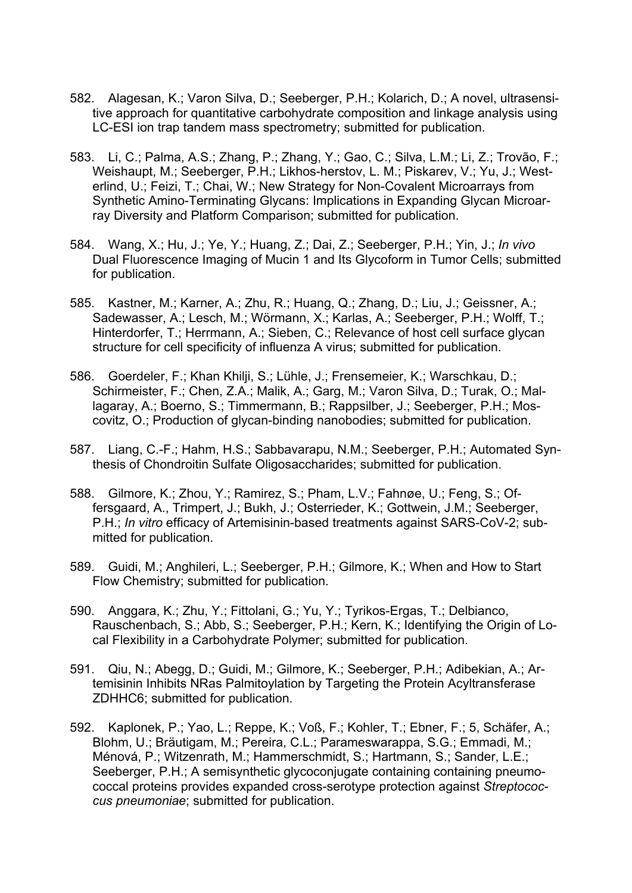- 582. Alagesan, K.; Varon Silva, D.; Seeberger, P.H.; Kolarich, D.; A novel, ultrasensitive approach for quantitative carbohydrate composition and linkage analysis using LC-ESI ion trap tandem mass spectrometry; submitted for publication.
- 583. Li, C.; Palma, A.S.; Zhang, P.; Zhang, Y.; Gao, C.; Silva, L.M.; Li, Z.; Trovão, F.; Weishaupt, M.; Seeberger, P.H.; Likhos-herstov, L. M.; Piskarev, V.; Yu, J.; Westerlind, U.; Feizi, T.; Chai, W.; New Strategy for Non-Covalent Microarrays from Synthetic Amino-Terminating Glycans: Implications in Expanding Glycan Microarray Diversity and Platform Comparison; submitted for publication.
- 584. Wang, X.; Hu, J.; Ye, Y.; Huang, Z.; Dai, Z.; Seeberger, P.H.; Yin, J.; *In vivo*  Dual Fluorescence Imaging of Mucin 1 and Its Glycoform in Tumor Cells; submitted for publication.
- 585. Kastner, M.; Karner, A.; Zhu, R.; Huang, Q.; Zhang, D.; Liu, J.; Geissner, A.; Sadewasser, A.; Lesch, M.; Wörmann, X.; Karlas, A.; Seeberger, P.H.; Wolff, T.; Hinterdorfer, T.; Herrmann, A.; Sieben, C.; Relevance of host cell surface glycan structure for cell specificity of influenza A virus; submitted for publication.
- 586. Goerdeler, F.; Khan Khilji, S.; Lühle, J.; Frensemeier, K.; Warschkau, D.; Schirmeister, F.; Chen, Z.A.; Malik, A.; Garg, M.; Varon Silva, D.; Turak, O.; Mallagaray, A.; Boerno, S.; Timmermann, B.; Rappsilber, J.; Seeberger, P.H.; Moscovitz, O.; Production of glycan-binding nanobodies; submitted for publication.
- 587. Liang, C.-F.; Hahm, H.S.; Sabbavarapu, N.M.; Seeberger, P.H.; Automated Synthesis of Chondroitin Sulfate Oligosaccharides; submitted for publication.
- 588. Gilmore, K.; Zhou, Y.; Ramirez, S.; Pham, L.V.; Fahnøe, U.; Feng, S.; Offersgaard, A., Trimpert, J.; Bukh, J.; Osterrieder, K.; Gottwein, J.M.; Seeberger, P.H.; *In vitro* efficacy of Artemisinin-based treatments against SARS-CoV-2; submitted for publication.
- 589. Guidi, M.; Anghileri, L.; Seeberger, P.H.; Gilmore, K.; When and How to Start Flow Chemistry; submitted for publication.
- 590. Anggara, K.; Zhu, Y.; Fittolani, G.; Yu, Y.; Tyrikos-Ergas, T.; Delbianco, Rauschenbach, S.; Abb, S.; Seeberger, P.H.; Kern, K.; Identifying the Origin of Local Flexibility in a Carbohydrate Polymer; submitted for publication.
- 591. Qiu, N.; Abegg, D.; Guidi, M.; Gilmore, K.; Seeberger, P.H.; Adibekian, A.; Artemisinin Inhibits NRas Palmitoylation by Targeting the Protein Acyltransferase ZDHHC6; submitted for publication.
- 592. Kaplonek, P.; Yao, L.; Reppe, K.; Voß, F.; Kohler, T.; Ebner, F.; 5, Schäfer, A.; Blohm, U.; Bräutigam, M.; Pereira, C.L.; Parameswarappa, S.G.; Emmadi, M.; Ménová, P.; Witzenrath, M.; Hammerschmidt, S.; Hartmann, S.; Sander, L.E.; Seeberger, P.H.; A semisynthetic glycoconjugate containing containing pneumococcal proteins provides expanded cross-serotype protection against *Streptococcus pneumoniae*; submitted for publication.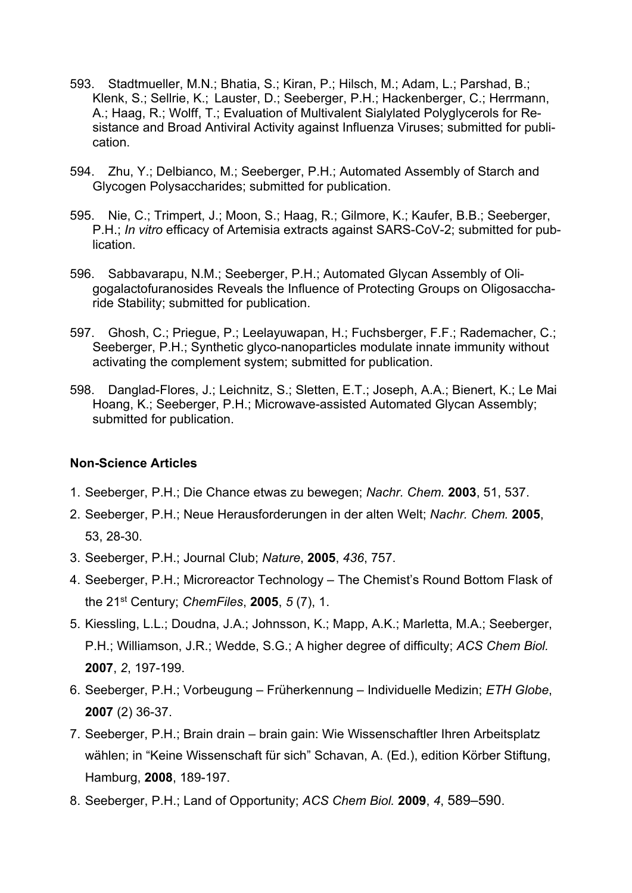- 593. Stadtmueller, M.N.; Bhatia, S.; Kiran, P.; Hilsch, M.; Adam, L.; Parshad, B.; Klenk, S.; Sellrie, K.; Lauster, D.; Seeberger, P.H.; Hackenberger, C.; Herrmann, A.; Haag, R.; Wolff, T.; Evaluation of Multivalent Sialylated Polyglycerols for Resistance and Broad Antiviral Activity against Influenza Viruses; submitted for publication.
- 594. Zhu, Y.; Delbianco, M.; Seeberger, P.H.; Automated Assembly of Starch and Glycogen Polysaccharides; submitted for publication.
- 595. Nie, C.; Trimpert, J.; Moon, S.; Haag, R.; Gilmore, K.; Kaufer, B.B.; Seeberger, P.H.; *In vitro* efficacy of Artemisia extracts against SARS-CoV-2; submitted for publication.
- 596. Sabbavarapu, N.M.; Seeberger, P.H.; Automated Glycan Assembly of Oligogalactofuranosides Reveals the Influence of Protecting Groups on Oligosaccharide Stability; submitted for publication.
- 597. Ghosh, C.; Priegue, P.; Leelayuwapan, H.; Fuchsberger, F.F.; Rademacher, C.; Seeberger, P.H.; Synthetic glyco-nanoparticles modulate innate immunity without activating the complement system; submitted for publication.
- 598. Danglad-Flores, J.; Leichnitz, S.; Sletten, E.T.; Joseph, A.A.; Bienert, K.; Le Mai Hoang, K.; Seeberger, P.H.; Microwave-assisted Automated Glycan Assembly; submitted for publication.

#### **Non-Science Articles**

- 1. Seeberger, P.H.; Die Chance etwas zu bewegen; *Nachr. Chem.* **2003**, 51, 537.
- 2. Seeberger, P.H.; Neue Herausforderungen in der alten Welt; *Nachr. Chem.* **2005**, 53, 28-30.
- 3. Seeberger, P.H.; Journal Club; *Nature*, **2005**, *436*, 757.
- 4. Seeberger, P.H.; Microreactor Technology The Chemist's Round Bottom Flask of the 21st Century; *ChemFiles*, **2005**, *5* (7), 1.
- 5. Kiessling, L.L.; Doudna, J.A.; Johnsson, K.; Mapp, A.K.; Marletta, M.A.; Seeberger, P.H.; Williamson, J.R.; Wedde, S.G.; A higher degree of difficulty; *ACS Chem Biol.* **2007**, *2*, 197-199.
- 6. Seeberger, P.H.; Vorbeugung Früherkennung Individuelle Medizin; *ETH Globe*, **2007** (2) 36-37.
- 7. Seeberger, P.H.; Brain drain brain gain: Wie Wissenschaftler Ihren Arbeitsplatz wählen; in "Keine Wissenschaft für sich" Schavan, A. (Ed.), edition Körber Stiftung, Hamburg, **2008**, 189-197.
- 8. Seeberger, P.H.; Land of Opportunity; *ACS Chem Biol.* **2009**, *4*, 589–590.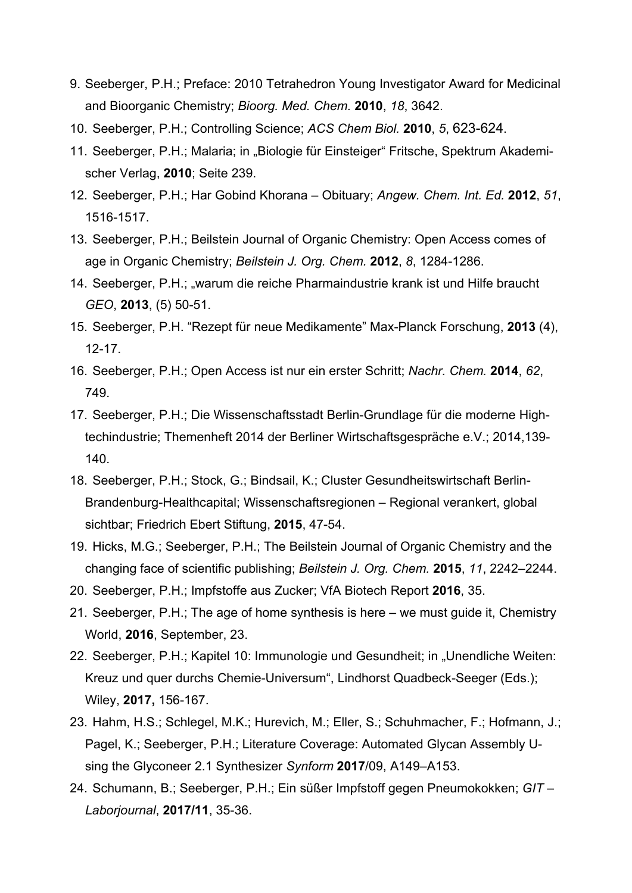- 9. Seeberger, P.H.; Preface: 2010 Tetrahedron Young Investigator Award for Medicinal and Bioorganic Chemistry; *Bioorg. Med. Chem.* **2010**, *18*, 3642.
- 10. Seeberger, P.H.; Controlling Science; *ACS Chem Biol.* **2010**, *5*, 623-624.
- 11. Seeberger, P.H.; Malaria; in "Biologie für Einsteiger" Fritsche, Spektrum Akademischer Verlag, **2010**; Seite 239.
- 12. Seeberger, P.H.; Har Gobind Khorana Obituary; *Angew. Chem. Int. Ed.* **2012**, *51*, 1516-1517.
- 13. Seeberger, P.H.; Beilstein Journal of Organic Chemistry: Open Access comes of age in Organic Chemistry; *Beilstein J. Org. Chem.* **2012**, *8*, 1284-1286.
- 14. Seeberger, P.H.; "warum die reiche Pharmaindustrie krank ist und Hilfe braucht *GEO*, **2013**, (5) 50-51.
- 15. Seeberger, P.H. "Rezept für neue Medikamente" Max-Planck Forschung, **2013** (4), 12-17.
- 16. Seeberger, P.H.; Open Access ist nur ein erster Schritt; *Nachr. Chem.* **2014**, *62*, 749.
- 17. Seeberger, P.H.; Die Wissenschaftsstadt Berlin-Grundlage für die moderne Hightechindustrie; Themenheft 2014 der Berliner Wirtschaftsgespräche e.V.; 2014,139- 140.
- 18. Seeberger, P.H.; Stock, G.; Bindsail, K.; Cluster Gesundheitswirtschaft Berlin-Brandenburg-Healthcapital; Wissenschaftsregionen – Regional verankert, global sichtbar; Friedrich Ebert Stiftung, **2015**, 47-54.
- 19. Hicks, M.G.; Seeberger, P.H.; The Beilstein Journal of Organic Chemistry and the changing face of scientific publishing; *Beilstein J. Org. Chem.* **2015**, *11*, 2242–2244.
- 20. Seeberger, P.H.; Impfstoffe aus Zucker; VfA Biotech Report **2016**, 35.
- 21. Seeberger, P.H.; The age of home synthesis is here we must guide it, Chemistry World, **2016**, September, 23.
- 22. Seeberger, P.H.; Kapitel 10: Immunologie und Gesundheit; in "Unendliche Weiten: Kreuz und quer durchs Chemie-Universum", Lindhorst Quadbeck-Seeger (Eds.); Wiley, **2017,** 156-167.
- 23. Hahm, H.S.; Schlegel, M.K.; Hurevich, M.; Eller, S.; Schuhmacher, F.; Hofmann, J.; Pagel, K.; Seeberger, P.H.; Literature Coverage: Automated Glycan Assembly Using the Glyconeer 2.1 Synthesizer *Synform* **2017**/09, A149–A153.
- 24. Schumann, B.; Seeberger, P.H.; Ein süßer Impfstoff gegen Pneumokokken; *GIT Laborjournal*, **2017/11**, 35-36.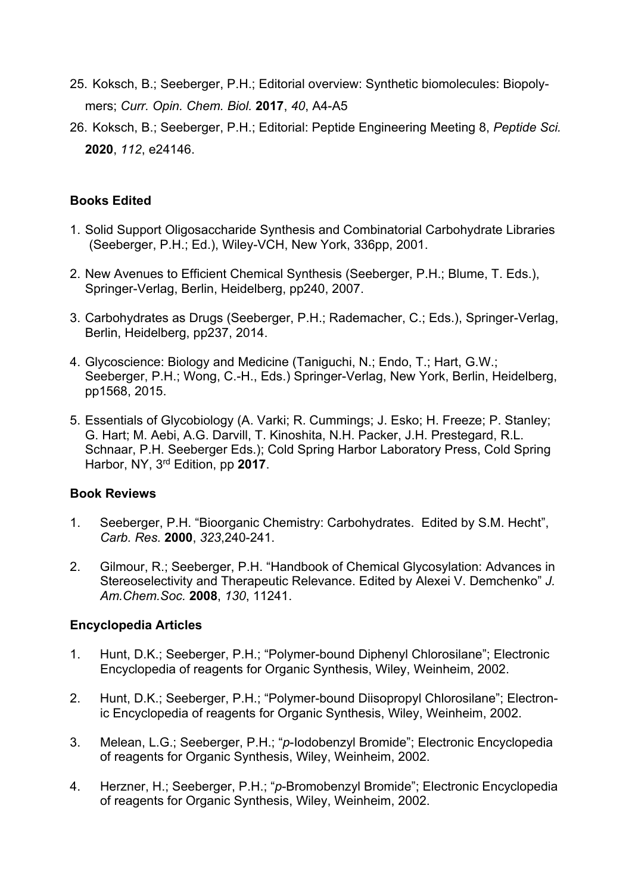- 25. Koksch, B.; Seeberger, P.H.; Editorial overview: Synthetic biomolecules: Biopolymers; *Curr. Opin. Chem. Biol.* **2017**, *40*, A4-A5
- 26. Koksch, B.; Seeberger, P.H.; Editorial: Peptide Engineering Meeting 8, *Peptide Sci.* **2020**, *112*, e24146.

## **Books Edited**

- 1. Solid Support Oligosaccharide Synthesis and Combinatorial Carbohydrate Libraries (Seeberger, P.H.; Ed.), Wiley-VCH, New York, 336pp, 2001.
- 2. New Avenues to Efficient Chemical Synthesis (Seeberger, P.H.; Blume, T. Eds.), Springer-Verlag, Berlin, Heidelberg, pp240, 2007.
- 3. Carbohydrates as Drugs (Seeberger, P.H.; Rademacher, C.; Eds.), Springer-Verlag, Berlin, Heidelberg, pp237, 2014.
- 4. Glycoscience: Biology and Medicine (Taniguchi, N.; Endo, T.; Hart, G.W.; Seeberger, P.H.; Wong, C.-H., Eds.) Springer-Verlag, New York, Berlin, Heidelberg, pp1568, 2015.
- 5. Essentials of Glycobiology (A. Varki; R. Cummings; J. Esko; H. Freeze; P. Stanley; G. Hart; M. Aebi, A.G. Darvill, T. Kinoshita, N.H. Packer, J.H. Prestegard, R.L. Schnaar, P.H. Seeberger Eds.); Cold Spring Harbor Laboratory Press, Cold Spring Harbor, NY, 3rd Edition, pp **2017**.

#### **Book Reviews**

- 1. Seeberger, P.H. "Bioorganic Chemistry: Carbohydrates. Edited by S.M. Hecht", *Carb. Res.* **2000**, *323*,240-241.
- 2. Gilmour, R.; Seeberger, P.H. "Handbook of Chemical Glycosylation: Advances in Stereoselectivity and Therapeutic Relevance. Edited by Alexei V. Demchenko" *J. Am.Chem.Soc.* **2008**, *130*, 11241.

#### **Encyclopedia Articles**

- 1. Hunt, D.K.; Seeberger, P.H.; "Polymer-bound Diphenyl Chlorosilane"; Electronic Encyclopedia of reagents for Organic Synthesis, Wiley, Weinheim, 2002.
- 2. Hunt, D.K.; Seeberger, P.H.; "Polymer-bound Diisopropyl Chlorosilane"; Electronic Encyclopedia of reagents for Organic Synthesis, Wiley, Weinheim, 2002.
- 3. Melean, L.G.; Seeberger, P.H.; "*p*-Iodobenzyl Bromide"; Electronic Encyclopedia of reagents for Organic Synthesis, Wiley, Weinheim, 2002.
- 4. Herzner, H.; Seeberger, P.H.; "*p*-Bromobenzyl Bromide"; Electronic Encyclopedia of reagents for Organic Synthesis, Wiley, Weinheim, 2002.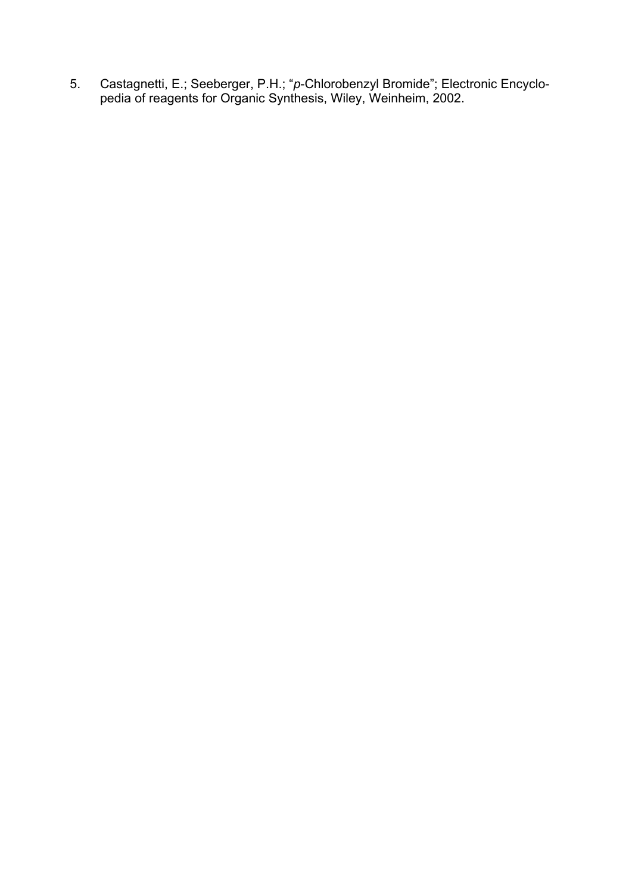5. Castagnetti, E.; Seeberger, P.H.; "*p*-Chlorobenzyl Bromide"; Electronic Encyclopedia of reagents for Organic Synthesis, Wiley, Weinheim, 2002.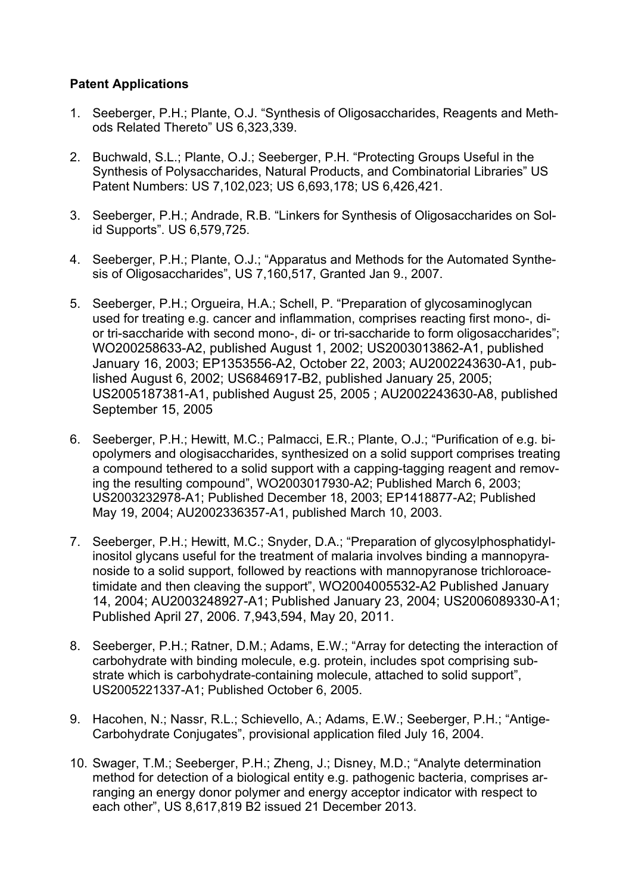# **Patent Applications**

- 1. Seeberger, P.H.; Plante, O.J. "Synthesis of Oligosaccharides, Reagents and Methods Related Thereto" US 6,323,339.
- 2. Buchwald, S.L.; Plante, O.J.; Seeberger, P.H. "Protecting Groups Useful in the Synthesis of Polysaccharides, Natural Products, and Combinatorial Libraries" US Patent Numbers: US 7,102,023; US 6,693,178; US 6,426,421.
- 3. Seeberger, P.H.; Andrade, R.B. "Linkers for Synthesis of Oligosaccharides on Solid Supports". US 6,579,725.
- 4. Seeberger, P.H.; Plante, O.J.; "Apparatus and Methods for the Automated Synthesis of Oligosaccharides", US 7,160,517, Granted Jan 9., 2007.
- 5. Seeberger, P.H.; Orgueira, H.A.; Schell, P. "Preparation of glycosaminoglycan used for treating e.g. cancer and inflammation, comprises reacting first mono-, dior tri-saccharide with second mono-, di- or tri-saccharide to form oligosaccharides"; WO200258633-A2, published August 1, 2002; US2003013862-A1, published January 16, 2003; EP1353556-A2, October 22, 2003; AU2002243630-A1, published August 6, 2002; US6846917-B2, published January 25, 2005; US2005187381-A1, published August 25, 2005 ; AU2002243630-A8, published September 15, 2005
- 6. Seeberger, P.H.; Hewitt, M.C.; Palmacci, E.R.; Plante, O.J.; "Purification of e.g. biopolymers and ologisaccharides, synthesized on a solid support comprises treating a compound tethered to a solid support with a capping-tagging reagent and removing the resulting compound", WO2003017930-A2; Published March 6, 2003; US2003232978-A1; Published December 18, 2003; EP1418877-A2; Published May 19, 2004; AU2002336357-A1, published March 10, 2003.
- 7. Seeberger, P.H.; Hewitt, M.C.; Snyder, D.A.; "Preparation of glycosylphosphatidylinositol glycans useful for the treatment of malaria involves binding a mannopyranoside to a solid support, followed by reactions with mannopyranose trichloroacetimidate and then cleaving the support", WO2004005532-A2 Published January 14, 2004; AU2003248927-A1; Published January 23, 2004; US2006089330-A1; Published April 27, 2006. 7,943,594, May 20, 2011.
- 8. Seeberger, P.H.; Ratner, D.M.; Adams, E.W.; "Array for detecting the interaction of carbohydrate with binding molecule, e.g. protein, includes spot comprising substrate which is carbohydrate-containing molecule, attached to solid support", US2005221337-A1; Published October 6, 2005.
- 9. Hacohen, N.; Nassr, R.L.; Schievello, A.; Adams, E.W.; Seeberger, P.H.; "Antige-Carbohydrate Conjugates", provisional application filed July 16, 2004.
- 10. Swager, T.M.; Seeberger, P.H.; Zheng, J.; Disney, M.D.; "Analyte determination method for detection of a biological entity e.g. pathogenic bacteria, comprises arranging an energy donor polymer and energy acceptor indicator with respect to each other", US 8,617,819 B2 issued 21 December 2013.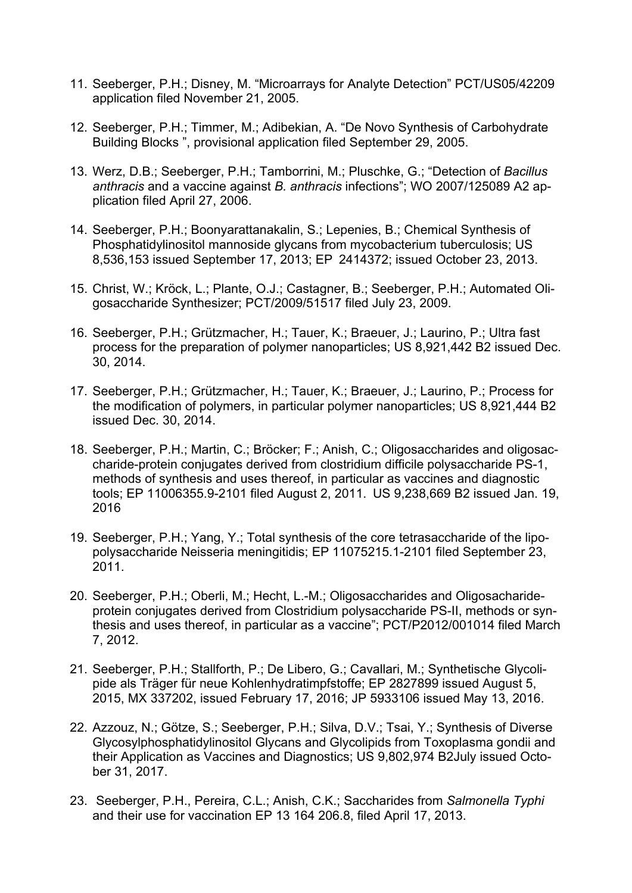- 11. Seeberger, P.H.; Disney, M. "Microarrays for Analyte Detection" PCT/US05/42209 application filed November 21, 2005.
- 12. Seeberger, P.H.; Timmer, M.; Adibekian, A. "De Novo Synthesis of Carbohydrate Building Blocks ", provisional application filed September 29, 2005.
- 13. Werz, D.B.; Seeberger, P.H.; Tamborrini, M.; Pluschke, G.; "Detection of *Bacillus anthracis* and a vaccine against *B. anthracis* infections"; WO 2007/125089 A2 application filed April 27, 2006.
- 14. Seeberger, P.H.; Boonyarattanakalin, S.; Lepenies, B.; Chemical Synthesis of Phosphatidylinositol mannoside glycans from mycobacterium tuberculosis; US 8,536,153 issued September 17, 2013; EP 2414372; issued October 23, 2013.
- 15. Christ, W.; Kröck, L.; Plante, O.J.; Castagner, B.; Seeberger, P.H.; Automated Oligosaccharide Synthesizer; PCT/2009/51517 filed July 23, 2009.
- 16. Seeberger, P.H.; Grützmacher, H.; Tauer, K.; Braeuer, J.; Laurino, P.; Ultra fast process for the preparation of polymer nanoparticles; US 8,921,442 B2 issued Dec. 30, 2014.
- 17. Seeberger, P.H.; Grützmacher, H.; Tauer, K.; Braeuer, J.; Laurino, P.; Process for the modification of polymers, in particular polymer nanoparticles; US 8,921,444 B2 issued Dec. 30, 2014.
- 18. Seeberger, P.H.; Martin, C.; Bröcker; F.; Anish, C.; Oligosaccharides and oligosaccharide-protein conjugates derived from clostridium difficile polysaccharide PS-1, methods of synthesis and uses thereof, in particular as vaccines and diagnostic tools; EP 11006355.9-2101 filed August 2, 2011. US 9,238,669 B2 issued Jan. 19, 2016
- 19. Seeberger, P.H.; Yang, Y.; Total synthesis of the core tetrasaccharide of the lipopolysaccharide Neisseria meningitidis; EP 11075215.1-2101 filed September 23, 2011.
- 20. Seeberger, P.H.; Oberli, M.; Hecht, L.-M.; Oligosaccharides and Oligosacharideprotein conjugates derived from Clostridium polysaccharide PS-II, methods or synthesis and uses thereof, in particular as a vaccine"; PCT/P2012/001014 filed March 7, 2012.
- 21. Seeberger, P.H.; Stallforth, P.; De Libero, G.; Cavallari, M.; Synthetische Glycolipide als Träger für neue Kohlenhydratimpfstoffe; EP 2827899 issued August 5, 2015, MX 337202, issued February 17, 2016; JP 5933106 issued May 13, 2016.
- 22. Azzouz, N.; Götze, S.; Seeberger, P.H.; Silva, D.V.; Tsai, Y.; Synthesis of Diverse Glycosylphosphatidylinositol Glycans and Glycolipids from Toxoplasma gondii and their Application as Vaccines and Diagnostics; US 9,802,974 B2July issued October 31, 2017.
- 23. Seeberger, P.H., Pereira, C.L.; Anish, C.K.; Saccharides from *Salmonella Typhi*  and their use for vaccination EP 13 164 206.8, filed April 17, 2013.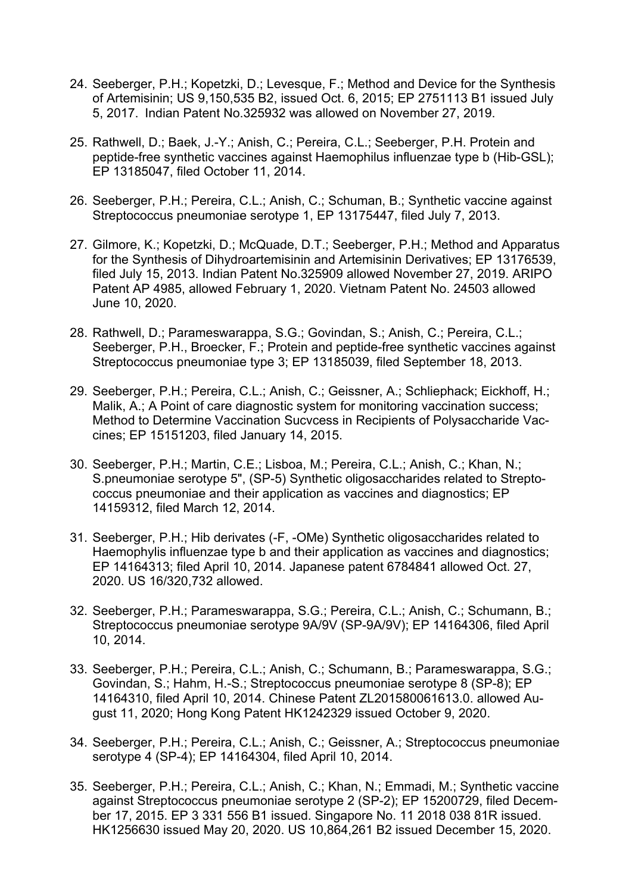- 24. Seeberger, P.H.; Kopetzki, D.; Levesque, F.; Method and Device for the Synthesis of Artemisinin; US 9,150,535 B2, issued Oct. 6, 2015; EP 2751113 B1 issued July 5, 2017. Indian Patent No.325932 was allowed on November 27, 2019.
- 25. Rathwell, D.; Baek, J.-Y.; Anish, C.; Pereira, C.L.; Seeberger, P.H. Protein and peptide-free synthetic vaccines against Haemophilus influenzae type b (Hib-GSL); EP 13185047, filed October 11, 2014.
- 26. Seeberger, P.H.; Pereira, C.L.; Anish, C.; Schuman, B.; Synthetic vaccine against Streptococcus pneumoniae serotype 1, EP 13175447, filed July 7, 2013.
- 27. Gilmore, K.; Kopetzki, D.; McQuade, D.T.; Seeberger, P.H.; Method and Apparatus for the Synthesis of Dihydroartemisinin and Artemisinin Derivatives; EP 13176539, filed July 15, 2013. Indian Patent No.325909 allowed November 27, 2019. ARIPO Patent AP 4985, allowed February 1, 2020. Vietnam Patent No. 24503 allowed June 10, 2020.
- 28. Rathwell, D.; Parameswarappa, S.G.; Govindan, S.; Anish, C.; Pereira, C.L.; Seeberger, P.H., Broecker, F.; Protein and peptide-free synthetic vaccines against Streptococcus pneumoniae type 3; EP 13185039, filed September 18, 2013.
- 29. Seeberger, P.H.; Pereira, C.L.; Anish, C.; Geissner, A.; Schliephack; Eickhoff, H.; Malik, A.; A Point of care diagnostic system for monitoring vaccination success; Method to Determine Vaccination Sucvcess in Recipients of Polysaccharide Vaccines; EP 15151203, filed January 14, 2015.
- 30. Seeberger, P.H.; Martin, C.E.; Lisboa, M.; Pereira, C.L.; Anish, C.; Khan, N.; S.pneumoniae serotype 5", (SP-5) Synthetic oligosaccharides related to Streptococcus pneumoniae and their application as vaccines and diagnostics; EP 14159312, filed March 12, 2014.
- 31. Seeberger, P.H.; Hib derivates (-F, -OMe) Synthetic oligosaccharides related to Haemophylis influenzae type b and their application as vaccines and diagnostics; EP 14164313; filed April 10, 2014. Japanese patent 6784841 allowed Oct. 27, 2020. US 16/320,732 allowed.
- 32. Seeberger, P.H.; Parameswarappa, S.G.; Pereira, C.L.; Anish, C.; Schumann, B.; Streptococcus pneumoniae serotype 9A/9V (SP-9A/9V); EP 14164306, filed April 10, 2014.
- 33. Seeberger, P.H.; Pereira, C.L.; Anish, C.; Schumann, B.; Parameswarappa, S.G.; Govindan, S.; Hahm, H.-S.; Streptococcus pneumoniae serotype 8 (SP-8); EP 14164310, filed April 10, 2014. Chinese Patent ZL201580061613.0. allowed August 11, 2020; Hong Kong Patent HK1242329 issued October 9, 2020.
- 34. Seeberger, P.H.; Pereira, C.L.; Anish, C.; Geissner, A.; Streptococcus pneumoniae serotype 4 (SP-4); EP 14164304, filed April 10, 2014.
- 35. Seeberger, P.H.; Pereira, C.L.; Anish, C.; Khan, N.; Emmadi, M.; Synthetic vaccine against Streptococcus pneumoniae serotype 2 (SP-2); EP 15200729, filed December 17, 2015. EP 3 331 556 B1 issued. Singapore No. 11 2018 038 81R issued. HK1256630 issued May 20, 2020. US 10,864,261 B2 issued December 15, 2020.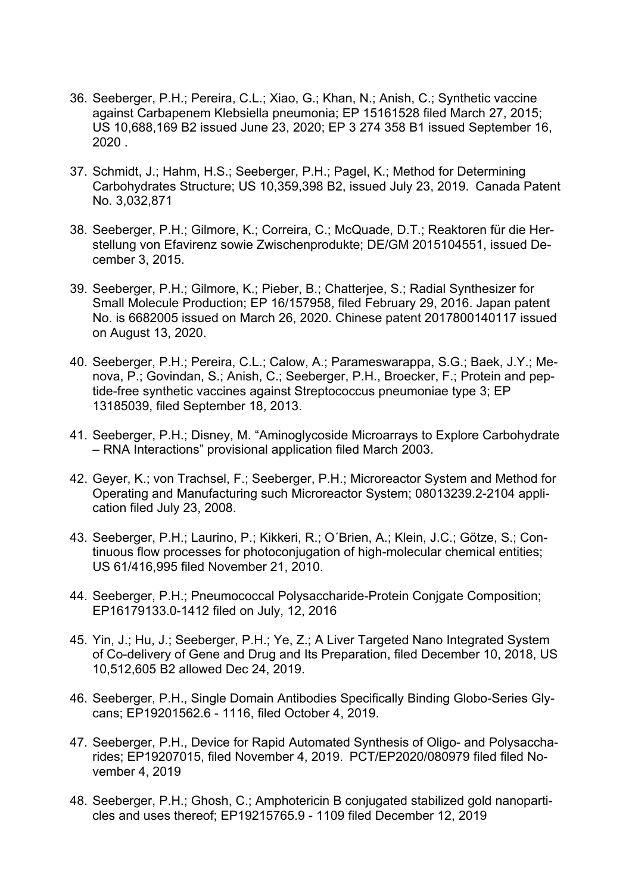- 36. Seeberger, P.H.; Pereira, C.L.; Xiao, G.; Khan, N.; Anish, C.; Synthetic vaccine against Carbapenem Klebsiella pneumonia; EP 15161528 filed March 27, 2015; US 10,688,169 B2 issued June 23, 2020; EP 3 274 358 B1 issued September 16, 2020 .
- 37. Schmidt, J.; Hahm, H.S.; Seeberger, P.H.; Pagel, K.; Method for Determining Carbohydrates Structure; US 10,359,398 B2, issued July 23, 2019. Canada Patent No. 3,032,871
- 38. Seeberger, P.H.; Gilmore, K.; Correira, C.; McQuade, D.T.; Reaktoren für die Herstellung von Efavirenz sowie Zwischenprodukte; DE/GM 2015104551, issued December 3, 2015.
- 39. Seeberger, P.H.; Gilmore, K.; Pieber, B.; Chatterjee, S.; Radial Synthesizer for Small Molecule Production; EP 16/157958, filed February 29, 2016. Japan patent No. is 6682005 issued on March 26, 2020. Chinese patent 2017800140117 issued on August 13, 2020.
- 40. Seeberger, P.H.; Pereira, C.L.; Calow, A.; Parameswarappa, S.G.; Baek, J.Y.; Menova, P.; Govindan, S.; Anish, C.; Seeberger, P.H., Broecker, F.; Protein and peptide-free synthetic vaccines against Streptococcus pneumoniae type 3; EP 13185039, filed September 18, 2013.
- 41. Seeberger, P.H.; Disney, M. "Aminoglycoside Microarrays to Explore Carbohydrate – RNA Interactions" provisional application filed March 2003.
- 42. Geyer, K.; von Trachsel, F.; Seeberger, P.H.; Microreactor System and Method for Operating and Manufacturing such Microreactor System; 08013239.2-2104 application filed July 23, 2008.
- 43. Seeberger, P.H.; Laurino, P.; Kikkeri, R.; O´Brien, A.; Klein, J.C.; Götze, S.; Continuous flow processes for photoconjugation of high-molecular chemical entities; US 61/416,995 filed November 21, 2010.
- 44. Seeberger, P.H.; Pneumococcal Polysaccharide-Protein Conjgate Composition; EP16179133.0-1412 filed on July, 12, 2016
- 45. Yin, J.; Hu, J.; Seeberger, P.H.; Ye, Z.; A Liver Targeted Nano Integrated System of Co-delivery of Gene and Drug and Its Preparation, filed December 10, 2018, US 10,512,605 B2 allowed Dec 24, 2019.
- 46. Seeberger, P.H., Single Domain Antibodies Specifically Binding Globo-Series Glycans; EP19201562.6 - 1116, filed October 4, 2019.
- 47. Seeberger, P.H., Device for Rapid Automated Synthesis of Oligo- and Polysaccharides; EP19207015, filed November 4, 2019. PCT/EP2020/080979 filed filed November 4, 2019
- 48. Seeberger, P.H.; Ghosh, C.; Amphotericin B conjugated stabilized gold nanoparticles and uses thereof; EP19215765.9 - 1109 filed December 12, 2019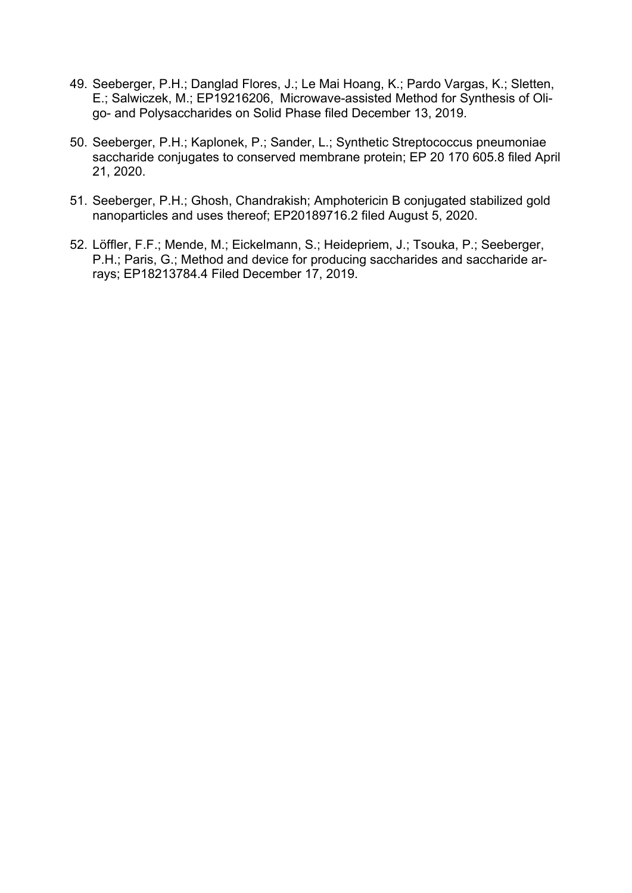- 49. Seeberger, P.H.; Danglad Flores, J.; Le Mai Hoang, K.; Pardo Vargas, K.; Sletten, E.; Salwiczek, M.; EP19216206, Microwave-assisted Method for Synthesis of Oligo- and Polysaccharides on Solid Phase filed December 13, 2019.
- 50. Seeberger, P.H.; Kaplonek, P.; Sander, L.; Synthetic Streptococcus pneumoniae saccharide conjugates to conserved membrane protein; EP 20 170 605.8 filed April 21, 2020.
- 51. Seeberger, P.H.; Ghosh, Chandrakish; Amphotericin B conjugated stabilized gold nanoparticles and uses thereof; EP20189716.2 filed August 5, 2020.
- 52. Löffler, F.F.; Mende, M.; Eickelmann, S.; Heidepriem, J.; Tsouka, P.; Seeberger, P.H.; Paris, G.; Method and device for producing saccharides and saccharide arrays; EP18213784.4 Filed December 17, 2019.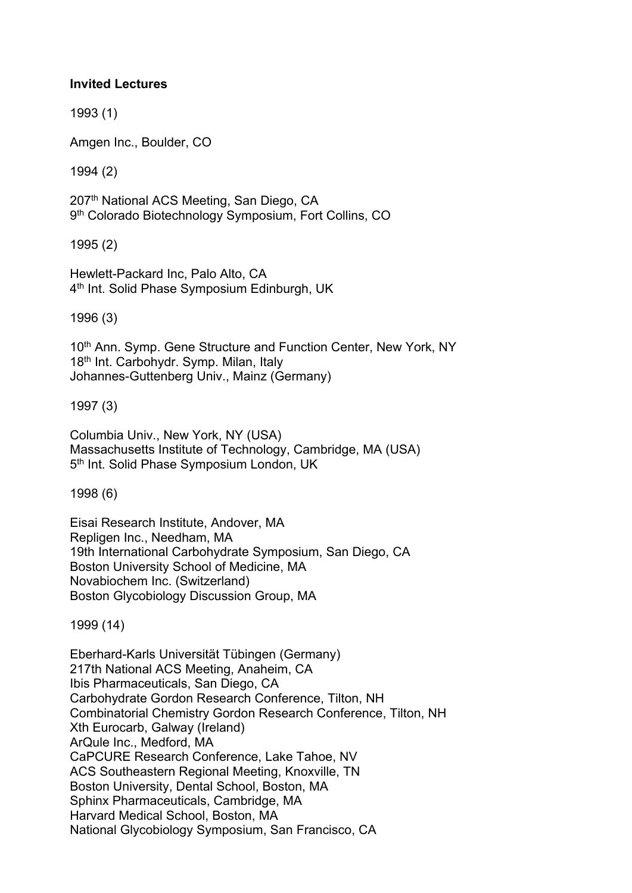### **Invited Lectures**

1993 (1)

Amgen Inc., Boulder, CO

1994 (2)

207th National ACS Meeting, San Diego, CA 9<sup>th</sup> Colorado Biotechnology Symposium, Fort Collins, CO

1995 (2)

Hewlett-Packard Inc, Palo Alto, CA 4<sup>th</sup> Int. Solid Phase Symposium Edinburgh, UK

1996 (3)

10<sup>th</sup> Ann. Symp. Gene Structure and Function Center, New York, NY 18<sup>th</sup> Int. Carbohydr. Symp. Milan, Italy Johannes-Guttenberg Univ., Mainz (Germany)

1997 (3)

Columbia Univ., New York, NY (USA) Massachusetts Institute of Technology, Cambridge, MA (USA) 5<sup>th</sup> Int. Solid Phase Symposium London, UK

1998 (6)

Eisai Research Institute, Andover, MA Repligen Inc., Needham, MA 19th International Carbohydrate Symposium, San Diego, CA Boston University School of Medicine, MA Novabiochem Inc. (Switzerland) Boston Glycobiology Discussion Group, MA

1999 (14)

Eberhard-Karls Universität Tübingen (Germany) 217th National ACS Meeting, Anaheim, CA Ibis Pharmaceuticals, San Diego, CA Carbohydrate Gordon Research Conference, Tilton, NH Combinatorial Chemistry Gordon Research Conference, Tilton, NH Xth Eurocarb, Galway (Ireland) ArQule Inc., Medford, MA CaPCURE Research Conference, Lake Tahoe, NV ACS Southeastern Regional Meeting, Knoxville, TN Boston University, Dental School, Boston, MA Sphinx Pharmaceuticals, Cambridge, MA Harvard Medical School, Boston, MA National Glycobiology Symposium, San Francisco, CA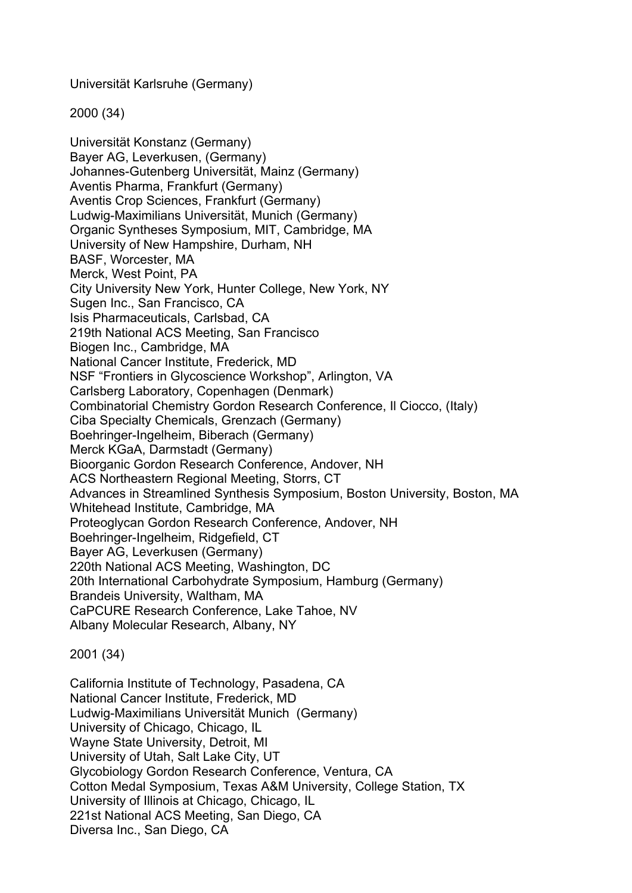Universität Karlsruhe (Germany)

2000 (34)

Universität Konstanz (Germany) Bayer AG, Leverkusen, (Germany) Johannes-Gutenberg Universität, Mainz (Germany) Aventis Pharma, Frankfurt (Germany) Aventis Crop Sciences, Frankfurt (Germany) Ludwig-Maximilians Universität, Munich (Germany) Organic Syntheses Symposium, MIT, Cambridge, MA University of New Hampshire, Durham, NH BASF, Worcester, MA Merck, West Point, PA City University New York, Hunter College, New York, NY Sugen Inc., San Francisco, CA Isis Pharmaceuticals, Carlsbad, CA 219th National ACS Meeting, San Francisco Biogen Inc., Cambridge, MA National Cancer Institute, Frederick, MD NSF "Frontiers in Glycoscience Workshop", Arlington, VA Carlsberg Laboratory, Copenhagen (Denmark) Combinatorial Chemistry Gordon Research Conference, Il Ciocco, (Italy) Ciba Specialty Chemicals, Grenzach (Germany) Boehringer-Ingelheim, Biberach (Germany) Merck KGaA, Darmstadt (Germany) Bioorganic Gordon Research Conference, Andover, NH ACS Northeastern Regional Meeting, Storrs, CT Advances in Streamlined Synthesis Symposium, Boston University, Boston, MA Whitehead Institute, Cambridge, MA Proteoglycan Gordon Research Conference, Andover, NH Boehringer-Ingelheim, Ridgefield, CT Bayer AG, Leverkusen (Germany) 220th National ACS Meeting, Washington, DC 20th International Carbohydrate Symposium, Hamburg (Germany) Brandeis University, Waltham, MA CaPCURE Research Conference, Lake Tahoe, NV Albany Molecular Research, Albany, NY

2001 (34)

California Institute of Technology, Pasadena, CA National Cancer Institute, Frederick, MD Ludwig-Maximilians Universität Munich (Germany) University of Chicago, Chicago, IL Wayne State University, Detroit, MI University of Utah, Salt Lake City, UT Glycobiology Gordon Research Conference, Ventura, CA Cotton Medal Symposium, Texas A&M University, College Station, TX University of Illinois at Chicago, Chicago, IL 221st National ACS Meeting, San Diego, CA Diversa Inc., San Diego, CA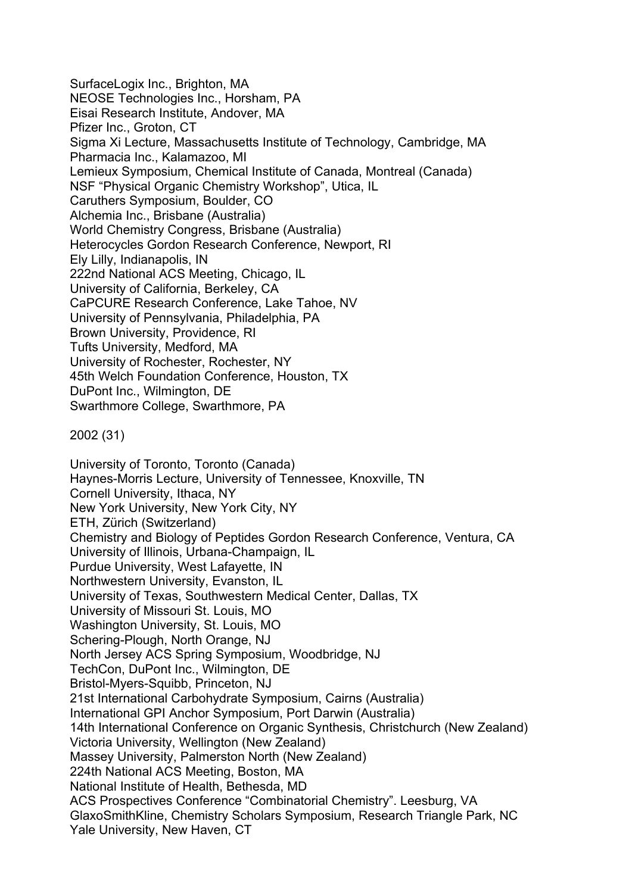SurfaceLogix Inc., Brighton, MA NEOSE Technologies Inc., Horsham, PA Eisai Research Institute, Andover, MA Pfizer Inc., Groton, CT Sigma Xi Lecture, Massachusetts Institute of Technology, Cambridge, MA Pharmacia Inc., Kalamazoo, MI Lemieux Symposium, Chemical Institute of Canada, Montreal (Canada) NSF "Physical Organic Chemistry Workshop", Utica, IL Caruthers Symposium, Boulder, CO Alchemia Inc., Brisbane (Australia) World Chemistry Congress, Brisbane (Australia) Heterocycles Gordon Research Conference, Newport, RI Ely Lilly, Indianapolis, IN 222nd National ACS Meeting, Chicago, IL University of California, Berkeley, CA CaPCURE Research Conference, Lake Tahoe, NV University of Pennsylvania, Philadelphia, PA Brown University, Providence, RI Tufts University, Medford, MA University of Rochester, Rochester, NY 45th Welch Foundation Conference, Houston, TX DuPont Inc., Wilmington, DE Swarthmore College, Swarthmore, PA

2002 (31)

University of Toronto, Toronto (Canada) Haynes-Morris Lecture, University of Tennessee, Knoxville, TN Cornell University, Ithaca, NY New York University, New York City, NY ETH, Zürich (Switzerland) Chemistry and Biology of Peptides Gordon Research Conference, Ventura, CA University of Illinois, Urbana-Champaign, IL Purdue University, West Lafayette, IN Northwestern University, Evanston, IL University of Texas, Southwestern Medical Center, Dallas, TX University of Missouri St. Louis, MO Washington University, St. Louis, MO Schering-Plough, North Orange, NJ North Jersey ACS Spring Symposium, Woodbridge, NJ TechCon, DuPont Inc., Wilmington, DE Bristol-Myers-Squibb, Princeton, NJ 21st International Carbohydrate Symposium, Cairns (Australia) International GPI Anchor Symposium, Port Darwin (Australia) 14th International Conference on Organic Synthesis, Christchurch (New Zealand) Victoria University, Wellington (New Zealand) Massey University, Palmerston North (New Zealand) 224th National ACS Meeting, Boston, MA National Institute of Health, Bethesda, MD ACS Prospectives Conference "Combinatorial Chemistry". Leesburg, VA GlaxoSmithKline, Chemistry Scholars Symposium, Research Triangle Park, NC Yale University, New Haven, CT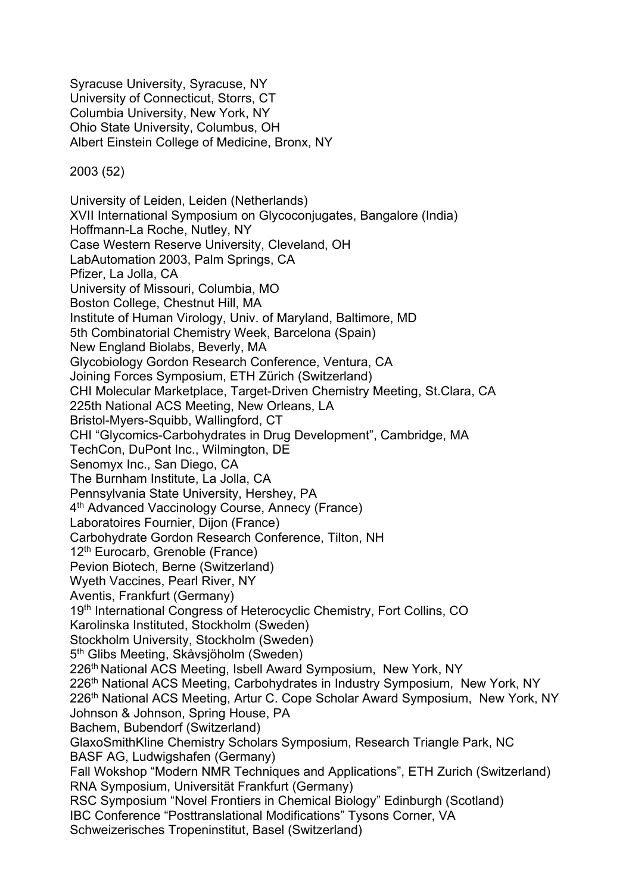Syracuse University, Syracuse, NY University of Connecticut, Storrs, CT Columbia University, New York, NY Ohio State University, Columbus, OH Albert Einstein College of Medicine, Bronx, NY

2003 (52)

University of Leiden, Leiden (Netherlands) XVII International Symposium on Glycoconjugates, Bangalore (India) Hoffmann-La Roche, Nutley, NY Case Western Reserve University, Cleveland, OH LabAutomation 2003, Palm Springs, CA Pfizer, La Jolla, CA University of Missouri, Columbia, MO Boston College, Chestnut Hill, MA Institute of Human Virology, Univ. of Maryland, Baltimore, MD 5th Combinatorial Chemistry Week, Barcelona (Spain) New England Biolabs, Beverly, MA Glycobiology Gordon Research Conference, Ventura, CA Joining Forces Symposium, ETH Zürich (Switzerland) CHI Molecular Marketplace, Target-Driven Chemistry Meeting, St.Clara, CA 225th National ACS Meeting, New Orleans, LA Bristol-Myers-Squibb, Wallingford, CT CHI "Glycomics-Carbohydrates in Drug Development", Cambridge, MA TechCon, DuPont Inc., Wilmington, DE Senomyx Inc., San Diego, CA The Burnham Institute, La Jolla, CA Pennsylvania State University, Hershey, PA 4<sup>th</sup> Advanced Vaccinology Course, Annecy (France) Laboratoires Fournier, Dijon (France) Carbohydrate Gordon Research Conference, Tilton, NH 12<sup>th</sup> Eurocarb, Grenoble (France) Pevion Biotech, Berne (Switzerland) Wyeth Vaccines, Pearl River, NY Aventis, Frankfurt (Germany) 19<sup>th</sup> International Congress of Heterocyclic Chemistry, Fort Collins, CO Karolinska Instituted, Stockholm (Sweden) Stockholm University, Stockholm (Sweden) 5th Glibs Meeting, Skåvsjöholm (Sweden) 226<sup>th</sup> National ACS Meeting, Isbell Award Symposium, New York, NY 226<sup>th</sup> National ACS Meeting, Carbohydrates in Industry Symposium, New York, NY 226<sup>th</sup> National ACS Meeting, Artur C. Cope Scholar Award Symposium, New York, NY Johnson & Johnson, Spring House, PA Bachem, Bubendorf (Switzerland) GlaxoSmithKline Chemistry Scholars Symposium, Research Triangle Park, NC BASF AG, Ludwigshafen (Germany) Fall Wokshop "Modern NMR Techniques and Applications", ETH Zurich (Switzerland) RNA Symposium, Universität Frankfurt (Germany) RSC Symposium "Novel Frontiers in Chemical Biology" Edinburgh (Scotland) IBC Conference "Posttranslational Modifications" Tysons Corner, VA Schweizerisches Tropeninstitut, Basel (Switzerland)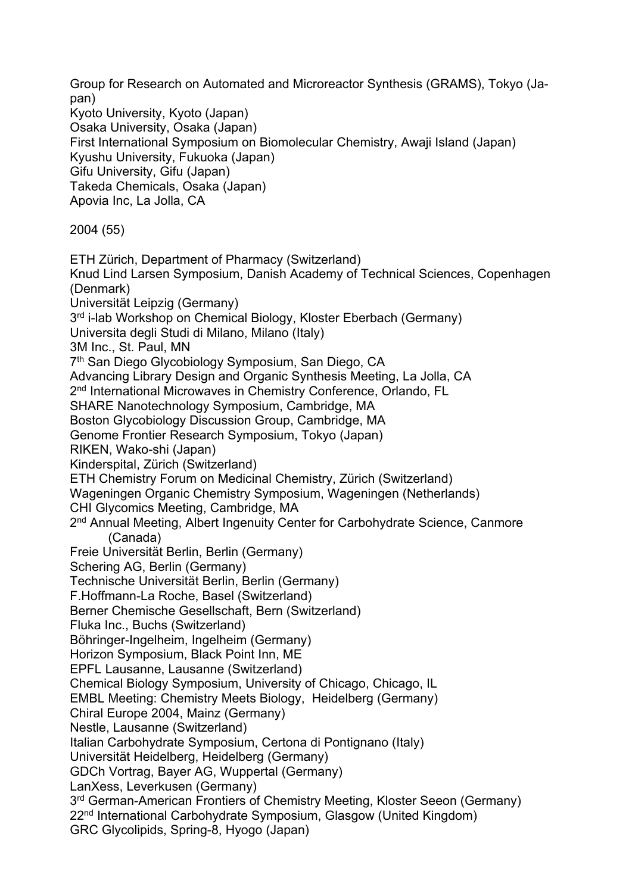Group for Research on Automated and Microreactor Synthesis (GRAMS), Tokyo (Japan) Kyoto University, Kyoto (Japan) Osaka University, Osaka (Japan) First International Symposium on Biomolecular Chemistry, Awaji Island (Japan) Kyushu University, Fukuoka (Japan) Gifu University, Gifu (Japan) Takeda Chemicals, Osaka (Japan) Apovia Inc, La Jolla, CA 2004 (55) ETH Zürich, Department of Pharmacy (Switzerland) Knud Lind Larsen Symposium, Danish Academy of Technical Sciences, Copenhagen (Denmark) Universität Leipzig (Germany) 3<sup>rd</sup> i-lab Workshop on Chemical Biology, Kloster Eberbach (Germany) Universita degli Studi di Milano, Milano (Italy) 3M Inc., St. Paul, MN 7<sup>th</sup> San Diego Glycobiology Symposium, San Diego, CA Advancing Library Design and Organic Synthesis Meeting, La Jolla, CA 2<sup>nd</sup> International Microwaves in Chemistry Conference, Orlando, FL SHARE Nanotechnology Symposium, Cambridge, MA Boston Glycobiology Discussion Group, Cambridge, MA Genome Frontier Research Symposium, Tokyo (Japan) RIKEN, Wako-shi (Japan) Kinderspital, Zürich (Switzerland) ETH Chemistry Forum on Medicinal Chemistry, Zürich (Switzerland) Wageningen Organic Chemistry Symposium, Wageningen (Netherlands) CHI Glycomics Meeting, Cambridge, MA 2<sup>nd</sup> Annual Meeting, Albert Ingenuity Center for Carbohydrate Science, Canmore (Canada) Freie Universität Berlin, Berlin (Germany) Schering AG, Berlin (Germany) Technische Universität Berlin, Berlin (Germany) F.Hoffmann-La Roche, Basel (Switzerland) Berner Chemische Gesellschaft, Bern (Switzerland) Fluka Inc., Buchs (Switzerland) Böhringer-Ingelheim, Ingelheim (Germany) Horizon Symposium, Black Point Inn, ME EPFL Lausanne, Lausanne (Switzerland) Chemical Biology Symposium, University of Chicago, Chicago, IL EMBL Meeting: Chemistry Meets Biology, Heidelberg (Germany) Chiral Europe 2004, Mainz (Germany) Nestle, Lausanne (Switzerland) Italian Carbohydrate Symposium, Certona di Pontignano (Italy) Universität Heidelberg, Heidelberg (Germany) GDCh Vortrag, Bayer AG, Wuppertal (Germany) LanXess, Leverkusen (Germany) 3<sup>rd</sup> German-American Frontiers of Chemistry Meeting, Kloster Seeon (Germany) 22nd International Carbohydrate Symposium, Glasgow (United Kingdom) GRC Glycolipids, Spring-8, Hyogo (Japan)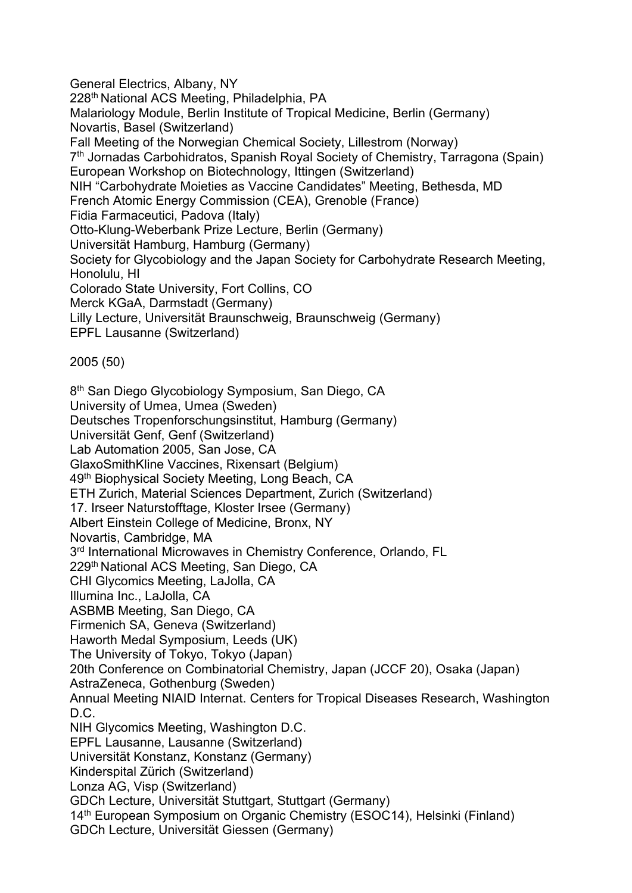General Electrics, Albany, NY 228<sup>th</sup> National ACS Meeting, Philadelphia, PA Malariology Module, Berlin Institute of Tropical Medicine, Berlin (Germany) Novartis, Basel (Switzerland) Fall Meeting of the Norwegian Chemical Society, Lillestrom (Norway) 7<sup>th</sup> Jornadas Carbohidratos, Spanish Royal Society of Chemistry, Tarragona (Spain) European Workshop on Biotechnology, Ittingen (Switzerland) NIH "Carbohydrate Moieties as Vaccine Candidates" Meeting, Bethesda, MD French Atomic Energy Commission (CEA), Grenoble (France) Fidia Farmaceutici, Padova (Italy) Otto-Klung-Weberbank Prize Lecture, Berlin (Germany) Universität Hamburg, Hamburg (Germany) Society for Glycobiology and the Japan Society for Carbohydrate Research Meeting, Honolulu, HI Colorado State University, Fort Collins, CO Merck KGaA, Darmstadt (Germany) Lilly Lecture, Universität Braunschweig, Braunschweig (Germany) EPFL Lausanne (Switzerland) 2005 (50) 8<sup>th</sup> San Diego Glycobiology Symposium, San Diego, CA University of Umea, Umea (Sweden) Deutsches Tropenforschungsinstitut, Hamburg (Germany) Universität Genf, Genf (Switzerland) Lab Automation 2005, San Jose, CA GlaxoSmithKline Vaccines, Rixensart (Belgium) 49<sup>th</sup> Biophysical Society Meeting, Long Beach, CA ETH Zurich, Material Sciences Department, Zurich (Switzerland) 17. Irseer Naturstofftage, Kloster Irsee (Germany) Albert Einstein College of Medicine, Bronx, NY Novartis, Cambridge, MA 3<sup>rd</sup> International Microwaves in Chemistry Conference, Orlando, FL 229<sup>th</sup> National ACS Meeting, San Diego, CA CHI Glycomics Meeting, LaJolla, CA Illumina Inc., LaJolla, CA ASBMB Meeting, San Diego, CA Firmenich SA, Geneva (Switzerland) Haworth Medal Symposium, Leeds (UK) The University of Tokyo, Tokyo (Japan) 20th Conference on Combinatorial Chemistry, Japan (JCCF 20), Osaka (Japan) AstraZeneca, Gothenburg (Sweden) Annual Meeting NIAID Internat. Centers for Tropical Diseases Research, Washington D.C. NIH Glycomics Meeting, Washington D.C. EPFL Lausanne, Lausanne (Switzerland) Universität Konstanz, Konstanz (Germany) Kinderspital Zürich (Switzerland) Lonza AG, Visp (Switzerland) GDCh Lecture, Universität Stuttgart, Stuttgart (Germany) 14<sup>th</sup> European Symposium on Organic Chemistry (ESOC14), Helsinki (Finland) GDCh Lecture, Universität Giessen (Germany)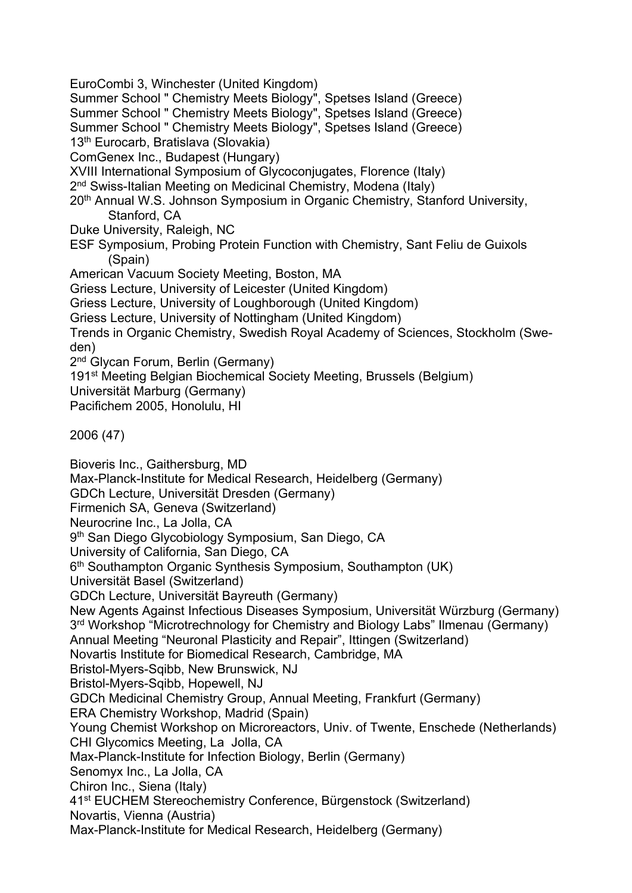Summer School " Chemistry Meets Biology", Spetses Island (Greece) Summer School " Chemistry Meets Biology", Spetses Island (Greece) Summer School " Chemistry Meets Biology", Spetses Island (Greece) 13th Eurocarb, Bratislava (Slovakia) ComGenex Inc., Budapest (Hungary) XVIII International Symposium of Glycoconjugates, Florence (Italy) 2<sup>nd</sup> Swiss-Italian Meeting on Medicinal Chemistry, Modena (Italy) 20<sup>th</sup> Annual W.S. Johnson Symposium in Organic Chemistry, Stanford University, Stanford, CA Duke University, Raleigh, NC ESF Symposium, Probing Protein Function with Chemistry, Sant Feliu de Guixols (Spain) American Vacuum Society Meeting, Boston, MA Griess Lecture, University of Leicester (United Kingdom) Griess Lecture, University of Loughborough (United Kingdom) Griess Lecture, University of Nottingham (United Kingdom) Trends in Organic Chemistry, Swedish Royal Academy of Sciences, Stockholm (Sweden) 2<sup>nd</sup> Glycan Forum, Berlin (Germany) 191<sup>st</sup> Meeting Belgian Biochemical Society Meeting, Brussels (Belgium) Universität Marburg (Germany) Pacifichem 2005, Honolulu, HI 2006 (47) Bioveris Inc., Gaithersburg, MD Max-Planck-Institute for Medical Research, Heidelberg (Germany) GDCh Lecture, Universität Dresden (Germany) Firmenich SA, Geneva (Switzerland) Neurocrine Inc., La Jolla, CA 9<sup>th</sup> San Diego Glycobiology Symposium, San Diego, CA University of California, San Diego, CA 6<sup>th</sup> Southampton Organic Synthesis Symposium, Southampton (UK) Universität Basel (Switzerland) GDCh Lecture, Universität Bayreuth (Germany) New Agents Against Infectious Diseases Symposium, Universität Würzburg (Germany) 3<sup>rd</sup> Workshop "Microtrechnology for Chemistry and Biology Labs" Ilmenau (Germany) Annual Meeting "Neuronal Plasticity and Repair", Ittingen (Switzerland) Novartis Institute for Biomedical Research, Cambridge, MA Bristol-Myers-Sqibb, New Brunswick, NJ Bristol-Myers-Sqibb, Hopewell, NJ GDCh Medicinal Chemistry Group, Annual Meeting, Frankfurt (Germany) ERA Chemistry Workshop, Madrid (Spain) Young Chemist Workshop on Microreactors, Univ. of Twente, Enschede (Netherlands) CHI Glycomics Meeting, La Jolla, CA Max-Planck-Institute for Infection Biology, Berlin (Germany) Senomyx Inc., La Jolla, CA Chiron Inc., Siena (Italy) 41st EUCHEM Stereochemistry Conference, Bürgenstock (Switzerland) Novartis, Vienna (Austria) Max-Planck-Institute for Medical Research, Heidelberg (Germany)

EuroCombi 3, Winchester (United Kingdom)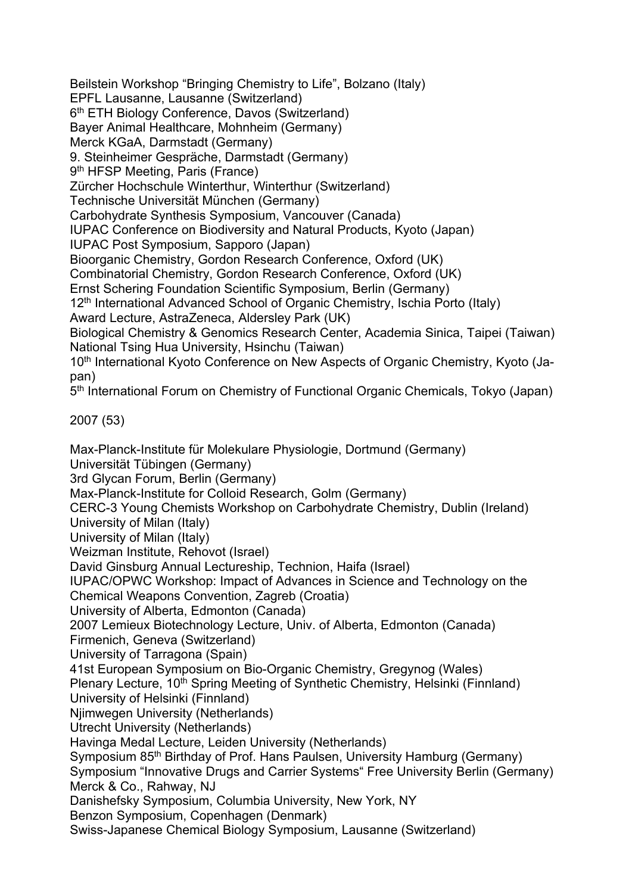Beilstein Workshop "Bringing Chemistry to Life", Bolzano (Italy)

EPFL Lausanne, Lausanne (Switzerland)

6th ETH Biology Conference, Davos (Switzerland)

Bayer Animal Healthcare, Mohnheim (Germany)

Merck KGaA, Darmstadt (Germany)

9. Steinheimer Gespräche, Darmstadt (Germany)

9<sup>th</sup> HFSP Meeting, Paris (France)

Zürcher Hochschule Winterthur, Winterthur (Switzerland)

Technische Universität München (Germany)

Carbohydrate Synthesis Symposium, Vancouver (Canada)

IUPAC Conference on Biodiversity and Natural Products, Kyoto (Japan)

IUPAC Post Symposium, Sapporo (Japan)

Bioorganic Chemistry, Gordon Research Conference, Oxford (UK)

Combinatorial Chemistry, Gordon Research Conference, Oxford (UK)

Ernst Schering Foundation Scientific Symposium, Berlin (Germany)

12<sup>th</sup> International Advanced School of Organic Chemistry, Ischia Porto (Italy)

Award Lecture, AstraZeneca, Aldersley Park (UK)

Biological Chemistry & Genomics Research Center, Academia Sinica, Taipei (Taiwan) National Tsing Hua University, Hsinchu (Taiwan)

10<sup>th</sup> International Kyoto Conference on New Aspects of Organic Chemistry, Kyoto (Japan)

5th International Forum on Chemistry of Functional Organic Chemicals, Tokyo (Japan)

2007 (53)

Max-Planck-Institute für Molekulare Physiologie, Dortmund (Germany) Universität Tübingen (Germany) 3rd Glycan Forum, Berlin (Germany) Max-Planck-Institute for Colloid Research, Golm (Germany) CERC-3 Young Chemists Workshop on Carbohydrate Chemistry, Dublin (Ireland) University of Milan (Italy) University of Milan (Italy) Weizman Institute, Rehovot (Israel) David Ginsburg Annual Lectureship, Technion, Haifa (Israel) IUPAC/OPWC Workshop: Impact of Advances in Science and Technology on the Chemical Weapons Convention, Zagreb (Croatia) University of Alberta, Edmonton (Canada) 2007 Lemieux Biotechnology Lecture, Univ. of Alberta, Edmonton (Canada) Firmenich, Geneva (Switzerland) University of Tarragona (Spain) 41st European Symposium on Bio-Organic Chemistry, Gregynog (Wales) Plenary Lecture, 10<sup>th</sup> Spring Meeting of Synthetic Chemistry, Helsinki (Finnland) University of Helsinki (Finnland) Njimwegen University (Netherlands) Utrecht University (Netherlands) Havinga Medal Lecture, Leiden University (Netherlands) Symposium 85<sup>th</sup> Birthday of Prof. Hans Paulsen, University Hamburg (Germany) Symposium "Innovative Drugs and Carrier Systems" Free University Berlin (Germany) Merck & Co., Rahway, NJ Danishefsky Symposium, Columbia University, New York, NY Benzon Symposium, Copenhagen (Denmark) Swiss-Japanese Chemical Biology Symposium, Lausanne (Switzerland)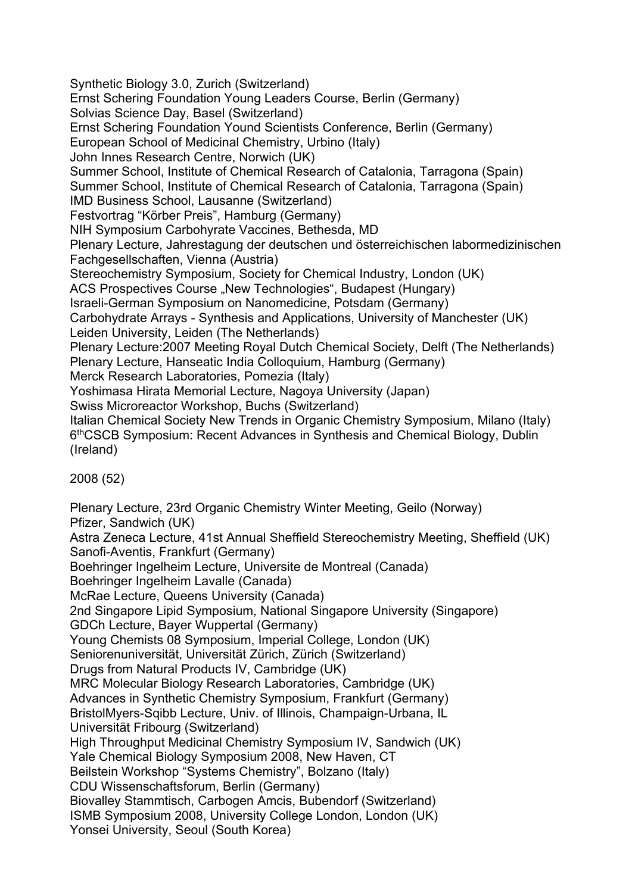Synthetic Biology 3.0, Zurich (Switzerland) Ernst Schering Foundation Young Leaders Course, Berlin (Germany) Solvias Science Day, Basel (Switzerland) Ernst Schering Foundation Yound Scientists Conference, Berlin (Germany) European School of Medicinal Chemistry, Urbino (Italy) John Innes Research Centre, Norwich (UK) Summer School, Institute of Chemical Research of Catalonia, Tarragona (Spain) Summer School, Institute of Chemical Research of Catalonia, Tarragona (Spain) IMD Business School, Lausanne (Switzerland) Festvortrag "Körber Preis", Hamburg (Germany) NIH Symposium Carbohyrate Vaccines, Bethesda, MD Plenary Lecture, Jahrestagung der deutschen und österreichischen labormedizinischen Fachgesellschaften, Vienna (Austria) Stereochemistry Symposium, Society for Chemical Industry, London (UK) ACS Prospectives Course "New Technologies", Budapest (Hungary) Israeli-German Symposium on Nanomedicine, Potsdam (Germany) Carbohydrate Arrays - Synthesis and Applications, University of Manchester (UK) Leiden University, Leiden (The Netherlands) Plenary Lecture:2007 Meeting Royal Dutch Chemical Society, Delft (The Netherlands) Plenary Lecture, Hanseatic India Colloquium, Hamburg (Germany) Merck Research Laboratories, Pomezia (Italy) Yoshimasa Hirata Memorial Lecture, Nagoya University (Japan) Swiss Microreactor Workshop, Buchs (Switzerland) Italian Chemical Society New Trends in Organic Chemistry Symposium, Milano (Italy) 6thCSCB Symposium: Recent Advances in Synthesis and Chemical Biology, Dublin (Ireland) 2008 (52)

Plenary Lecture, 23rd Organic Chemistry Winter Meeting, Geilo (Norway) Pfizer, Sandwich (UK) Astra Zeneca Lecture, 41st Annual Sheffield Stereochemistry Meeting, Sheffield (UK) Sanofi-Aventis, Frankfurt (Germany) Boehringer Ingelheim Lecture, Universite de Montreal (Canada) Boehringer Ingelheim Lavalle (Canada) McRae Lecture, Queens University (Canada) 2nd Singapore Lipid Symposium, National Singapore University (Singapore) GDCh Lecture, Bayer Wuppertal (Germany) Young Chemists 08 Symposium, Imperial College, London (UK) Seniorenuniversität, Universität Zürich, Zürich (Switzerland) Drugs from Natural Products IV, Cambridge (UK) MRC Molecular Biology Research Laboratories, Cambridge (UK) Advances in Synthetic Chemistry Symposium, Frankfurt (Germany) BristolMyers-Sqibb Lecture, Univ. of Illinois, Champaign-Urbana, IL Universität Fribourg (Switzerland) High Throughput Medicinal Chemistry Symposium IV, Sandwich (UK) Yale Chemical Biology Symposium 2008, New Haven, CT Beilstein Workshop "Systems Chemistry", Bolzano (Italy) CDU Wissenschaftsforum, Berlin (Germany) Biovalley Stammtisch, Carbogen Amcis, Bubendorf (Switzerland) ISMB Symposium 2008, University College London, London (UK) Yonsei University, Seoul (South Korea)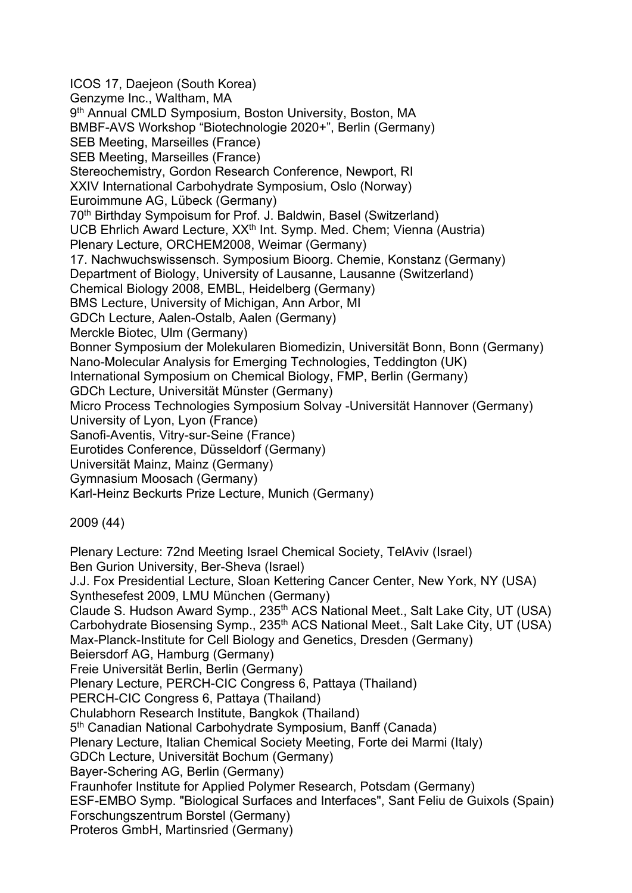ICOS 17, Daejeon (South Korea) Genzyme Inc., Waltham, MA 9<sup>th</sup> Annual CMLD Symposium, Boston University, Boston, MA BMBF-AVS Workshop "Biotechnologie 2020+", Berlin (Germany) SEB Meeting, Marseilles (France) SEB Meeting, Marseilles (France) Stereochemistry, Gordon Research Conference, Newport, RI XXIV International Carbohydrate Symposium, Oslo (Norway) Euroimmune AG, Lübeck (Germany) 70th Birthday Sympoisum for Prof. J. Baldwin, Basel (Switzerland) UCB Ehrlich Award Lecture, XX<sup>th</sup> Int. Symp. Med. Chem; Vienna (Austria) Plenary Lecture, ORCHEM2008, Weimar (Germany) 17. Nachwuchswissensch. Symposium Bioorg. Chemie, Konstanz (Germany) Department of Biology, University of Lausanne, Lausanne (Switzerland) Chemical Biology 2008, EMBL, Heidelberg (Germany) BMS Lecture, University of Michigan, Ann Arbor, MI GDCh Lecture, Aalen-Ostalb, Aalen (Germany) Merckle Biotec, Ulm (Germany) Bonner Symposium der Molekularen Biomedizin, Universität Bonn, Bonn (Germany) Nano-Molecular Analysis for Emerging Technologies, Teddington (UK) International Symposium on Chemical Biology, FMP, Berlin (Germany) GDCh Lecture, Universität Münster (Germany) Micro Process Technologies Symposium Solvay -Universität Hannover (Germany) University of Lyon, Lyon (France) Sanofi-Aventis, Vitry-sur-Seine (France) Eurotides Conference, Düsseldorf (Germany) Universität Mainz, Mainz (Germany) Gymnasium Moosach (Germany) Karl-Heinz Beckurts Prize Lecture, Munich (Germany) 2009 (44) Plenary Lecture: 72nd Meeting Israel Chemical Society, TelAviv (Israel) Ben Gurion University, Ber-Sheva (Israel) J.J. Fox Presidential Lecture, Sloan Kettering Cancer Center, New York, NY (USA) Synthesefest 2009, LMU München (Germany) Claude S. Hudson Award Symp., 235<sup>th</sup> ACS National Meet., Salt Lake City, UT (USA) Carbohydrate Biosensing Symp., 235<sup>th</sup> ACS National Meet., Salt Lake City, UT (USA)

Max-Planck-Institute for Cell Biology and Genetics, Dresden (Germany)

Beiersdorf AG, Hamburg (Germany)

Freie Universität Berlin, Berlin (Germany)

Plenary Lecture, PERCH-CIC Congress 6, Pattaya (Thailand)

PERCH-CIC Congress 6, Pattaya (Thailand)

Chulabhorn Research Institute, Bangkok (Thailand)

5<sup>th</sup> Canadian National Carbohydrate Symposium, Banff (Canada)

Plenary Lecture, Italian Chemical Society Meeting, Forte dei Marmi (Italy)

GDCh Lecture, Universität Bochum (Germany)

Bayer-Schering AG, Berlin (Germany)

Fraunhofer Institute for Applied Polymer Research, Potsdam (Germany)

ESF-EMBO Symp. "Biological Surfaces and Interfaces", Sant Feliu de Guixols (Spain) Forschungszentrum Borstel (Germany)

Proteros GmbH, Martinsried (Germany)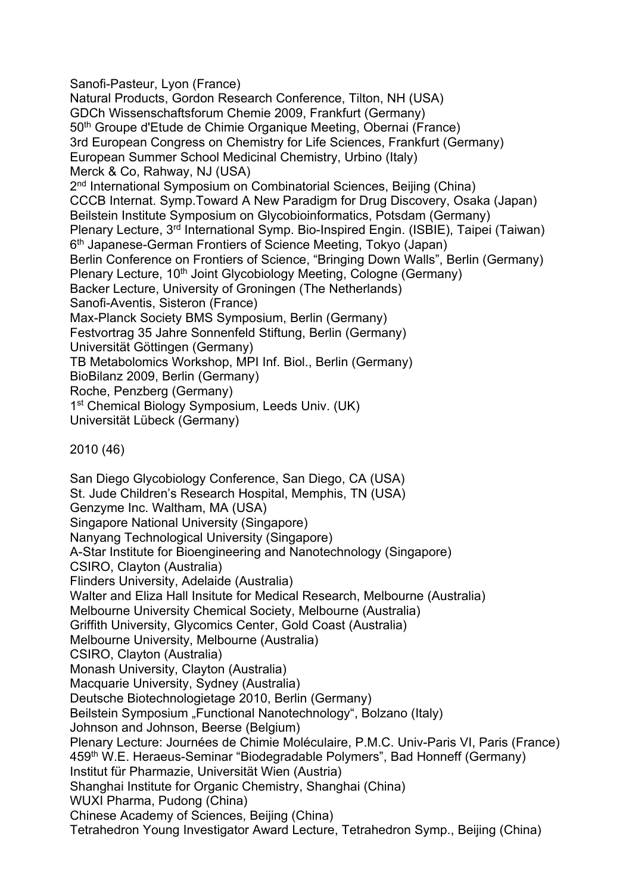Sanofi-Pasteur, Lyon (France)

Natural Products, Gordon Research Conference, Tilton, NH (USA) GDCh Wissenschaftsforum Chemie 2009, Frankfurt (Germany) 50th Groupe d'Etude de Chimie Organique Meeting, Obernai (France) 3rd European Congress on Chemistry for Life Sciences, Frankfurt (Germany) European Summer School Medicinal Chemistry, Urbino (Italy) Merck & Co, Rahway, NJ (USA) 2<sup>nd</sup> International Symposium on Combinatorial Sciences, Beijing (China) CCCB Internat. Symp.Toward A New Paradigm for Drug Discovery, Osaka (Japan) Beilstein Institute Symposium on Glycobioinformatics, Potsdam (Germany) Plenary Lecture, 3<sup>rd</sup> International Symp. Bio-Inspired Engin. (ISBIE), Taipei (Taiwan) 6<sup>th</sup> Japanese-German Frontiers of Science Meeting, Tokyo (Japan) Berlin Conference on Frontiers of Science, "Bringing Down Walls", Berlin (Germany) Plenary Lecture, 10<sup>th</sup> Joint Glycobiology Meeting, Cologne (Germany) Backer Lecture, University of Groningen (The Netherlands) Sanofi-Aventis, Sisteron (France) Max-Planck Society BMS Symposium, Berlin (Germany) Festvortrag 35 Jahre Sonnenfeld Stiftung, Berlin (Germany) Universität Göttingen (Germany) TB Metabolomics Workshop, MPI Inf. Biol., Berlin (Germany) BioBilanz 2009, Berlin (Germany) Roche, Penzberg (Germany) 1<sup>st</sup> Chemical Biology Symposium, Leeds Univ. (UK) Universität Lübeck (Germany)

2010 (46)

San Diego Glycobiology Conference, San Diego, CA (USA) St. Jude Children's Research Hospital, Memphis, TN (USA) Genzyme Inc. Waltham, MA (USA) Singapore National University (Singapore) Nanyang Technological University (Singapore) A-Star Institute for Bioengineering and Nanotechnology (Singapore) CSIRO, Clayton (Australia) Flinders University, Adelaide (Australia) Walter and Eliza Hall Insitute for Medical Research, Melbourne (Australia) Melbourne University Chemical Society, Melbourne (Australia) Griffith University, Glycomics Center, Gold Coast (Australia) Melbourne University, Melbourne (Australia) CSIRO, Clayton (Australia) Monash University, Clayton (Australia) Macquarie University, Sydney (Australia) Deutsche Biotechnologietage 2010, Berlin (Germany) Beilstein Symposium "Functional Nanotechnology", Bolzano (Italy) Johnson and Johnson, Beerse (Belgium) Plenary Lecture: Journées de Chimie Moléculaire, P.M.C. Univ-Paris VI, Paris (France) 459th W.E. Heraeus-Seminar "Biodegradable Polymers", Bad Honneff (Germany) Institut für Pharmazie, Universität Wien (Austria) Shanghai Institute for Organic Chemistry, Shanghai (China) WUXI Pharma, Pudong (China) Chinese Academy of Sciences, Beijing (China) Tetrahedron Young Investigator Award Lecture, Tetrahedron Symp., Beijing (China)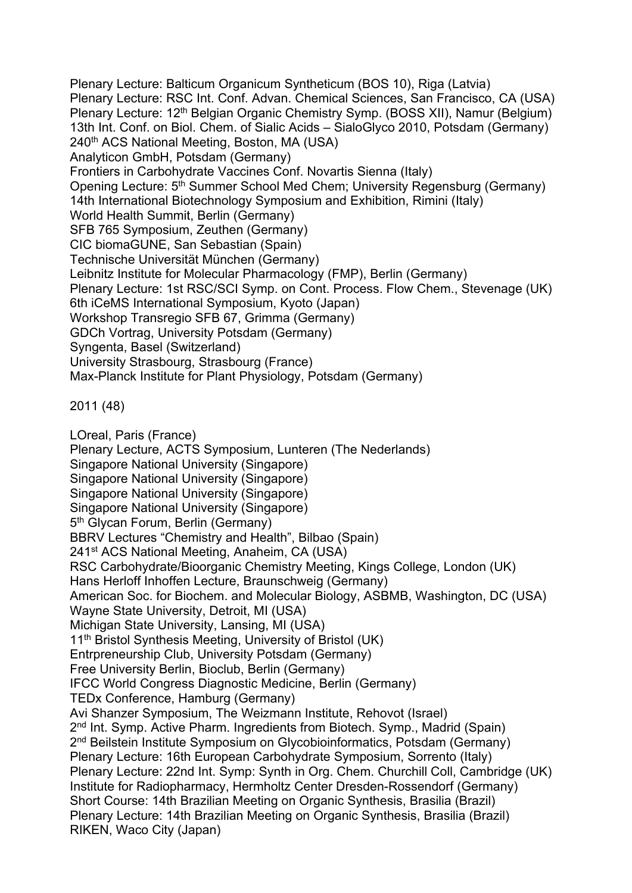Plenary Lecture: Balticum Organicum Syntheticum (BOS 10), Riga (Latvia) Plenary Lecture: RSC Int. Conf. Advan. Chemical Sciences, San Francisco, CA (USA) Plenary Lecture: 12<sup>th</sup> Belgian Organic Chemistry Symp. (BOSS XII), Namur (Belgium) 13th Int. Conf. on Biol. Chem. of Sialic Acids – SialoGlyco 2010, Potsdam (Germany) 240<sup>th</sup> ACS National Meeting, Boston, MA (USA) Analyticon GmbH, Potsdam (Germany) Frontiers in Carbohydrate Vaccines Conf. Novartis Sienna (Italy) Opening Lecture: 5<sup>th</sup> Summer School Med Chem; University Regensburg (Germany) 14th International Biotechnology Symposium and Exhibition, Rimini (Italy) World Health Summit, Berlin (Germany) SFB 765 Symposium, Zeuthen (Germany) CIC biomaGUNE, San Sebastian (Spain) Technische Universität München (Germany) Leibnitz Institute for Molecular Pharmacology (FMP), Berlin (Germany) Plenary Lecture: 1st RSC/SCI Symp. on Cont. Process. Flow Chem., Stevenage (UK) 6th iCeMS International Symposium, Kyoto (Japan) Workshop Transregio SFB 67, Grimma (Germany) GDCh Vortrag, University Potsdam (Germany) Syngenta, Basel (Switzerland) University Strasbourg, Strasbourg (France) Max-Planck Institute for Plant Physiology, Potsdam (Germany)

2011 (48)

LOreal, Paris (France) Plenary Lecture, ACTS Symposium, Lunteren (The Nederlands) Singapore National University (Singapore) Singapore National University (Singapore) Singapore National University (Singapore) Singapore National University (Singapore) 5<sup>th</sup> Glycan Forum, Berlin (Germany) BBRV Lectures "Chemistry and Health", Bilbao (Spain) 241<sup>st</sup> ACS National Meeting, Anaheim, CA (USA) RSC Carbohydrate/Bioorganic Chemistry Meeting, Kings College, London (UK) Hans Herloff Inhoffen Lecture, Braunschweig (Germany) American Soc. for Biochem. and Molecular Biology, ASBMB, Washington, DC (USA) Wayne State University, Detroit, MI (USA) Michigan State University, Lansing, MI (USA) 11<sup>th</sup> Bristol Synthesis Meeting, University of Bristol (UK) Entrpreneurship Club, University Potsdam (Germany) Free University Berlin, Bioclub, Berlin (Germany) IFCC World Congress Diagnostic Medicine, Berlin (Germany) TEDx Conference, Hamburg (Germany) Avi Shanzer Symposium, The Weizmann Institute, Rehovot (Israel) 2<sup>nd</sup> Int. Symp. Active Pharm. Ingredients from Biotech. Symp., Madrid (Spain) 2nd Beilstein Institute Symposium on Glycobioinformatics, Potsdam (Germany) Plenary Lecture: 16th European Carbohydrate Symposium, Sorrento (Italy) Plenary Lecture: 22nd Int. Symp: Synth in Org. Chem. Churchill Coll, Cambridge (UK) Institute for Radiopharmacy, Hermholtz Center Dresden-Rossendorf (Germany) Short Course: 14th Brazilian Meeting on Organic Synthesis, Brasilia (Brazil) Plenary Lecture: 14th Brazilian Meeting on Organic Synthesis, Brasilia (Brazil) RIKEN, Waco City (Japan)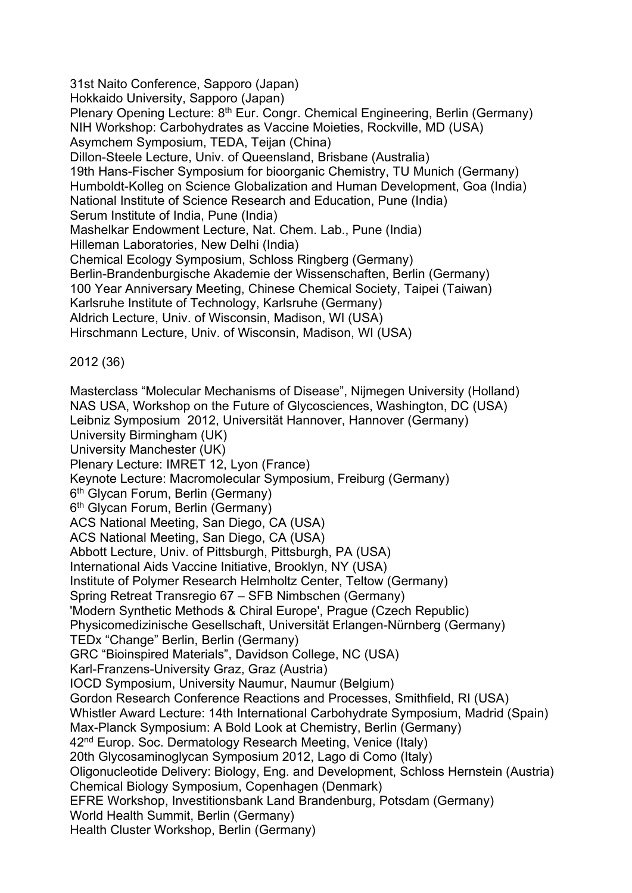31st Naito Conference, Sapporo (Japan) Hokkaido University, Sapporo (Japan) Plenary Opening Lecture: 8<sup>th</sup> Eur. Congr. Chemical Engineering, Berlin (Germany) NIH Workshop: Carbohydrates as Vaccine Moieties, Rockville, MD (USA) Asymchem Symposium, TEDA, Teijan (China) Dillon-Steele Lecture, Univ. of Queensland, Brisbane (Australia) 19th Hans-Fischer Symposium for bioorganic Chemistry, TU Munich (Germany) Humboldt-Kolleg on Science Globalization and Human Development, Goa (India) National Institute of Science Research and Education, Pune (India) Serum Institute of India, Pune (India) Mashelkar Endowment Lecture, Nat. Chem. Lab., Pune (India) Hilleman Laboratories, New Delhi (India) Chemical Ecology Symposium, Schloss Ringberg (Germany) Berlin-Brandenburgische Akademie der Wissenschaften, Berlin (Germany) 100 Year Anniversary Meeting, Chinese Chemical Society, Taipei (Taiwan) Karlsruhe Institute of Technology, Karlsruhe (Germany) Aldrich Lecture, Univ. of Wisconsin, Madison, WI (USA) Hirschmann Lecture, Univ. of Wisconsin, Madison, WI (USA) 2012 (36) Masterclass "Molecular Mechanisms of Disease", Nijmegen University (Holland) NAS USA, Workshop on the Future of Glycosciences, Washington, DC (USA) Leibniz Symposium 2012, Universität Hannover, Hannover (Germany) University Birmingham (UK) University Manchester (UK) Plenary Lecture: IMRET 12, Lyon (France) Keynote Lecture: Macromolecular Symposium, Freiburg (Germany) 6<sup>th</sup> Glycan Forum, Berlin (Germany) 6<sup>th</sup> Glycan Forum, Berlin (Germany) ACS National Meeting, San Diego, CA (USA) ACS National Meeting, San Diego, CA (USA) Abbott Lecture, Univ. of Pittsburgh, Pittsburgh, PA (USA) International Aids Vaccine Initiative, Brooklyn, NY (USA) Institute of Polymer Research Helmholtz Center, Teltow (Germany) Spring Retreat Transregio 67 – SFB Nimbschen (Germany) 'Modern Synthetic Methods & Chiral Europe', Prague (Czech Republic) Physicomedizinische Gesellschaft, Universität Erlangen-Nürnberg (Germany) TEDx "Change" Berlin, Berlin (Germany) GRC "Bioinspired Materials", Davidson College, NC (USA) Karl-Franzens-University Graz, Graz (Austria) IOCD Symposium, University Naumur, Naumur (Belgium) Gordon Research Conference Reactions and Processes, Smithfield, RI (USA) Whistler Award Lecture: 14th International Carbohydrate Symposium, Madrid (Spain) Max-Planck Symposium: A Bold Look at Chemistry, Berlin (Germany)

42<sup>nd</sup> Europ. Soc. Dermatology Research Meeting, Venice (Italy)

20th Glycosaminoglycan Symposium 2012, Lago di Como (Italy)

Oligonucleotide Delivery: Biology, Eng. and Development, Schloss Hernstein (Austria) Chemical Biology Symposium, Copenhagen (Denmark)

EFRE Workshop, Investitionsbank Land Brandenburg, Potsdam (Germany)

World Health Summit, Berlin (Germany)

Health Cluster Workshop, Berlin (Germany)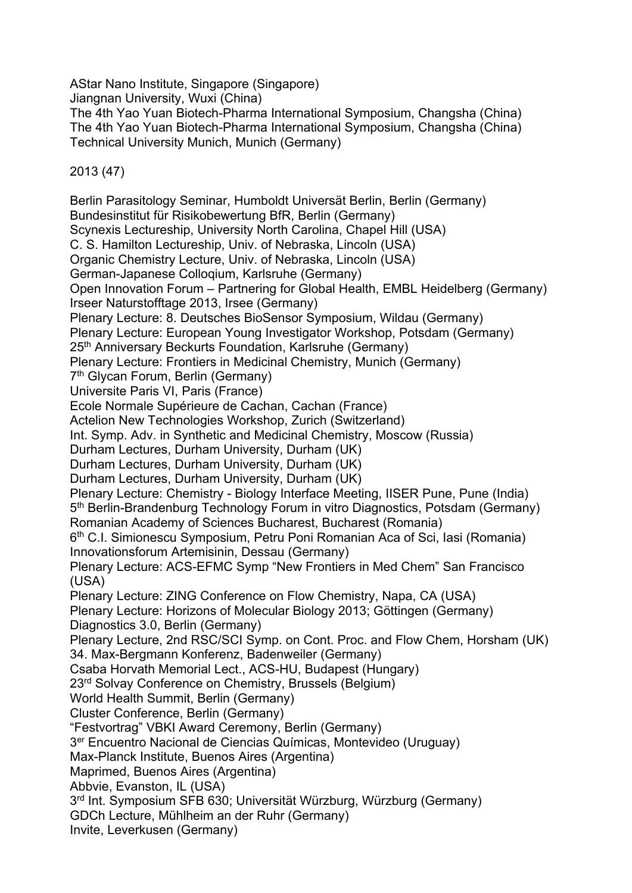AStar Nano Institute, Singapore (Singapore)

Jiangnan University, Wuxi (China)

The 4th Yao Yuan Biotech-Pharma International Symposium, Changsha (China) The 4th Yao Yuan Biotech-Pharma International Symposium, Changsha (China) Technical University Munich, Munich (Germany)

2013 (47)

Berlin Parasitology Seminar, Humboldt Universät Berlin, Berlin (Germany) Bundesinstitut für Risikobewertung BfR, Berlin (Germany) Scynexis Lectureship, University North Carolina, Chapel Hill (USA) C. S. Hamilton Lectureship, Univ. of Nebraska, Lincoln (USA) Organic Chemistry Lecture, Univ. of Nebraska, Lincoln (USA) German-Japanese Colloqium, Karlsruhe (Germany) Open Innovation Forum – Partnering for Global Health, EMBL Heidelberg (Germany) Irseer Naturstofftage 2013, Irsee (Germany) Plenary Lecture: 8. Deutsches BioSensor Symposium, Wildau (Germany) Plenary Lecture: European Young Investigator Workshop, Potsdam (Germany) 25th Anniversary Beckurts Foundation, Karlsruhe (Germany) Plenary Lecture: Frontiers in Medicinal Chemistry, Munich (Germany) 7<sup>th</sup> Glycan Forum, Berlin (Germany) Universite Paris VI, Paris (France) Ecole Normale Supérieure de Cachan, Cachan (France) Actelion New Technologies Workshop, Zurich (Switzerland) Int. Symp. Adv. in Synthetic and Medicinal Chemistry, Moscow (Russia) Durham Lectures, Durham University, Durham (UK) Durham Lectures, Durham University, Durham (UK) Durham Lectures, Durham University, Durham (UK) Plenary Lecture: Chemistry - Biology Interface Meeting, IISER Pune, Pune (India) 5<sup>th</sup> Berlin-Brandenburg Technology Forum in vitro Diagnostics, Potsdam (Germany) Romanian Academy of Sciences Bucharest, Bucharest (Romania) 6th C.I. Simionescu Symposium, Petru Poni Romanian Aca of Sci, Iasi (Romania) Innovationsforum Artemisinin, Dessau (Germany) Plenary Lecture: ACS-EFMC Symp "New Frontiers in Med Chem" San Francisco (USA) Plenary Lecture: ZING Conference on Flow Chemistry, Napa, CA (USA) Plenary Lecture: Horizons of Molecular Biology 2013; Göttingen (Germany) Diagnostics 3.0, Berlin (Germany) Plenary Lecture, 2nd RSC/SCI Symp. on Cont. Proc. and Flow Chem, Horsham (UK) 34. Max-Bergmann Konferenz, Badenweiler (Germany) Csaba Horvath Memorial Lect., ACS-HU, Budapest (Hungary) 23rd Solvay Conference on Chemistry, Brussels (Belgium) World Health Summit, Berlin (Germany) Cluster Conference, Berlin (Germany) "Festvortrag" VBKI Award Ceremony, Berlin (Germany) 3er Encuentro Nacional de Ciencias Químicas, Montevideo (Uruguay) Max-Planck Institute, Buenos Aires (Argentina) Maprimed, Buenos Aires (Argentina) Abbvie, Evanston, IL (USA) 3rd Int. Symposium SFB 630; Universität Würzburg, Würzburg (Germany) GDCh Lecture, Mühlheim an der Ruhr (Germany) Invite, Leverkusen (Germany)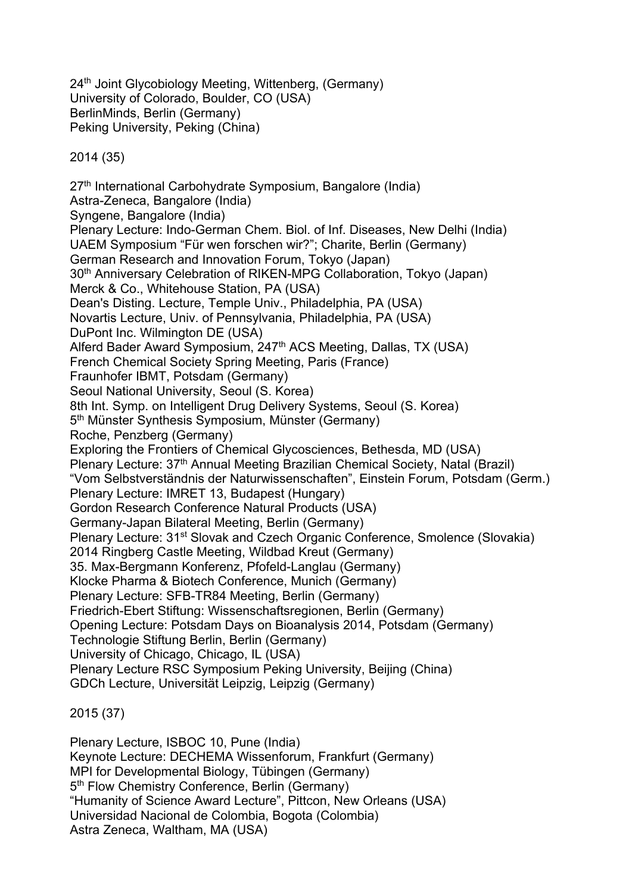24<sup>th</sup> Joint Glycobiology Meeting, Wittenberg, (Germany) University of Colorado, Boulder, CO (USA) BerlinMinds, Berlin (Germany) Peking University, Peking (China)

2014 (35)

27<sup>th</sup> International Carbohydrate Symposium, Bangalore (India) Astra-Zeneca, Bangalore (India) Syngene, Bangalore (India) Plenary Lecture: Indo-German Chem. Biol. of Inf. Diseases, New Delhi (India) UAEM Symposium "Für wen forschen wir?"; Charite, Berlin (Germany) German Research and Innovation Forum, Tokyo (Japan) 30th Anniversary Celebration of RIKEN-MPG Collaboration, Tokyo (Japan) Merck & Co., Whitehouse Station, PA (USA) Dean's Disting. Lecture, Temple Univ., Philadelphia, PA (USA) Novartis Lecture, Univ. of Pennsylvania, Philadelphia, PA (USA) DuPont Inc. Wilmington DE (USA) Alferd Bader Award Symposium, 247<sup>th</sup> ACS Meeting, Dallas, TX (USA) French Chemical Society Spring Meeting, Paris (France) Fraunhofer IBMT, Potsdam (Germany) Seoul National University, Seoul (S. Korea) 8th Int. Symp. on Intelligent Drug Delivery Systems, Seoul (S. Korea) 5<sup>th</sup> Münster Synthesis Symposium, Münster (Germany) Roche, Penzberg (Germany) Exploring the Frontiers of Chemical Glycosciences, Bethesda, MD (USA) Plenary Lecture: 37th Annual Meeting Brazilian Chemical Society, Natal (Brazil) "Vom Selbstverständnis der Naturwissenschaften", Einstein Forum, Potsdam (Germ.) Plenary Lecture: IMRET 13, Budapest (Hungary) Gordon Research Conference Natural Products (USA) Germany-Japan Bilateral Meeting, Berlin (Germany) Plenary Lecture: 31<sup>st</sup> Slovak and Czech Organic Conference, Smolence (Slovakia) 2014 Ringberg Castle Meeting, Wildbad Kreut (Germany) 35. Max-Bergmann Konferenz, Pfofeld-Langlau (Germany) Klocke Pharma & Biotech Conference, Munich (Germany) Plenary Lecture: SFB-TR84 Meeting, Berlin (Germany) Friedrich-Ebert Stiftung: Wissenschaftsregionen, Berlin (Germany) Opening Lecture: Potsdam Days on Bioanalysis 2014, Potsdam (Germany) Technologie Stiftung Berlin, Berlin (Germany) University of Chicago, Chicago, IL (USA) Plenary Lecture RSC Symposium Peking University, Beijing (China) GDCh Lecture, Universität Leipzig, Leipzig (Germany)

2015 (37)

Plenary Lecture, ISBOC 10, Pune (India) Keynote Lecture: DECHEMA Wissenforum, Frankfurt (Germany) MPI for Developmental Biology, Tübingen (Germany) 5<sup>th</sup> Flow Chemistry Conference, Berlin (Germany) "Humanity of Science Award Lecture", Pittcon, New Orleans (USA) Universidad Nacional de Colombia, Bogota (Colombia) Astra Zeneca, Waltham, MA (USA)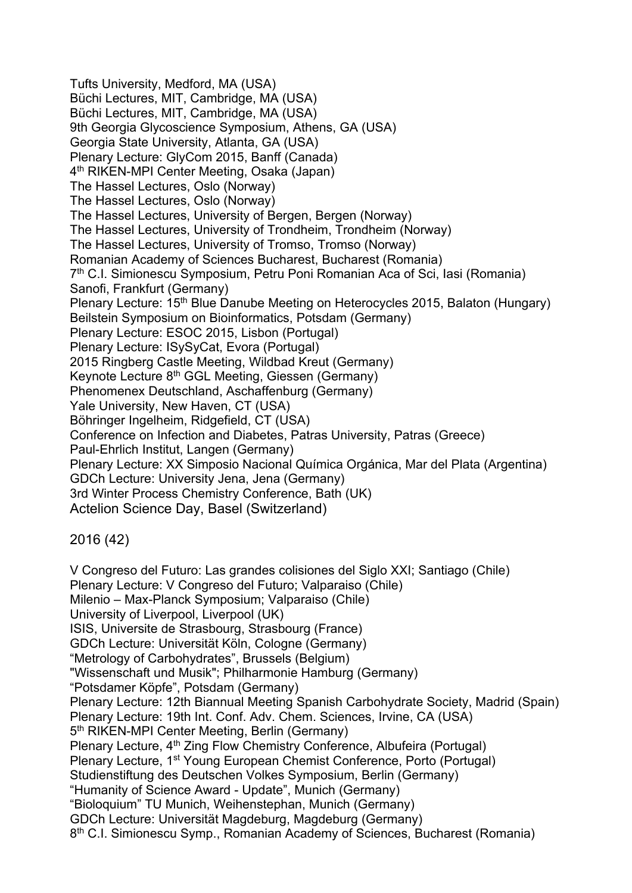Tufts University, Medford, MA (USA) Büchi Lectures, MIT, Cambridge, MA (USA) Büchi Lectures, MIT, Cambridge, MA (USA) 9th Georgia Glycoscience Symposium, Athens, GA (USA) Georgia State University, Atlanta, GA (USA) Plenary Lecture: GlyCom 2015, Banff (Canada) 4th RIKEN-MPI Center Meeting, Osaka (Japan) The Hassel Lectures, Oslo (Norway) The Hassel Lectures, Oslo (Norway) The Hassel Lectures, University of Bergen, Bergen (Norway) The Hassel Lectures, University of Trondheim, Trondheim (Norway) The Hassel Lectures, University of Tromso, Tromso (Norway) Romanian Academy of Sciences Bucharest, Bucharest (Romania) 7<sup>th</sup> C.I. Simionescu Symposium, Petru Poni Romanian Aca of Sci, Iasi (Romania) Sanofi, Frankfurt (Germany) Plenary Lecture: 15<sup>th</sup> Blue Danube Meeting on Heterocycles 2015, Balaton (Hungary) Beilstein Symposium on Bioinformatics, Potsdam (Germany) Plenary Lecture: ESOC 2015, Lisbon (Portugal) Plenary Lecture: ISySyCat, Evora (Portugal) 2015 Ringberg Castle Meeting, Wildbad Kreut (Germany) Keynote Lecture 8th GGL Meeting, Giessen (Germany) Phenomenex Deutschland, Aschaffenburg (Germany) Yale University, New Haven, CT (USA) Böhringer Ingelheim, Ridgefield, CT (USA) Conference on Infection and Diabetes, Patras University, Patras (Greece) Paul-Ehrlich Institut, Langen (Germany) Plenary Lecture: XX Simposio Nacional Química Orgánica, Mar del Plata (Argentina) GDCh Lecture: University Jena, Jena (Germany) 3rd Winter Process Chemistry Conference, Bath (UK) Actelion Science Day, Basel (Switzerland) 2016 (42)

V Congreso del Futuro: Las grandes colisiones del Siglo XXI; Santiago (Chile) Plenary Lecture: V Congreso del Futuro; Valparaiso (Chile) Milenio – Max-Planck Symposium; Valparaiso (Chile) University of Liverpool, Liverpool (UK) ISIS, Universite de Strasbourg, Strasbourg (France) GDCh Lecture: Universität Köln, Cologne (Germany) "Metrology of Carbohydrates", Brussels (Belgium) "Wissenschaft und Musik"; Philharmonie Hamburg (Germany) "Potsdamer Köpfe", Potsdam (Germany) Plenary Lecture: 12th Biannual Meeting Spanish Carbohydrate Society, Madrid (Spain) Plenary Lecture: 19th Int. Conf. Adv. Chem. Sciences, Irvine, CA (USA) 5<sup>th</sup> RIKEN-MPI Center Meeting, Berlin (Germany) Plenary Lecture, 4th Zing Flow Chemistry Conference, Albufeira (Portugal) Plenary Lecture, 1st Young European Chemist Conference, Porto (Portugal) Studienstiftung des Deutschen Volkes Symposium, Berlin (Germany) "Humanity of Science Award - Update", Munich (Germany) "Bioloquium" TU Munich, Weihenstephan, Munich (Germany) GDCh Lecture: Universität Magdeburg, Magdeburg (Germany) 8<sup>th</sup> C.I. Simionescu Symp., Romanian Academy of Sciences, Bucharest (Romania)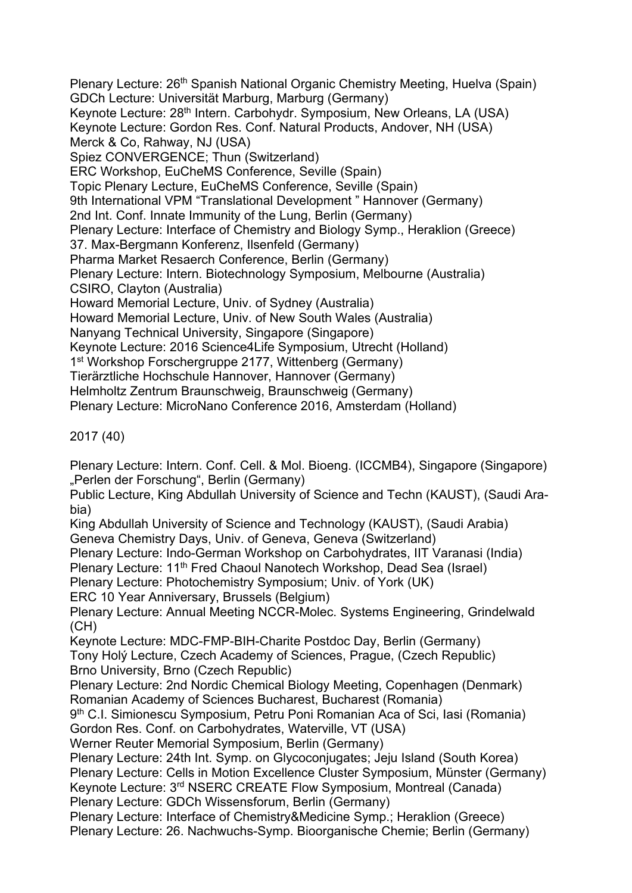Plenary Lecture: 26<sup>th</sup> Spanish National Organic Chemistry Meeting, Huelva (Spain) GDCh Lecture: Universität Marburg, Marburg (Germany) Keynote Lecture: 28th Intern. Carbohydr. Symposium, New Orleans, LA (USA) Keynote Lecture: Gordon Res. Conf. Natural Products, Andover, NH (USA) Merck & Co, Rahway, NJ (USA) Spiez CONVERGENCE; Thun (Switzerland) ERC Workshop, EuCheMS Conference, Seville (Spain) Topic Plenary Lecture, EuCheMS Conference, Seville (Spain) 9th International VPM "Translational Development " Hannover (Germany) 2nd Int. Conf. Innate Immunity of the Lung, Berlin (Germany) Plenary Lecture: Interface of Chemistry and Biology Symp., Heraklion (Greece) 37. Max-Bergmann Konferenz, Ilsenfeld (Germany) Pharma Market Resaerch Conference, Berlin (Germany) Plenary Lecture: Intern. Biotechnology Symposium, Melbourne (Australia) CSIRO, Clayton (Australia) Howard Memorial Lecture, Univ. of Sydney (Australia) Howard Memorial Lecture, Univ. of New South Wales (Australia) Nanyang Technical University, Singapore (Singapore) Keynote Lecture: 2016 Science4Life Symposium, Utrecht (Holland) 1<sup>st</sup> Workshop Forschergruppe 2177, Wittenberg (Germany) Tierärztliche Hochschule Hannover, Hannover (Germany) Helmholtz Zentrum Braunschweig, Braunschweig (Germany) Plenary Lecture: MicroNano Conference 2016, Amsterdam (Holland)

2017 (40)

Plenary Lecture: Intern. Conf. Cell. & Mol. Bioeng. (ICCMB4), Singapore (Singapore) "Perlen der Forschung", Berlin (Germany)

Public Lecture, King Abdullah University of Science and Techn (KAUST), (Saudi Arabia)

King Abdullah University of Science and Technology (KAUST), (Saudi Arabia) Geneva Chemistry Days, Univ. of Geneva, Geneva (Switzerland)

Plenary Lecture: Indo-German Workshop on Carbohydrates, IIT Varanasi (India)

Plenary Lecture: 11<sup>th</sup> Fred Chaoul Nanotech Workshop, Dead Sea (Israel)

Plenary Lecture: Photochemistry Symposium; Univ. of York (UK)

ERC 10 Year Anniversary, Brussels (Belgium)

Plenary Lecture: Annual Meeting NCCR-Molec. Systems Engineering, Grindelwald (CH)

Keynote Lecture: MDC-FMP-BIH-Charite Postdoc Day, Berlin (Germany)

Tony Holý Lecture, Czech Academy of Sciences, Prague, (Czech Republic) Brno University, Brno (Czech Republic)

Plenary Lecture: 2nd Nordic Chemical Biology Meeting, Copenhagen (Denmark) Romanian Academy of Sciences Bucharest, Bucharest (Romania)

9<sup>th</sup> C.I. Simionescu Symposium, Petru Poni Romanian Aca of Sci, Iasi (Romania) Gordon Res. Conf. on Carbohydrates, Waterville, VT (USA)

Werner Reuter Memorial Symposium, Berlin (Germany)

Plenary Lecture: 24th Int. Symp. on Glycoconjugates; Jeju Island (South Korea) Plenary Lecture: Cells in Motion Excellence Cluster Symposium, Münster (Germany) Keynote Lecture: 3rd NSERC CREATE Flow Symposium, Montreal (Canada) Plenary Lecture: GDCh Wissensforum, Berlin (Germany)

Plenary Lecture: Interface of Chemistry&Medicine Symp.; Heraklion (Greece) Plenary Lecture: 26. Nachwuchs-Symp. Bioorganische Chemie; Berlin (Germany)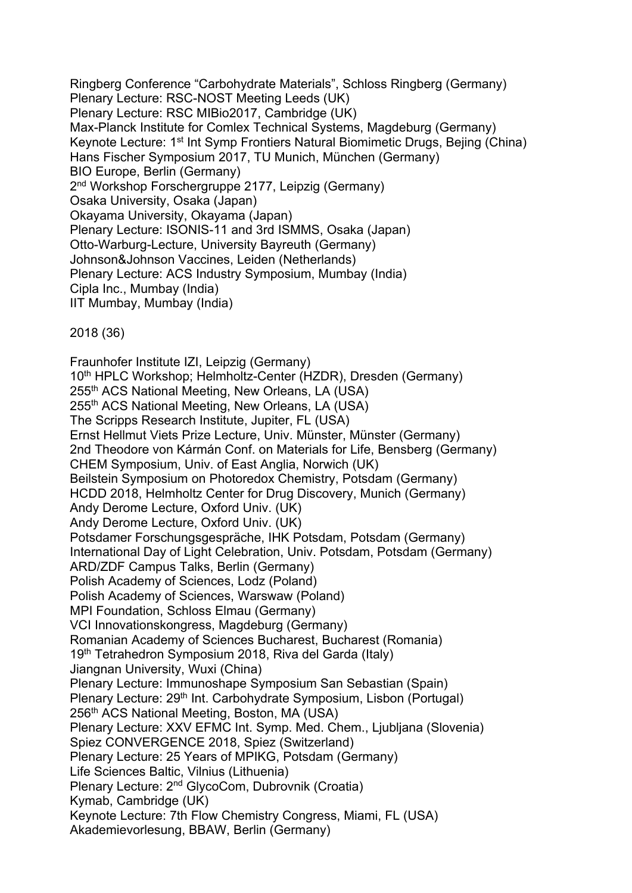Ringberg Conference "Carbohydrate Materials", Schloss Ringberg (Germany) Plenary Lecture: RSC-NOST Meeting Leeds (UK) Plenary Lecture: RSC MIBio2017, Cambridge (UK) Max-Planck Institute for Comlex Technical Systems, Magdeburg (Germany) Keynote Lecture: 1<sup>st</sup> Int Symp Frontiers Natural Biomimetic Drugs, Bejing (China) Hans Fischer Symposium 2017, TU Munich, München (Germany) BIO Europe, Berlin (Germany) 2nd Workshop Forschergruppe 2177, Leipzig (Germany) Osaka University, Osaka (Japan) Okayama University, Okayama (Japan) Plenary Lecture: ISONIS-11 and 3rd ISMMS, Osaka (Japan) Otto-Warburg-Lecture, University Bayreuth (Germany) Johnson&Johnson Vaccines, Leiden (Netherlands) Plenary Lecture: ACS Industry Symposium, Mumbay (India) Cipla Inc., Mumbay (India) IIT Mumbay, Mumbay (India)

2018 (36)

Fraunhofer Institute IZI, Leipzig (Germany) 10<sup>th</sup> HPLC Workshop; Helmholtz-Center (HZDR), Dresden (Germany) 255th ACS National Meeting, New Orleans, LA (USA) 255<sup>th</sup> ACS National Meeting, New Orleans, LA (USA) The Scripps Research Institute, Jupiter, FL (USA) Ernst Hellmut Viets Prize Lecture, Univ. Münster, Münster (Germany) 2nd Theodore von Kármán Conf. on Materials for Life, Bensberg (Germany) CHEM Symposium, Univ. of East Anglia, Norwich (UK) Beilstein Symposium on Photoredox Chemistry, Potsdam (Germany) HCDD 2018, Helmholtz Center for Drug Discovery, Munich (Germany) Andy Derome Lecture, Oxford Univ. (UK) Andy Derome Lecture, Oxford Univ. (UK) Potsdamer Forschungsgespräche, IHK Potsdam, Potsdam (Germany) International Day of Light Celebration, Univ. Potsdam, Potsdam (Germany) ARD/ZDF Campus Talks, Berlin (Germany) Polish Academy of Sciences, Lodz (Poland) Polish Academy of Sciences, Warswaw (Poland) MPI Foundation, Schloss Elmau (Germany) VCI Innovationskongress, Magdeburg (Germany) Romanian Academy of Sciences Bucharest, Bucharest (Romania) 19th Tetrahedron Symposium 2018, Riva del Garda (Italy) Jiangnan University, Wuxi (China) Plenary Lecture: Immunoshape Symposium San Sebastian (Spain) Plenary Lecture: 29<sup>th</sup> Int. Carbohydrate Symposium, Lisbon (Portugal) 256<sup>th</sup> ACS National Meeting, Boston, MA (USA) Plenary Lecture: XXV EFMC Int. Symp. Med. Chem., Ljubljana (Slovenia) Spiez CONVERGENCE 2018, Spiez (Switzerland) Plenary Lecture: 25 Years of MPIKG, Potsdam (Germany) Life Sciences Baltic, Vilnius (Lithuenia) Plenary Lecture: 2nd GlycoCom, Dubrovnik (Croatia) Kymab, Cambridge (UK) Keynote Lecture: 7th Flow Chemistry Congress, Miami, FL (USA) Akademievorlesung, BBAW, Berlin (Germany)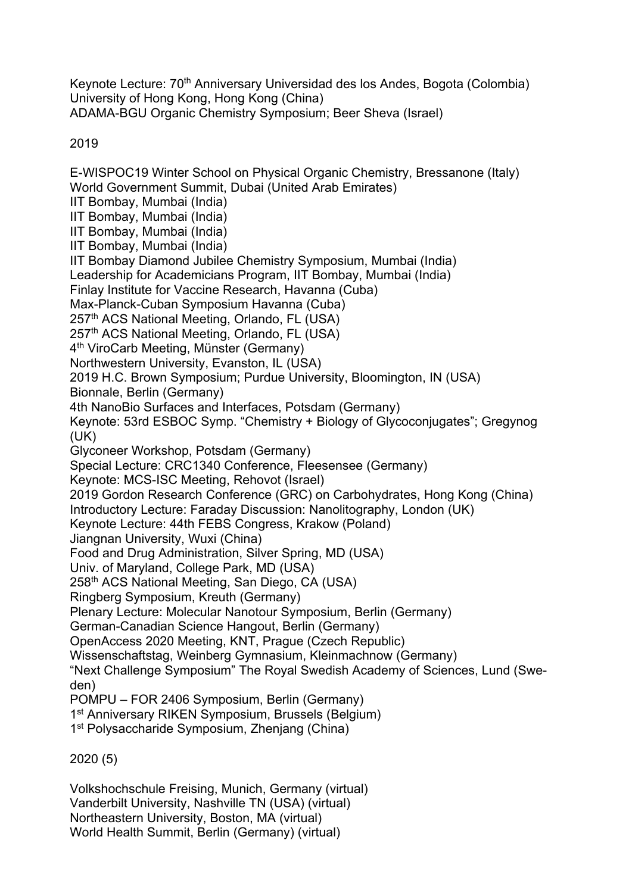Keynote Lecture: 70<sup>th</sup> Anniversary Universidad des los Andes, Bogota (Colombia) University of Hong Kong, Hong Kong (China) ADAMA-BGU Organic Chemistry Symposium; Beer Sheva (Israel)

2019

E-WISPOC19 Winter School on Physical Organic Chemistry, Bressanone (Italy) World Government Summit, Dubai (United Arab Emirates) IIT Bombay, Mumbai (India) IIT Bombay, Mumbai (India) IIT Bombay, Mumbai (India) IIT Bombay, Mumbai (India) IIT Bombay Diamond Jubilee Chemistry Symposium, Mumbai (India) Leadership for Academicians Program, IIT Bombay, Mumbai (India) Finlay Institute for Vaccine Research, Havanna (Cuba) Max-Planck-Cuban Symposium Havanna (Cuba) 257<sup>th</sup> ACS National Meeting, Orlando, FL (USA) 257th ACS National Meeting, Orlando, FL (USA) 4th ViroCarb Meeting, Münster (Germany) Northwestern University, Evanston, IL (USA) 2019 H.C. Brown Symposium; Purdue University, Bloomington, IN (USA) Bionnale, Berlin (Germany) 4th NanoBio Surfaces and Interfaces, Potsdam (Germany) Keynote: 53rd ESBOC Symp. "Chemistry + Biology of Glycoconjugates"; Gregynog (UK) Glyconeer Workshop, Potsdam (Germany) Special Lecture: CRC1340 Conference, Fleesensee (Germany) Keynote: MCS-ISC Meeting, Rehovot (Israel) 2019 Gordon Research Conference (GRC) on Carbohydrates, Hong Kong (China) Introductory Lecture: Faraday Discussion: Nanolitography, London (UK) Keynote Lecture: 44th FEBS Congress, Krakow (Poland) Jiangnan University, Wuxi (China) Food and Drug Administration, Silver Spring, MD (USA) Univ. of Maryland, College Park, MD (USA) 258th ACS National Meeting, San Diego, CA (USA) Ringberg Symposium, Kreuth (Germany) Plenary Lecture: Molecular Nanotour Symposium, Berlin (Germany) German-Canadian Science Hangout, Berlin (Germany) OpenAccess 2020 Meeting, KNT, Prague (Czech Republic) Wissenschaftstag, Weinberg Gymnasium, Kleinmachnow (Germany) "Next Challenge Symposium" The Royal Swedish Academy of Sciences, Lund (Sweden) POMPU – FOR 2406 Symposium, Berlin (Germany) 1st Anniversary RIKEN Symposium, Brussels (Belgium) 1st Polysaccharide Symposium, Zhenjang (China) 2020 (5)

Volkshochschule Freising, Munich, Germany (virtual) Vanderbilt University, Nashville TN (USA) (virtual) Northeastern University, Boston, MA (virtual) World Health Summit, Berlin (Germany) (virtual)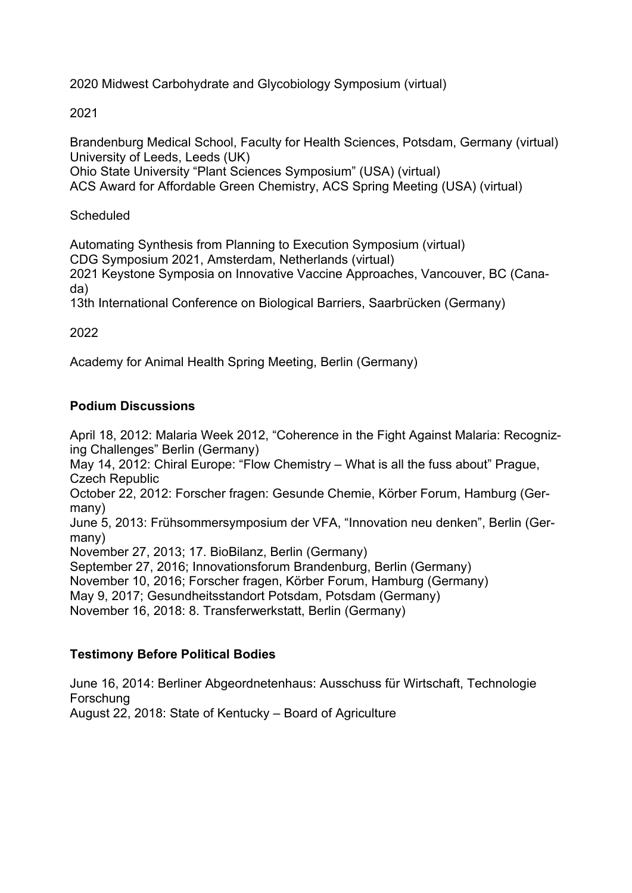2020 Midwest Carbohydrate and Glycobiology Symposium (virtual)

#### 2021

Brandenburg Medical School, Faculty for Health Sciences, Potsdam, Germany (virtual) University of Leeds, Leeds (UK) Ohio State University "Plant Sciences Symposium" (USA) (virtual)

ACS Award for Affordable Green Chemistry, ACS Spring Meeting (USA) (virtual)

### **Scheduled**

Automating Synthesis from Planning to Execution Symposium (virtual) CDG Symposium 2021, Amsterdam, Netherlands (virtual) 2021 Keystone Symposia on Innovative Vaccine Approaches, Vancouver, BC (Canada)

13th International Conference on Biological Barriers, Saarbrücken (Germany)

### 2022

Academy for Animal Health Spring Meeting, Berlin (Germany)

### **Podium Discussions**

April 18, 2012: Malaria Week 2012, "Coherence in the Fight Against Malaria: Recognizing Challenges" Berlin (Germany)

May 14, 2012: Chiral Europe: "Flow Chemistry – What is all the fuss about" Prague, Czech Republic

October 22, 2012: Forscher fragen: Gesunde Chemie, Körber Forum, Hamburg (Germany)

June 5, 2013: Frühsommersymposium der VFA, "Innovation neu denken", Berlin (Germany)

November 27, 2013; 17. BioBilanz, Berlin (Germany)

September 27, 2016; Innovationsforum Brandenburg, Berlin (Germany)

November 10, 2016; Forscher fragen, Körber Forum, Hamburg (Germany)

May 9, 2017; Gesundheitsstandort Potsdam, Potsdam (Germany)

November 16, 2018: 8. Transferwerkstatt, Berlin (Germany)

### **Testimony Before Political Bodies**

June 16, 2014: Berliner Abgeordnetenhaus: Ausschuss für Wirtschaft, Technologie Forschung August 22, 2018: State of Kentucky – Board of Agriculture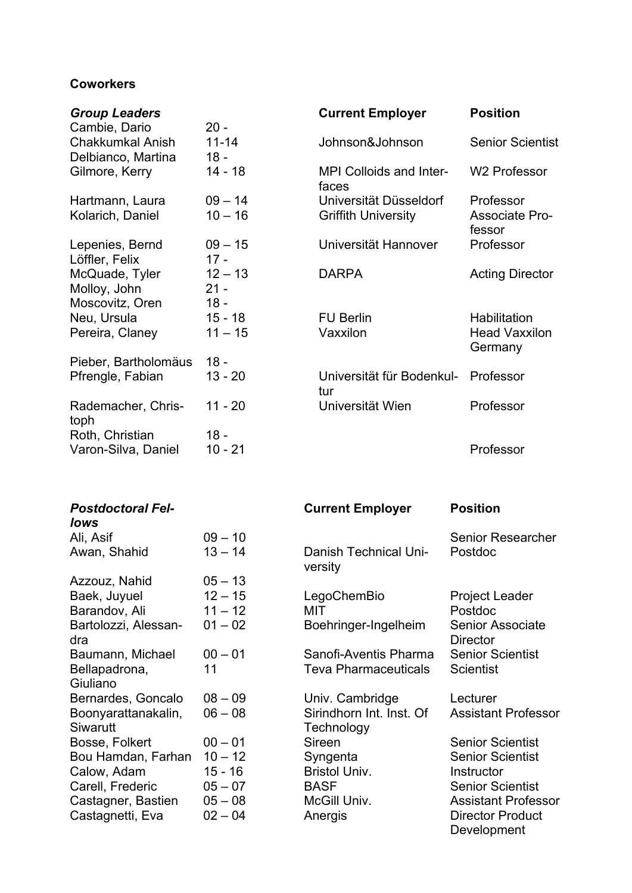## **Coworkers**

| <b>Group Leaders</b>                              |                               | <b>Current Employer</b>                 | <b>Position</b>                 |
|---------------------------------------------------|-------------------------------|-----------------------------------------|---------------------------------|
| Cambie, Dario                                     | $20 -$                        |                                         |                                 |
| <b>Chakkumkal Anish</b>                           | $11 - 14$                     | Johnson&Johnson                         | <b>Senior Scientist</b>         |
| Delbianco, Martina                                | $18 -$                        |                                         |                                 |
| Gilmore, Kerry                                    | $14 - 18$                     | <b>MPI Colloids and Inter-</b><br>faces | <b>W2 Professor</b>             |
| Hartmann, Laura                                   | $09 - 14$                     | Universität Düsseldorf                  | Professor                       |
| Kolarich, Daniel                                  | $10 - 16$                     | <b>Griffith University</b>              | <b>Associate Pro-</b><br>fessor |
| Lepenies, Bernd<br>Löffler, Felix                 | $09 - 15$<br>$17 -$           | Universität Hannover                    | Professor                       |
| McQuade, Tyler<br>Molloy, John<br>Moscovitz, Oren | $12 - 13$<br>$21 -$<br>$18 -$ | <b>DARPA</b>                            | <b>Acting Director</b>          |
| Neu, Ursula                                       | $15 - 18$                     | <b>FU Berlin</b>                        | Habilitation                    |
| Pereira, Claney                                   | $11 - 15$                     | Vaxxilon                                | <b>Head Vaxxilon</b><br>Germany |
| Pieber, Bartholomäus                              | $18 -$                        |                                         |                                 |
| Pfrengle, Fabian                                  | $13 - 20$                     | Universität für Bodenkul-<br>tur        | Professor                       |
| Rademacher, Chris-<br>toph                        | $11 - 20$                     | Universität Wien                        | Professor                       |
| Roth, Christian                                   | $18 -$                        |                                         |                                 |
| Varon-Silva, Daniel                               | $10 - 21$                     |                                         | Professor                       |

| <b>Postdoctoral Fel-</b><br>lows       |           | <b>Current Employer</b>                | <b>Position</b>                            |
|----------------------------------------|-----------|----------------------------------------|--------------------------------------------|
| Ali, Asif                              | $09 - 10$ |                                        | <b>Senior Researcher</b>                   |
| Awan, Shahid                           | $13 - 14$ | Danish Technical Uni-<br>versity       | Postdoc                                    |
| Azzouz, Nahid                          | $05 - 13$ |                                        |                                            |
| Baek, Juyuel                           | $12 - 15$ | LegoChemBio                            | <b>Project Leader</b>                      |
| Barandov, Ali                          | $11 - 12$ | MIT                                    | Postdoc                                    |
| Bartolozzi, Alessan-<br>dra            | $01 - 02$ | Boehringer-Ingelheim                   | <b>Senior Associate</b><br><b>Director</b> |
| Baumann, Michael                       | $00 - 01$ | Sanofi-Aventis Pharma                  | <b>Senior Scientist</b>                    |
| Bellapadrona,<br>Giuliano              | 11        | <b>Teva Pharmaceuticals</b>            | <b>Scientist</b>                           |
| Bernardes, Goncalo                     | $08 - 09$ | Univ. Cambridge                        | Lecturer                                   |
| Boonyarattanakalin,<br><b>Siwarutt</b> | $06 - 08$ | Sirindhorn Int. Inst. Of<br>Technology | <b>Assistant Professor</b>                 |
| Bosse, Folkert                         | $00 - 01$ | Sireen                                 | <b>Senior Scientist</b>                    |
| Bou Hamdan, Farhan                     | $10 - 12$ | Syngenta                               | <b>Senior Scientist</b>                    |
| Calow, Adam                            | $15 - 16$ | <b>Bristol Univ.</b>                   | Instructor                                 |
| Carell, Frederic                       | $05 - 07$ | <b>BASF</b>                            | <b>Senior Scientist</b>                    |
| Castagner, Bastien                     | $05 - 08$ | McGill Univ.                           | <b>Assistant Professor</b>                 |
| Castagnetti, Eva                       | $02 - 04$ | Anergis                                | <b>Director Product</b><br>Development     |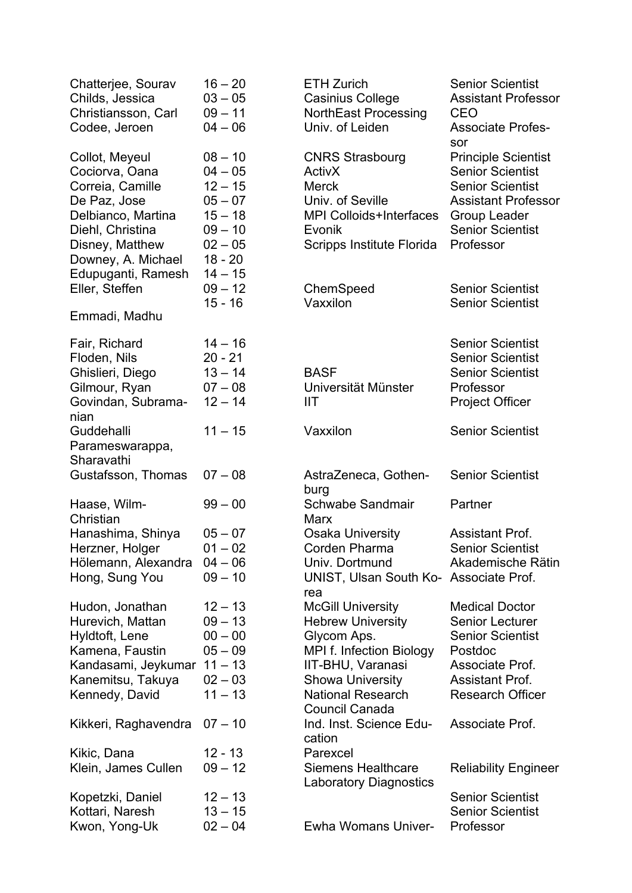| Chatterjee, Sourav<br>Childs, Jessica<br>Christiansson, Carl<br>Codee, Jeroen                                                                           | $16 - 20$<br>$03 - 05$<br>$09 - 11$<br>$04 - 06$                                                     | <b>ETH Zurich</b><br><b>Casinius College</b><br><b>NorthEast Processing</b><br>Univ. of Leiden                                                       | <b>Senior Scientist</b><br><b>Assistant Professor</b><br><b>CEO</b><br><b>Associate Profes-</b><br>sor                                                                        |
|---------------------------------------------------------------------------------------------------------------------------------------------------------|------------------------------------------------------------------------------------------------------|------------------------------------------------------------------------------------------------------------------------------------------------------|-------------------------------------------------------------------------------------------------------------------------------------------------------------------------------|
| Collot, Meyeul<br>Cociorva, Oana<br>Correia, Camille<br>De Paz, Jose<br>Delbianco, Martina<br>Diehl, Christina<br>Disney, Matthew<br>Downey, A. Michael | $08 - 10$<br>$04 - 05$<br>$12 - 15$<br>$05 - 07$<br>$15 - 18$<br>$09 - 10$<br>$02 - 05$<br>$18 - 20$ | <b>CNRS Strasbourg</b><br><b>ActivX</b><br><b>Merck</b><br>Univ. of Seville<br><b>MPI Colloids+Interfaces</b><br>Evonik<br>Scripps Institute Florida | <b>Principle Scientist</b><br><b>Senior Scientist</b><br><b>Senior Scientist</b><br><b>Assistant Professor</b><br><b>Group Leader</b><br><b>Senior Scientist</b><br>Professor |
| Edupuganti, Ramesh<br>Eller, Steffen                                                                                                                    | $14 - 15$<br>$09 - 12$<br>$15 - 16$                                                                  | ChemSpeed<br>Vaxxilon                                                                                                                                | <b>Senior Scientist</b><br><b>Senior Scientist</b>                                                                                                                            |
| Emmadi, Madhu                                                                                                                                           |                                                                                                      |                                                                                                                                                      |                                                                                                                                                                               |
| Fair, Richard<br>Floden, Nils<br>Ghislieri, Diego<br>Gilmour, Ryan                                                                                      | $14 - 16$<br>$20 - 21$<br>$13 - 14$<br>$07 - 08$                                                     | <b>BASF</b><br>Universität Münster                                                                                                                   | <b>Senior Scientist</b><br><b>Senior Scientist</b><br><b>Senior Scientist</b><br>Professor                                                                                    |
| Govindan, Subrama-<br>nian                                                                                                                              | $12 - 14$                                                                                            | <b>IIT</b>                                                                                                                                           | <b>Project Officer</b>                                                                                                                                                        |
| Guddehalli<br>Parameswarappa,<br>Sharavathi                                                                                                             | $11 - 15$                                                                                            | Vaxxilon                                                                                                                                             | <b>Senior Scientist</b>                                                                                                                                                       |
| Gustafsson, Thomas                                                                                                                                      | $07 - 08$                                                                                            | AstraZeneca, Gothen-<br>burg                                                                                                                         | <b>Senior Scientist</b>                                                                                                                                                       |
| Haase, Wilm-<br>Christian                                                                                                                               | $99 - 00$                                                                                            | <b>Schwabe Sandmair</b><br>Marx                                                                                                                      | Partner                                                                                                                                                                       |
| Hanashima, Shinya<br>Herzner, Holger                                                                                                                    | $05 - 07$<br>$01 - 02$                                                                               | <b>Osaka University</b><br>Corden Pharma                                                                                                             | <b>Assistant Prof.</b><br><b>Senior Scientist</b>                                                                                                                             |
| Hölemann, Alexandra<br>Hong, Sung You                                                                                                                   | $04 - 06$<br>$09 - 10$                                                                               | Univ. Dortmund<br>UNIST, Ulsan South Ko- Associate Prof.<br>rea                                                                                      | Akademische Rätin                                                                                                                                                             |
| Hudon, Jonathan<br>Hurevich, Mattan<br>Hyldtoft, Lene<br>Kamena, Faustin                                                                                | $12 - 13$<br>$09 - 13$<br>$00 - 00$<br>$05 - 09$                                                     | <b>McGill University</b><br><b>Hebrew University</b><br>Glycom Aps.<br><b>MPI f. Infection Biology</b>                                               | <b>Medical Doctor</b><br><b>Senior Lecturer</b><br><b>Senior Scientist</b><br>Postdoc                                                                                         |
| Kandasami, Jeykumar 11 - 13                                                                                                                             |                                                                                                      | IIT-BHU, Varanasi                                                                                                                                    | Associate Prof.                                                                                                                                                               |
| Kanemitsu, Takuya                                                                                                                                       | $02 - 03$                                                                                            | <b>Showa University</b>                                                                                                                              | <b>Assistant Prof.</b>                                                                                                                                                        |
| Kennedy, David                                                                                                                                          | $11 - 13$                                                                                            | <b>National Research</b><br><b>Council Canada</b>                                                                                                    | <b>Research Officer</b>                                                                                                                                                       |
| Kikkeri, Raghavendra                                                                                                                                    | $07 - 10$                                                                                            | Ind. Inst. Science Edu-<br>cation                                                                                                                    | Associate Prof.                                                                                                                                                               |
| Kikic, Dana<br>Klein, James Cullen                                                                                                                      | $12 - 13$<br>$09 - 12$                                                                               | Parexcel<br><b>Siemens Healthcare</b><br><b>Laboratory Diagnostics</b>                                                                               | <b>Reliability Engineer</b>                                                                                                                                                   |
| Kopetzki, Daniel<br>Kottari, Naresh<br>Kwon, Yong-Uk                                                                                                    | $12 - 13$<br>$13 - 15$<br>$02 - 04$                                                                  | <b>Ewha Womans Univer-</b>                                                                                                                           | <b>Senior Scientist</b><br><b>Senior Scientist</b><br>Professor                                                                                                               |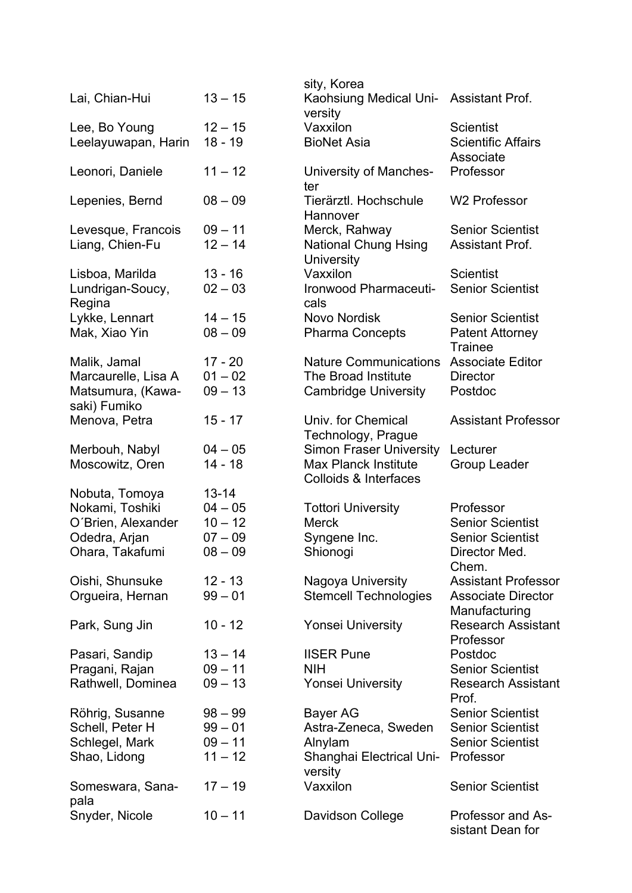|                                   |           | sity, Korea                                                     |                                              |
|-----------------------------------|-----------|-----------------------------------------------------------------|----------------------------------------------|
| Lai, Chian-Hui                    | $13 - 15$ | Kaohsiung Medical Uni- Assistant Prof.<br>versity               |                                              |
| Lee, Bo Young                     | $12 - 15$ | Vaxxilon                                                        | <b>Scientist</b>                             |
| Leelayuwapan, Harin               | $18 - 19$ | <b>BioNet Asia</b>                                              | <b>Scientific Affairs</b><br>Associate       |
| Leonori, Daniele                  | $11 - 12$ | University of Manches-<br>ter                                   | Professor                                    |
| Lepenies, Bernd                   | $08 - 09$ | Tierärztl. Hochschule<br>Hannover                               | <b>W2 Professor</b>                          |
| Levesque, Francois                | $09 - 11$ | Merck, Rahway                                                   | <b>Senior Scientist</b>                      |
| Liang, Chien-Fu                   | $12 - 14$ | <b>National Chung Hsing</b><br><b>University</b>                | <b>Assistant Prof.</b>                       |
| Lisboa, Marilda                   | $13 - 16$ | Vaxxilon                                                        | <b>Scientist</b>                             |
| Lundrigan-Soucy,<br>Regina        | $02 - 03$ | Ironwood Pharmaceuti-<br>cals                                   | <b>Senior Scientist</b>                      |
| Lykke, Lennart                    | $14 - 15$ | Novo Nordisk                                                    | <b>Senior Scientist</b>                      |
| Mak, Xiao Yin                     | $08 - 09$ | <b>Pharma Concepts</b>                                          | <b>Patent Attorney</b><br><b>Trainee</b>     |
| Malik, Jamal                      | $17 - 20$ | <b>Nature Communications</b>                                    | <b>Associate Editor</b>                      |
| Marcaurelle, Lisa A               | $01 - 02$ | The Broad Institute                                             | <b>Director</b>                              |
| Matsumura, (Kawa-<br>saki) Fumiko | $09 - 13$ | <b>Cambridge University</b>                                     | Postdoc                                      |
| Menova, Petra                     | $15 - 17$ | Univ. for Chemical<br>Technology, Prague                        | <b>Assistant Professor</b>                   |
| Merbouh, Nabyl                    | $04 - 05$ | <b>Simon Fraser University</b>                                  | Lecturer                                     |
| Moscowitz, Oren                   | $14 - 18$ | <b>Max Planck Institute</b><br><b>Colloids &amp; Interfaces</b> | <b>Group Leader</b>                          |
| Nobuta, Tomoya                    | $13 - 14$ |                                                                 |                                              |
| Nokami, Toshiki                   | $04 - 05$ | <b>Tottori University</b>                                       | Professor                                    |
| O'Brien, Alexander                | $10 - 12$ | <b>Merck</b>                                                    | <b>Senior Scientist</b>                      |
| Odedra, Arjan                     | $07 - 09$ | Syngene Inc.                                                    | <b>Senior Scientist</b>                      |
| Ohara, Takafumi                   | $08 - 09$ | Shionogi                                                        | Director Med.<br>Chem.                       |
| Oishi, Shunsuke                   | $12 - 13$ | Nagoya University                                               | <b>Assistant Professor</b>                   |
| Orgueira, Hernan                  | $99 - 01$ | <b>Stemcell Technologies</b>                                    | <b>Associate Director</b><br>Manufacturing   |
| Park, Sung Jin                    | $10 - 12$ | <b>Yonsei University</b>                                        | <b>Research Assistant</b><br>Professor       |
| Pasari, Sandip                    | $13 - 14$ | <b>IISER Pune</b>                                               | Postdoc                                      |
| Pragani, Rajan                    | $09 - 11$ | <b>NIH</b>                                                      | <b>Senior Scientist</b>                      |
| Rathwell, Dominea                 | $09 - 13$ | <b>Yonsei University</b>                                        | <b>Research Assistant</b><br>Prof.           |
| Röhrig, Susanne                   | $98 - 99$ | <b>Bayer AG</b>                                                 | <b>Senior Scientist</b>                      |
| Schell, Peter H                   | $99 - 01$ | Astra-Zeneca, Sweden                                            | <b>Senior Scientist</b>                      |
| Schlegel, Mark                    | $09 - 11$ | Alnylam                                                         | <b>Senior Scientist</b>                      |
| Shao, Lidong                      | $11 - 12$ | Shanghai Electrical Uni-<br>versity                             | Professor                                    |
| Someswara, Sana-<br>pala          | $17 - 19$ | Vaxxilon                                                        | <b>Senior Scientist</b>                      |
| Snyder, Nicole                    | $10 - 11$ | Davidson College                                                | <b>Professor and As-</b><br>sistant Dean for |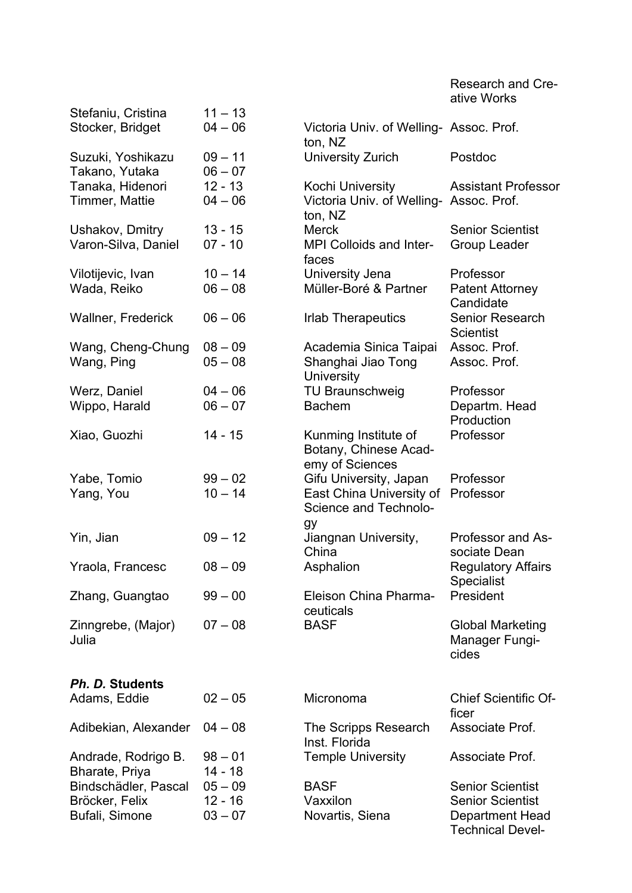Research and Creative Works

| Stefaniu, Cristina        | $11 - 13$ |                                         |                             |
|---------------------------|-----------|-----------------------------------------|-----------------------------|
| Stocker, Bridget          | $04 - 06$ | Victoria Univ. of Welling- Assoc. Prof. |                             |
|                           |           | ton, NZ                                 |                             |
| Suzuki, Yoshikazu         | $09 - 11$ | University Zurich                       | Postdoc                     |
| Takano, Yutaka            | $06 - 07$ |                                         |                             |
| Tanaka, Hidenori          | $12 - 13$ | Kochi University                        | <b>Assistant Professor</b>  |
| Timmer, Mattie            | $04 - 06$ | Victoria Univ. of Welling- Assoc. Prof. |                             |
|                           |           | ton, NZ                                 |                             |
| Ushakov, Dmitry           | $13 - 15$ | <b>Merck</b>                            | <b>Senior Scientist</b>     |
|                           |           |                                         |                             |
| Varon-Silva, Daniel       | $07 - 10$ | <b>MPI Colloids and Inter-</b>          | Group Leader                |
|                           |           | faces                                   |                             |
| Vilotijevic, Ivan         | $10 - 14$ | University Jena                         | Professor                   |
| Wada, Reiko               | $06 - 08$ | Müller-Boré & Partner                   | <b>Patent Attorney</b>      |
|                           |           |                                         | Candidate                   |
| <b>Wallner, Frederick</b> | $06 - 06$ | <b>Irlab Therapeutics</b>               | <b>Senior Research</b>      |
|                           |           |                                         | <b>Scientist</b>            |
| Wang, Cheng-Chung         | $08 - 09$ | Academia Sinica Taipai                  | Assoc. Prof.                |
| Wang, Ping                | $05 - 08$ | Shanghai Jiao Tong                      | Assoc. Prof.                |
|                           |           | University                              |                             |
| Werz, Daniel              | $04 - 06$ | <b>TU Braunschweig</b>                  | Professor                   |
| Wippo, Harald             | $06 - 07$ | <b>Bachem</b>                           | Departm. Head               |
|                           |           |                                         | Production                  |
| Xiao, Guozhi              | 14 - 15   | Kunming Institute of                    | Professor                   |
|                           |           | Botany, Chinese Acad-                   |                             |
|                           |           | emy of Sciences                         |                             |
|                           |           |                                         |                             |
| Yabe, Tomio               | $99 - 02$ | Gifu University, Japan                  | Professor                   |
| Yang, You                 | $10 - 14$ | East China University of                | Professor                   |
|                           |           | Science and Technolo-                   |                             |
|                           |           | gу                                      |                             |
| Yin, Jian                 | $09 - 12$ | Jiangnan University,                    | Professor and As-           |
|                           |           | China                                   | sociate Dean                |
| Yraola, Francesc          | $08 - 09$ | Asphalion                               | <b>Regulatory Affairs</b>   |
|                           |           |                                         | <b>Specialist</b>           |
| Zhang, Guangtao           | $99 - 00$ | Eleison China Pharma-                   | President                   |
|                           |           | ceuticals                               |                             |
| Zinngrebe, (Major)        | $07 - 08$ | <b>BASF</b>                             | <b>Global Marketing</b>     |
| Julia                     |           |                                         | Manager Fungi-              |
|                           |           |                                         | cides                       |
|                           |           |                                         |                             |
| Ph. D. Students           |           |                                         |                             |
| Adams, Eddie              | $02 - 05$ | Micronoma                               | <b>Chief Scientific Of-</b> |
|                           |           |                                         | ficer                       |
|                           | $04 - 08$ |                                         | Associate Prof.             |
| Adibekian, Alexander      |           | The Scripps Research                    |                             |
|                           |           | Inst. Florida                           |                             |
| Andrade, Rodrigo B.       | $98 - 01$ | <b>Temple University</b>                | Associate Prof.             |
| Bharate, Priya            | 14 - 18   |                                         |                             |
| Bindschädler, Pascal      | $05 - 09$ | <b>BASF</b>                             | <b>Senior Scientist</b>     |
| Bröcker, Felix            | $12 - 16$ | Vaxxilon                                | <b>Senior Scientist</b>     |
| Bufali, Simone            | $03 - 07$ | Novartis, Siena                         | <b>Department Head</b>      |
|                           |           |                                         | <b>Technical Devel-</b>     |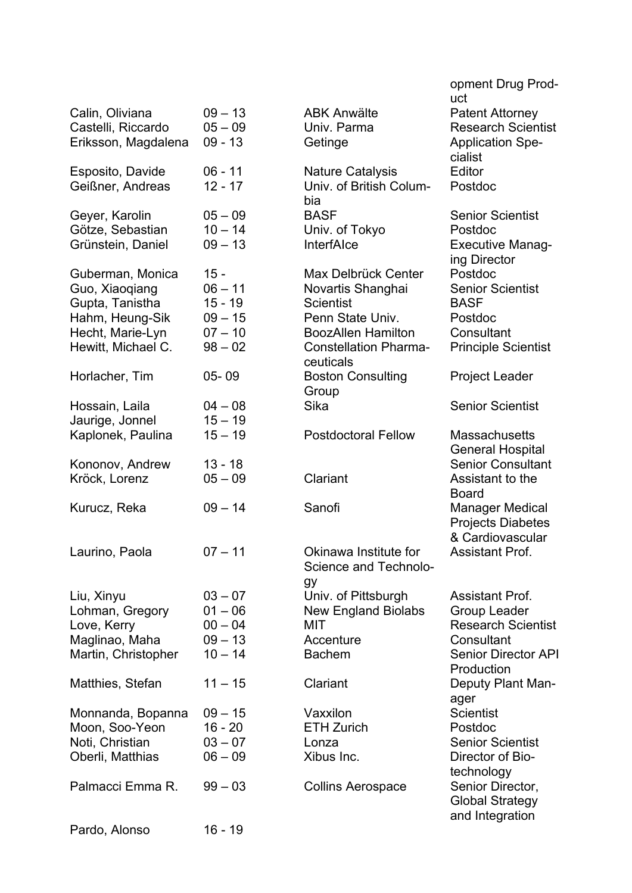|                     |           |                                           | opment Drug Prod-<br>uct   |
|---------------------|-----------|-------------------------------------------|----------------------------|
| Calin, Oliviana     | $09 - 13$ | <b>ABK Anwälte</b>                        | <b>Patent Attorney</b>     |
| Castelli, Riccardo  | $05 - 09$ | Univ. Parma                               | <b>Research Scientist</b>  |
| Eriksson, Magdalena | $09 - 13$ | Getinge                                   | <b>Application Spe-</b>    |
|                     |           |                                           | cialist                    |
| Esposito, Davide    | $06 - 11$ | <b>Nature Catalysis</b>                   | Editor                     |
| Geißner, Andreas    | $12 - 17$ | Univ. of British Colum-                   | Postdoc                    |
|                     |           | bia                                       |                            |
| Geyer, Karolin      | $05 - 09$ | <b>BASF</b>                               | <b>Senior Scientist</b>    |
| Götze, Sebastian    | $10 - 14$ | Univ. of Tokyo                            | Postdoc                    |
| Grünstein, Daniel   | $09 - 13$ | <b>InterfAlce</b>                         | <b>Executive Manag-</b>    |
|                     |           |                                           | ing Director               |
| Guberman, Monica    | $15 -$    | Max Delbrück Center                       | Postdoc                    |
| Guo, Xiaoqiang      | $06 - 11$ | Novartis Shanghai                         | <b>Senior Scientist</b>    |
| Gupta, Tanistha     | $15 - 19$ | <b>Scientist</b>                          | <b>BASF</b>                |
| Hahm, Heung-Sik     | $09 - 15$ | Penn State Univ.                          | Postdoc                    |
| Hecht, Marie-Lyn    | $07 - 10$ | <b>BoozAllen Hamilton</b>                 | Consultant                 |
| Hewitt, Michael C.  | $98 - 02$ | <b>Constellation Pharma-</b><br>ceuticals | <b>Principle Scientist</b> |
| Horlacher, Tim      | $05 - 09$ | <b>Boston Consulting</b>                  | Project Leader             |
|                     |           | Group                                     |                            |
| Hossain, Laila      | $04 - 08$ | Sika                                      | <b>Senior Scientist</b>    |
| Jaurige, Jonnel     | $15 - 19$ |                                           |                            |
| Kaplonek, Paulina   | $15 - 19$ | <b>Postdoctoral Fellow</b>                | <b>Massachusetts</b>       |
|                     |           |                                           | <b>General Hospital</b>    |
| Kononov, Andrew     | $13 - 18$ |                                           | <b>Senior Consultant</b>   |
| Kröck, Lorenz       | $05 - 09$ | Clariant                                  | Assistant to the           |
|                     |           |                                           | <b>Board</b>               |
| Kurucz, Reka        | $09 - 14$ | Sanofi                                    | <b>Manager Medical</b>     |
|                     |           |                                           | <b>Projects Diabetes</b>   |
|                     |           |                                           | & Cardiovascular           |
| Laurino, Paola      | $07 - 11$ | Okinawa Institute for                     | <b>Assistant Prof.</b>     |
|                     |           | Science and Technolo-                     |                            |
|                     |           | gy                                        |                            |
| Liu, Xinyu          | $03 - 07$ | Univ. of Pittsburgh                       | <b>Assistant Prof.</b>     |
| Lohman, Gregory     | $01 - 06$ | <b>New England Biolabs</b>                | <b>Group Leader</b>        |
| Love, Kerry         | $00 - 04$ | MIT                                       | <b>Research Scientist</b>  |
| Maglinao, Maha      | $09 - 13$ | Accenture                                 | Consultant                 |
| Martin, Christopher | $10 - 14$ | <b>Bachem</b>                             | <b>Senior Director API</b> |
|                     |           |                                           | Production                 |
| Matthies, Stefan    | $11 - 15$ | Clariant                                  | Deputy Plant Man-          |
|                     |           |                                           | ager                       |
| Monnanda, Bopanna   | $09 - 15$ | Vaxxilon                                  | <b>Scientist</b>           |
| Moon, Soo-Yeon      | $16 - 20$ | <b>ETH Zurich</b>                         | Postdoc                    |
| Noti, Christian     | $03 - 07$ | Lonza                                     | <b>Senior Scientist</b>    |
| Oberli, Matthias    | $06 - 09$ | Xibus Inc.                                | Director of Bio-           |
|                     |           |                                           | technology                 |
| Palmacci Emma R.    | $99 - 03$ | <b>Collins Aerospace</b>                  | Senior Director,           |
|                     |           |                                           | <b>Global Strategy</b>     |
|                     |           |                                           | and Integration            |
| Pardo, Alonso       | $16 - 19$ |                                           |                            |
|                     |           |                                           |                            |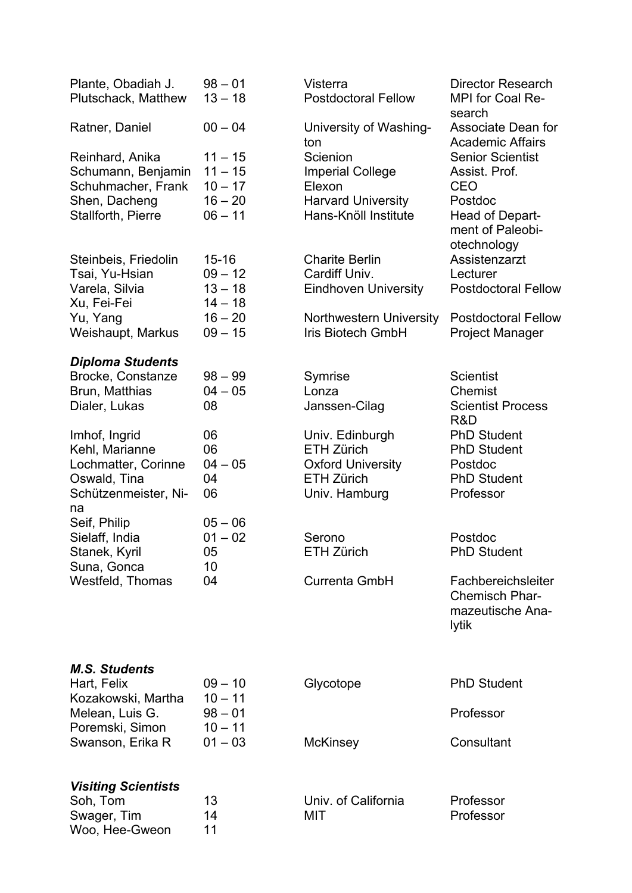| Plante, Obadiah J.<br>Plutschack, Matthew                                                            | $98 - 01$<br>$13 - 18$                                        | Visterra<br><b>Postdoctoral Fellow</b>                                                                 | <b>Director Research</b><br><b>MPI</b> for Coal Re-<br>search                                            |
|------------------------------------------------------------------------------------------------------|---------------------------------------------------------------|--------------------------------------------------------------------------------------------------------|----------------------------------------------------------------------------------------------------------|
| Ratner, Daniel                                                                                       | $00 - 04$                                                     | University of Washing-<br>ton                                                                          | Associate Dean for<br><b>Academic Affairs</b>                                                            |
| Reinhard, Anika<br>Schumann, Benjamin<br>Schuhmacher, Frank<br>Shen, Dacheng<br>Stallforth, Pierre   | $11 - 15$<br>$11 - 15$<br>$10 - 17$<br>$16 - 20$<br>$06 - 11$ | Scienion<br><b>Imperial College</b><br>Elexon<br><b>Harvard University</b><br>Hans-Knöll Institute     | <b>Senior Scientist</b><br>Assist. Prof.<br><b>CEO</b><br>Postdoc<br>Head of Depart-<br>ment of Paleobi- |
| Steinbeis, Friedolin<br>Tsai, Yu-Hsian<br>Varela, Silvia<br>Xu, Fei-Fei                              | $15 - 16$<br>$09 - 12$<br>$13 - 18$<br>$14 - 18$              | <b>Charite Berlin</b><br>Cardiff Univ.<br><b>Eindhoven University</b>                                  | otechnology<br>Assistenzarzt<br>Lecturer<br><b>Postdoctoral Fellow</b>                                   |
| Yu, Yang<br>Weishaupt, Markus                                                                        | $16 - 20$<br>$09 - 15$                                        | <b>Northwestern University</b><br><b>Iris Biotech GmbH</b>                                             | <b>Postdoctoral Fellow</b><br><b>Project Manager</b>                                                     |
| <b>Diploma Students</b><br>Brocke, Constanze<br>Brun, Matthias<br>Dialer, Lukas                      | $98 - 99$<br>$04 - 05$<br>08                                  | Symrise<br>Lonza<br>Janssen-Cilag                                                                      | <b>Scientist</b><br>Chemist<br><b>Scientist Process</b><br>R&D                                           |
| Imhof, Ingrid<br>Kehl, Marianne<br>Lochmatter, Corinne<br>Oswald, Tina<br>Schützenmeister, Ni-<br>na | 06<br>06<br>$04 - 05$<br>04<br>06                             | Univ. Edinburgh<br><b>ETH Zürich</b><br><b>Oxford University</b><br><b>ETH Zürich</b><br>Univ. Hamburg | <b>PhD Student</b><br><b>PhD Student</b><br>Postdoc<br><b>PhD Student</b><br>Professor                   |
| Seif, Philip<br>Sielaff, India<br>Stanek, Kyril<br>Suna, Gonca                                       | $05 - 06$<br>$01 - 02$<br>05<br>10                            | Serono<br><b>ETH Zürich</b>                                                                            | Postdoc<br><b>PhD Student</b>                                                                            |
| Westfeld, Thomas                                                                                     | 04                                                            | <b>Currenta GmbH</b>                                                                                   | Fachbereichsleiter<br><b>Chemisch Phar-</b><br>mazeutische Ana-<br>lytik                                 |
| <b>M.S. Students</b>                                                                                 | $09 - 10$                                                     |                                                                                                        | <b>PhD Student</b>                                                                                       |
| Hart, Felix<br>Kozakowski, Martha<br>Melean, Luis G.                                                 | $10 - 11$<br>$98 - 01$                                        | Glycotope                                                                                              | Professor                                                                                                |
| Poremski, Simon<br>Swanson, Erika R                                                                  | $10 - 11$<br>$01 - 03$                                        | <b>McKinsey</b>                                                                                        | Consultant                                                                                               |
| <b>Visiting Scientists</b>                                                                           |                                                               |                                                                                                        |                                                                                                          |
| Soh, Tom<br>Swager, Tim<br>Woo, Hee-Gweon                                                            | 13<br>14<br>11                                                | Univ. of California<br>MIT                                                                             | Professor<br>Professor                                                                                   |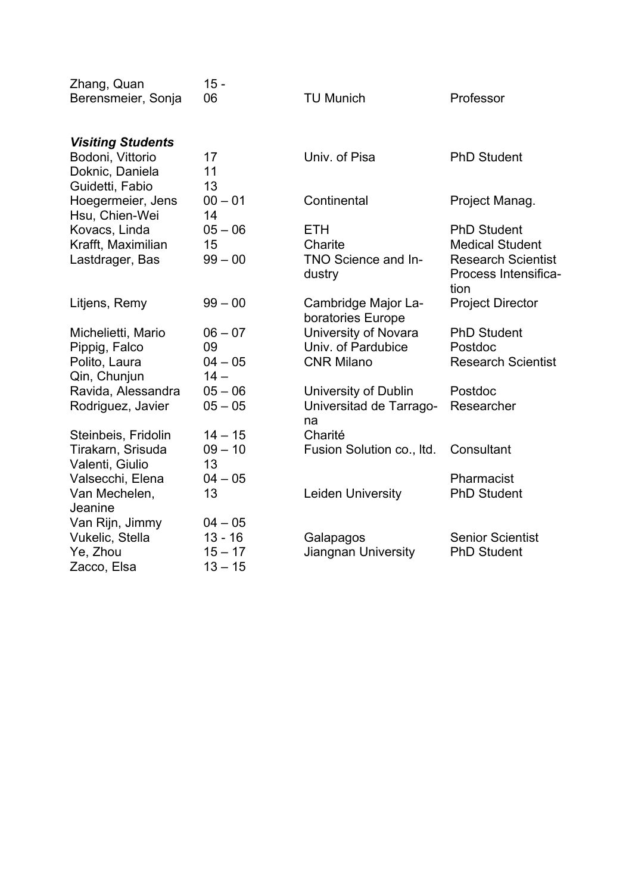| Zhang, Quan                         | $15 -$          |                                          |                              |
|-------------------------------------|-----------------|------------------------------------------|------------------------------|
| Berensmeier, Sonja                  | 06              | <b>TU Munich</b>                         | Professor                    |
| <b>Visiting Students</b>            |                 |                                          |                              |
| Bodoni, Vittorio                    | 17              | Univ. of Pisa                            | <b>PhD Student</b>           |
| Doknic, Daniela                     | 11              |                                          |                              |
| Guidetti, Fabio                     | 13              |                                          |                              |
| Hoegermeier, Jens<br>Hsu, Chien-Wei | $00 - 01$<br>14 | Continental                              | Project Manag.               |
| Kovacs, Linda                       | $05 - 06$       | <b>ETH</b>                               | <b>PhD Student</b>           |
| Krafft, Maximilian                  | 15              | Charite                                  | <b>Medical Student</b>       |
| Lastdrager, Bas                     | $99 - 00$       | TNO Science and In-                      | <b>Research Scientist</b>    |
|                                     |                 | dustry                                   | Process Intensifica-<br>tion |
| Litjens, Remy                       | $99 - 00$       | Cambridge Major La-<br>boratories Europe | <b>Project Director</b>      |
| Michelietti, Mario                  | $06 - 07$       | University of Novara                     | <b>PhD Student</b>           |
| Pippig, Falco                       | 09              | Univ. of Pardubice                       | Postdoc                      |
| Polito, Laura                       | $04 - 05$       | <b>CNR Milano</b>                        | <b>Research Scientist</b>    |
| Qin, Chunjun                        | $14 -$          |                                          |                              |
| Ravida, Alessandra                  | $05 - 06$       | University of Dublin                     | Postdoc                      |
| Rodriguez, Javier                   | $05 - 05$       | Universitad de Tarrago-                  | Researcher                   |
|                                     |                 | na                                       |                              |
| Steinbeis, Fridolin                 | $14 - 15$       | Charité                                  |                              |
| Tirakarn, Srisuda                   | $09 - 10$       | Fusion Solution co., Itd.                | Consultant                   |
| Valenti, Giulio                     | 13              |                                          |                              |
| Valsecchi, Elena                    | $04 - 05$       |                                          | Pharmacist                   |
| Van Mechelen,                       | 13              | Leiden University                        | <b>PhD Student</b>           |
| Jeanine                             |                 |                                          |                              |
| Van Rijn, Jimmy                     | $04 - 05$       |                                          |                              |
| Vukelic, Stella                     | $13 - 16$       | Galapagos                                | <b>Senior Scientist</b>      |
| Ye, Zhou                            | $15 - 17$       | Jiangnan University                      | <b>PhD Student</b>           |
| Zacco, Elsa                         | $13 - 15$       |                                          |                              |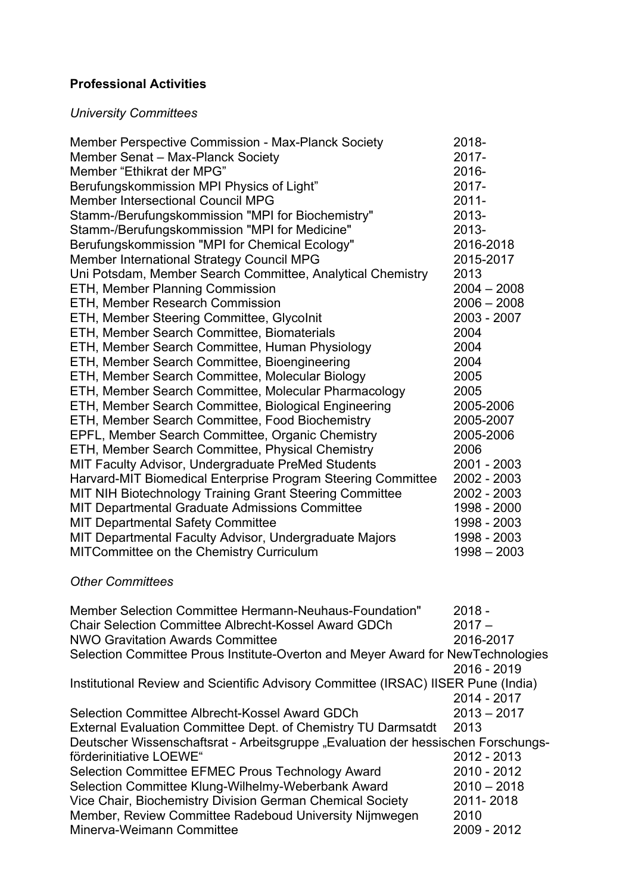### **Professional Activities**

### *University Committees*

| Member Perspective Commission - Max-Planck Society                                | 2018-         |
|-----------------------------------------------------------------------------------|---------------|
| Member Senat - Max-Planck Society                                                 | $2017 -$      |
| Member "Ethikrat der MPG"                                                         | 2016-         |
| Berufungskommission MPI Physics of Light"                                         | 2017-         |
| <b>Member Intersectional Council MPG</b>                                          | $2011 -$      |
| Stamm-/Berufungskommission "MPI for Biochemistry"                                 | 2013-         |
| Stamm-/Berufungskommission "MPI for Medicine"                                     | 2013-         |
| Berufungskommission "MPI for Chemical Ecology"                                    | 2016-2018     |
| <b>Member International Strategy Council MPG</b>                                  | 2015-2017     |
| Uni Potsdam, Member Search Committee, Analytical Chemistry                        | 2013          |
| <b>ETH, Member Planning Commission</b>                                            | $2004 - 2008$ |
| <b>ETH, Member Research Commission</b>                                            | $2006 - 2008$ |
| ETH, Member Steering Committee, Glycolnit                                         | 2003 - 2007   |
| ETH, Member Search Committee, Biomaterials                                        | 2004          |
| ETH, Member Search Committee, Human Physiology                                    | 2004          |
| ETH, Member Search Committee, Bioengineering                                      | 2004          |
| ETH, Member Search Committee, Molecular Biology                                   | 2005          |
| ETH, Member Search Committee, Molecular Pharmacology                              | 2005          |
| ETH, Member Search Committee, Biological Engineering                              | 2005-2006     |
| ETH, Member Search Committee, Food Biochemistry                                   | 2005-2007     |
| EPFL, Member Search Committee, Organic Chemistry                                  | 2005-2006     |
| ETH, Member Search Committee, Physical Chemistry                                  | 2006          |
| MIT Faculty Advisor, Undergraduate PreMed Students                                | 2001 - 2003   |
| Harvard-MIT Biomedical Enterprise Program Steering Committee                      | 2002 - 2003   |
| MIT NIH Biotechnology Training Grant Steering Committee                           | 2002 - 2003   |
| MIT Departmental Graduate Admissions Committee                                    | 1998 - 2000   |
| <b>MIT Departmental Safety Committee</b>                                          | 1998 - 2003   |
| MIT Departmental Faculty Advisor, Undergraduate Majors                            | 1998 - 2003   |
| MITCommittee on the Chemistry Curriculum                                          | $1998 - 2003$ |
|                                                                                   |               |
| <b>Other Committees</b>                                                           |               |
|                                                                                   |               |
| Member Selection Committee Hermann-Neuhaus-Foundation"                            | $2018 -$      |
| <b>Chair Selection Committee Albrecht-Kossel Award GDCh</b>                       | $2017 -$      |
| <b>NWO Gravitation Awards Committee</b>                                           | 2016-2017     |
| Selection Committee Prous Institute-Overton and Meyer Award for NewTechnologies   |               |
|                                                                                   | 2016 - 2019   |
| Institutional Review and Scientific Advisory Committee (IRSAC) IISER Pune (India) |               |
|                                                                                   | 2014 - 2017   |
| Selection Committee Albrecht-Kossel Award GDCh                                    | $2013 - 2017$ |
| External Evaluation Committee Dept. of Chemistry TU Darmsatdt                     | 2013          |
| Deutscher Wissenschaftsrat - Arbeitsgruppe "Evaluation der hessischen Forschungs- |               |
| förderinitiative LOEWE"                                                           | 2012 - 2013   |
| Selection Committee EFMEC Prous Technology Award                                  | 2010 - 2012   |
| Selection Committee Klung-Wilhelmy-Weberbank Award                                | $2010 - 2018$ |
|                                                                                   | 2011-2018     |
| Vice Chair, Biochemistry Division German Chemical Society                         |               |

Vice Chair, Biochemistry Division German Chemical Society 2011- 2018 Member, Review Committee Radeboud University Nijmwegen 2010 Minerva-Weimann Committee 2009 - 2012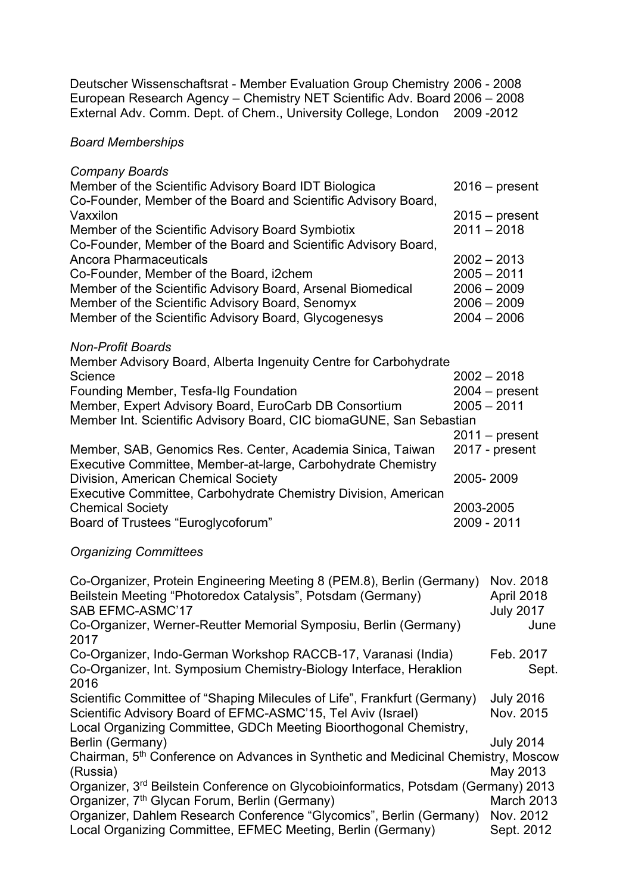Deutscher Wissenschaftsrat - Member Evaluation Group Chemistry 2006 - 2008 European Research Agency – Chemistry NET Scientific Adv. Board 2006 – 2008 External Adv. Comm. Dept. of Chem., University College, London 2009 -2012

#### *Board Memberships*

| <b>Company Boards</b>                                                                                                                                                                                                                                                                                                  |           |                                                                                   |
|------------------------------------------------------------------------------------------------------------------------------------------------------------------------------------------------------------------------------------------------------------------------------------------------------------------------|-----------|-----------------------------------------------------------------------------------|
| Member of the Scientific Advisory Board IDT Biologica                                                                                                                                                                                                                                                                  |           | $2016$ – present                                                                  |
| Co-Founder, Member of the Board and Scientific Advisory Board,<br>Vaxxilon<br>Member of the Scientific Advisory Board Symbiotix                                                                                                                                                                                        |           | $2015 - present$<br>$2011 - 2018$                                                 |
| Co-Founder, Member of the Board and Scientific Advisory Board,<br><b>Ancora Pharmaceuticals</b><br>Co-Founder, Member of the Board, i2chem<br>Member of the Scientific Advisory Board, Arsenal Biomedical<br>Member of the Scientific Advisory Board, Senomyx<br>Member of the Scientific Advisory Board, Glycogenesys |           | $2002 - 2013$<br>$2005 - 2011$<br>$2006 - 2009$<br>$2006 - 2009$<br>$2004 - 2006$ |
| <b>Non-Profit Boards</b><br>Member Advisory Board, Alberta Ingenuity Centre for Carbohydrate<br>Science                                                                                                                                                                                                                |           | $2002 - 2018$                                                                     |
| Founding Member, Tesfa-Ilg Foundation<br>Member, Expert Advisory Board, EuroCarb DB Consortium<br>Member Int. Scientific Advisory Board, CIC biomaGUNE, San Sebastian                                                                                                                                                  |           | $2004 - present$<br>$2005 - 2011$<br>$2011 - present$                             |
| Member, SAB, Genomics Res. Center, Academia Sinica, Taiwan<br>Executive Committee, Member-at-large, Carbohydrate Chemistry                                                                                                                                                                                             |           | 2017 - present                                                                    |
| Division, American Chemical Society<br>Executive Committee, Carbohydrate Chemistry Division, American                                                                                                                                                                                                                  |           | 2005-2009                                                                         |
| <b>Chemical Society</b><br>Board of Trustees "Euroglycoforum"                                                                                                                                                                                                                                                          | 2003-2005 | 2009 - 2011                                                                       |
| <b>Organizing Committees</b>                                                                                                                                                                                                                                                                                           |           |                                                                                   |
| Co-Organizer, Protein Engineering Meeting 8 (PEM.8), Berlin (Germany)<br>Beilstein Meeting "Photoredox Catalysis", Potsdam (Germany)<br>SAB EFMC-ASMC'17<br>Co-Organizer, Werner-Reutter Memorial Symposiu, Berlin (Germany)                                                                                           |           | Nov. 2018<br>April 2018<br><b>July 2017</b><br>June                               |
| 2017                                                                                                                                                                                                                                                                                                                   |           |                                                                                   |
| Co-Organizer, Indo-German Workshop RACCB-17, Varanasi (India)<br>Co-Organizer, Int. Symposium Chemistry-Biology Interface, Heraklion<br>2016                                                                                                                                                                           |           | Feb. 2017<br>Sept.                                                                |
| Scientific Committee of "Shaping Milecules of Life", Frankfurt (Germany)<br>Scientific Advisory Board of EFMC-ASMC'15, Tel Aviv (Israel)<br>Local Organizing Committee, GDCh Meeting Bioorthogonal Chemistry,                                                                                                          |           | <b>July 2016</b><br>Nov. 2015                                                     |
| Berlin (Germany)<br>Chairman, 5 <sup>th</sup> Conference on Advances in Synthetic and Medicinal Chemistry, Moscow                                                                                                                                                                                                      |           | <b>July 2014</b>                                                                  |

(Russia) May 2013 Organizer, 3<sup>rd</sup> Beilstein Conference on Glycobioinformatics, Potsdam (Germany) 2013 Organizer, 7<sup>th</sup> Glycan Forum, Berlin (Germany) March 2013 Organizer, Dahlem Research Conference "Glycomics", Berlin (Germany) Nov. 2012 Local Organizing Committee, EFMEC Meeting, Berlin (Germany) Sept. 2012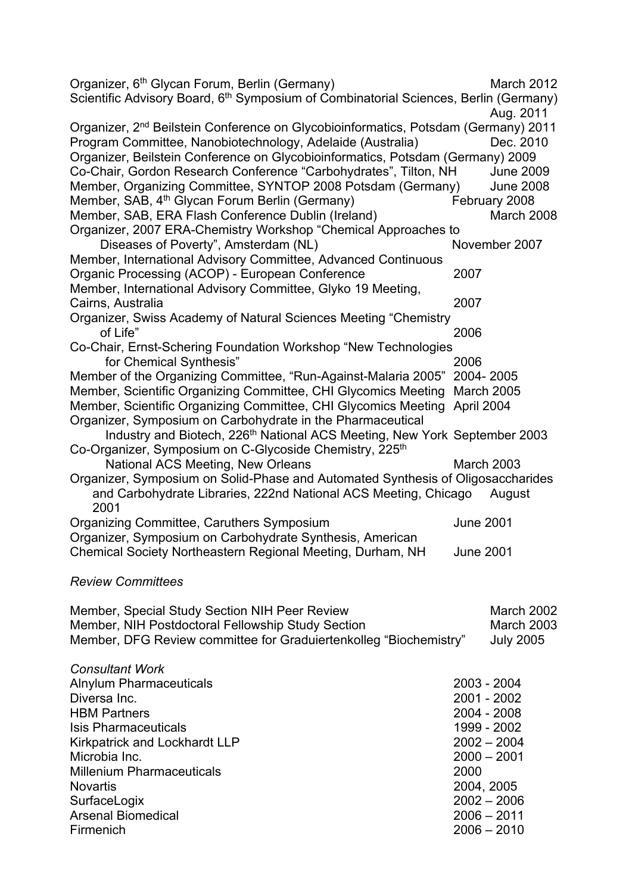| Organizer, 6 <sup>th</sup> Glycan Forum, Berlin (Germany)<br>Scientific Advisory Board, 6 <sup>th</sup> Symposium of Combinatorial Sciences, Berlin (Germany) |                   | March 2012                     |
|---------------------------------------------------------------------------------------------------------------------------------------------------------------|-------------------|--------------------------------|
|                                                                                                                                                               |                   | Aug. 2011                      |
| Organizer, 2 <sup>nd</sup> Beilstein Conference on Glycobioinformatics, Potsdam (Germany) 2011                                                                |                   |                                |
| Program Committee, Nanobiotechnology, Adelaide (Australia)                                                                                                    |                   | Dec. 2010                      |
| Organizer, Beilstein Conference on Glycobioinformatics, Potsdam (Germany) 2009                                                                                |                   |                                |
| Co-Chair, Gordon Research Conference "Carbohydrates", Tilton, NH                                                                                              |                   | <b>June 2009</b>               |
| Member, Organizing Committee, SYNTOP 2008 Potsdam (Germany)                                                                                                   |                   | <b>June 2008</b>               |
| Member, SAB, 4 <sup>th</sup> Glycan Forum Berlin (Germany)                                                                                                    |                   | February 2008                  |
|                                                                                                                                                               |                   |                                |
| Member, SAB, ERA Flash Conference Dublin (Ireland)                                                                                                            |                   | March 2008                     |
| Organizer, 2007 ERA-Chemistry Workshop "Chemical Approaches to                                                                                                |                   |                                |
| Diseases of Poverty", Amsterdam (NL)                                                                                                                          |                   | November 2007                  |
| Member, International Advisory Committee, Advanced Continuous                                                                                                 |                   |                                |
| Organic Processing (ACOP) - European Conference                                                                                                               | 2007              |                                |
| Member, International Advisory Committee, Glyko 19 Meeting,                                                                                                   |                   |                                |
| Cairns, Australia                                                                                                                                             | 2007              |                                |
| Organizer, Swiss Academy of Natural Sciences Meeting "Chemistry                                                                                               |                   |                                |
| of Life"                                                                                                                                                      | 2006              |                                |
| Co-Chair, Ernst-Schering Foundation Workshop "New Technologies                                                                                                |                   |                                |
| for Chemical Synthesis"                                                                                                                                       | 2006              |                                |
| Member of the Organizing Committee, "Run-Against-Malaria 2005" 2004- 2005                                                                                     |                   |                                |
|                                                                                                                                                               |                   |                                |
| Member, Scientific Organizing Committee, CHI Glycomics Meeting March 2005                                                                                     |                   |                                |
| Member, Scientific Organizing Committee, CHI Glycomics Meeting April 2004                                                                                     |                   |                                |
| Organizer, Symposium on Carbohydrate in the Pharmaceutical                                                                                                    |                   |                                |
| Industry and Biotech, 226 <sup>th</sup> National ACS Meeting, New York September 2003                                                                         |                   |                                |
| Co-Organizer, Symposium on C-Glycoside Chemistry, 225 <sup>th</sup>                                                                                           |                   |                                |
| National ACS Meeting, New Orleans                                                                                                                             | <b>March 2003</b> |                                |
| Organizer, Symposium on Solid-Phase and Automated Synthesis of Oligosaccharides                                                                               |                   |                                |
| and Carbohydrate Libraries, 222nd National ACS Meeting, Chicago                                                                                               |                   | August                         |
| 2001                                                                                                                                                          |                   |                                |
| <b>Organizing Committee, Caruthers Symposium</b>                                                                                                              | <b>June 2001</b>  |                                |
| Organizer, Symposium on Carbohydrate Synthesis, American                                                                                                      |                   |                                |
| Chemical Society Northeastern Regional Meeting, Durham, NH                                                                                                    | <b>June 2001</b>  |                                |
|                                                                                                                                                               |                   |                                |
| <b>Review Committees</b>                                                                                                                                      |                   |                                |
|                                                                                                                                                               |                   |                                |
|                                                                                                                                                               |                   | March 2002                     |
| Member, Special Study Section NIH Peer Review                                                                                                                 |                   |                                |
| Member, NIH Postdoctoral Fellowship Study Section                                                                                                             |                   |                                |
| Member, DFG Review committee for Graduiertenkolleg "Biochemistry"                                                                                             |                   | <b>March 2003</b>              |
|                                                                                                                                                               |                   | <b>July 2005</b>               |
|                                                                                                                                                               |                   |                                |
| <b>Consultant Work</b>                                                                                                                                        |                   |                                |
| <b>Alnylum Pharmaceuticals</b>                                                                                                                                |                   | 2003 - 2004                    |
| Diversa Inc.                                                                                                                                                  |                   | 2001 - 2002                    |
| <b>HBM Partners</b>                                                                                                                                           |                   | 2004 - 2008                    |
|                                                                                                                                                               |                   |                                |
| <b>Isis Pharmaceuticals</b>                                                                                                                                   |                   | 1999 - 2002                    |
| Kirkpatrick and Lockhardt LLP                                                                                                                                 |                   | $2002 - 2004$                  |
| Microbia Inc.                                                                                                                                                 |                   | $2000 - 2001$                  |
| <b>Millenium Pharmaceuticals</b>                                                                                                                              | 2000              |                                |
| <b>Novartis</b>                                                                                                                                               | 2004, 2005        |                                |
| SurfaceLogix                                                                                                                                                  |                   | $2002 - 2006$                  |
| <b>Arsenal Biomedical</b><br>Firmenich                                                                                                                        |                   | $2006 - 2011$<br>$2006 - 2010$ |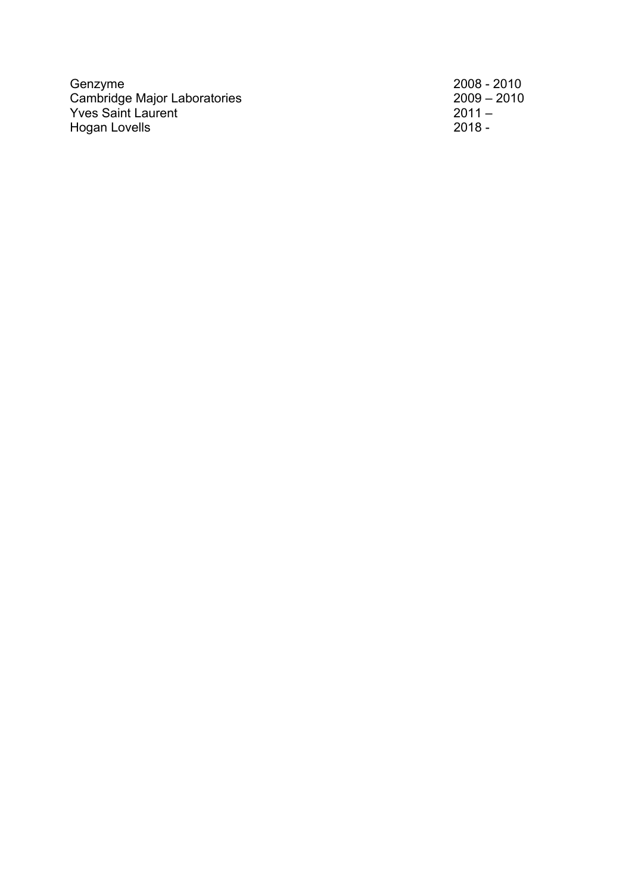Genzyme 2008 - 2010 Cambridge Major Laboratories 2009 – 2010 Yves Saint Laurent 2011 – 2011 – 2011 – 2012 – 2014 – 2014 – 2014 – 2014 – 2014 – 2014 – 2014 – 2014 – 2014 – Hogan Lovells 2018 - 2018 - 2018 - 2018 - 2018 - 2018 - 2018 - 2018 - 2018 - 2018 - 2018 - 2018 - 2018 - 2018 -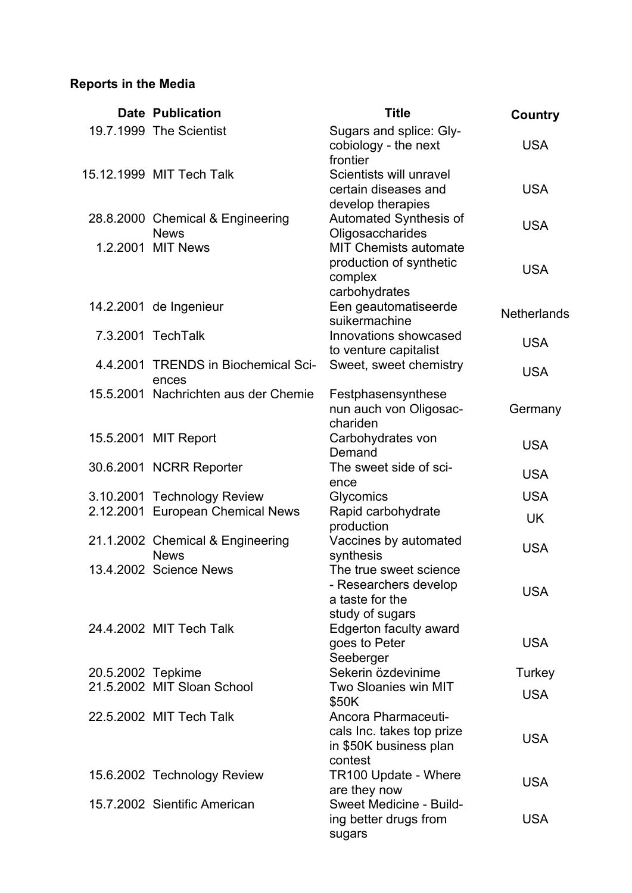# **Reports in the Media**

|                   | <b>Date Publication</b>                      | <b>Title</b>                                     | Country            |
|-------------------|----------------------------------------------|--------------------------------------------------|--------------------|
|                   | 19.7.1999 The Scientist                      | Sugars and splice: Gly-                          |                    |
|                   |                                              | cobiology - the next<br>frontier                 | <b>USA</b>         |
|                   | 15.12.1999 MIT Tech Talk                     | Scientists will unravel                          |                    |
|                   |                                              | certain diseases and                             | <b>USA</b>         |
|                   |                                              | develop therapies                                |                    |
|                   | 28.8.2000 Chemical & Engineering             | Automated Synthesis of                           | <b>USA</b>         |
|                   | <b>News</b><br>1.2.2001 MIT News             | Oligosaccharides<br><b>MIT Chemists automate</b> |                    |
|                   |                                              | production of synthetic                          |                    |
|                   |                                              | complex                                          | <b>USA</b>         |
|                   |                                              | carbohydrates                                    |                    |
|                   | 14.2.2001 de Ingenieur                       | Een geautomatiseerde                             | <b>Netherlands</b> |
|                   |                                              | suikermachine                                    |                    |
|                   | 7.3.2001 TechTalk                            | Innovations showcased                            | <b>USA</b>         |
|                   |                                              | to venture capitalist                            |                    |
|                   | 4.4.2001 TRENDS in Biochemical Sci-<br>ences | Sweet, sweet chemistry                           | <b>USA</b>         |
|                   | 15.5.2001 Nachrichten aus der Chemie         | Festphasensynthese                               |                    |
|                   |                                              | nun auch von Oligosac-                           | Germany            |
|                   |                                              | chariden                                         |                    |
|                   | 15.5.2001 MIT Report                         | Carbohydrates von                                | <b>USA</b>         |
|                   |                                              | Demand<br>The sweet side of sci-                 |                    |
|                   | 30.6.2001 NCRR Reporter                      | ence                                             | <b>USA</b>         |
|                   | 3.10.2001 Technology Review                  | <b>Glycomics</b>                                 | <b>USA</b>         |
|                   | 2.12.2001 European Chemical News             | Rapid carbohydrate                               | <b>UK</b>          |
|                   |                                              | production                                       |                    |
|                   | 21.1.2002 Chemical & Engineering             | Vaccines by automated                            | <b>USA</b>         |
|                   | <b>News</b>                                  | synthesis                                        |                    |
|                   | 13.4.2002 Science News                       | The true sweet science                           |                    |
|                   |                                              | - Researchers develop<br>a taste for the         | <b>USA</b>         |
|                   |                                              | study of sugars                                  |                    |
|                   | 24.4.2002 MIT Tech Talk                      | <b>Edgerton faculty award</b>                    |                    |
|                   |                                              | goes to Peter                                    | <b>USA</b>         |
|                   |                                              | Seeberger                                        |                    |
| 20.5.2002 Tepkime |                                              | Sekerin özdevinime                               | Turkey             |
|                   | 21.5.2002 MIT Sloan School                   | <b>Two Sloanies win MIT</b>                      | <b>USA</b>         |
|                   | 22.5.2002 MIT Tech Talk                      | \$50K<br>Ancora Pharmaceuti-                     |                    |
|                   |                                              | cals Inc. takes top prize                        |                    |
|                   |                                              | in \$50K business plan                           | <b>USA</b>         |
|                   |                                              | contest                                          |                    |
|                   | 15.6.2002 Technology Review                  | <b>TR100 Update - Where</b>                      |                    |
|                   |                                              | are they now                                     | <b>USA</b>         |
|                   | 15.7.2002 Sientific American                 | Sweet Medicine - Build-                          |                    |
|                   |                                              | ing better drugs from                            | <b>USA</b>         |
|                   |                                              | sugars                                           |                    |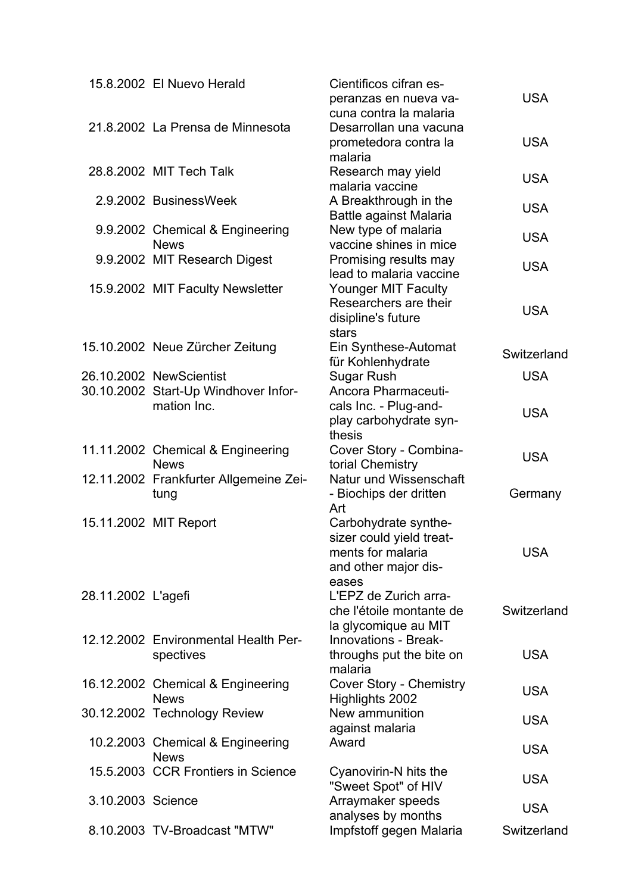|                    | 15.8.2002 El Nuevo Herald                       | Cientificos cifran es-                           | <b>USA</b>  |
|--------------------|-------------------------------------------------|--------------------------------------------------|-------------|
|                    |                                                 | peranzas en nueva va-<br>cuna contra la malaria  |             |
|                    | 21.8.2002 La Prensa de Minnesota                | Desarrollan una vacuna                           |             |
|                    |                                                 | prometedora contra la                            | <b>USA</b>  |
|                    |                                                 | malaria                                          |             |
|                    | 28.8.2002 MIT Tech Talk                         | Research may yield                               | <b>USA</b>  |
|                    |                                                 | malaria vaccine                                  |             |
|                    | 2.9.2002 BusinessWeek                           | A Breakthrough in the                            | <b>USA</b>  |
|                    |                                                 | Battle against Malaria                           |             |
|                    | 9.9.2002 Chemical & Engineering                 | New type of malaria                              | <b>USA</b>  |
|                    | <b>News</b>                                     | vaccine shines in mice                           |             |
|                    | 9.9.2002 MIT Research Digest                    | Promising results may<br>lead to malaria vaccine | <b>USA</b>  |
|                    | 15.9.2002 MIT Faculty Newsletter                | <b>Younger MIT Faculty</b>                       |             |
|                    |                                                 | Researchers are their                            |             |
|                    |                                                 | disipline's future                               | <b>USA</b>  |
|                    |                                                 | stars                                            |             |
|                    | 15.10.2002 Neue Zürcher Zeitung                 | Ein Synthese-Automat                             |             |
|                    |                                                 | für Kohlenhydrate                                | Switzerland |
|                    | 26.10.2002 NewScientist                         | <b>Sugar Rush</b>                                | <b>USA</b>  |
|                    | 30.10.2002 Start-Up Windhover Infor-            | Ancora Pharmaceuti-                              |             |
|                    | mation Inc.                                     | cals Inc. - Plug-and-                            | <b>USA</b>  |
|                    |                                                 | play carbohydrate syn-                           |             |
|                    |                                                 | thesis                                           |             |
|                    | 11.11.2002 Chemical & Engineering               | Cover Story - Combina-                           | <b>USA</b>  |
|                    | <b>News</b>                                     | torial Chemistry                                 |             |
|                    | 12.11.2002 Frankfurter Allgemeine Zei-          | Natur und Wissenschaft                           |             |
|                    | tung                                            | - Biochips der dritten<br>Art                    | Germany     |
|                    | 15.11.2002 MIT Report                           | Carbohydrate synthe-                             |             |
|                    |                                                 | sizer could yield treat-                         |             |
|                    |                                                 | ments for malaria                                | <b>USA</b>  |
|                    |                                                 | and other major dis-                             |             |
|                    |                                                 | eases                                            |             |
| 28.11.2002 L'agefi |                                                 | L'EPZ de Zurich arra-                            |             |
|                    |                                                 | che l'étoile montante de                         | Switzerland |
|                    |                                                 | la glycomique au MIT                             |             |
|                    | 12.12.2002 Environmental Health Per-            | <b>Innovations - Break-</b>                      |             |
|                    | spectives                                       | throughs put the bite on                         | <b>USA</b>  |
|                    |                                                 | malaria                                          |             |
|                    | 16.12.2002 Chemical & Engineering               | <b>Cover Story - Chemistry</b>                   | <b>USA</b>  |
|                    | <b>News</b>                                     | Highlights 2002                                  |             |
|                    | 30.12.2002 Technology Review                    | New ammunition                                   | <b>USA</b>  |
|                    |                                                 | against malaria                                  |             |
|                    | 10.2.2003 Chemical & Engineering<br><b>News</b> | Award                                            | <b>USA</b>  |
|                    | 15.5.2003 CCR Frontiers in Science              | Cyanovirin-N hits the                            |             |
|                    |                                                 | "Sweet Spot" of HIV                              | <b>USA</b>  |
| 3.10.2003 Science  |                                                 | Arraymaker speeds                                |             |
|                    |                                                 | analyses by months                               | <b>USA</b>  |
|                    | 8.10.2003 TV-Broadcast "MTW"                    | Impfstoff gegen Malaria                          | Switzerland |
|                    |                                                 |                                                  |             |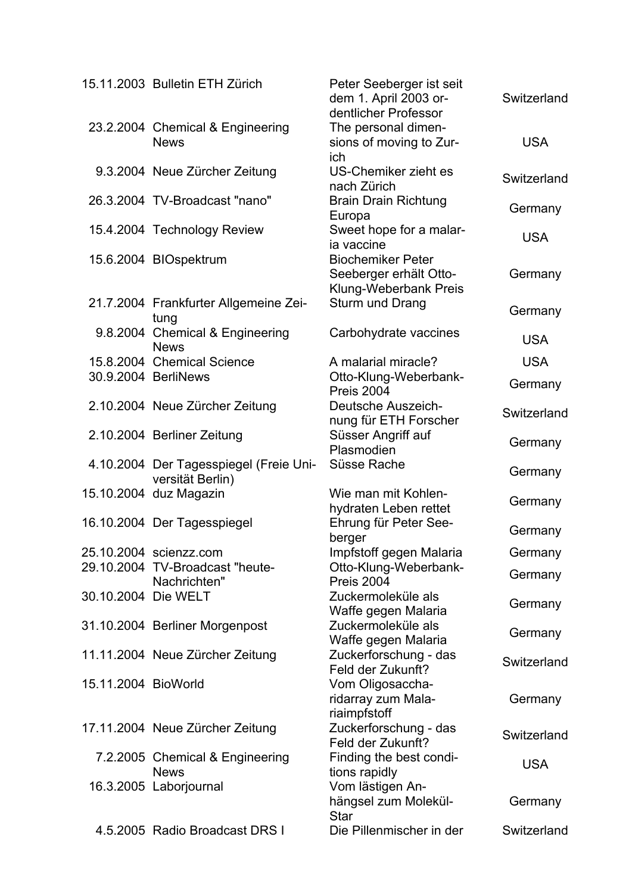|                     | 15.11.2003 Bulletin ETH Zürich                             | Peter Seeberger ist seit<br>dem 1. April 2003 or-<br>dentlicher Professor   | Switzerland |
|---------------------|------------------------------------------------------------|-----------------------------------------------------------------------------|-------------|
|                     | 23.2.2004 Chemical & Engineering<br><b>News</b>            | The personal dimen-<br>sions of moving to Zur-                              | <b>USA</b>  |
|                     | 9.3.2004 Neue Zürcher Zeitung                              | ich<br><b>US-Chemiker zieht es</b><br>nach Zürich                           | Switzerland |
|                     | 26.3.2004 TV-Broadcast "nano"                              | <b>Brain Drain Richtung</b><br>Europa                                       | Germany     |
|                     | 15.4.2004 Technology Review                                | Sweet hope for a malar-<br>ia vaccine                                       | <b>USA</b>  |
|                     | 15.6.2004 BIOspektrum                                      | <b>Biochemiker Peter</b><br>Seeberger erhält Otto-<br>Klung-Weberbank Preis | Germany     |
|                     | 21.7.2004 Frankfurter Allgemeine Zei-<br>tung              | Sturm und Drang                                                             | Germany     |
|                     | 9.8.2004 Chemical & Engineering<br><b>News</b>             | Carbohydrate vaccines                                                       | <b>USA</b>  |
|                     | 15.8.2004 Chemical Science                                 | A malarial miracle?                                                         | <b>USA</b>  |
|                     | 30.9.2004 BerliNews                                        | Otto-Klung-Weberbank-<br>Preis 2004                                         | Germany     |
|                     | 2.10.2004 Neue Zürcher Zeitung                             | <b>Deutsche Auszeich-</b><br>nung für ETH Forscher                          | Switzerland |
|                     | 2.10.2004 Berliner Zeitung                                 | Süsser Angriff auf<br>Plasmodien                                            | Germany     |
|                     | 4.10.2004 Der Tagesspiegel (Freie Uni-<br>versität Berlin) | Süsse Rache                                                                 | Germany     |
|                     | 15.10.2004 duz Magazin                                     | Wie man mit Kohlen-<br>hydraten Leben rettet                                | Germany     |
|                     | 16.10.2004 Der Tagesspiegel                                | Ehrung für Peter See-<br>berger                                             | Germany     |
|                     | 25.10.2004 scienzz.com                                     | Impfstoff gegen Malaria                                                     | Germany     |
|                     | 29.10.2004 TV-Broadcast "heute-<br>Nachrichten"            | Otto-Klung-Weberbank-<br>Preis 2004                                         | Germany     |
| 30.10.2004 Die WELT |                                                            | Zuckermoleküle als<br>Waffe gegen Malaria                                   | Germany     |
|                     | 31.10.2004 Berliner Morgenpost                             | Zuckermoleküle als<br>Waffe gegen Malaria                                   | Germany     |
|                     | 11.11.2004 Neue Zürcher Zeitung                            | Zuckerforschung - das<br>Feld der Zukunft?                                  | Switzerland |
| 15.11.2004 BioWorld |                                                            | Vom Oligosaccha-<br>ridarray zum Mala-<br>riaimpfstoff                      | Germany     |
|                     | 17.11.2004 Neue Zürcher Zeitung                            | Zuckerforschung - das<br>Feld der Zukunft?                                  | Switzerland |
|                     | 7.2.2005 Chemical & Engineering<br><b>News</b>             | Finding the best condi-<br>tions rapidly                                    | <b>USA</b>  |
|                     | 16.3.2005 Laborjournal                                     | Vom lästigen An-<br>hängsel zum Molekül-<br><b>Star</b>                     | Germany     |
|                     | 4.5.2005 Radio Broadcast DRS I                             | Die Pillenmischer in der                                                    | Switzerland |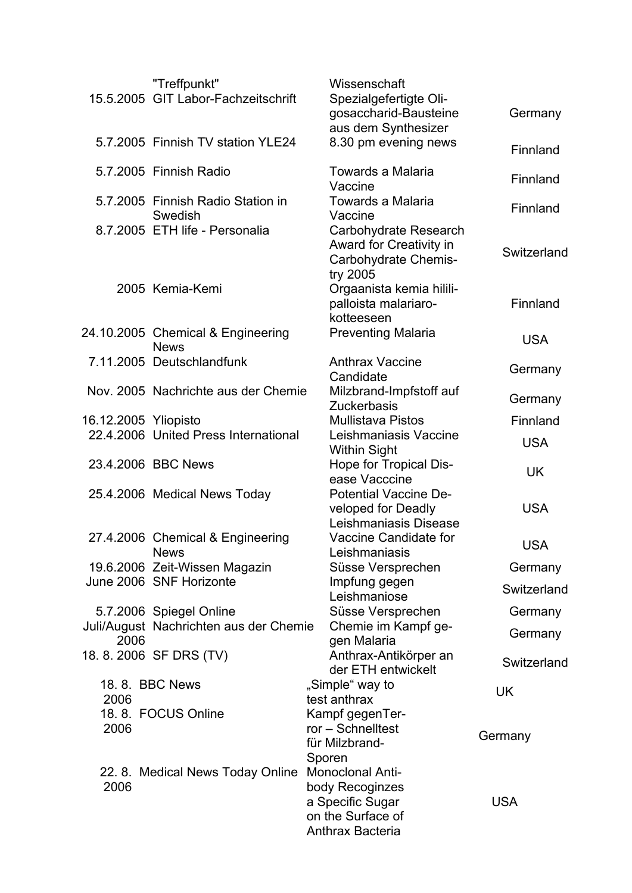|                      | "Treffpunkt"<br>15.5.2005 GIT Labor-Fachzeitschrift | Wissenschaft<br>Spezialgefertigte Oli-<br>gosaccharid-Bausteine<br>aus dem Synthesizer | Germany     |
|----------------------|-----------------------------------------------------|----------------------------------------------------------------------------------------|-------------|
|                      | 5.7.2005 Finnish TV station YLE24                   | 8.30 pm evening news                                                                   | Finnland    |
|                      | 5.7.2005 Finnish Radio                              | Towards a Malaria<br>Vaccine                                                           | Finnland    |
|                      | 5.7.2005 Finnish Radio Station in<br>Swedish        | Towards a Malaria<br>Vaccine                                                           | Finnland    |
|                      | 8.7.2005 ETH life - Personalia                      | Carbohydrate Research<br>Award for Creativity in<br>Carbohydrate Chemis-<br>try 2005   | Switzerland |
|                      | 2005 Kemia-Kemi                                     | Orgaanista kemia hilili-<br>palloista malariaro-<br>kotteeseen                         | Finnland    |
|                      | 24.10.2005 Chemical & Engineering<br><b>News</b>    | <b>Preventing Malaria</b>                                                              | <b>USA</b>  |
|                      | 7.11.2005 Deutschlandfunk                           | <b>Anthrax Vaccine</b><br>Candidate                                                    | Germany     |
|                      | Nov. 2005 Nachrichte aus der Chemie                 | Milzbrand-Impfstoff auf<br><b>Zuckerbasis</b>                                          | Germany     |
| 16.12.2005 Yliopisto |                                                     | <b>Mullistava Pistos</b>                                                               | Finnland    |
|                      | 22.4.2006 United Press International                | Leishmaniasis Vaccine<br><b>Within Sight</b>                                           | <b>USA</b>  |
|                      | 23.4.2006 BBC News                                  | Hope for Tropical Dis-<br>ease Vacccine                                                | <b>UK</b>   |
|                      | 25.4.2006 Medical News Today                        | <b>Potential Vaccine De-</b><br>veloped for Deadly<br>Leishmaniasis Disease            | <b>USA</b>  |
|                      | 27.4.2006 Chemical & Engineering<br><b>News</b>     | Vaccine Candidate for<br>Leishmaniasis                                                 | <b>USA</b>  |
|                      | 19.6.2006 Zeit-Wissen Magazin                       | Süsse Versprechen                                                                      | Germany     |
|                      | June 2006 SNF Horizonte                             | Impfung gegen<br>Leishmaniose                                                          | Switzerland |
|                      | 5.7.2006 Spiegel Online                             | Süsse Versprechen                                                                      | Germany     |
| 2006                 | Juli/August Nachrichten aus der Chemie              | Chemie im Kampf ge-<br>gen Malaria                                                     | Germany     |
|                      | 18.8.2006 SF DRS (TV)                               | Anthrax-Antikörper an<br>der ETH entwickelt                                            | Switzerland |
| 2006                 | 18.8. BBC News                                      | "Simple" way to<br>test anthrax                                                        | UK          |
|                      | 18.8. FOCUS Online                                  | Kampf gegenTer-                                                                        |             |
| 2006                 |                                                     | ror - Schnelltest<br>für Milzbrand-                                                    | Germany     |
|                      |                                                     | Sporen                                                                                 |             |
|                      | 22. 8. Medical News Today Online                    | Monoclonal Anti-                                                                       |             |
| 2006                 |                                                     | body Recoginzes                                                                        |             |
|                      |                                                     | a Specific Sugar                                                                       | <b>USA</b>  |
|                      |                                                     | on the Surface of                                                                      |             |
|                      |                                                     | Anthrax Bacteria                                                                       |             |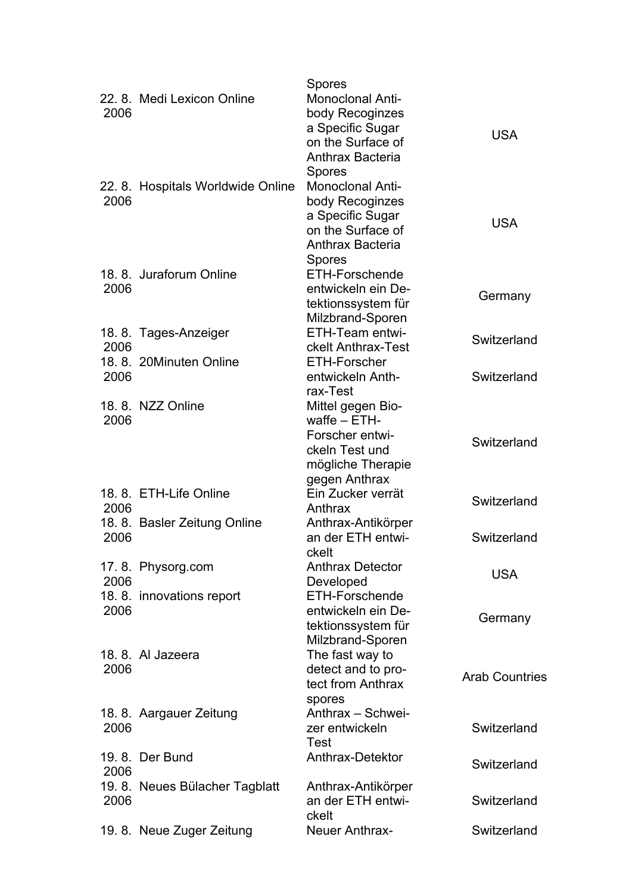|      |                                  | Spores                              |                       |
|------|----------------------------------|-------------------------------------|-----------------------|
|      | 22. 8. Medi Lexicon Online       | Monoclonal Anti-                    |                       |
| 2006 |                                  | body Recoginzes                     |                       |
|      |                                  | a Specific Sugar                    | <b>USA</b>            |
|      |                                  | on the Surface of                   |                       |
|      |                                  | Anthrax Bacteria                    |                       |
|      |                                  | Spores                              |                       |
|      | 22.8. Hospitals Worldwide Online | <b>Monoclonal Anti-</b>             |                       |
| 2006 |                                  | body Recoginzes                     |                       |
|      |                                  | a Specific Sugar                    |                       |
|      |                                  | on the Surface of                   | <b>USA</b>            |
|      |                                  | <b>Anthrax Bacteria</b>             |                       |
|      |                                  | Spores                              |                       |
|      | 18. 8. Juraforum Online          | ETH-Forschende                      |                       |
| 2006 |                                  | entwickeln ein De-                  |                       |
|      |                                  | tektionssystem für                  | Germany               |
|      |                                  | Milzbrand-Sporen                    |                       |
|      | 18.8. Tages-Anzeiger             | ETH-Team entwi-                     |                       |
| 2006 |                                  | ckelt Anthrax-Test                  | Switzerland           |
|      | 18.8. 20Minuten Online           | <b>ETH-Forscher</b>                 |                       |
| 2006 |                                  | entwickeln Anth-                    | Switzerland           |
|      |                                  | rax-Test                            |                       |
|      | 18.8. NZZ Online                 |                                     |                       |
|      |                                  | Mittel gegen Bio-<br>waffe $-$ ETH- |                       |
| 2006 |                                  |                                     |                       |
|      |                                  | Forscher entwi-                     | Switzerland           |
|      |                                  | ckeln Test und                      |                       |
|      |                                  | mögliche Therapie                   |                       |
|      |                                  | gegen Anthrax                       |                       |
|      | 18.8. ETH-Life Online            | Ein Zucker verrät                   | Switzerland           |
| 2006 |                                  | Anthrax                             |                       |
|      | 18. 8. Basler Zeitung Online     | Anthrax-Antikörper                  |                       |
| 2006 |                                  | an der ETH entwi-                   | Switzerland           |
|      |                                  | ckelt                               |                       |
|      | 17.8. Physorg.com                | <b>Anthrax Detector</b>             | <b>USA</b>            |
| 2006 |                                  | Developed                           |                       |
|      | 18.8. innovations report         | <b>ETH-Forschende</b>               |                       |
| 2006 |                                  | entwickeln ein De-                  | Germany               |
|      |                                  | tektionssystem für                  |                       |
|      |                                  | Milzbrand-Sporen                    |                       |
|      | 18. 8. Al Jazeera                | The fast way to                     |                       |
| 2006 |                                  | detect and to pro-                  | <b>Arab Countries</b> |
|      |                                  | tect from Anthrax                   |                       |
|      |                                  | spores                              |                       |
|      | 18.8. Aargauer Zeitung           | Anthrax - Schwei-                   |                       |
| 2006 |                                  | zer entwickeln                      | Switzerland           |
|      |                                  | Test                                |                       |
|      | 19. 8. Der Bund                  | Anthrax-Detektor                    |                       |
| 2006 |                                  |                                     | Switzerland           |
|      | 19.8. Neues Bülacher Tagblatt    | Anthrax-Antikörper                  |                       |
| 2006 |                                  | an der ETH entwi-                   | Switzerland           |
|      |                                  | ckelt                               |                       |
|      | 19.8. Neue Zuger Zeitung         | Neuer Anthrax-                      | Switzerland           |
|      |                                  |                                     |                       |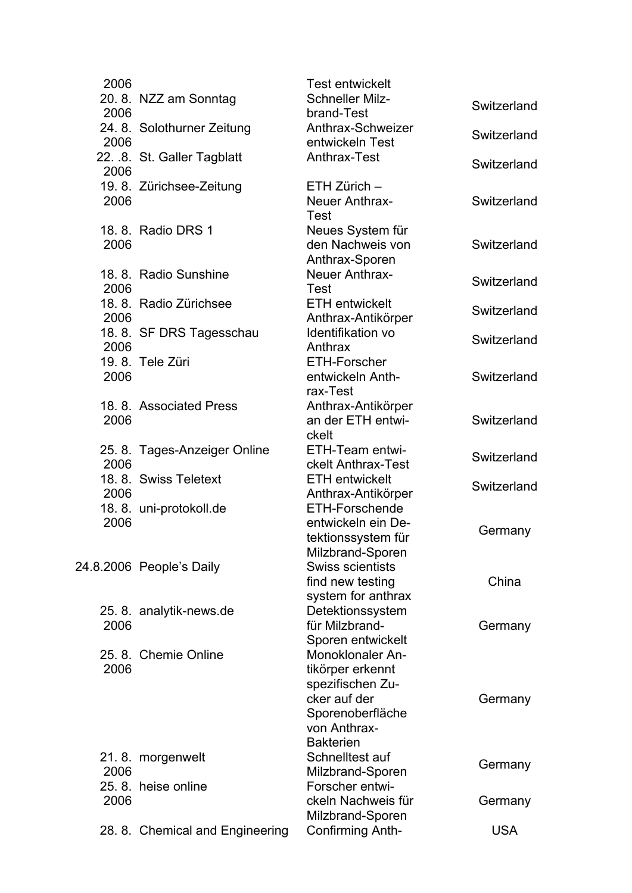2006 Test entwickelt 20. 8. NZZ am Sonntag Schneller Milz-2006 24. 8. Solothurner Zeitung Anthrax-Schweizer 2006 22. .8. St. Galler Tagblatt Anthrax-Test Switzerland 2006 19. 8. Zürichsee-Zeitung ETH Zürich – 2006 Neuer Anthrax-Test 18. 8 Radio DRS 1 2006 **Neues System für** den Nachweis von Anthrax-Sporen 18. 8. Radio Sunshine Meuer Anthrax-2006 18. 8. Radio Zürichsee ETH entwickelt 2006 18. 8. SF DRS Tagesschau ldentifikation vo 2006 19.8. Tele Züri 2006 FTH-Forscher entwickeln Anthrax-Test 18. 8. Associated Press 2006 Anthrax-Antikörper an der ETH entwickelt 25. 8. Tages-Anzeiger Online ETH-Team entwi-2006 18. 8. Swiss Teletext 2006 **ETH entwickelt** 18. 8. uni-protokoll.de 2006 ETH-Forschende entwickeln ein Detektionssystem für Milzbrand-Sporen 24.8.2006 People's Daily Swiss scientists find new testing system for anthrax 25. 8. analytik-news.de Detektionssystem 2006 für Milzbrand-Sporen entwickelt 25.8. Chemie Online 2006 Monoklonaler Antikörper erkennt spezifischen Zucker auf der **Sporenoberfläche** von Anthrax-Bakterien 21.8. morgenwelt 2006 Schnelltest auf 25.8. heise online 2006 Forscher entwickeln Nachweis für

Schneller Milz-<br>
brand-Test<br>
Switzerland Anthrax-Schweizer<br>
entwickeln Test<br>
External Switzerland **Switzerland Switzerland** Neuer Anthrax-<br>Test Switzerland ETH entwickelt<br>Anthrax-Antikörper Switzerland Identifikation vo<br>Anthrax Switzerland **Switzerland Switzerland** ETH-Team entwi-<br>ckelt Anthrax-Test Switzerland Anthrax-Antikörper Switzerland **Germany** China **Germany Germany** Milzbrand-Sporen Germany **Germany** 28. 8. Chemical and Engineering Confirming Anth- USA

Milzbrand-Sporen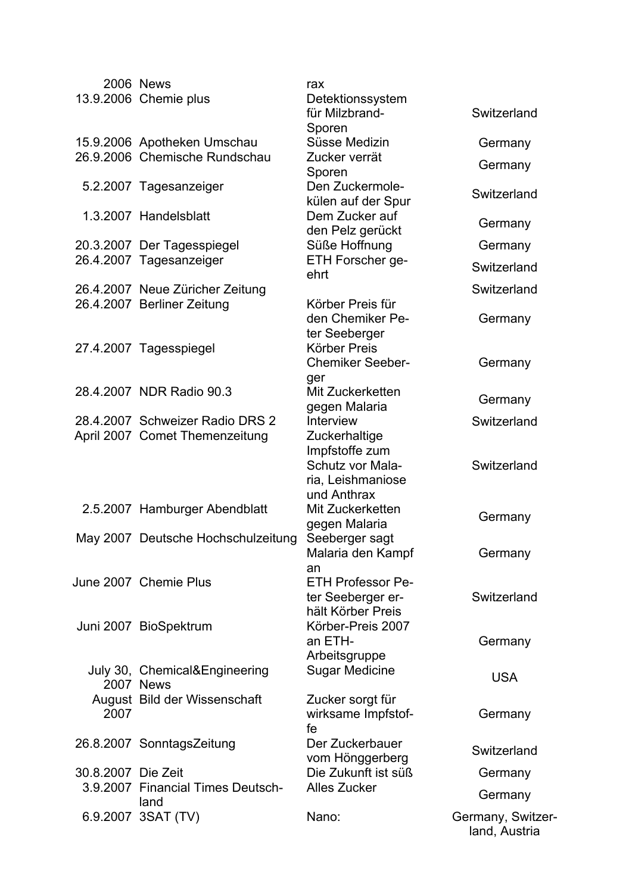|                    | <b>2006 News</b><br>13.9.2006 Chemie plus         | rax<br>Detektionssystem                                                  |                                    |
|--------------------|---------------------------------------------------|--------------------------------------------------------------------------|------------------------------------|
|                    |                                                   | für Milzbrand-<br>Sporen                                                 | Switzerland                        |
|                    | 15.9.2006 Apotheken Umschau                       | Süsse Medizin                                                            | Germany                            |
|                    | 26.9.2006 Chemische Rundschau                     | Zucker verrät<br>Sporen                                                  | Germany                            |
|                    | 5.2.2007 Tagesanzeiger                            | Den Zuckermole-<br>külen auf der Spur                                    | Switzerland                        |
|                    | 1.3.2007 Handelsblatt                             | Dem Zucker auf<br>den Pelz gerückt                                       | Germany                            |
|                    | 20.3.2007 Der Tagesspiegel                        | Süße Hoffnung                                                            | Germany                            |
|                    | 26.4.2007 Tagesanzeiger                           | ETH Forscher ge-<br>ehrt                                                 | Switzerland                        |
|                    | 26.4.2007 Neue Züricher Zeitung                   |                                                                          | Switzerland                        |
|                    | 26.4.2007 Berliner Zeitung                        | Körber Preis für<br>den Chemiker Pe-<br>ter Seeberger                    | Germany                            |
|                    | 27.4.2007 Tagesspiegel                            | Körber Preis<br><b>Chemiker Seeber-</b><br>ger                           | Germany                            |
|                    | 28.4.2007 NDR Radio 90.3                          | Mit Zuckerketten<br>gegen Malaria                                        | Germany                            |
|                    | 28.4.2007 Schweizer Radio DRS 2                   | Interview                                                                | Switzerland                        |
|                    | April 2007 Comet Themenzeitung                    | Zuckerhaltige<br>Impfstoffe zum<br>Schutz vor Mala-<br>ria, Leishmaniose | Switzerland                        |
|                    | 2.5.2007 Hamburger Abendblatt                     | und Anthrax<br>Mit Zuckerketten<br>gegen Malaria                         | Germany                            |
|                    | May 2007 Deutsche Hochschulzeitung                | Seeberger sagt<br>Malaria den Kampf                                      | Germany                            |
|                    | June 2007 Chemie Plus                             | an<br><b>ETH Professor Pe-</b><br>ter Seeberger er-<br>hält Körber Preis | Switzerland                        |
|                    | Juni 2007 BioSpektrum                             | Körber-Preis 2007<br>an ETH-<br>Arbeitsgruppe                            | Germany                            |
|                    | July 30, Chemical&Engineering<br><b>2007 News</b> | <b>Sugar Medicine</b>                                                    | <b>USA</b>                         |
| 2007               | August Bild der Wissenschaft                      | Zucker sorgt für<br>wirksame Impfstof-<br>fe                             | Germany                            |
|                    | 26.8.2007 SonntagsZeitung                         | Der Zuckerbauer<br>vom Hönggerberg                                       | Switzerland                        |
| 30.8.2007 Die Zeit |                                                   | Die Zukunft ist süß                                                      | Germany                            |
|                    | 3.9.2007 Financial Times Deutsch-<br>land         | <b>Alles Zucker</b>                                                      | Germany                            |
|                    | 6.9.2007 3SAT (TV)                                | Nano:                                                                    | Germany, Switzer-<br>land, Austria |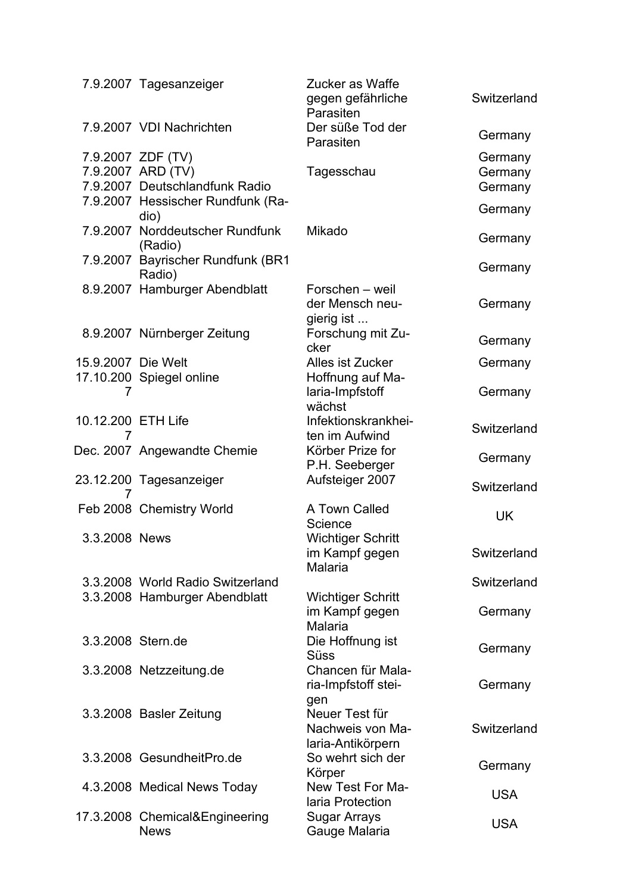|                         | 7.9.2007 Tagesanzeiger                                                   | Zucker as Waffe<br>gegen gefährliche<br>Parasiten              | Switzerland                   |
|-------------------------|--------------------------------------------------------------------------|----------------------------------------------------------------|-------------------------------|
|                         | 7.9.2007 VDI Nachrichten                                                 | Der süße Tod der<br>Parasiten                                  | Germany                       |
|                         | 7.9.2007 ZDF (TV)<br>7.9.2007 ARD (TV)<br>7.9.2007 Deutschlandfunk Radio | Tagesschau                                                     | Germany<br>Germany<br>Germany |
|                         | 7.9.2007 Hessischer Rundfunk (Ra-<br>dio)                                |                                                                | Germany                       |
|                         | 7.9.2007 Norddeutscher Rundfunk<br>(Radio)                               | Mikado                                                         | Germany                       |
|                         | 7.9.2007 Bayrischer Rundfunk (BR1<br>Radio)                              |                                                                | Germany                       |
|                         | 8.9.2007 Hamburger Abendblatt                                            | Forschen – weil<br>der Mensch neu-<br>gierig ist               | Germany                       |
|                         | 8.9.2007 Nürnberger Zeitung                                              | Forschung mit Zu-<br>cker                                      | Germany                       |
| 15.9.2007 Die Welt      |                                                                          | Alles ist Zucker                                               | Germany                       |
| 7                       | 17.10.200 Spiegel online                                                 | Hoffnung auf Ma-<br>laria-Impfstoff<br>wächst                  | Germany                       |
| 10.12.200 ETH Life<br>7 |                                                                          | Infektionskrankhei-<br>ten im Aufwind                          | Switzerland                   |
|                         | Dec. 2007 Angewandte Chemie                                              | Körber Prize for<br>P.H. Seeberger                             | Germany                       |
| 7                       | 23.12.200 Tagesanzeiger                                                  | Aufsteiger 2007                                                | Switzerland                   |
|                         | Feb 2008 Chemistry World                                                 | A Town Called<br>Science                                       | <b>UK</b>                     |
| 3.3.2008 News           |                                                                          | <b>Wichtiger Schritt</b><br>im Kampf gegen<br><b>Malaria</b>   | Switzerland                   |
|                         | 3.3.2008 World Radio Switzerland                                         |                                                                | Switzerland                   |
|                         | 3.3.2008 Hamburger Abendblatt                                            | <b>Wichtiger Schritt</b><br>im Kampf gegen<br>Malaria          | Germany                       |
| 3.3.2008 Stern.de       |                                                                          | Die Hoffnung ist<br><b>Süss</b>                                | Germany                       |
|                         | 3.3.2008 Netzzeitung.de                                                  | Chancen für Mala-<br>ria-Impfstoff stei-                       | Germany                       |
|                         | 3.3.2008 Basler Zeitung                                                  | gen<br>Neuer Test für<br>Nachweis von Ma-<br>laria-Antikörpern | Switzerland                   |
|                         | 3.3.2008 GesundheitPro.de                                                | So wehrt sich der<br>Körper                                    | Germany                       |
|                         | 4.3.2008 Medical News Today                                              | New Test For Ma-<br>laria Protection                           | <b>USA</b>                    |
|                         | 17.3.2008 Chemical&Engineering<br><b>News</b>                            | <b>Sugar Arrays</b><br>Gauge Malaria                           | <b>USA</b>                    |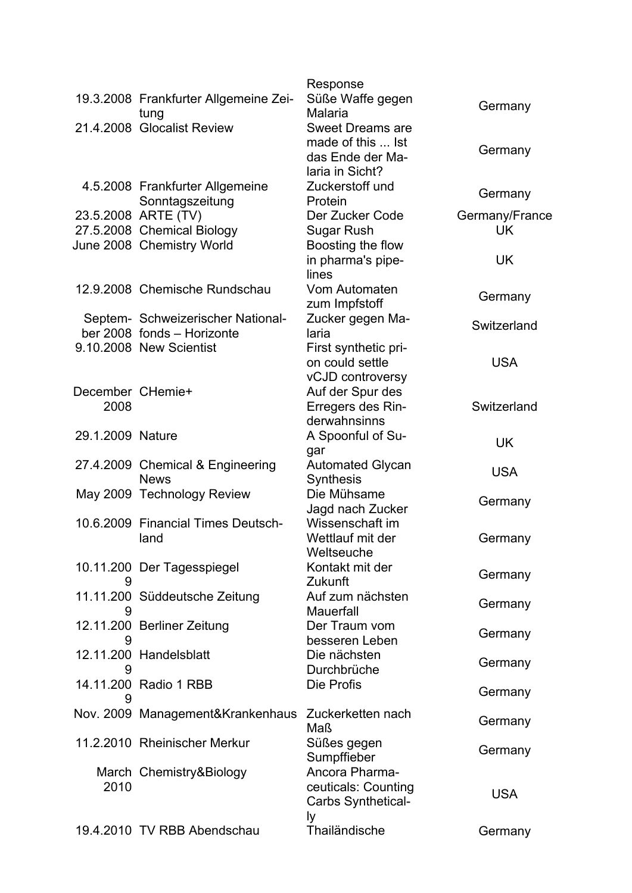|                          |                                                                 | Response                                                                            |                |
|--------------------------|-----------------------------------------------------------------|-------------------------------------------------------------------------------------|----------------|
|                          | 19.3.2008 Frankfurter Allgemeine Zei-<br>tung                   | Süße Waffe gegen<br>Malaria                                                         | Germany        |
|                          | 21.4.2008 Glocalist Review                                      | <b>Sweet Dreams are</b><br>made of this  Ist<br>das Ende der Ma-<br>laria in Sicht? | Germany        |
|                          | 4.5.2008 Frankfurter Allgemeine<br>Sonntagszeitung              | Zuckerstoff und<br>Protein                                                          | Germany        |
|                          | 23.5.2008 ARTE (TV)                                             | Der Zucker Code                                                                     | Germany/France |
|                          | 27.5.2008 Chemical Biology                                      | Sugar Rush                                                                          | <b>UK</b>      |
|                          | June 2008 Chemistry World                                       | Boosting the flow<br>in pharma's pipe-<br>lines                                     | UK             |
|                          | 12.9.2008 Chemische Rundschau                                   | Vom Automaten<br>zum Impfstoff                                                      | Germany        |
|                          | Septem- Schweizerischer National-<br>ber 2008 fonds - Horizonte | Zucker gegen Ma-<br>laria                                                           | Switzerland    |
|                          | 9.10.2008 New Scientist                                         | First synthetic pri-<br>on could settle<br>vCJD controversy                         | <b>USA</b>     |
| December CHemie+<br>2008 |                                                                 | Auf der Spur des<br>Erregers des Rin-<br>derwahnsinns                               | Switzerland    |
| 29.1.2009 Nature         |                                                                 | A Spoonful of Su-<br>gar                                                            | <b>UK</b>      |
|                          | 27.4.2009 Chemical & Engineering<br><b>News</b>                 | <b>Automated Glycan</b><br><b>Synthesis</b>                                         | <b>USA</b>     |
|                          | May 2009 Technology Review                                      | Die Mühsame<br>Jagd nach Zucker                                                     | Germany        |
|                          | 10.6.2009 Financial Times Deutsch-<br>land                      | Wissenschaft im<br>Wettlauf mit der<br>Weltseuche                                   | Germany        |
| 9                        | 10.11.200 Der Tagesspiegel                                      | Kontakt mit der<br>Zukunft                                                          | Germany        |
| 9                        | 11.11.200 Süddeutsche Zeitung                                   | Auf zum nächsten<br>Mauerfall                                                       | Germany        |
|                          | 12.11.200 Berliner Zeitung                                      | Der Traum vom<br>besseren Leben                                                     | Germany        |
| 9                        | 12.11.200 Handelsblatt                                          | Die nächsten<br>Durchbrüche                                                         | Germany        |
| 9                        | 14.11.200 Radio 1 RBB                                           | Die Profis                                                                          | Germany        |
|                          | Nov. 2009 Management&Krankenhaus Zuckerketten nach              | Maß                                                                                 | Germany        |
|                          | 11.2.2010 Rheinischer Merkur                                    | Süßes gegen<br>Sumpffieber                                                          | Germany        |
| 2010                     | March Chemistry&Biology                                         | Ancora Pharma-<br>ceuticals: Counting<br>Carbs Synthetical-<br>lу                   | <b>USA</b>     |
|                          | 19.4.2010 TV RBB Abendschau                                     | Thailändische                                                                       | Germany        |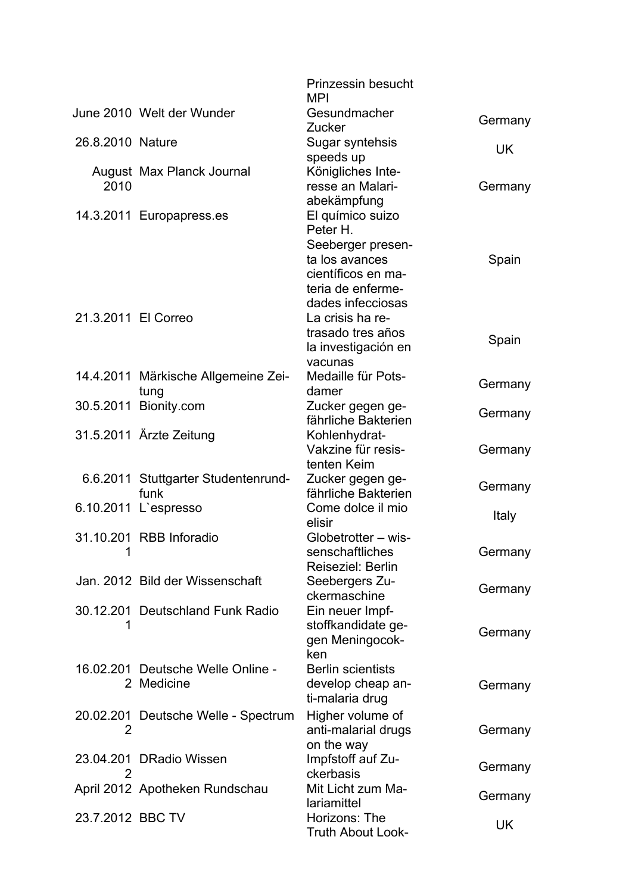|                     |                                     | <b>Prinzessin besucht</b><br><b>MPI</b> |           |
|---------------------|-------------------------------------|-----------------------------------------|-----------|
|                     | June 2010 Welt der Wunder           | Gesundmacher                            |           |
|                     |                                     | <b>Zucker</b>                           | Germany   |
| 26.8.2010 Nature    |                                     | Sugar syntehsis                         |           |
|                     |                                     | speeds up                               | <b>UK</b> |
|                     | August Max Planck Journal           | Königliches Inte-                       |           |
| 2010                |                                     | resse an Malari-                        | Germany   |
|                     |                                     | abekämpfung                             |           |
|                     | 14.3.2011 Europapress.es            | El químico suizo                        |           |
|                     |                                     | Peter H.                                |           |
|                     |                                     | Seeberger presen-                       |           |
|                     |                                     | ta los avances                          | Spain     |
|                     |                                     | científicos en ma-                      |           |
|                     |                                     | teria de enferme-                       |           |
|                     |                                     | dades infecciosas                       |           |
| 21.3.2011 El Correo |                                     | La crisis ha re-                        |           |
|                     |                                     | trasado tres años                       | Spain     |
|                     |                                     | la investigación en                     |           |
|                     |                                     | vacunas                                 |           |
|                     | 14.4.2011 Märkische Allgemeine Zei- | Medaille für Pots-                      | Germany   |
|                     | tung                                | damer                                   |           |
|                     | 30.5.2011 Bionity.com               | Zucker gegen ge-<br>fährliche Bakterien | Germany   |
|                     |                                     |                                         |           |
|                     | 31.5.2011 Ärzte Zeitung             | Kohlenhydrat-<br>Vakzine für resis-     |           |
|                     |                                     | tenten Keim                             | Germany   |
|                     | 6.6.2011 Stuttgarter Studentenrund- | Zucker gegen ge-                        |           |
|                     | funk                                | fährliche Bakterien                     | Germany   |
|                     | 6.10.2011 L'espresso                | Come dolce il mio                       |           |
|                     |                                     | elisir                                  | Italy     |
|                     | 31.10.201 RBB Inforadio             | Globetrotter - wis-                     |           |
| $\blacksquare$      |                                     | senschaftliches                         | Germany   |
|                     |                                     | Reiseziel: Berlin                       |           |
|                     | Jan. 2012 Bild der Wissenschaft     | Seebergers Zu-                          |           |
|                     |                                     | ckermaschine                            | Germany   |
|                     | 30.12.201 Deutschland Funk Radio    | Ein neuer Impf-                         |           |
|                     |                                     | stoffkandidate ge-                      |           |
|                     |                                     | gen Meningocok-                         | Germany   |
|                     |                                     | ken                                     |           |
|                     | 16.02.201 Deutsche Welle Online -   | <b>Berlin scientists</b>                |           |
|                     | 2 Medicine                          | develop cheap an-                       | Germany   |
|                     |                                     | ti-malaria drug                         |           |
|                     | 20.02.201 Deutsche Welle - Spectrum | Higher volume of                        |           |
| 2                   |                                     | anti-malarial drugs                     | Germany   |
|                     |                                     | on the way                              |           |
|                     | 23.04.201 DRadio Wissen             | Impfstoff auf Zu-                       |           |
| 2                   |                                     | ckerbasis                               | Germany   |
|                     | April 2012 Apotheken Rundschau      | Mit Licht zum Ma-                       | Germany   |
|                     |                                     | lariamittel                             |           |
| 23.7.2012 BBC TV    |                                     | Horizons: The                           | UK        |
|                     |                                     | <b>Truth About Look-</b>                |           |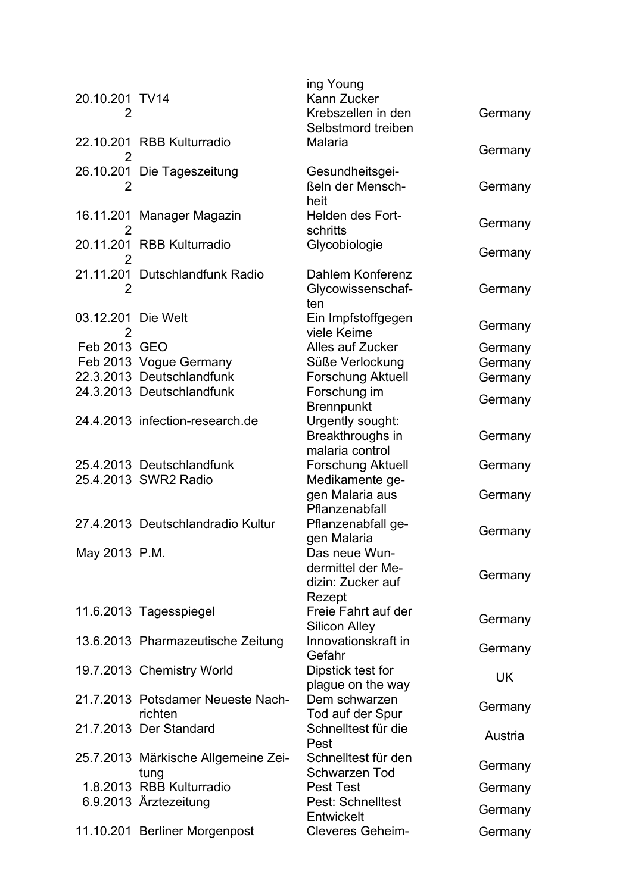| 20.10.201 TV14<br>2     |                                              | ing Young<br>Kann Zucker<br>Krebszellen in den<br>Selbstmord treiben | Germany |
|-------------------------|----------------------------------------------|----------------------------------------------------------------------|---------|
| 2                       | 22.10.201 RBB Kulturradio                    | Malaria                                                              | Germany |
| 2                       | 26.10.201 Die Tageszeitung                   | Gesundheitsgei-<br>ßeln der Mensch-<br>heit                          | Germany |
| 2                       | 16.11.201 Manager Magazin                    | Helden des Fort-<br>schritts                                         | Germany |
| 2                       | 20.11.201 RBB Kulturradio                    | Glycobiologie                                                        | Germany |
| $\overline{2}$          | 21.11.201 Dutschlandfunk Radio               | Dahlem Konferenz<br>Glycowissenschaf-<br>ten                         | Germany |
| 03.12.201 Die Welt<br>2 |                                              | Ein Impfstoffgegen<br>viele Keime                                    | Germany |
| Feb 2013 GEO            |                                              | Alles auf Zucker                                                     | Germany |
|                         | Feb 2013 Vogue Germany                       | Süße Verlockung                                                      | Germany |
|                         | 22.3.2013 Deutschlandfunk                    | <b>Forschung Aktuell</b>                                             | Germany |
|                         | 24.3.2013 Deutschlandfunk                    | Forschung im                                                         | Germany |
|                         |                                              | <b>Brennpunkt</b>                                                    |         |
|                         | 24.4.2013 infection-research.de              | Urgently sought:<br>Breakthroughs in<br>malaria control              | Germany |
|                         | 25.4.2013 Deutschlandfunk                    | <b>Forschung Aktuell</b>                                             | Germany |
|                         | 25.4.2013 SWR2 Radio                         | Medikamente ge-                                                      |         |
|                         |                                              | gen Malaria aus<br>Pflanzenabfall                                    | Germany |
|                         | 27.4.2013 Deutschlandradio Kultur            | Pflanzenabfall ge-                                                   | Germany |
| May 2013 P.M.           |                                              | gen Malaria<br>Das neue Wun-<br>dermittel der Me-                    |         |
|                         |                                              | dizin: Zucker auf<br>Rezept                                          | Germany |
|                         | 11.6.2013 Tagesspiegel                       | Freie Fahrt auf der<br><b>Silicon Alley</b>                          | Germany |
|                         | 13.6.2013 Pharmazeutische Zeitung            | Innovationskraft in<br>Gefahr                                        | Germany |
|                         | 19.7.2013 Chemistry World                    | Dipstick test for<br>plague on the way                               | UK      |
|                         | 21.7.2013 Potsdamer Neueste Nach-<br>richten | Dem schwarzen<br>Tod auf der Spur                                    | Germany |
|                         | 21.7.2013 Der Standard                       | Schnelltest für die<br>Pest                                          | Austria |
|                         | 25.7.2013 Märkische Allgemeine Zei-<br>tung  | Schnelltest für den<br>Schwarzen Tod                                 | Germany |
|                         | 1.8.2013 RBB Kulturradio                     | <b>Pest Test</b>                                                     | Germany |
|                         | 6.9.2013 Ärztezeitung                        | <b>Pest: Schnelltest</b><br>Entwickelt                               | Germany |
|                         | 11.10.201 Berliner Morgenpost                | <b>Cleveres Geheim-</b>                                              | Germany |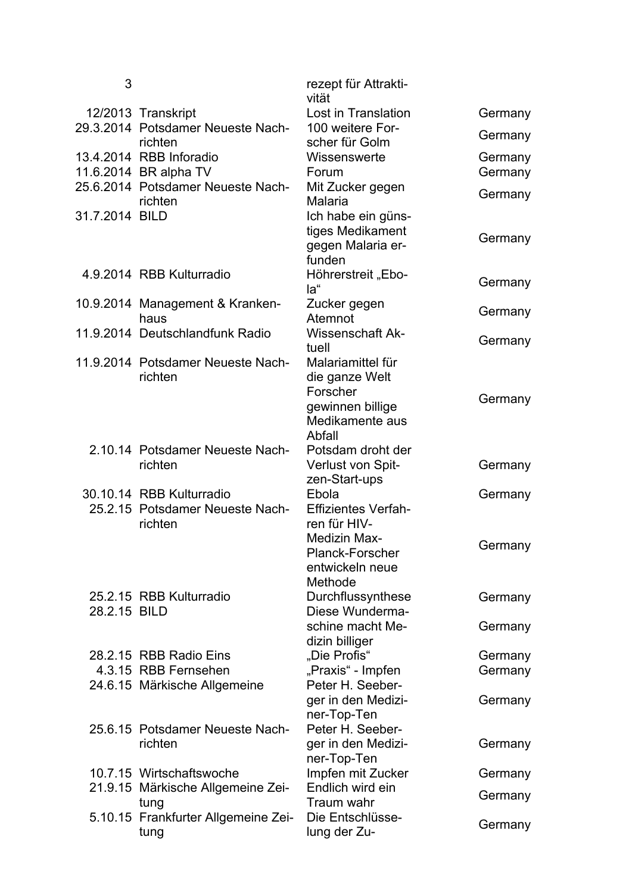| 3              |                                              | rezept für Attrakti-<br>vität              |         |
|----------------|----------------------------------------------|--------------------------------------------|---------|
|                | 12/2013 Transkript                           | Lost in Translation                        | Germany |
|                | 29.3.2014 Potsdamer Neueste Nach-<br>richten | 100 weitere For-<br>scher für Golm         | Germany |
|                | 13.4.2014 RBB Inforadio                      | Wissenswerte                               | Germany |
|                | 11.6.2014 BR alpha TV                        | Forum                                      | Germany |
|                | 25.6.2014 Potsdamer Neueste Nach-            | Mit Zucker gegen                           |         |
|                | richten                                      | Malaria                                    | Germany |
| 31.7.2014 BILD |                                              | Ich habe ein güns-                         |         |
|                |                                              | tiges Medikament                           | Germany |
|                |                                              | gegen Malaria er-                          |         |
|                |                                              | funden                                     |         |
|                | 4.9.2014 RBB Kulturradio                     | Höhrerstreit "Ebo-                         | Germany |
|                |                                              | la"                                        |         |
|                | 10.9.2014 Management & Kranken-<br>haus      | Zucker gegen<br>Atemnot                    | Germany |
|                | 11.9.2014 Deutschlandfunk Radio              | <b>Wissenschaft Ak-</b>                    |         |
|                |                                              | tuell                                      | Germany |
|                | 11.9.2014 Potsdamer Neueste Nach-            | Malariamittel für                          |         |
|                | richten                                      | die ganze Welt                             |         |
|                |                                              | Forscher                                   |         |
|                |                                              | gewinnen billige                           | Germany |
|                |                                              | Medikamente aus                            |         |
|                |                                              | Abfall                                     |         |
|                | 2.10.14 Potsdamer Neueste Nach-              | Potsdam droht der                          |         |
|                | richten                                      | Verlust von Spit-                          | Germany |
|                |                                              | zen-Start-ups                              |         |
|                | 30.10.14 RBB Kulturradio                     | Ebola                                      | Germany |
|                | 25.2.15 Potsdamer Neueste Nach-<br>richten   | <b>Effizientes Verfah-</b><br>ren für HIV- |         |
|                |                                              | <b>Medizin Max-</b>                        |         |
|                |                                              | <b>Planck-Forscher</b>                     | Germany |
|                |                                              | entwickeln neue                            |         |
|                |                                              | Methode                                    |         |
|                | 25.2.15 RBB Kulturradio                      | Durchflussynthese                          | Germany |
| 28.2.15 BILD   |                                              | Diese Wunderma-                            |         |
|                |                                              | schine macht Me-                           | Germany |
|                |                                              | dizin billiger                             |         |
|                | 28.2.15 RBB Radio Eins                       | "Die Profis"                               | Germany |
|                | 4.3.15 RBB Fernsehen                         | "Praxis" - Impfen                          | Germany |
|                | 24.6.15 Märkische Allgemeine                 | Peter H. Seeber-                           |         |
|                |                                              | ger in den Medizi-                         | Germany |
|                | 25.6.15 Potsdamer Neueste Nach-              | ner-Top-Ten<br>Peter H. Seeber-            |         |
|                | richten                                      | ger in den Medizi-                         | Germany |
|                |                                              | ner-Top-Ten                                |         |
|                | 10.7.15 Wirtschaftswoche                     | Impfen mit Zucker                          | Germany |
|                | 21.9.15 Märkische Allgemeine Zei-            | Endlich wird ein                           |         |
|                | tung                                         | Traum wahr                                 | Germany |
|                | 5.10.15 Frankfurter Allgemeine Zei-          | Die Entschlüsse-                           |         |
|                | tung                                         | lung der Zu-                               | Germany |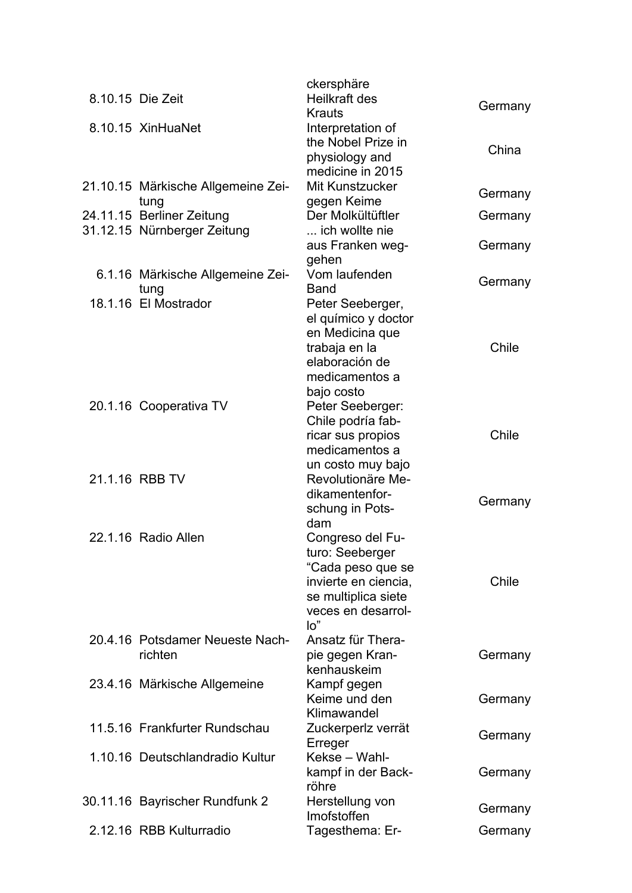| 8.10.15 Die Zeit                           | ckersphäre<br>Heilkraft des<br>Krauts                                                                                                | Germany |
|--------------------------------------------|--------------------------------------------------------------------------------------------------------------------------------------|---------|
| 8.10.15 XinHuaNet                          | Interpretation of<br>the Nobel Prize in<br>physiology and                                                                            | China   |
| 21.10.15 Märkische Allgemeine Zei-<br>tung | medicine in 2015<br>Mit Kunstzucker<br>gegen Keime                                                                                   | Germany |
| 24.11.15 Berliner Zeitung                  | Der Molkültüftler                                                                                                                    | Germany |
| 31.12.15 Nürnberger Zeitung                | ich wollte nie<br>aus Franken weg-<br>gehen                                                                                          | Germany |
| 6.1.16 Märkische Allgemeine Zei-<br>tung   | Vom laufenden<br><b>Band</b>                                                                                                         | Germany |
| 18.1.16 El Mostrador                       | Peter Seeberger,<br>el químico y doctor<br>en Medicina que<br>trabaja en la<br>elaboración de<br>medicamentos a<br>bajo costo        | Chile   |
| 20.1.16 Cooperativa TV                     | Peter Seeberger:<br>Chile podría fab-<br>ricar sus propios<br>medicamentos a                                                         | Chile   |
| 21.1.16 RBB TV                             | un costo muy bajo<br>Revolutionäre Me-<br>dikamentenfor-<br>schung in Pots-<br>dam                                                   | Germany |
| 22.1.16 Radio Allen                        | Congreso del Fu-<br>turo: Seeberger<br>"Cada peso que se<br>invierte en ciencia,<br>se multiplica siete<br>veces en desarrol-<br>lo" | Chile   |
| 20.4.16 Potsdamer Neueste Nach-<br>richten | Ansatz für Thera-<br>pie gegen Kran-<br>kenhauskeim                                                                                  | Germany |
| 23.4.16 Märkische Allgemeine               | Kampf gegen<br>Keime und den<br>Klimawandel                                                                                          | Germany |
| 11.5.16 Frankfurter Rundschau              | Zuckerperlz verrät<br>Erreger                                                                                                        | Germany |
| 1.10.16 Deutschlandradio Kultur            | Kekse - Wahl-<br>kampf in der Back-<br>röhre                                                                                         | Germany |
| 30.11.16 Bayrischer Rundfunk 2             | Herstellung von<br>Imofstoffen                                                                                                       | Germany |
| 2.12.16 RBB Kulturradio                    | Tagesthema: Er-                                                                                                                      | Germany |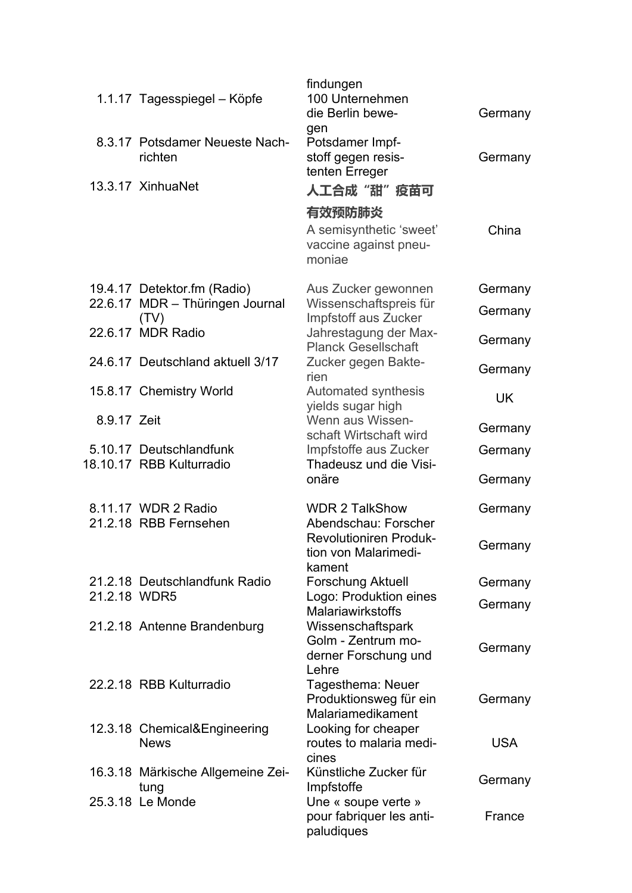|              |                                             | findungen                                                                     |            |
|--------------|---------------------------------------------|-------------------------------------------------------------------------------|------------|
|              | 1.1.17 Tagesspiegel - Köpfe                 | 100 Unternehmen<br>die Berlin bewe-                                           | Germany    |
|              | 8.3.17 Potsdamer Neueste Nach-<br>richten   | gen<br>Potsdamer Impf-<br>stoff gegen resis-<br>tenten Erreger                | Germany    |
|              | 13.3.17 XinhuaNet                           | 人工合成"甜"疫苗可                                                                    |            |
|              |                                             | 有效预防肺炎                                                                        |            |
|              |                                             | A semisynthetic 'sweet'<br>vaccine against pneu-<br>moniae                    | China      |
|              | 19.4.17 Detektor.fm (Radio)                 | Aus Zucker gewonnen                                                           | Germany    |
|              | 22.6.17 MDR - Thüringen Journal<br>(TV)     | Wissenschaftspreis für<br>Impfstoff aus Zucker                                | Germany    |
|              | 22.6.17 MDR Radio                           | Jahrestagung der Max-<br><b>Planck Gesellschaft</b>                           | Germany    |
|              | 24.6.17 Deutschland aktuell 3/17            | Zucker gegen Bakte-<br>rien                                                   | Germany    |
|              | 15.8.17 Chemistry World                     | Automated synthesis<br>yields sugar high                                      | <b>UK</b>  |
| 8.9.17 Zeit  |                                             | Wenn aus Wissen-<br>schaft Wirtschaft wird                                    | Germany    |
|              | 5.10.17 Deutschlandfunk                     | Impfstoffe aus Zucker                                                         | Germany    |
|              | 18.10.17 RBB Kulturradio                    | Thadeusz und die Visi-<br>onäre                                               | Germany    |
|              | 8.11.17 WDR 2 Radio                         | <b>WDR 2 TalkShow</b>                                                         | Germany    |
|              | 21.2.18 RBB Fernsehen                       | Abendschau: Forscher<br><b>Revolutioniren Produk-</b><br>tion von Malarimedi- | Germany    |
|              | 21.2.18 Deutschlandfunk Radio               | kament<br><b>Forschung Aktuell</b>                                            | Germany    |
| 21.2.18 WDR5 |                                             | Logo: Produktion eines                                                        | Germany    |
|              | 21.2.18 Antenne Brandenburg                 | <b>Malariawirkstoffs</b><br>Wissenschaftspark<br>Golm - Zentrum mo-           | Germany    |
|              |                                             | derner Forschung und<br>Lehre                                                 |            |
|              | 22.2.18 RBB Kulturradio                     | Tagesthema: Neuer<br>Produktionsweg für ein<br>Malariamedikament              | Germany    |
|              | 12.3.18 Chemical&Engineering<br><b>News</b> | Looking for cheaper<br>routes to malaria medi-                                | <b>USA</b> |
|              | 16.3.18 Märkische Allgemeine Zei-<br>tung   | cines<br>Künstliche Zucker für<br>Impfstoffe                                  | Germany    |
|              | 25.3.18 Le Monde                            | Une « soupe verte »<br>pour fabriquer les anti-<br>paludiques                 | France     |
|              |                                             |                                                                               |            |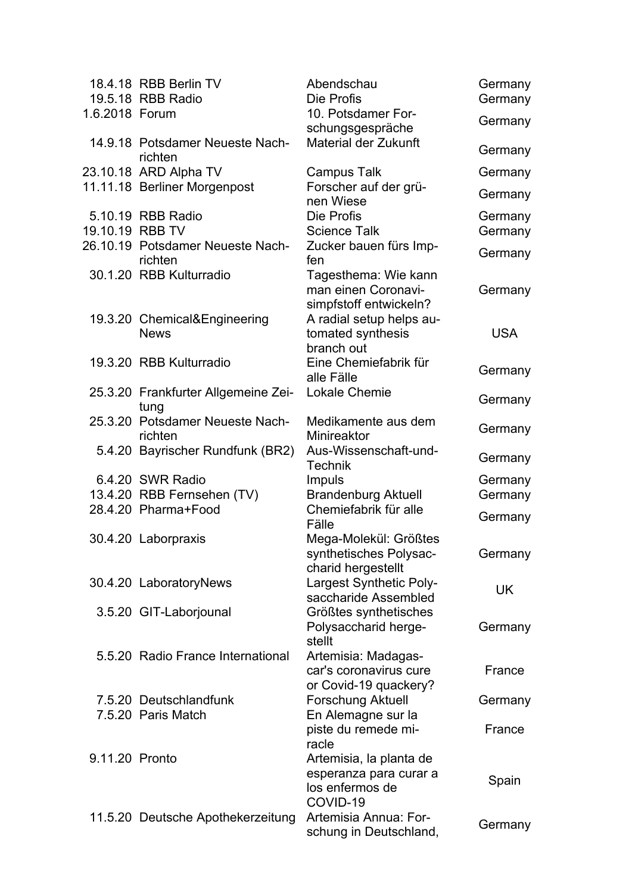|                 | 18.4.18 RBB Berlin TV<br>19.5.18 RBB Radio  | Abendschau<br>Die Profis                                                         | Germany<br>Germany |
|-----------------|---------------------------------------------|----------------------------------------------------------------------------------|--------------------|
| 1.6.2018 Forum  |                                             | 10. Potsdamer For-<br>schungsgespräche                                           | Germany            |
|                 | 14.9.18 Potsdamer Neueste Nach-<br>richten  | <b>Material der Zukunft</b>                                                      | Germany            |
|                 | 23.10.18 ARD Alpha TV                       | <b>Campus Talk</b>                                                               | Germany            |
|                 | 11.11.18 Berliner Morgenpost                | Forscher auf der grü-<br>nen Wiese                                               | Germany            |
| 19.10.19 RBB TV | 5.10.19 RBB Radio                           | Die Profis<br><b>Science Talk</b>                                                | Germany<br>Germany |
|                 | 26.10.19 Potsdamer Neueste Nach-<br>richten | Zucker bauen fürs Imp-<br>fen                                                    | Germany            |
|                 | 30.1.20 RBB Kulturradio                     | Tagesthema: Wie kann<br>man einen Coronavi-<br>simpfstoff entwickeln?            | Germany            |
|                 | 19.3.20 Chemical&Engineering<br><b>News</b> | A radial setup helps au-<br>tomated synthesis<br>branch out                      | <b>USA</b>         |
|                 | 19.3.20 RBB Kulturradio                     | Eine Chemiefabrik für<br>alle Fälle                                              | Germany            |
|                 | 25.3.20 Frankfurter Allgemeine Zei-<br>tung | <b>Lokale Chemie</b>                                                             | Germany            |
|                 | 25.3.20 Potsdamer Neueste Nach-<br>richten  | Medikamente aus dem<br>Minireaktor                                               | Germany            |
|                 | 5.4.20 Bayrischer Rundfunk (BR2)            | Aus-Wissenschaft-und-<br><b>Technik</b>                                          | Germany            |
|                 | 6.4.20 SWR Radio                            | Impuls                                                                           | Germany            |
|                 | 13.4.20 RBB Fernsehen (TV)                  | <b>Brandenburg Aktuell</b>                                                       | Germany            |
|                 | 28.4.20 Pharma+Food                         | Chemiefabrik für alle<br>Fälle                                                   | Germany            |
|                 | 30.4.20 Laborpraxis                         | Mega-Molekül: Größtes<br>synthetisches Polysac-<br>charid hergestellt            | Germany            |
|                 | 30.4.20 LaboratoryNews                      | <b>Largest Synthetic Poly-</b><br>saccharide Assembled                           | UK                 |
|                 | 3.5.20 GIT-Laborjounal                      | Größtes synthetisches<br>Polysaccharid herge-<br>stellt                          | Germany            |
|                 | 5.5.20 Radio France International           | Artemisia: Madagas-<br>car's coronavirus cure                                    | France             |
|                 | 7.5.20 Deutschlandfunk                      | or Covid-19 quackery?<br><b>Forschung Aktuell</b>                                | Germany            |
|                 | 7.5.20 Paris Match                          | En Alemagne sur la<br>piste du remede mi-<br>racle                               | France             |
| 9.11.20 Pronto  |                                             | Artemisia, la planta de<br>esperanza para curar a<br>los enfermos de<br>COVID-19 | Spain              |
|                 | 11.5.20 Deutsche Apothekerzeitung           | Artemisia Annua: For-<br>schung in Deutschland,                                  | Germany            |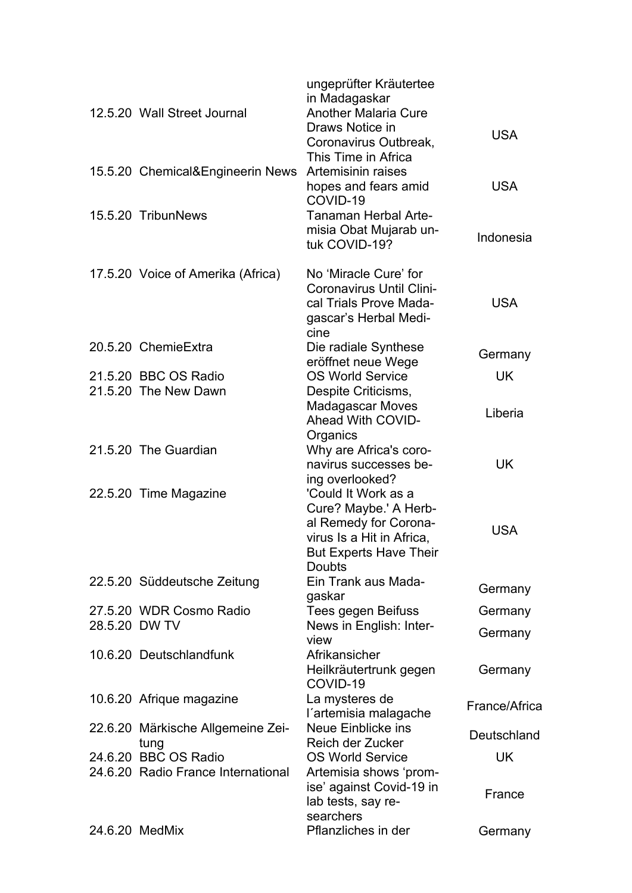| 12.5.20 Wall Street Journal        | ungeprüfter Kräutertee<br>in Madagaskar<br><b>Another Malaria Cure</b><br>Draws Notice in<br>Coronavirus Outbreak,<br>This Time in Africa            | <b>USA</b>    |
|------------------------------------|------------------------------------------------------------------------------------------------------------------------------------------------------|---------------|
| 15.5.20 Chemical&Engineerin News   | Artemisinin raises<br>hopes and fears amid<br>COVID-19                                                                                               | <b>USA</b>    |
| 15.5.20 TribunNews                 | <b>Tanaman Herbal Arte-</b><br>misia Obat Mujarab un-<br>tuk COVID-19?                                                                               | Indonesia     |
| 17.5.20 Voice of Amerika (Africa)  | No 'Miracle Cure' for<br><b>Coronavirus Until Clini-</b><br>cal Trials Prove Mada-<br>gascar's Herbal Medi-<br>cine                                  | <b>USA</b>    |
| 20.5.20 ChemieExtra                | Die radiale Synthese<br>eröffnet neue Wege                                                                                                           | Germany       |
| 21.5.20 BBC OS Radio               | <b>OS World Service</b>                                                                                                                              | <b>UK</b>     |
| 21.5.20 The New Dawn               | Despite Criticisms,<br><b>Madagascar Moves</b><br><b>Ahead With COVID-</b>                                                                           | Liberia       |
| 21.5.20 The Guardian               | Organics<br>Why are Africa's coro-<br>navirus successes be-<br>ing overlooked?                                                                       | UK            |
| 22.5.20 Time Magazine              | 'Could It Work as a<br>Cure? Maybe.' A Herb-<br>al Remedy for Corona-<br>virus Is a Hit in Africa,<br><b>But Experts Have Their</b><br><b>Doubts</b> | <b>USA</b>    |
| 22.5.20 Süddeutsche Zeitung        | Ein Trank aus Mada-<br>gaskar                                                                                                                        | Germany       |
| 27.5.20 WDR Cosmo Radio            | Tees gegen Beifuss                                                                                                                                   | Germany       |
| 28.5.20 DW TV                      | News in English: Inter-<br>view                                                                                                                      | Germany       |
| 10.6.20 Deutschlandfunk            | Afrikansicher<br>Heilkräutertrunk gegen<br>COVID-19                                                                                                  | Germany       |
| 10.6.20 Afrique magazine           | La mysteres de<br>l'artemisia malagache                                                                                                              | France/Africa |
| 22.6.20 Märkische Allgemeine Zei-  | Neue Einblicke ins                                                                                                                                   | Deutschland   |
| tung<br>24.6.20 BBC OS Radio       | Reich der Zucker<br><b>OS World Service</b>                                                                                                          | UK            |
| 24.6.20 Radio France International | Artemisia shows 'prom-<br>ise' against Covid-19 in<br>lab tests, say re-<br>searchers                                                                | France        |
| 24.6.20 MedMix                     | Pflanzliches in der                                                                                                                                  | Germany       |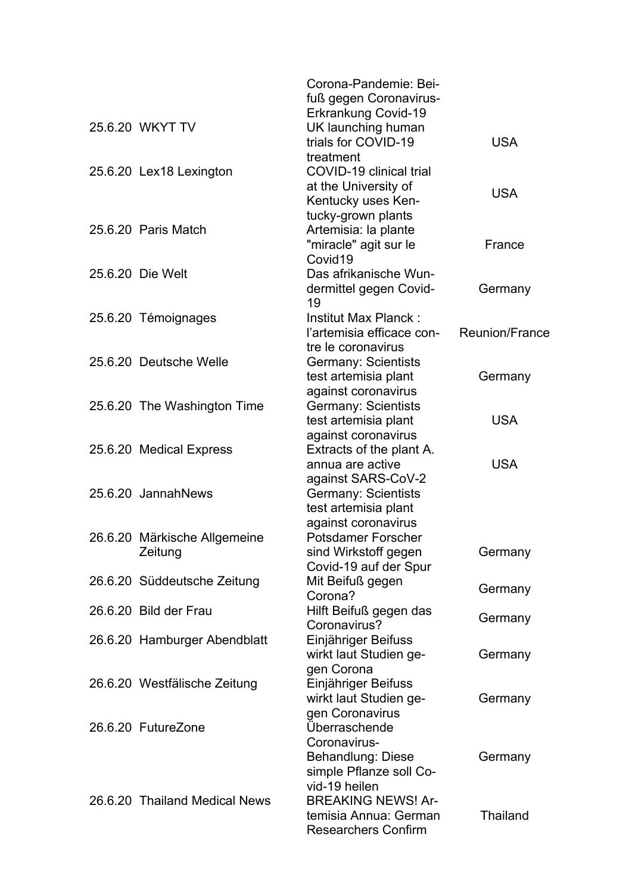|                               | Corona-Pandemie: Bei-<br>fuß gegen Coronavirus- |                 |
|-------------------------------|-------------------------------------------------|-----------------|
|                               | <b>Erkrankung Covid-19</b>                      |                 |
| 25.6.20 WKYT TV               | UK launching human                              |                 |
|                               | trials for COVID-19                             | <b>USA</b>      |
|                               | treatment                                       |                 |
| 25.6.20 Lex18 Lexington       | COVID-19 clinical trial                         |                 |
|                               | at the University of                            | <b>USA</b>      |
|                               | Kentucky uses Ken-                              |                 |
|                               | tucky-grown plants                              |                 |
| 25.6.20 Paris Match           | Artemisia: la plante                            |                 |
|                               | "miracle" agit sur le                           | France          |
|                               | Covid <sub>19</sub>                             |                 |
| 25.6.20 Die Welt              | Das afrikanische Wun-                           |                 |
|                               | dermittel gegen Covid-<br>19                    | Germany         |
| 25.6.20 Témoignages           | Institut Max Planck:                            |                 |
|                               | l'artemisia efficace con-                       | Reunion/France  |
|                               | tre le coronavirus                              |                 |
| 25.6.20 Deutsche Welle        | Germany: Scientists                             |                 |
|                               | test artemisia plant                            | Germany         |
|                               | against coronavirus                             |                 |
| 25.6.20 The Washington Time   | <b>Germany: Scientists</b>                      |                 |
|                               | test artemisia plant                            | <b>USA</b>      |
|                               | against coronavirus                             |                 |
| 25.6.20 Medical Express       | Extracts of the plant A.                        |                 |
|                               | annua are active                                | <b>USA</b>      |
|                               | against SARS-CoV-2                              |                 |
| 25.6.20 JannahNews            | <b>Germany: Scientists</b>                      |                 |
|                               | test artemisia plant                            |                 |
|                               | against coronavirus                             |                 |
| 26.6.20 Märkische Allgemeine  | <b>Potsdamer Forscher</b>                       |                 |
| Zeitung                       | sind Wirkstoff gegen                            | Germany         |
|                               | Covid-19 auf der Spur                           |                 |
| 26.6.20 Süddeutsche Zeitung   | Mit Beifuß gegen                                |                 |
|                               | Corona?                                         | Germany         |
| 26.6.20 Bild der Frau         | Hilft Beifuß gegen das                          | Germany         |
|                               | Coronavirus?                                    |                 |
| 26.6.20 Hamburger Abendblatt  | Einjähriger Beifuss                             |                 |
|                               | wirkt laut Studien ge-                          | Germany         |
|                               | gen Corona                                      |                 |
| 26.6.20 Westfälische Zeitung  | Einjähriger Beifuss                             |                 |
|                               | wirkt laut Studien ge-                          | Germany         |
|                               | gen Coronavirus                                 |                 |
| 26.6.20 FutureZone            | Überraschende                                   |                 |
|                               | Coronavirus-                                    |                 |
|                               | <b>Behandlung: Diese</b>                        | Germany         |
|                               | simple Pflanze soll Co-                         |                 |
|                               | vid-19 heilen                                   |                 |
| 26.6.20 Thailand Medical News | <b>BREAKING NEWS! Ar-</b>                       |                 |
|                               | temisia Annua: German                           | <b>Thailand</b> |
|                               | <b>Researchers Confirm</b>                      |                 |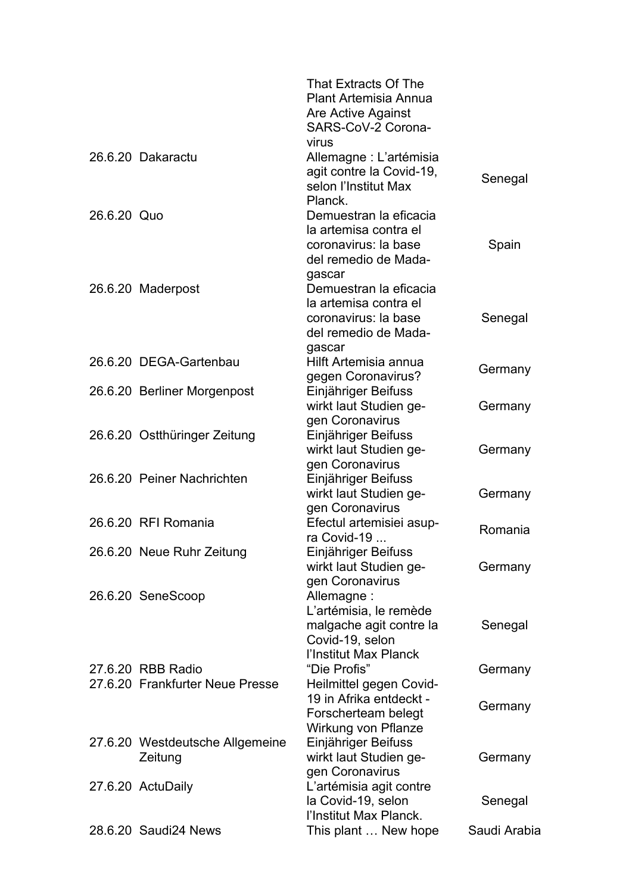|             |                                                      | That Extracts Of The<br><b>Plant Artemisia Annua</b><br>Are Active Against<br>SARS-CoV-2 Corona-                                  |              |
|-------------|------------------------------------------------------|-----------------------------------------------------------------------------------------------------------------------------------|--------------|
|             | 26.6.20 Dakaractu                                    | virus<br>Allemagne : L'artémisia<br>agit contre la Covid-19,<br>selon l'Institut Max<br>Planck.                                   | Senegal      |
| 26.6.20 Quo |                                                      | Demuestran la eficacia<br>la artemisa contra el<br>coronavirus: la base                                                           | Spain        |
|             | 26.6.20 Maderpost                                    | del remedio de Mada-<br>gascar<br>Demuestran la eficacia<br>la artemisa contra el<br>coronavirus: la base<br>del remedio de Mada- | Senegal      |
|             | 26.6.20 DEGA-Gartenbau                               | gascar<br>Hilft Artemisia annua<br>gegen Coronavirus?                                                                             | Germany      |
|             | 26.6.20 Berliner Morgenpost                          | Einjähriger Beifuss<br>wirkt laut Studien ge-<br>gen Coronavirus                                                                  | Germany      |
|             | 26.6.20 Ostthüringer Zeitung                         | Einjähriger Beifuss<br>wirkt laut Studien ge-                                                                                     | Germany      |
|             | 26.6.20 Peiner Nachrichten                           | gen Coronavirus<br>Einjähriger Beifuss<br>wirkt laut Studien ge-                                                                  | Germany      |
|             | 26.6.20 RFI Romania                                  | gen Coronavirus<br>Efectul artemisiei asup-<br>ra Covid-19                                                                        | Romania      |
|             | 26.6.20 Neue Ruhr Zeitung                            | Einjähriger Beifuss<br>wirkt laut Studien ge-<br>gen Coronavirus                                                                  | Germany      |
|             | 26.6.20 SeneScoop                                    | Allemagne:<br>L'artémisia, le remède<br>malgache agit contre la<br>Covid-19, selon                                                | Senegal      |
|             | 27.6.20 RBB Radio<br>27.6.20 Frankfurter Neue Presse | l'Institut Max Planck<br>"Die Profis"<br>Heilmittel gegen Covid-                                                                  | Germany      |
|             |                                                      | 19 in Afrika entdeckt -<br>Forscherteam belegt<br>Wirkung von Pflanze                                                             | Germany      |
|             | 27.6.20 Westdeutsche Allgemeine<br>Zeitung           | Einjähriger Beifuss<br>wirkt laut Studien ge-<br>gen Coronavirus                                                                  | Germany      |
|             | 27.6.20 ActuDaily                                    | L'artémisia agit contre<br>la Covid-19, selon                                                                                     | Senegal      |
|             | 28.6.20 Saudi24 News                                 | l'Institut Max Planck.<br>This plant  New hope                                                                                    | Saudi Arabia |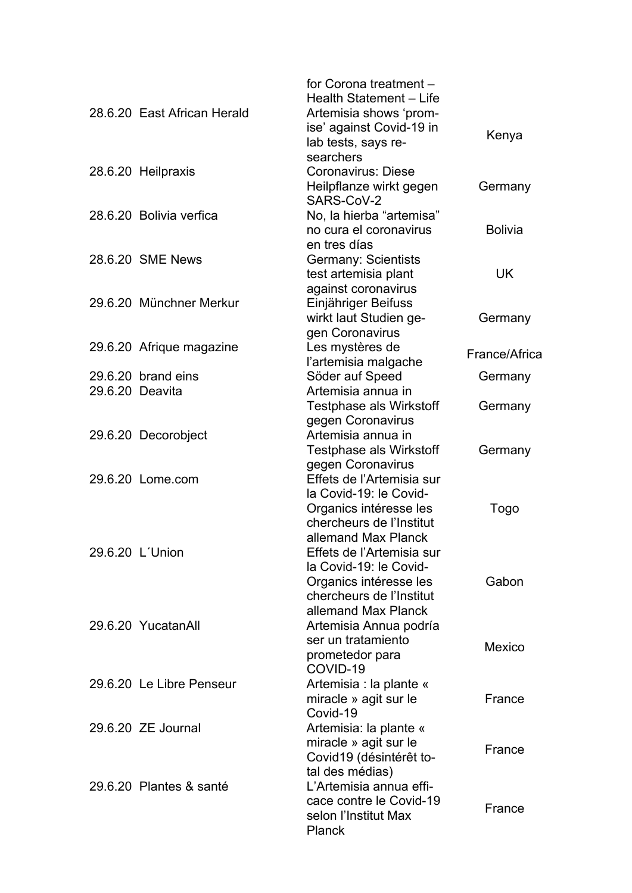| 28.6.20 East African Herald | for Corona treatment -<br>Health Statement - Life<br>Artemisia shows 'prom-<br>ise' against Covid-19 in<br>lab tests, says re- | Kenya          |
|-----------------------------|--------------------------------------------------------------------------------------------------------------------------------|----------------|
| 28.6.20 Heilpraxis          | searchers<br><b>Coronavirus: Diese</b><br>Heilpflanze wirkt gegen                                                              | Germany        |
| 28.6.20 Bolivia verfica     | SARS-CoV-2<br>No, la hierba "artemisa"<br>no cura el coronavirus                                                               | <b>Bolivia</b> |
| 28.6.20 SME News            | en tres días<br>Germany: Scientists<br>test artemisia plant                                                                    | <b>UK</b>      |
| 29.6.20 Münchner Merkur     | against coronavirus<br>Einjähriger Beifuss<br>wirkt laut Studien ge-                                                           | Germany        |
| 29.6.20 Afrique magazine    | gen Coronavirus<br>Les mystères de                                                                                             | France/Africa  |
| 29.6.20 brand eins          | l'artemisia malgache                                                                                                           |                |
| 29.6.20 Deavita             | Söder auf Speed<br>Artemisia annua in                                                                                          | Germany        |
|                             | <b>Testphase als Wirkstoff</b>                                                                                                 | Germany        |
|                             | gegen Coronavirus                                                                                                              |                |
| 29.6.20 Decorobject         | Artemisia annua in                                                                                                             |                |
|                             | <b>Testphase als Wirkstoff</b>                                                                                                 | Germany        |
|                             | gegen Coronavirus                                                                                                              |                |
| 29.6.20 Lome.com            | Effets de l'Artemisia sur<br>la Covid-19: le Covid-                                                                            |                |
|                             | Organics intéresse les                                                                                                         | Togo           |
|                             | chercheurs de l'Institut                                                                                                       |                |
|                             | allemand Max Planck                                                                                                            |                |
| 29.6.20 L'Union             | Effets de l'Artemisia sur                                                                                                      |                |
|                             | la Covid-19: le Covid-                                                                                                         |                |
|                             | Organics intéresse les                                                                                                         | Gabon          |
|                             | chercheurs de l'Institut<br>allemand Max Planck                                                                                |                |
| 29.6.20 YucatanAll          | Artemisia Annua podría                                                                                                         |                |
|                             | ser un tratamiento                                                                                                             |                |
|                             | prometedor para<br>COVID-19                                                                                                    | Mexico         |
| 29.6.20 Le Libre Penseur    | Artemisia : la plante «                                                                                                        |                |
|                             | miracle » agit sur le                                                                                                          | France         |
| 29.6.20 ZE Journal          | Covid-19<br>Artemisia: la plante «                                                                                             |                |
|                             | miracle » agit sur le                                                                                                          |                |
|                             | Covid19 (désintérêt to-                                                                                                        | France         |
|                             | tal des médias)                                                                                                                |                |
| 29.6.20 Plantes & santé     | L'Artemisia annua effi-                                                                                                        |                |
|                             | cace contre le Covid-19                                                                                                        | France         |
|                             | selon l'Institut Max<br><b>Planck</b>                                                                                          |                |
|                             |                                                                                                                                |                |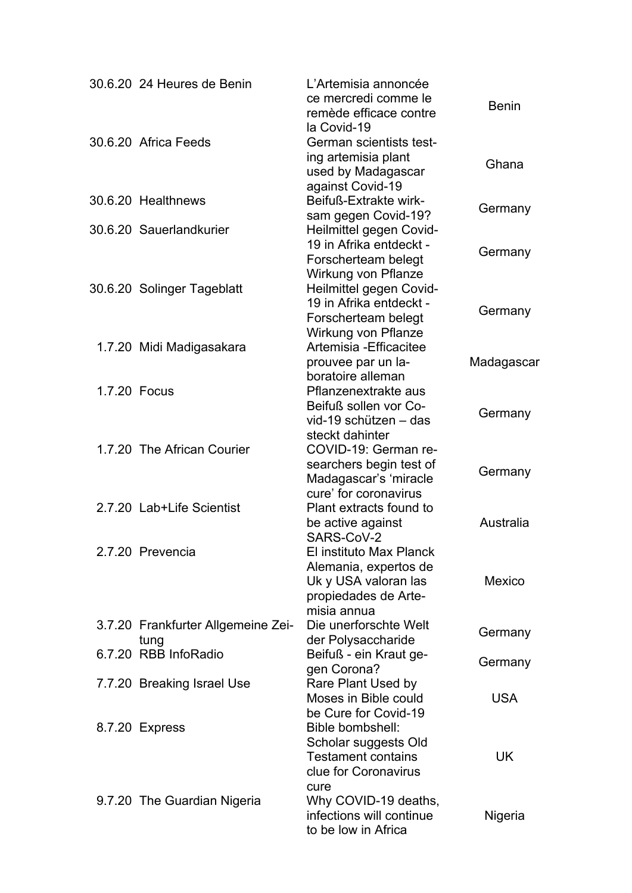|              | 30.6.20 24 Heures de Benin                 | L'Artemisia annoncée<br>ce mercredi comme le<br>remède efficace contre<br>la Covid-19                           | <b>Benin</b> |
|--------------|--------------------------------------------|-----------------------------------------------------------------------------------------------------------------|--------------|
|              | 30.6.20 Africa Feeds                       | German scientists test-<br>ing artemisia plant<br>used by Madagascar                                            | Ghana        |
|              | 30.6.20 Healthnews                         | against Covid-19<br>Beifuß-Extrakte wirk-<br>sam gegen Covid-19?                                                | Germany      |
|              | 30.6.20 Sauerlandkurier                    | Heilmittel gegen Covid-<br>19 in Afrika entdeckt -<br>Forscherteam belegt<br>Wirkung von Pflanze                | Germany      |
|              | 30.6.20 Solinger Tageblatt                 | Heilmittel gegen Covid-<br>19 in Afrika entdeckt -<br>Forscherteam belegt                                       | Germany      |
|              | 1.7.20 Midi Madigasakara                   | Wirkung von Pflanze<br>Artemisia - Efficacitee<br>prouvee par un la-<br>boratoire alleman                       | Madagascar   |
| 1.7.20 Focus |                                            | Pflanzenextrakte aus<br>Beifuß sollen vor Co-<br>vid-19 schützen - das                                          | Germany      |
|              | 1.7.20 The African Courier                 | steckt dahinter<br>COVID-19: German re-<br>searchers begin test of<br>Madagascar's 'miracle                     | Germany      |
|              | 2.7.20 Lab+Life Scientist                  | cure' for coronavirus<br>Plant extracts found to<br>be active against<br>SARS-CoV-2                             | Australia    |
|              | 2.7.20 Prevencia                           | El instituto Max Planck<br>Alemania, expertos de<br>Uk y USA valoran las<br>propiedades de Arte-<br>misia annua | Mexico       |
|              | 3.7.20 Frankfurter Allgemeine Zei-<br>tung | Die unerforschte Welt<br>der Polysaccharide                                                                     | Germany      |
|              | 6.7.20 RBB InfoRadio                       | Beifuß - ein Kraut ge-<br>gen Corona?                                                                           | Germany      |
|              | 7.7.20 Breaking Israel Use                 | Rare Plant Used by<br>Moses in Bible could<br>be Cure for Covid-19                                              | <b>USA</b>   |
|              | 8.7.20 Express                             | Bible bombshell:<br>Scholar suggests Old<br><b>Testament contains</b><br>clue for Coronavirus                   | UK           |
|              | 9.7.20 The Guardian Nigeria                | cure<br>Why COVID-19 deaths,<br>infections will continue<br>to be low in Africa                                 | Nigeria      |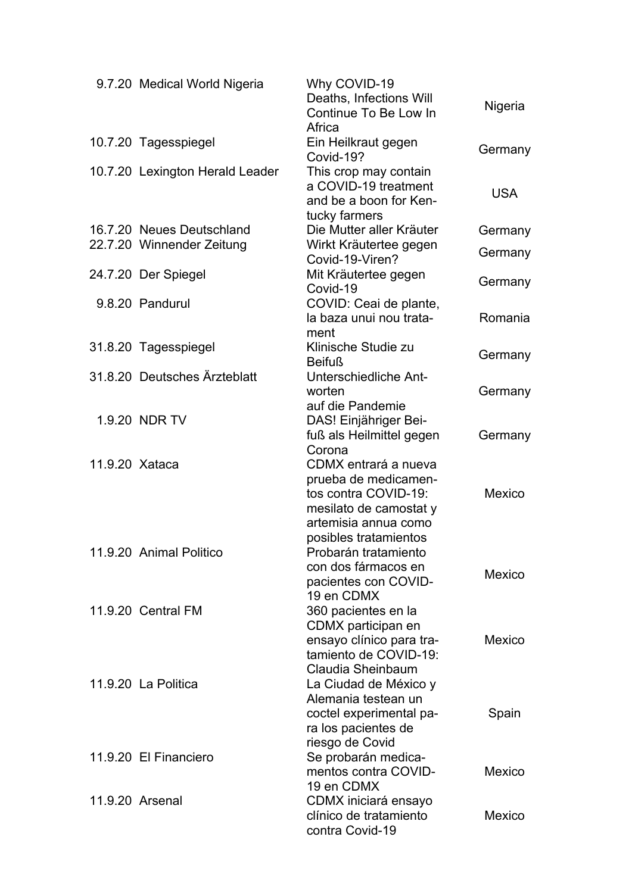|                | 9.7.20 Medical World Nigeria    | Why COVID-19<br>Deaths, Infections Will<br>Continue To Be Low In | Nigeria    |
|----------------|---------------------------------|------------------------------------------------------------------|------------|
|                |                                 | Africa                                                           |            |
|                | 10.7.20 Tagesspiegel            | Ein Heilkraut gegen<br>Covid-19?                                 | Germany    |
|                | 10.7.20 Lexington Herald Leader | This crop may contain                                            |            |
|                |                                 | a COVID-19 treatment                                             | <b>USA</b> |
|                |                                 | and be a boon for Ken-                                           |            |
|                |                                 | tucky farmers                                                    |            |
|                | 16.7.20 Neues Deutschland       | Die Mutter aller Kräuter                                         | Germany    |
|                | 22.7.20 Winnender Zeitung       | Wirkt Kräutertee gegen<br>Covid-19-Viren?                        | Germany    |
|                | 24.7.20 Der Spiegel             | Mit Kräutertee gegen                                             |            |
|                |                                 | Covid-19                                                         | Germany    |
|                | 9.8.20 Pandurul                 | COVID: Ceai de plante,                                           |            |
|                |                                 | la baza unui nou trata-                                          | Romania    |
|                |                                 | ment                                                             |            |
|                | 31.8.20 Tagesspiegel            | Klinische Studie zu<br><b>Beifuß</b>                             | Germany    |
|                | 31.8.20 Deutsches Ärzteblatt    | Unterschiedliche Ant-                                            |            |
|                |                                 | worten                                                           | Germany    |
|                |                                 | auf die Pandemie                                                 |            |
|                | 1.9.20 NDR TV                   | DAS! Einjähriger Bei-                                            |            |
|                |                                 | fuß als Heilmittel gegen                                         | Germany    |
|                |                                 | Corona                                                           |            |
| 11.9.20 Xataca |                                 | CDMX entrará a nueva                                             |            |
|                |                                 | prueba de medicamen-<br>tos contra COVID-19:                     | Mexico     |
|                |                                 | mesilato de camostat y                                           |            |
|                |                                 | artemisia annua como                                             |            |
|                |                                 | posibles tratamientos                                            |            |
|                | 11.9.20 Animal Politico         | Probarán tratamiento                                             |            |
|                |                                 | con dos fármacos en                                              | Mexico     |
|                |                                 | pacientes con COVID-                                             |            |
|                | 11.9.20 Central FM              | 19 en CDMX<br>360 pacientes en la                                |            |
|                |                                 | CDMX participan en                                               |            |
|                |                                 | ensayo clínico para tra-                                         | Mexico     |
|                |                                 | tamiento de COVID-19:                                            |            |
|                |                                 | Claudia Sheinbaum                                                |            |
|                | 11.9.20 La Politica             | La Ciudad de México y                                            |            |
|                |                                 | Alemania testean un                                              |            |
|                |                                 | coctel experimental pa-<br>ra los pacientes de                   | Spain      |
|                |                                 | riesgo de Covid                                                  |            |
|                | 11.9.20 El Financiero           | Se probarán medica-                                              |            |
|                |                                 | mentos contra COVID-                                             | Mexico     |
|                |                                 | 19 en CDMX                                                       |            |
|                | 11.9.20 Arsenal                 | CDMX iniciará ensayo                                             |            |
|                |                                 | clínico de tratamiento                                           | Mexico     |
|                |                                 | contra Covid-19                                                  |            |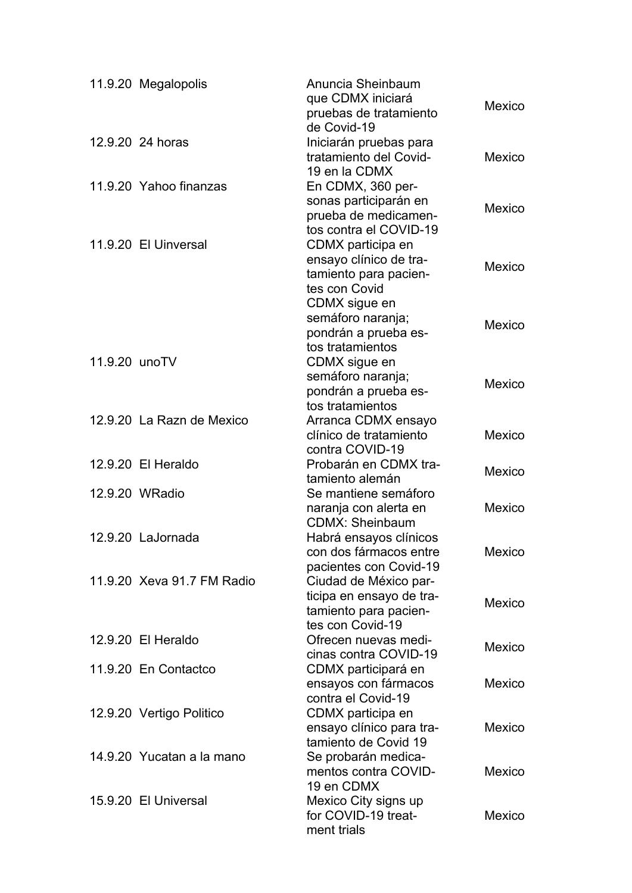|               | 11.9.20 Megalopolis        | Anuncia Sheinbaum<br>que CDMX iniciará<br>pruebas de tratamiento<br>de Covid-19                | Mexico |
|---------------|----------------------------|------------------------------------------------------------------------------------------------|--------|
|               | 12.9.20 24 horas           | Iniciarán pruebas para<br>tratamiento del Covid-<br>19 en la CDMX                              | Mexico |
|               | 11.9.20 Yahoo finanzas     | En CDMX, 360 per-<br>sonas participarán en<br>prueba de medicamen-<br>tos contra el COVID-19   | Mexico |
|               | 11.9.20 El Uinversal       | CDMX participa en<br>ensayo clínico de tra-<br>tamiento para pacien-<br>tes con Covid          | Mexico |
|               |                            | CDMX sigue en<br>semáforo naranja;<br>pondrán a prueba es-<br>tos tratamientos                 | Mexico |
| 11.9.20 unoTV |                            | CDMX sigue en<br>semáforo naranja;<br>pondrán a prueba es-<br>tos tratamientos                 | Mexico |
|               | 12.9.20 La Razn de Mexico  | Arranca CDMX ensayo<br>clínico de tratamiento<br>contra COVID-19                               | Mexico |
|               | 12.9.20 El Heraldo         | Probarán en CDMX tra-<br>tamiento alemán                                                       | Mexico |
|               | 12.9.20 WRadio             | Se mantiene semáforo<br>naranja con alerta en<br><b>CDMX: Sheinbaum</b>                        | Mexico |
|               | 12.9.20 LaJornada          | Habrá ensayos clínicos<br>con dos fármacos entre<br>pacientes con Covid-19                     | Mexico |
|               | 11.9.20 Xeva 91.7 FM Radio | Ciudad de México par-<br>ticipa en ensayo de tra-<br>tamiento para pacien-<br>tes con Covid-19 | Mexico |
|               | 12.9.20 El Heraldo         | Ofrecen nuevas medi-<br>cinas contra COVID-19                                                  | Mexico |
|               | 11.9.20 En Contactco       | CDMX participará en<br>ensayos con fármacos                                                    | Mexico |
|               | 12.9.20 Vertigo Politico   | contra el Covid-19<br>CDMX participa en<br>ensayo clínico para tra-<br>tamiento de Covid 19    | Mexico |
|               | 14.9.20 Yucatan a la mano  | Se probarán medica-<br>mentos contra COVID-<br>19 en CDMX                                      | Mexico |
|               | 15.9.20 El Universal       | Mexico City signs up<br>for COVID-19 treat-<br>ment trials                                     | Mexico |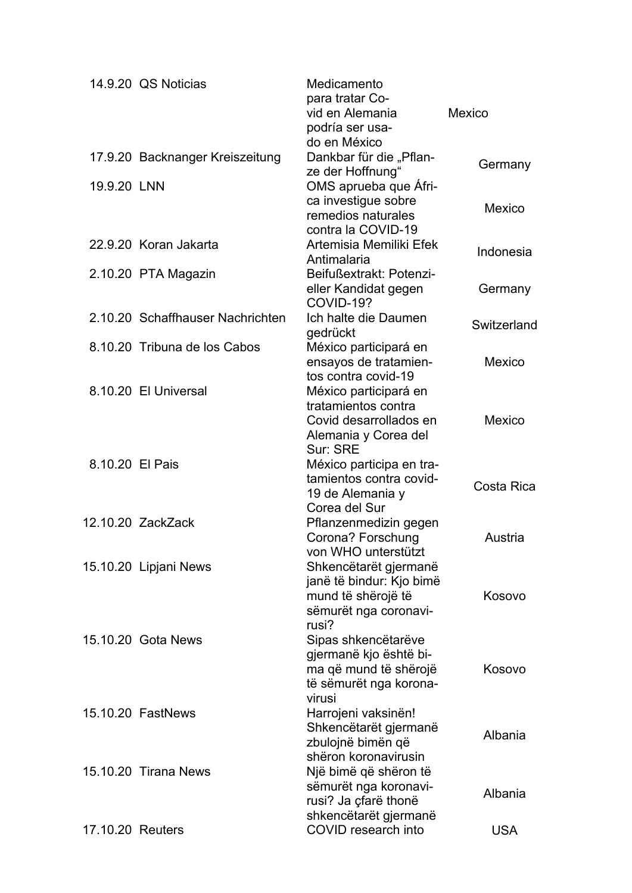|                  | 14.9.20 QS Noticias              | Medicamento<br>para tratar Co-<br>vid en Alemania<br>podría ser usa-                                       | Mexico        |
|------------------|----------------------------------|------------------------------------------------------------------------------------------------------------|---------------|
|                  | 17.9.20 Backnanger Kreiszeitung  | do en México<br>Dankbar für die "Pflan-<br>ze der Hoffnung"                                                | Germany       |
| 19.9.20 LNN      |                                  | OMS aprueba que Afri-<br>ca investigue sobre<br>remedios naturales                                         | Mexico        |
|                  | 22.9.20 Koran Jakarta            | contra la COVID-19<br>Artemisia Memiliki Efek<br>Antimalaria                                               | Indonesia     |
|                  | 2.10.20 PTA Magazin              | Beifußextrakt: Potenzi-<br>eller Kandidat gegen<br>COVID-19?                                               | Germany       |
|                  | 2.10.20 Schaffhauser Nachrichten | Ich halte die Daumen<br>gedrückt                                                                           | Switzerland   |
|                  | 8.10.20 Tribuna de los Cabos     | México participará en<br>ensayos de tratamien-<br>tos contra covid-19                                      | Mexico        |
|                  | 8.10.20 El Universal             | México participará en<br>tratamientos contra<br>Covid desarrollados en<br>Alemania y Corea del<br>Sur: SRE | <b>Mexico</b> |
| 8.10.20 El Pais  |                                  | México participa en tra-<br>tamientos contra covid-<br>19 de Alemania y<br>Corea del Sur                   | Costa Rica    |
|                  | 12.10.20 ZackZack                | Pflanzenmedizin gegen<br>Corona? Forschung<br>von WHO unterstützt                                          | Austria       |
|                  | 15.10.20 Lipjani News            | Shkencëtarët gjermanë<br>janë të bindur: Kjo bimë<br>mund të shërojë të<br>sëmurët nga coronavi-<br>rusi?  | Kosovo        |
|                  | 15.10.20 Gota News               | Sipas shkencëtarëve<br>gjermanë kjo është bi-<br>ma që mund të shërojë<br>të sëmurët nga korona-<br>virusi | Kosovo        |
|                  | 15.10.20 FastNews                | Harrojeni vaksinën!<br>Shkencëtarët gjermanë<br>zbulojnë bimën që                                          | Albania       |
|                  | 15.10.20 Tirana News             | shëron koronavirusin<br>Një bimë që shëron të<br>sëmurët nga koronavi-<br>rusi? Ja çfarë thonë             | Albania       |
| 17.10.20 Reuters |                                  | shkencëtarët gjermanë<br><b>COVID research into</b>                                                        | <b>USA</b>    |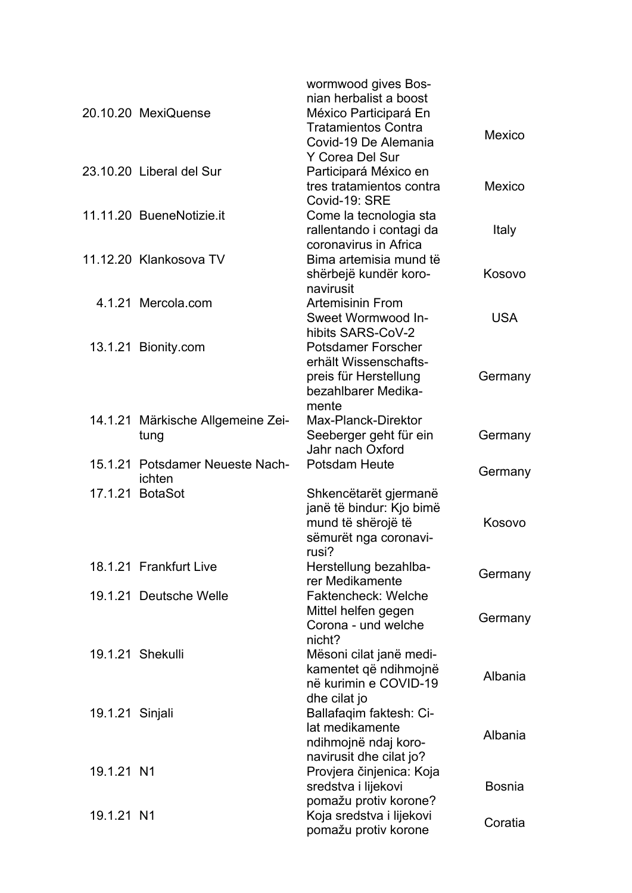|                 | 20.10.20 MexiQuense                       | wormwood gives Bos-<br>nian herbalist a boost<br>México Participará En                                      |               |
|-----------------|-------------------------------------------|-------------------------------------------------------------------------------------------------------------|---------------|
|                 |                                           | <b>Tratamientos Contra</b><br>Covid-19 De Alemania<br>Y Corea Del Sur                                       | Mexico        |
|                 | 23.10.20 Liberal del Sur                  | Participará México en<br>tres tratamientos contra<br>Covid-19: SRE                                          | Mexico        |
|                 | 11.11.20 BueneNotizie.it                  | Come la tecnologia sta<br>rallentando i contagi da<br>coronavirus in Africa                                 | Italy         |
|                 | 11.12.20 Klankosova TV                    | Bima artemisia mund të<br>shërbejë kundër koro-<br>navirusit                                                | Kosovo        |
|                 | 4.1.21 Mercola.com                        | <b>Artemisinin From</b><br>Sweet Wormwood In-<br>hibits SARS-CoV-2                                          | <b>USA</b>    |
|                 | 13.1.21 Bionity.com                       | <b>Potsdamer Forscher</b><br>erhält Wissenschafts-<br>preis für Herstellung<br>bezahlbarer Medika-<br>mente | Germany       |
|                 | 14.1.21 Märkische Allgemeine Zei-<br>tung | Max-Planck-Direktor<br>Seeberger geht für ein<br>Jahr nach Oxford                                           | Germany       |
|                 | 15.1.21 Potsdamer Neueste Nach-<br>ichten | <b>Potsdam Heute</b>                                                                                        | Germany       |
|                 | 17.1.21 BotaSot                           | Shkencëtarët gjermanë<br>janë të bindur: Kjo bimë<br>mund të shërojë të<br>sëmurët nga coronavi-<br>rusi?   | Kosovo        |
|                 | 18.1.21 Frankfurt Live                    | Herstellung bezahlba-<br>rer Medikamente                                                                    | Germany       |
|                 | 19.1.21 Deutsche Welle                    | <b>Faktencheck: Welche</b><br>Mittel helfen gegen<br>Corona - und welche<br>nicht?                          | Germany       |
|                 | 19.1.21 Shekulli                          | Mësoni cilat janë medi-<br>kamentet që ndihmojnë<br>në kurimin e COVID-19<br>dhe cilat jo                   | Albania       |
| 19.1.21 Sinjali |                                           | Ballafaqim faktesh: Ci-<br>lat medikamente<br>ndihmojnë ndaj koro-                                          | Albania       |
| 19.1.21 N1      |                                           | navirusit dhe cilat jo?<br>Provjera činjenica: Koja<br>sredstva i lijekovi<br>pomažu protiv korone?         | <b>Bosnia</b> |
| 19.1.21 N1      |                                           | Koja sredstva i lijekovi<br>pomažu protiv korone                                                            | Coratia       |
|                 |                                           |                                                                                                             |               |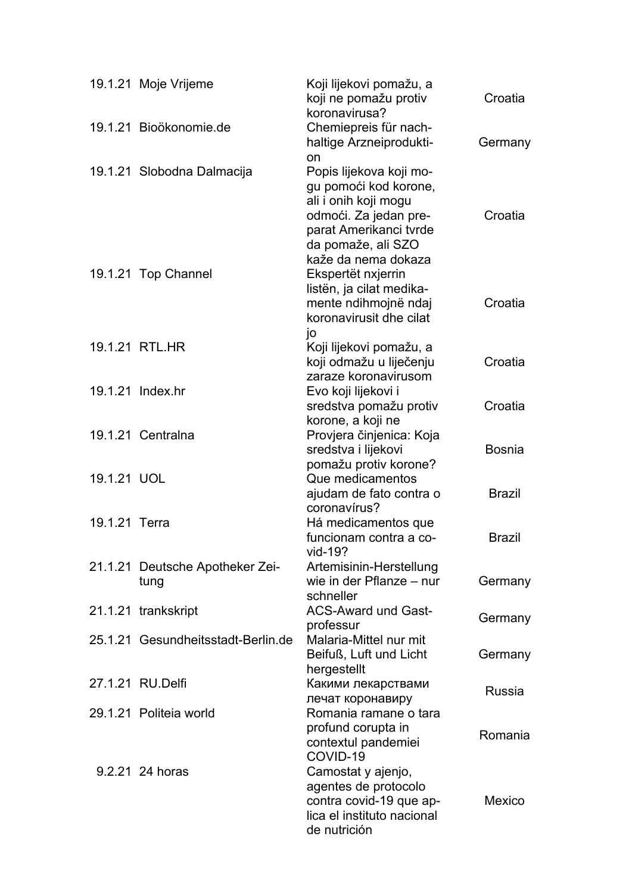|               | 19.1.21 Moje Vrijeme                    | Koji lijekovi pomažu, a<br>koji ne pomažu protiv<br>koronavirusa?                                                                                                        | Croatia       |
|---------------|-----------------------------------------|--------------------------------------------------------------------------------------------------------------------------------------------------------------------------|---------------|
|               | 19.1.21 Bioökonomie.de                  | Chemiepreis für nach-<br>haltige Arzneiprodukti-<br>on                                                                                                                   | Germany       |
|               | 19.1.21 Slobodna Dalmacija              | Popis lijekova koji mo-<br>gu pomoći kod korone,<br>ali i onih koji mogu<br>odmoći. Za jedan pre-<br>parat Amerikanci tvrde<br>da pomaže, ali SZO<br>kaže da nema dokaza | Croatia       |
|               | 19.1.21 Top Channel                     | Ekspertët nxjerrin<br>listën, ja cilat medika-<br>mente ndihmojnë ndaj<br>koronavirusit dhe cilat                                                                        | Croatia       |
|               | 19.1.21 RTL.HR                          | jo<br>Koji lijekovi pomažu, a<br>koji odmažu u liječenju<br>zaraze koronavirusom                                                                                         | Croatia       |
|               | 19.1.21 Index.hr                        | Evo koji lijekovi i<br>sredstva pomažu protiv<br>korone, a koji ne                                                                                                       | Croatia       |
|               | 19.1.21 Centralna                       | Provjera činjenica: Koja<br>sredstva i lijekovi<br>pomažu protiv korone?                                                                                                 | <b>Bosnia</b> |
| 19.1.21 UOL   |                                         | Que medicamentos<br>ajudam de fato contra o                                                                                                                              | <b>Brazil</b> |
| 19.1.21 Terra |                                         | coronavírus?<br>Há medicamentos que<br>funcionam contra a co-                                                                                                            | <b>Brazil</b> |
|               | 21.1.21 Deutsche Apotheker Zei-<br>tung | vid-19?<br>Artemisinin-Herstellung<br>wie in der Pflanze – nur<br>schneller                                                                                              | Germany       |
|               | 21.1.21 trankskript                     | <b>ACS-Award und Gast-</b>                                                                                                                                               | Germany       |
|               | 25.1.21 Gesundheitsstadt-Berlin.de      | professur<br>Malaria-Mittel nur mit<br>Beifuß, Luft und Licht                                                                                                            | Germany       |
|               | 27.1.21 RU.Delfi                        | hergestellt<br>Какими лекарствами                                                                                                                                        | <b>Russia</b> |
|               | 29.1.21 Politeia world                  | лечат коронавиру<br>Romania ramane o tara<br>profund corupta in<br>contextul pandemiei<br>COVID-19                                                                       | Romania       |
|               | 9.2.21 24 horas                         | Camostat y ajenjo,<br>agentes de protocolo<br>contra covid-19 que ap-<br>lica el instituto nacional<br>de nutrición                                                      | Mexico        |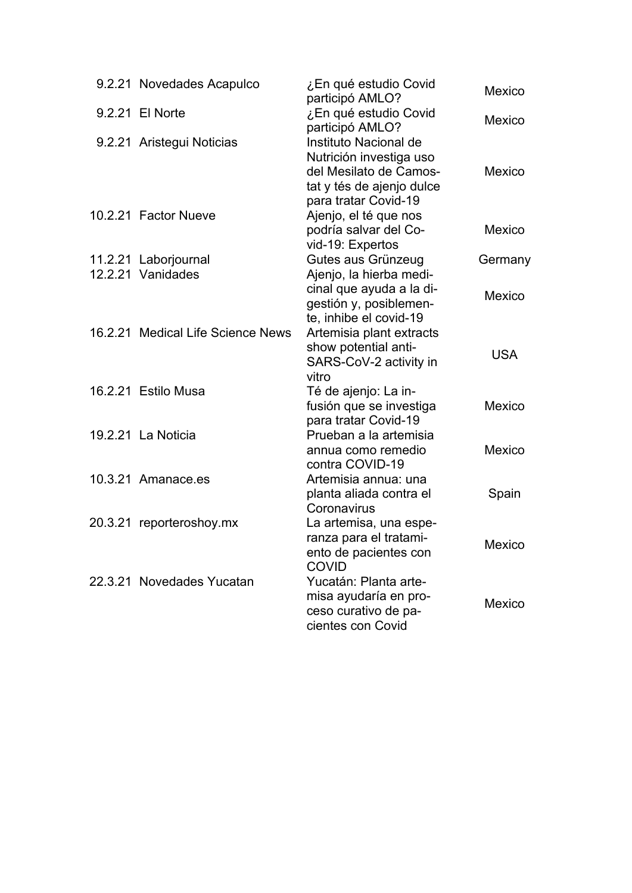| 9.2.21 Novedades Acapulco                 | ¿En qué estudio Covid<br>participó AMLO?                                                                                        | Mexico     |
|-------------------------------------------|---------------------------------------------------------------------------------------------------------------------------------|------------|
| 9.2.21 El Norte                           | ¿En qué estudio Covid<br>participó AMLO?                                                                                        | Mexico     |
| 9.2.21 Aristegui Noticias                 | Instituto Nacional de<br>Nutrición investiga uso<br>del Mesilato de Camos-<br>tat y tés de ajenjo dulce<br>para tratar Covid-19 | Mexico     |
| 10.2.21 Factor Nueve                      | Ajenjo, el té que nos<br>podría salvar del Co-<br>vid-19: Expertos                                                              | Mexico     |
| 11.2.21 Laborjournal<br>12.2.21 Vanidades | Gutes aus Grünzeug                                                                                                              | Germany    |
|                                           | Ajenjo, la hierba medi-<br>cinal que ayuda a la di-<br>gestión y, posiblemen-<br>te, inhibe el covid-19                         | Mexico     |
| 16.2.21 Medical Life Science News         | Artemisia plant extracts<br>show potential anti-<br>SARS-CoV-2 activity in<br>vitro                                             | <b>USA</b> |
| 16.2.21 Estilo Musa                       | Té de ajenjo: La in-<br>fusión que se investiga<br>para tratar Covid-19                                                         | Mexico     |
| 19.2.21 La Noticia                        | Prueban a la artemisia<br>annua como remedio<br>contra COVID-19                                                                 | Mexico     |
| 10.3.21 Amanace.es                        | Artemisia annua: una<br>planta aliada contra el<br>Coronavirus                                                                  | Spain      |
| 20.3.21 reporteroshoy.mx                  | La artemisa, una espe-<br>ranza para el tratami-<br>ento de pacientes con<br>COVID                                              | Mexico     |
| 22.3.21 Novedades Yucatan                 | Yucatán: Planta arte-<br>misa ayudaría en pro-<br>ceso curativo de pa-<br>cientes con Covid                                     | Mexico     |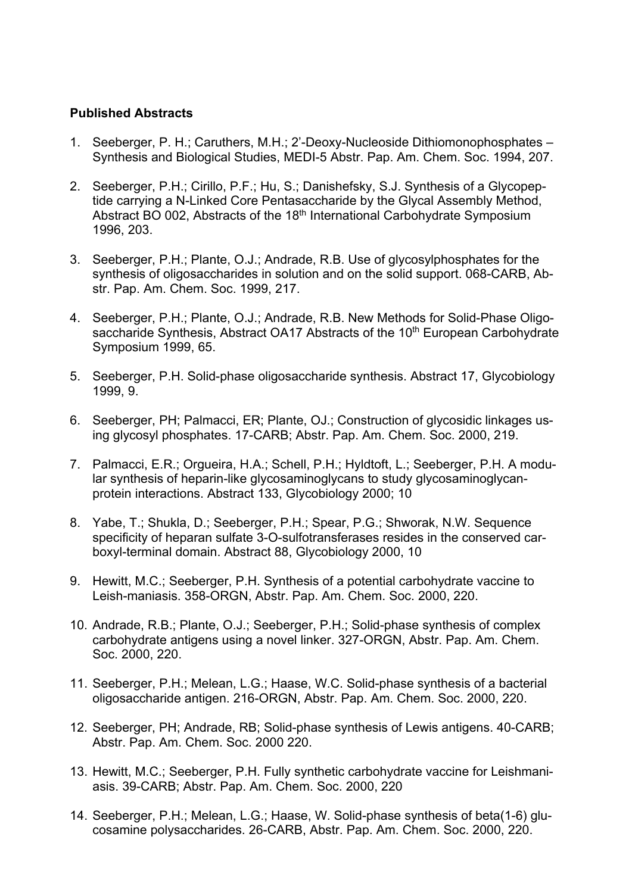## **Published Abstracts**

- 1. Seeberger, P. H.; Caruthers, M.H.; 2'-Deoxy-Nucleoside Dithiomonophosphates Synthesis and Biological Studies, MEDI-5 Abstr. Pap. Am. Chem. Soc. 1994, 207.
- 2. Seeberger, P.H.; Cirillo, P.F.; Hu, S.; Danishefsky, S.J. Synthesis of a Glycopeptide carrying a N-Linked Core Pentasaccharide by the Glycal Assembly Method, Abstract BO 002, Abstracts of the 18<sup>th</sup> International Carbohydrate Symposium 1996, 203.
- 3. Seeberger, P.H.; Plante, O.J.; Andrade, R.B. Use of glycosylphosphates for the synthesis of oligosaccharides in solution and on the solid support. 068-CARB, Abstr. Pap. Am. Chem. Soc. 1999, 217.
- 4. Seeberger, P.H.; Plante, O.J.; Andrade, R.B. New Methods for Solid-Phase Oligosaccharide Synthesis, Abstract OA17 Abstracts of the 10<sup>th</sup> European Carbohydrate Symposium 1999, 65.
- 5. Seeberger, P.H. Solid-phase oligosaccharide synthesis. Abstract 17, Glycobiology 1999, 9.
- 6. Seeberger, PH; Palmacci, ER; Plante, OJ.; Construction of glycosidic linkages using glycosyl phosphates. 17-CARB; Abstr. Pap. Am. Chem. Soc. 2000, 219.
- 7. Palmacci, E.R.; Orgueira, H.A.; Schell, P.H.; Hyldtoft, L.; Seeberger, P.H. A modular synthesis of heparin-like glycosaminoglycans to study glycosaminoglycanprotein interactions. Abstract 133, Glycobiology 2000; 10
- 8. Yabe, T.; Shukla, D.; Seeberger, P.H.; Spear, P.G.; Shworak, N.W. Sequence specificity of heparan sulfate 3-O-sulfotransferases resides in the conserved carboxyl-terminal domain. Abstract 88, Glycobiology 2000, 10
- 9. Hewitt, M.C.; Seeberger, P.H. Synthesis of a potential carbohydrate vaccine to Leish-maniasis. 358-ORGN, Abstr. Pap. Am. Chem. Soc. 2000, 220.
- 10. Andrade, R.B.; Plante, O.J.; Seeberger, P.H.; Solid-phase synthesis of complex carbohydrate antigens using a novel linker. 327-ORGN, Abstr. Pap. Am. Chem. Soc. 2000, 220.
- 11. Seeberger, P.H.; Melean, L.G.; Haase, W.C. Solid-phase synthesis of a bacterial oligosaccharide antigen. 216-ORGN, Abstr. Pap. Am. Chem. Soc. 2000, 220.
- 12. Seeberger, PH; Andrade, RB; Solid-phase synthesis of Lewis antigens. 40-CARB; Abstr. Pap. Am. Chem. Soc. 2000 220.
- 13. Hewitt, M.C.; Seeberger, P.H. Fully synthetic carbohydrate vaccine for Leishmaniasis. 39-CARB; Abstr. Pap. Am. Chem. Soc. 2000, 220
- 14. Seeberger, P.H.; Melean, L.G.; Haase, W. Solid-phase synthesis of beta(1-6) glucosamine polysaccharides. 26-CARB, Abstr. Pap. Am. Chem. Soc. 2000, 220.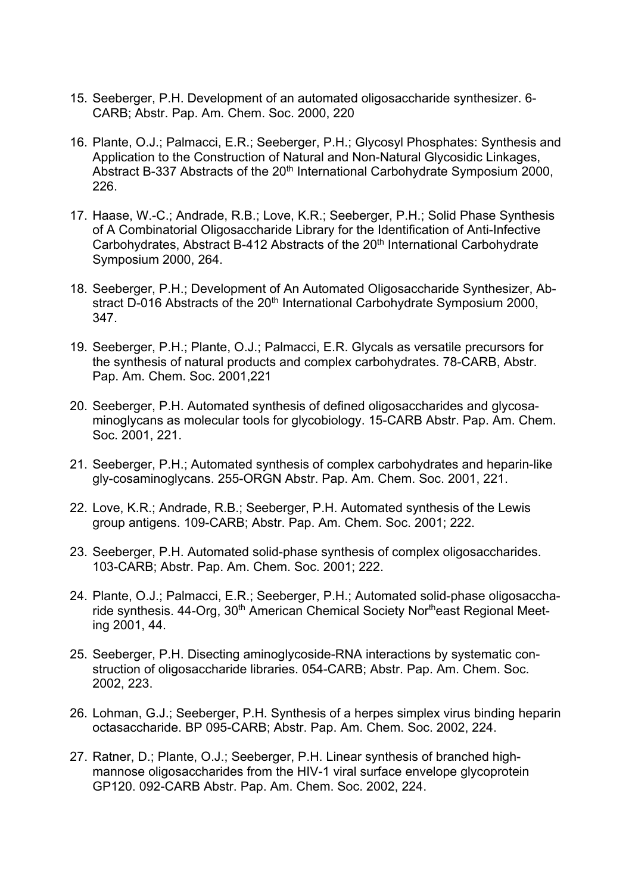- 15. Seeberger, P.H. Development of an automated oligosaccharide synthesizer. 6- CARB; Abstr. Pap. Am. Chem. Soc. 2000, 220
- 16. Plante, O.J.; Palmacci, E.R.; Seeberger, P.H.; Glycosyl Phosphates: Synthesis and Application to the Construction of Natural and Non-Natural Glycosidic Linkages, Abstract B-337 Abstracts of the 20<sup>th</sup> International Carbohydrate Symposium 2000, 226.
- 17. Haase, W.-C.; Andrade, R.B.; Love, K.R.; Seeberger, P.H.; Solid Phase Synthesis of A Combinatorial Oligosaccharide Library for the Identification of Anti-Infective Carbohydrates, Abstract B-412 Abstracts of the 20<sup>th</sup> International Carbohydrate Symposium 2000, 264.
- 18. Seeberger, P.H.; Development of An Automated Oligosaccharide Synthesizer, Abstract D-016 Abstracts of the 20<sup>th</sup> International Carbohydrate Symposium 2000, 347.
- 19. Seeberger, P.H.; Plante, O.J.; Palmacci, E.R. Glycals as versatile precursors for the synthesis of natural products and complex carbohydrates. 78-CARB, Abstr. Pap. Am. Chem. Soc. 2001,221
- 20. Seeberger, P.H. Automated synthesis of defined oligosaccharides and glycosaminoglycans as molecular tools for glycobiology. 15-CARB Abstr. Pap. Am. Chem. Soc. 2001, 221.
- 21. Seeberger, P.H.; Automated synthesis of complex carbohydrates and heparin-like gly-cosaminoglycans. 255-ORGN Abstr. Pap. Am. Chem. Soc. 2001, 221.
- 22. Love, K.R.; Andrade, R.B.; Seeberger, P.H. Automated synthesis of the Lewis group antigens. 109-CARB; Abstr. Pap. Am. Chem. Soc. 2001; 222.
- 23. Seeberger, P.H. Automated solid-phase synthesis of complex oligosaccharides. 103-CARB; Abstr. Pap. Am. Chem. Soc. 2001; 222.
- 24. Plante, O.J.; Palmacci, E.R.; Seeberger, P.H.; Automated solid-phase oligosaccharide synthesis, 44-Org, 30<sup>th</sup> American Chemical Society Nor<sup>th</sup>east Regional Meeting 2001, 44.
- 25. Seeberger, P.H. Disecting aminoglycoside-RNA interactions by systematic construction of oligosaccharide libraries. 054-CARB; Abstr. Pap. Am. Chem. Soc. 2002, 223.
- 26. Lohman, G.J.; Seeberger, P.H. Synthesis of a herpes simplex virus binding heparin octasaccharide. BP 095-CARB; Abstr. Pap. Am. Chem. Soc. 2002, 224.
- 27. Ratner, D.; Plante, O.J.; Seeberger, P.H. Linear synthesis of branched highmannose oligosaccharides from the HIV-1 viral surface envelope glycoprotein GP120. 092-CARB Abstr. Pap. Am. Chem. Soc. 2002, 224.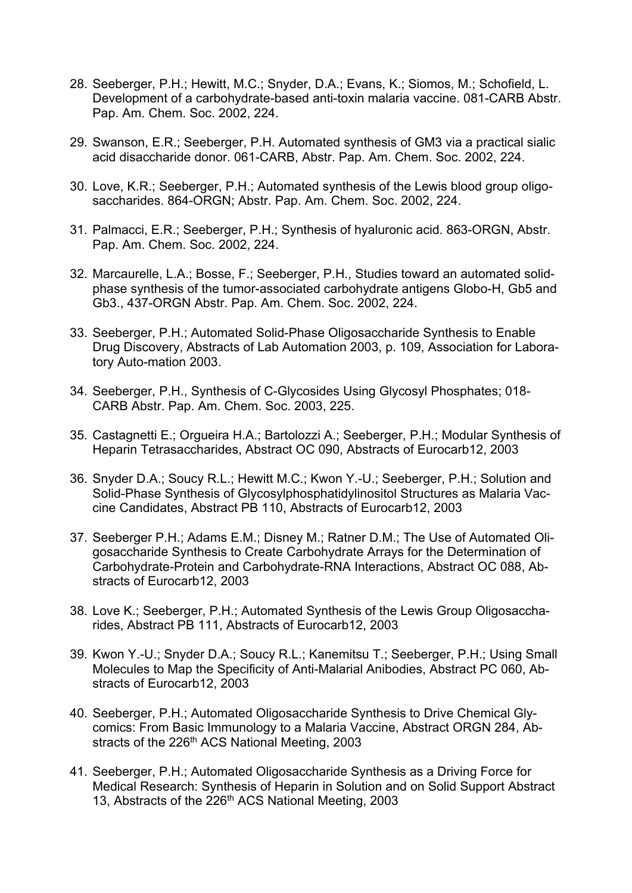- 28. Seeberger, P.H.; Hewitt, M.C.; Snyder, D.A.; Evans, K.; Siomos, M.; Schofield, L. Development of a carbohydrate-based anti-toxin malaria vaccine. 081-CARB Abstr. Pap. Am. Chem. Soc. 2002, 224.
- 29. Swanson, E.R.; Seeberger, P.H. Automated synthesis of GM3 via a practical sialic acid disaccharide donor. 061-CARB, Abstr. Pap. Am. Chem. Soc. 2002, 224.
- 30. Love, K.R.; Seeberger, P.H.; Automated synthesis of the Lewis blood group oligosaccharides. 864-ORGN; Abstr. Pap. Am. Chem. Soc. 2002, 224.
- 31. Palmacci, E.R.; Seeberger, P.H.; Synthesis of hyaluronic acid. 863-ORGN, Abstr. Pap. Am. Chem. Soc. 2002, 224.
- 32. Marcaurelle, L.A.; Bosse, F.; Seeberger, P.H., Studies toward an automated solidphase synthesis of the tumor-associated carbohydrate antigens Globo-H, Gb5 and Gb3., 437-ORGN Abstr. Pap. Am. Chem. Soc. 2002, 224.
- 33. Seeberger, P.H.; Automated Solid-Phase Oligosaccharide Synthesis to Enable Drug Discovery, Abstracts of Lab Automation 2003, p. 109, Association for Laboratory Auto-mation 2003.
- 34. Seeberger, P.H., Synthesis of C-Glycosides Using Glycosyl Phosphates; 018- CARB Abstr. Pap. Am. Chem. Soc. 2003, 225.
- 35. Castagnetti E.; Orgueira H.A.; Bartolozzi A.; Seeberger, P.H.; Modular Synthesis of Heparin Tetrasaccharides, Abstract OC 090, Abstracts of Eurocarb12, 2003
- 36. Snyder D.A.; Soucy R.L.; Hewitt M.C.; Kwon Y.-U.; Seeberger, P.H.; Solution and Solid-Phase Synthesis of Glycosylphosphatidylinositol Structures as Malaria Vaccine Candidates, Abstract PB 110, Abstracts of Eurocarb12, 2003
- 37. Seeberger P.H.; Adams E.M.; Disney M.; Ratner D.M.; The Use of Automated Oligosaccharide Synthesis to Create Carbohydrate Arrays for the Determination of Carbohydrate-Protein and Carbohydrate-RNA Interactions, Abstract OC 088, Abstracts of Eurocarb12, 2003
- 38. Love K.; Seeberger, P.H.; Automated Synthesis of the Lewis Group Oligosaccharides, Abstract PB 111, Abstracts of Eurocarb12, 2003
- 39. Kwon Y.-U.; Snyder D.A.; Soucy R.L.; Kanemitsu T.; Seeberger, P.H.; Using Small Molecules to Map the Specificity of Anti-Malarial Anibodies, Abstract PC 060, Abstracts of Eurocarb12, 2003
- 40. Seeberger, P.H.; Automated Oligosaccharide Synthesis to Drive Chemical Glycomics: From Basic Immunology to a Malaria Vaccine, Abstract ORGN 284, Abstracts of the 226<sup>th</sup> ACS National Meeting, 2003
- 41. Seeberger, P.H.; Automated Oligosaccharide Synthesis as a Driving Force for Medical Research: Synthesis of Heparin in Solution and on Solid Support Abstract 13, Abstracts of the 226<sup>th</sup> ACS National Meeting, 2003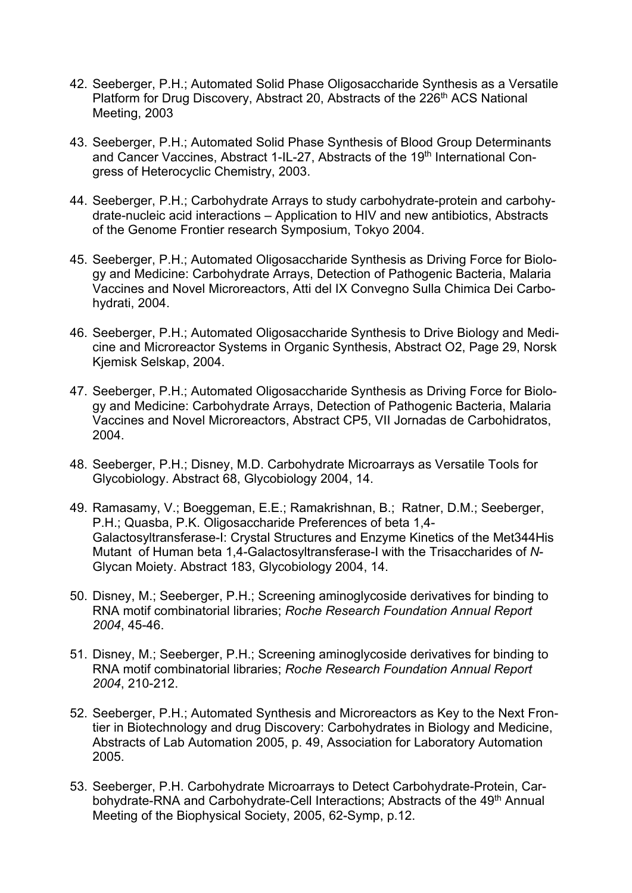- 42. Seeberger, P.H.; Automated Solid Phase Oligosaccharide Synthesis as a Versatile Platform for Drug Discovery, Abstract 20, Abstracts of the 226<sup>th</sup> ACS National Meeting, 2003
- 43. Seeberger, P.H.; Automated Solid Phase Synthesis of Blood Group Determinants and Cancer Vaccines, Abstract 1-IL-27, Abstracts of the 19<sup>th</sup> International Congress of Heterocyclic Chemistry, 2003.
- 44. Seeberger, P.H.; Carbohydrate Arrays to study carbohydrate-protein and carbohydrate-nucleic acid interactions – Application to HIV and new antibiotics, Abstracts of the Genome Frontier research Symposium, Tokyo 2004.
- 45. Seeberger, P.H.; Automated Oligosaccharide Synthesis as Driving Force for Biology and Medicine: Carbohydrate Arrays, Detection of Pathogenic Bacteria, Malaria Vaccines and Novel Microreactors, Atti del IX Convegno Sulla Chimica Dei Carbohydrati, 2004.
- 46. Seeberger, P.H.; Automated Oligosaccharide Synthesis to Drive Biology and Medicine and Microreactor Systems in Organic Synthesis, Abstract O2, Page 29, Norsk Kjemisk Selskap, 2004.
- 47. Seeberger, P.H.; Automated Oligosaccharide Synthesis as Driving Force for Biology and Medicine: Carbohydrate Arrays, Detection of Pathogenic Bacteria, Malaria Vaccines and Novel Microreactors, Abstract CP5, VII Jornadas de Carbohidratos, 2004.
- 48. Seeberger, P.H.; Disney, M.D. Carbohydrate Microarrays as Versatile Tools for Glycobiology. Abstract 68, Glycobiology 2004, 14.
- 49. Ramasamy, V.; Boeggeman, E.E.; Ramakrishnan, B.; Ratner, D.M.; Seeberger, P.H.; Quasba, P.K. Oligosaccharide Preferences of beta 1,4- Galactosyltransferase-I: Crystal Structures and Enzyme Kinetics of the Met344His Mutant of Human beta 1,4-Galactosyltransferase-I with the Trisaccharides of *N*-Glycan Moiety. Abstract 183, Glycobiology 2004, 14.
- 50. Disney, M.; Seeberger, P.H.; Screening aminoglycoside derivatives for binding to RNA motif combinatorial libraries; *Roche Research Foundation Annual Report 2004*, 45-46.
- 51. Disney, M.; Seeberger, P.H.; Screening aminoglycoside derivatives for binding to RNA motif combinatorial libraries; *Roche Research Foundation Annual Report 2004*, 210-212.
- 52. Seeberger, P.H.; Automated Synthesis and Microreactors as Key to the Next Frontier in Biotechnology and drug Discovery: Carbohydrates in Biology and Medicine, Abstracts of Lab Automation 2005, p. 49, Association for Laboratory Automation 2005.
- 53. Seeberger, P.H. Carbohydrate Microarrays to Detect Carbohydrate-Protein, Carbohydrate-RNA and Carbohydrate-Cell Interactions; Abstracts of the 49<sup>th</sup> Annual Meeting of the Biophysical Society, 2005, 62-Symp, p.12.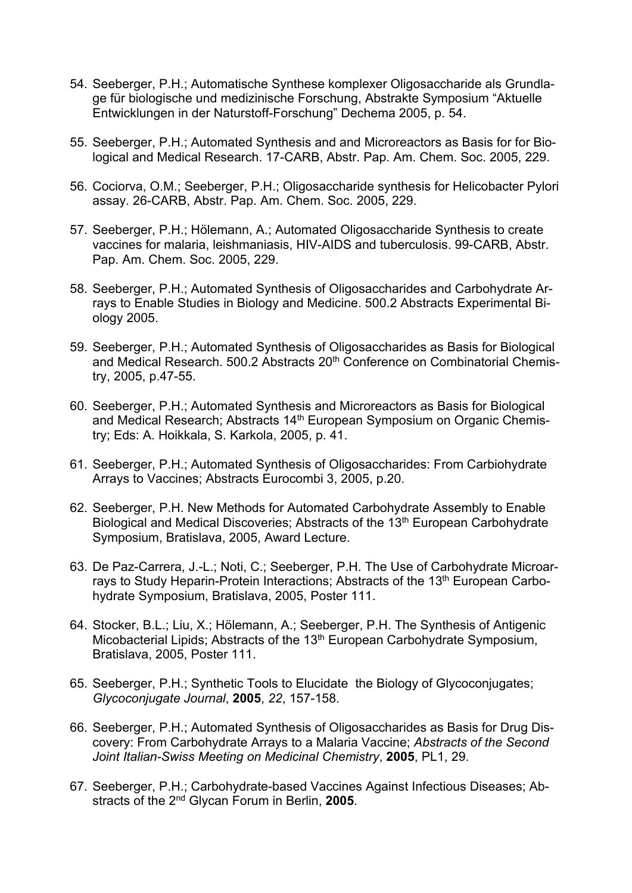- 54. Seeberger, P.H.; Automatische Synthese komplexer Oligosaccharide als Grundlage für biologische und medizinische Forschung, Abstrakte Symposium "Aktuelle Entwicklungen in der Naturstoff-Forschung" Dechema 2005, p. 54.
- 55. Seeberger, P.H.; Automated Synthesis and and Microreactors as Basis for for Biological and Medical Research. 17-CARB, Abstr. Pap. Am. Chem. Soc. 2005, 229.
- 56. Cociorva, O.M.; Seeberger, P.H.; Oligosaccharide synthesis for Helicobacter Pylori assay. 26-CARB, Abstr. Pap. Am. Chem. Soc. 2005, 229.
- 57. Seeberger, P.H.; Hölemann, A.; Automated Oligosaccharide Synthesis to create vaccines for malaria, leishmaniasis, HIV-AIDS and tuberculosis. 99-CARB, Abstr. Pap. Am. Chem. Soc. 2005, 229.
- 58. Seeberger, P.H.; Automated Synthesis of Oligosaccharides and Carbohydrate Arrays to Enable Studies in Biology and Medicine. 500.2 Abstracts Experimental Biology 2005.
- 59. Seeberger, P.H.; Automated Synthesis of Oligosaccharides as Basis for Biological and Medical Research. 500.2 Abstracts 20<sup>th</sup> Conference on Combinatorial Chemistry, 2005, p.47-55.
- 60. Seeberger, P.H.; Automated Synthesis and Microreactors as Basis for Biological and Medical Research; Abstracts 14<sup>th</sup> European Symposium on Organic Chemistry; Eds: A. Hoikkala, S. Karkola, 2005, p. 41.
- 61. Seeberger, P.H.; Automated Synthesis of Oligosaccharides: From Carbiohydrate Arrays to Vaccines; Abstracts Eurocombi 3, 2005, p.20.
- 62. Seeberger, P.H. New Methods for Automated Carbohydrate Assembly to Enable Biological and Medical Discoveries; Abstracts of the 13<sup>th</sup> European Carbohydrate Symposium, Bratislava, 2005, Award Lecture.
- 63. De Paz-Carrera, J.-L.; Noti, C.; Seeberger, P.H. The Use of Carbohydrate Microarrays to Study Heparin-Protein Interactions; Abstracts of the 13<sup>th</sup> European Carbohydrate Symposium, Bratislava, 2005, Poster 111.
- 64. Stocker, B.L.; Liu, X.; Hölemann, A.; Seeberger, P.H. The Synthesis of Antigenic Micobacterial Lipids; Abstracts of the 13<sup>th</sup> European Carbohydrate Symposium, Bratislava, 2005, Poster 111.
- 65. Seeberger, P.H.; Synthetic Tools to Elucidate the Biology of Glycoconjugates; *Glycoconjugate Journal*, **2005**, *22*, 157-158.
- 66. Seeberger, P.H.; Automated Synthesis of Oligosaccharides as Basis for Drug Discovery: From Carbohydrate Arrays to a Malaria Vaccine; *Abstracts of the Second Joint Italian-Swiss Meeting on Medicinal Chemistry*, **2005**, PL1, 29.
- 67. Seeberger, P.H.; Carbohydrate-based Vaccines Against Infectious Diseases; Abstracts of the 2nd Glycan Forum in Berlin, **2005**.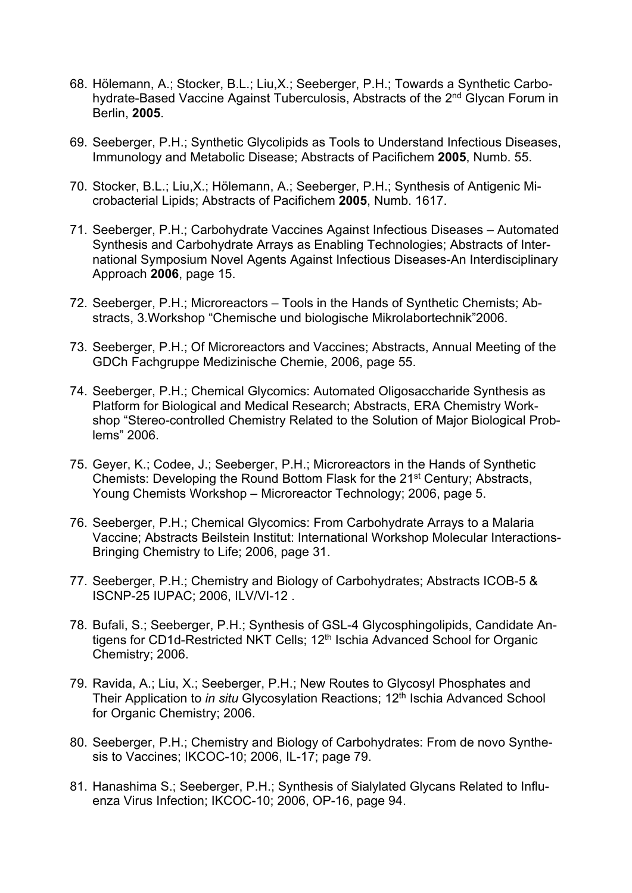- 68. Hölemann, A.; Stocker, B.L.; Liu,X.; Seeberger, P.H.; Towards a Synthetic Carbohydrate-Based Vaccine Against Tuberculosis, Abstracts of the 2<sup>nd</sup> Glycan Forum in Berlin, **2005**.
- 69. Seeberger, P.H.; Synthetic Glycolipids as Tools to Understand Infectious Diseases, Immunology and Metabolic Disease; Abstracts of Pacifichem **2005**, Numb. 55.
- 70. Stocker, B.L.; Liu,X.; Hölemann, A.; Seeberger, P.H.; Synthesis of Antigenic Microbacterial Lipids; Abstracts of Pacifichem **2005**, Numb. 1617.
- 71. Seeberger, P.H.; Carbohydrate Vaccines Against Infectious Diseases Automated Synthesis and Carbohydrate Arrays as Enabling Technologies; Abstracts of International Symposium Novel Agents Against Infectious Diseases-An Interdisciplinary Approach **2006**, page 15.
- 72. Seeberger, P.H.; Microreactors Tools in the Hands of Synthetic Chemists; Abstracts, 3.Workshop "Chemische und biologische Mikrolabortechnik"2006.
- 73. Seeberger, P.H.; Of Microreactors and Vaccines; Abstracts, Annual Meeting of the GDCh Fachgruppe Medizinische Chemie, 2006, page 55.
- 74. Seeberger, P.H.; Chemical Glycomics: Automated Oligosaccharide Synthesis as Platform for Biological and Medical Research; Abstracts, ERA Chemistry Workshop "Stereo-controlled Chemistry Related to the Solution of Major Biological Problems" 2006.
- 75. Geyer, K.; Codee, J.; Seeberger, P.H.; Microreactors in the Hands of Synthetic Chemists: Developing the Round Bottom Flask for the 21<sup>st</sup> Century; Abstracts, Young Chemists Workshop – Microreactor Technology; 2006, page 5.
- 76. Seeberger, P.H.; Chemical Glycomics: From Carbohydrate Arrays to a Malaria Vaccine; Abstracts Beilstein Institut: International Workshop Molecular Interactions-Bringing Chemistry to Life; 2006, page 31.
- 77. Seeberger, P.H.; Chemistry and Biology of Carbohydrates; Abstracts ICOB-5 & ISCNP-25 IUPAC; 2006, ILV/VI-12 .
- 78. Bufali, S.; Seeberger, P.H.; Synthesis of GSL-4 Glycosphingolipids, Candidate Antigens for CD1d-Restricted NKT Cells; 12<sup>th</sup> Ischia Advanced School for Organic Chemistry; 2006.
- 79. Ravida, A.; Liu, X.; Seeberger, P.H.; New Routes to Glycosyl Phosphates and Their Application to *in situ* Glycosylation Reactions; 12<sup>th</sup> Ischia Advanced School for Organic Chemistry; 2006.
- 80. Seeberger, P.H.; Chemistry and Biology of Carbohydrates: From de novo Synthesis to Vaccines; IKCOC-10; 2006, IL-17; page 79.
- 81. Hanashima S.; Seeberger, P.H.; Synthesis of Sialylated Glycans Related to Influenza Virus Infection; IKCOC-10; 2006, OP-16, page 94.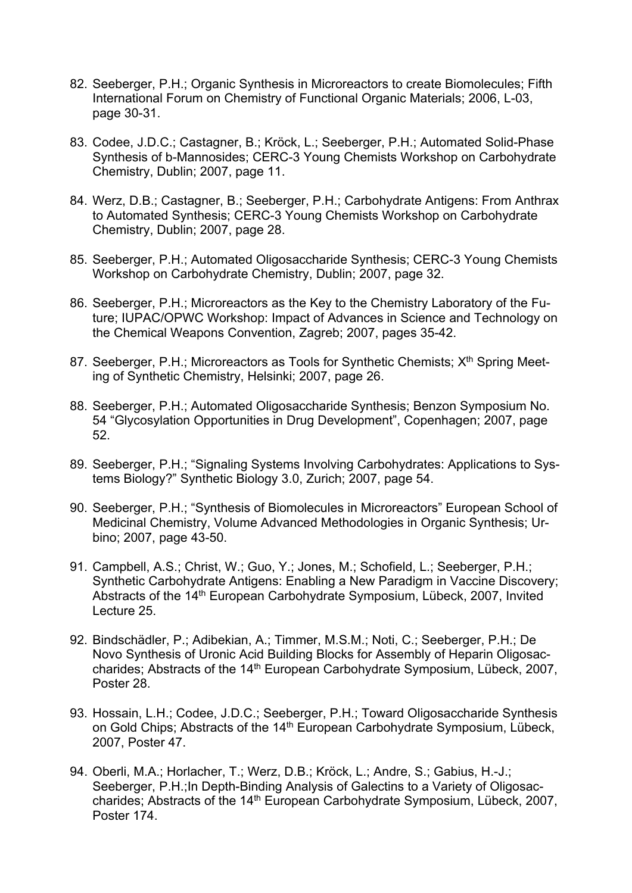- 82. Seeberger, P.H.; Organic Synthesis in Microreactors to create Biomolecules; Fifth International Forum on Chemistry of Functional Organic Materials; 2006, L-03, page 30-31.
- 83. Codee, J.D.C.; Castagner, B.; Kröck, L.; Seeberger, P.H.; Automated Solid-Phase Synthesis of b-Mannosides; CERC-3 Young Chemists Workshop on Carbohydrate Chemistry, Dublin; 2007, page 11.
- 84. Werz, D.B.; Castagner, B.; Seeberger, P.H.; Carbohydrate Antigens: From Anthrax to Automated Synthesis; CERC-3 Young Chemists Workshop on Carbohydrate Chemistry, Dublin; 2007, page 28.
- 85. Seeberger, P.H.; Automated Oligosaccharide Synthesis; CERC-3 Young Chemists Workshop on Carbohydrate Chemistry, Dublin; 2007, page 32.
- 86. Seeberger, P.H.; Microreactors as the Key to the Chemistry Laboratory of the Future; IUPAC/OPWC Workshop: Impact of Advances in Science and Technology on the Chemical Weapons Convention, Zagreb; 2007, pages 35-42.
- 87. Seeberger, P.H.; Microreactors as Tools for Synthetic Chemists; X<sup>th</sup> Spring Meeting of Synthetic Chemistry, Helsinki; 2007, page 26.
- 88. Seeberger, P.H.; Automated Oligosaccharide Synthesis; Benzon Symposium No. 54 "Glycosylation Opportunities in Drug Development", Copenhagen; 2007, page 52.
- 89. Seeberger, P.H.; "Signaling Systems Involving Carbohydrates: Applications to Systems Biology?" Synthetic Biology 3.0, Zurich; 2007, page 54.
- 90. Seeberger, P.H.; "Synthesis of Biomolecules in Microreactors" European School of Medicinal Chemistry, Volume Advanced Methodologies in Organic Synthesis; Urbino; 2007, page 43-50.
- 91. Campbell, A.S.; Christ, W.; Guo, Y.; Jones, M.; Schofield, L.; Seeberger, P.H.; Synthetic Carbohydrate Antigens: Enabling a New Paradigm in Vaccine Discovery; Abstracts of the 14th European Carbohydrate Symposium, Lübeck, 2007, Invited Lecture 25.
- 92. Bindschädler, P.; Adibekian, A.; Timmer, M.S.M.; Noti, C.; Seeberger, P.H.; De Novo Synthesis of Uronic Acid Building Blocks for Assembly of Heparin Oligosaccharides; Abstracts of the 14<sup>th</sup> European Carbohydrate Symposium, Lübeck, 2007, Poster 28.
- 93. Hossain, L.H.; Codee, J.D.C.; Seeberger, P.H.; Toward Oligosaccharide Synthesis on Gold Chips; Abstracts of the 14<sup>th</sup> European Carbohydrate Symposium, Lübeck, 2007, Poster 47.
- 94. Oberli, M.A.; Horlacher, T.; Werz, D.B.; Kröck, L.; Andre, S.; Gabius, H.-J.; Seeberger, P.H.;In Depth-Binding Analysis of Galectins to a Variety of Oligosaccharides; Abstracts of the 14<sup>th</sup> European Carbohydrate Symposium, Lübeck, 2007, Poster 174.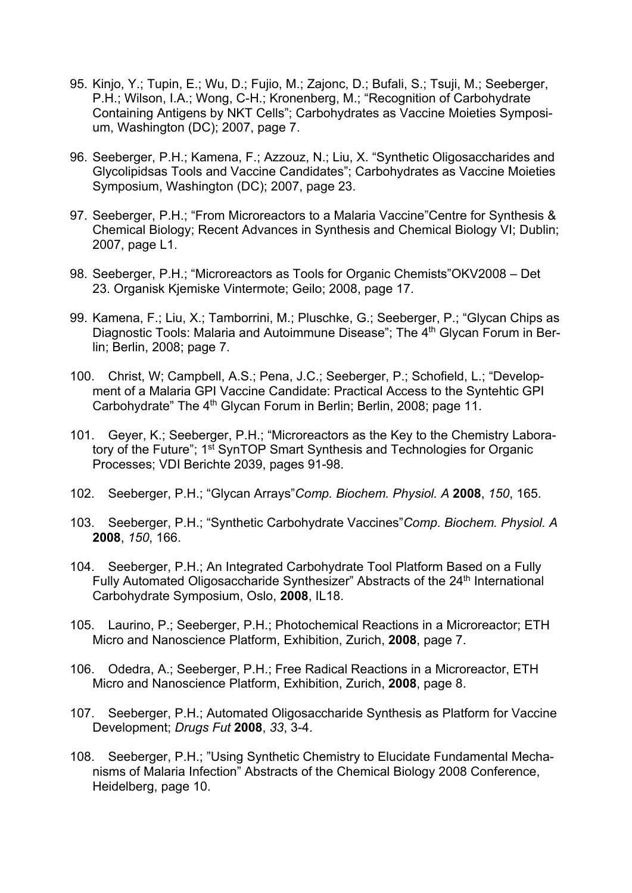- 95. Kinjo, Y.; Tupin, E.; Wu, D.; Fujio, M.; Zajonc, D.; Bufali, S.; Tsuji, M.; Seeberger, P.H.; Wilson, I.A.; Wong, C-H.; Kronenberg, M.; "Recognition of Carbohydrate Containing Antigens by NKT Cells"; Carbohydrates as Vaccine Moieties Symposium, Washington (DC); 2007, page 7.
- 96. Seeberger, P.H.; Kamena, F.; Azzouz, N.; Liu, X. "Synthetic Oligosaccharides and Glycolipidsas Tools and Vaccine Candidates"; Carbohydrates as Vaccine Moieties Symposium, Washington (DC); 2007, page 23.
- 97. Seeberger, P.H.; "From Microreactors to a Malaria Vaccine"Centre for Synthesis & Chemical Biology; Recent Advances in Synthesis and Chemical Biology VI; Dublin; 2007, page L1.
- 98. Seeberger, P.H.; "Microreactors as Tools for Organic Chemists"OKV2008 Det 23. Organisk Kjemiske Vintermote; Geilo; 2008, page 17.
- 99. Kamena, F.; Liu, X.; Tamborrini, M.; Pluschke, G.; Seeberger, P.; "Glycan Chips as Diagnostic Tools: Malaria and Autoimmune Disease"; The 4<sup>th</sup> Glycan Forum in Berlin; Berlin, 2008; page 7.
- 100. Christ, W; Campbell, A.S.; Pena, J.C.; Seeberger, P.; Schofield, L.; "Development of a Malaria GPI Vaccine Candidate: Practical Access to the Syntehtic GPI Carbohydrate" The 4<sup>th</sup> Glycan Forum in Berlin; Berlin, 2008; page 11.
- 101. Geyer, K.; Seeberger, P.H.; "Microreactors as the Key to the Chemistry Laboratory of the Future"; 1<sup>st</sup> SynTOP Smart Synthesis and Technologies for Organic Processes; VDI Berichte 2039, pages 91-98.
- 102. Seeberger, P.H.; "Glycan Arrays"*Comp. Biochem. Physiol. A* **2008**, *150*, 165.
- 103. Seeberger, P.H.; "Synthetic Carbohydrate Vaccines"*Comp. Biochem. Physiol. A* **2008**, *150*, 166.
- 104. Seeberger, P.H.; An Integrated Carbohydrate Tool Platform Based on a Fully Fully Automated Oligosaccharide Synthesizer" Abstracts of the 24<sup>th</sup> International Carbohydrate Symposium, Oslo, **2008**, IL18.
- 105. Laurino, P.; Seeberger, P.H.; Photochemical Reactions in a Microreactor; ETH Micro and Nanoscience Platform, Exhibition, Zurich, **2008**, page 7.
- 106. Odedra, A.; Seeberger, P.H.; Free Radical Reactions in a Microreactor, ETH Micro and Nanoscience Platform, Exhibition, Zurich, **2008**, page 8.
- 107. Seeberger, P.H.; Automated Oligosaccharide Synthesis as Platform for Vaccine Development; *Drugs Fut* **2008**, *33*, 3-4.
- 108. Seeberger, P.H.; "Using Synthetic Chemistry to Elucidate Fundamental Mechanisms of Malaria Infection" Abstracts of the Chemical Biology 2008 Conference, Heidelberg, page 10.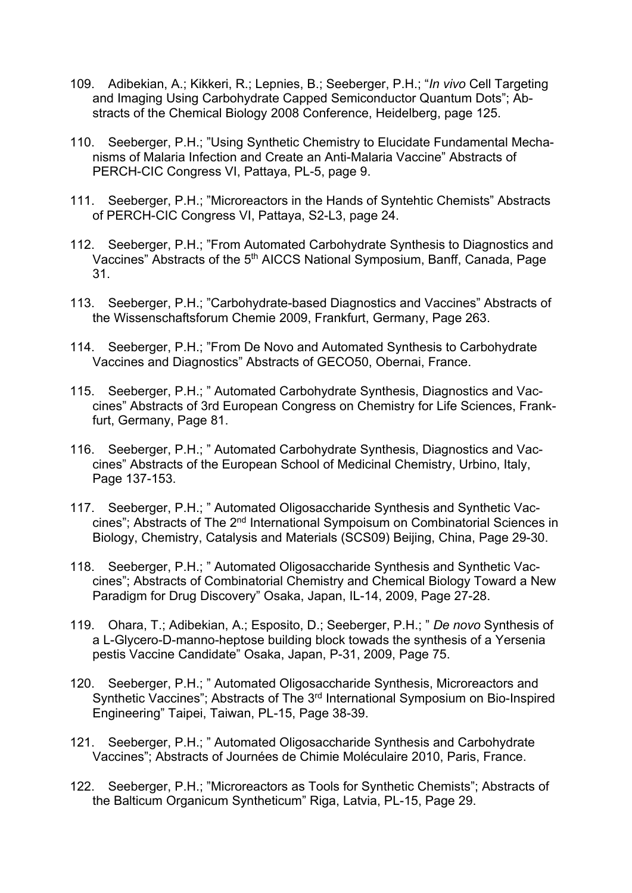- 109. Adibekian, A.; Kikkeri, R.; Lepnies, B.; Seeberger, P.H.; "*In vivo* Cell Targeting and Imaging Using Carbohydrate Capped Semiconductor Quantum Dots"; Abstracts of the Chemical Biology 2008 Conference, Heidelberg, page 125.
- 110. Seeberger, P.H.; "Using Synthetic Chemistry to Elucidate Fundamental Mechanisms of Malaria Infection and Create an Anti-Malaria Vaccine" Abstracts of PERCH-CIC Congress VI, Pattaya, PL-5, page 9.
- 111. Seeberger, P.H.; "Microreactors in the Hands of Syntehtic Chemists" Abstracts of PERCH-CIC Congress VI, Pattaya, S2-L3, page 24.
- 112. Seeberger, P.H.; "From Automated Carbohydrate Synthesis to Diagnostics and Vaccines" Abstracts of the 5<sup>th</sup> AICCS National Symposium, Banff, Canada, Page 31.
- 113. Seeberger, P.H.; "Carbohydrate-based Diagnostics and Vaccines" Abstracts of the Wissenschaftsforum Chemie 2009, Frankfurt, Germany, Page 263.
- 114. Seeberger, P.H.; "From De Novo and Automated Synthesis to Carbohydrate Vaccines and Diagnostics" Abstracts of GECO50, Obernai, France.
- 115. Seeberger, P.H.; " Automated Carbohydrate Synthesis, Diagnostics and Vaccines" Abstracts of 3rd European Congress on Chemistry for Life Sciences, Frankfurt, Germany, Page 81.
- 116. Seeberger, P.H.; " Automated Carbohydrate Synthesis, Diagnostics and Vaccines" Abstracts of the European School of Medicinal Chemistry, Urbino, Italy, Page 137-153.
- 117. Seeberger, P.H.; " Automated Oligosaccharide Synthesis and Synthetic Vaccines"; Abstracts of The 2nd International Sympoisum on Combinatorial Sciences in Biology, Chemistry, Catalysis and Materials (SCS09) Beijing, China, Page 29-30.
- 118. Seeberger, P.H.; " Automated Oligosaccharide Synthesis and Synthetic Vaccines"; Abstracts of Combinatorial Chemistry and Chemical Biology Toward a New Paradigm for Drug Discovery" Osaka, Japan, IL-14, 2009, Page 27-28.
- 119. Ohara, T.; Adibekian, A.; Esposito, D.; Seeberger, P.H.; " *De novo* Synthesis of a L-Glycero-D-manno-heptose building block towads the synthesis of a Yersenia pestis Vaccine Candidate" Osaka, Japan, P-31, 2009, Page 75.
- 120. Seeberger, P.H.; " Automated Oligosaccharide Synthesis, Microreactors and Synthetic Vaccines"; Abstracts of The 3rd International Symposium on Bio-Inspired Engineering" Taipei, Taiwan, PL-15, Page 38-39.
- 121. Seeberger, P.H.; " Automated Oligosaccharide Synthesis and Carbohydrate Vaccines"; Abstracts of Journées de Chimie Moléculaire 2010, Paris, France.
- 122. Seeberger, P.H.; "Microreactors as Tools for Synthetic Chemists"; Abstracts of the Balticum Organicum Syntheticum" Riga, Latvia, PL-15, Page 29.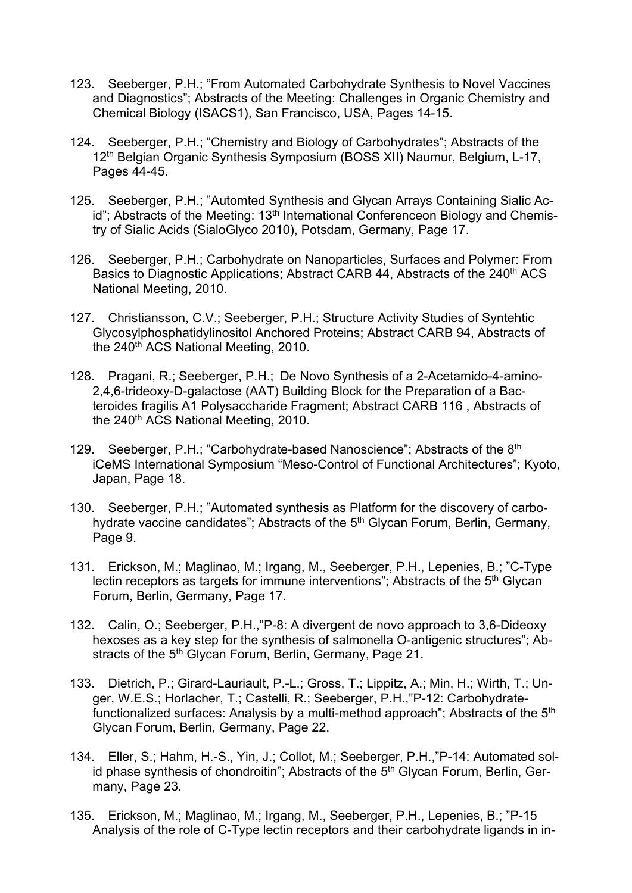- 123. Seeberger, P.H.; "From Automated Carbohydrate Synthesis to Novel Vaccines and Diagnostics"; Abstracts of the Meeting: Challenges in Organic Chemistry and Chemical Biology (ISACS1), San Francisco, USA, Pages 14-15.
- 124. Seeberger, P.H.; "Chemistry and Biology of Carbohydrates"; Abstracts of the 12th Belgian Organic Synthesis Symposium (BOSS XII) Naumur, Belgium, L-17, Pages 44-45.
- 125. Seeberger, P.H.; "Automted Synthesis and Glycan Arrays Containing Sialic Acid"; Abstracts of the Meeting: 13<sup>th</sup> International Conferenceon Biology and Chemistry of Sialic Acids (SialoGlyco 2010), Potsdam, Germany, Page 17.
- 126. Seeberger, P.H.; Carbohydrate on Nanoparticles, Surfaces and Polymer: From Basics to Diagnostic Applications; Abstract CARB 44, Abstracts of the 240<sup>th</sup> ACS National Meeting, 2010.
- 127. Christiansson, C.V.; Seeberger, P.H.; Structure Activity Studies of Syntehtic Glycosylphosphatidylinositol Anchored Proteins; Abstract CARB 94, Abstracts of the 240<sup>th</sup> ACS National Meeting, 2010.
- 128. Pragani, R.; Seeberger, P.H.; De Novo Synthesis of a 2-Acetamido-4-amino-2,4,6-trideoxy-D-galactose (AAT) Building Block for the Preparation of a Bacteroides fragilis A1 Polysaccharide Fragment; Abstract CARB 116 , Abstracts of the 240<sup>th</sup> ACS National Meeting, 2010.
- 129. Seeberger, P.H.; "Carbohydrate-based Nanoscience": Abstracts of the 8<sup>th</sup> iCeMS International Symposium "Meso-Control of Functional Architectures"; Kyoto, Japan, Page 18.
- 130. Seeberger, P.H.; "Automated synthesis as Platform for the discovery of carbohydrate vaccine candidates"; Abstracts of the 5<sup>th</sup> Glycan Forum, Berlin, Germany, Page 9.
- 131. Erickson, M.; Maglinao, M.; Irgang, M., Seeberger, P.H., Lepenies, B.; "C-Type lectin receptors as targets for immune interventions"; Abstracts of the 5<sup>th</sup> Glycan Forum, Berlin, Germany, Page 17.
- 132. Calin, O.; Seeberger, P.H.,"P-8: A divergent de novo approach to 3,6-Dideoxy hexoses as a key step for the synthesis of salmonella O-antigenic structures"; Abstracts of the 5<sup>th</sup> Glycan Forum, Berlin, Germany, Page 21.
- 133. Dietrich, P.; Girard-Lauriault, P.-L.; Gross, T.; Lippitz, A.; Min, H.; Wirth, T.; Unger, W.E.S.; Horlacher, T.; Castelli, R.; Seeberger, P.H.,"P-12: Carbohydratefunctionalized surfaces: Analysis by a multi-method approach"; Abstracts of the  $5<sup>th</sup>$ Glycan Forum, Berlin, Germany, Page 22.
- 134. Eller, S.; Hahm, H.-S., Yin, J.; Collot, M.; Seeberger, P.H.,"P-14: Automated solid phase synthesis of chondroitin"; Abstracts of the  $\bar{5}$ <sup>th</sup> Glycan Forum, Berlin, Germany, Page 23.
- 135. Erickson, M.; Maglinao, M.; Irgang, M., Seeberger, P.H., Lepenies, B.; "P-15 Analysis of the role of C-Type lectin receptors and their carbohydrate ligands in in-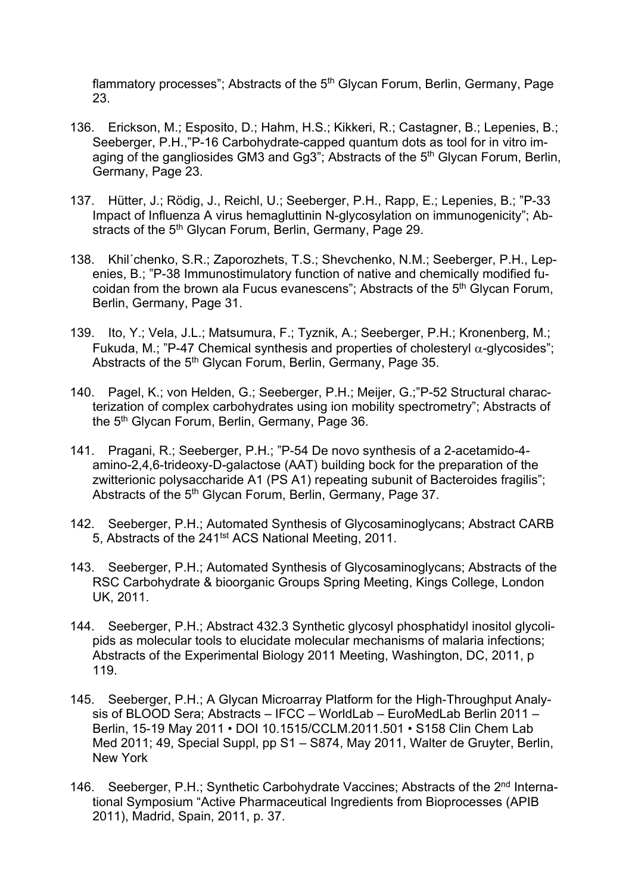flammatory processes"; Abstracts of the  $5<sup>th</sup>$  Glycan Forum, Berlin, Germany, Page 23.

- 136. Erickson, M.; Esposito, D.; Hahm, H.S.; Kikkeri, R.; Castagner, B.; Lepenies, B.; Seeberger, P.H.,"P-16 Carbohydrate-capped quantum dots as tool for in vitro imaging of the gangliosides GM3 and Gg3"; Abstracts of the 5<sup>th</sup> Glycan Forum, Berlin, Germany, Page 23.
- 137. Hütter, J.; Rödig, J., Reichl, U.; Seeberger, P.H., Rapp, E.; Lepenies, B.; "P-33 Impact of Influenza A virus hemagluttinin N-glycosylation on immunogenicity"; Abstracts of the 5<sup>th</sup> Glycan Forum, Berlin, Germany, Page 29.
- 138. Khil´chenko, S.R.; Zaporozhets, T.S.; Shevchenko, N.M.; Seeberger, P.H., Lepenies, B.; "P-38 Immunostimulatory function of native and chemically modified fucoidan from the brown ala Fucus evanescens"; Abstracts of the 5<sup>th</sup> Glycan Forum, Berlin, Germany, Page 31.
- 139. Ito, Y.; Vela, J.L.; Matsumura, F.; Tyznik, A.; Seeberger, P.H.; Kronenberg, M.; Fukuda, M.; "P-47 Chemical synthesis and properties of cholesteryl  $\alpha$ -glycosides"; Abstracts of the 5<sup>th</sup> Glycan Forum, Berlin, Germany, Page 35.
- 140. Pagel, K.; von Helden, G.; Seeberger, P.H.; Meijer, G.;"P-52 Structural characterization of complex carbohydrates using ion mobility spectrometry"; Abstracts of the 5<sup>th</sup> Glycan Forum, Berlin, Germany, Page 36.
- 141. Pragani, R.; Seeberger, P.H.; "P-54 De novo synthesis of a 2-acetamido-4 amino-2,4,6-trideoxy-D-galactose (AAT) building bock for the preparation of the zwitterionic polysaccharide A1 (PS A1) repeating subunit of Bacteroides fragilis"; Abstracts of the 5<sup>th</sup> Glycan Forum, Berlin, Germany, Page 37.
- 142. Seeberger, P.H.; Automated Synthesis of Glycosaminoglycans; Abstract CARB 5, Abstracts of the 241<sup>tst</sup> ACS National Meeting, 2011.
- 143. Seeberger, P.H.; Automated Synthesis of Glycosaminoglycans; Abstracts of the RSC Carbohydrate & bioorganic Groups Spring Meeting, Kings College, London UK, 2011.
- 144. Seeberger, P.H.; Abstract 432.3 Synthetic glycosyl phosphatidyl inositol glycolipids as molecular tools to elucidate molecular mechanisms of malaria infections; Abstracts of the Experimental Biology 2011 Meeting, Washington, DC, 2011, p 119.
- 145. Seeberger, P.H.; A Glycan Microarray Platform for the High-Throughput Analysis of BLOOD Sera; Abstracts – IFCC – WorldLab – EuroMedLab Berlin 2011 – Berlin, 15-19 May 2011 • DOI 10.1515/CCLM.2011.501 • S158 Clin Chem Lab Med 2011; 49, Special Suppl, pp S1 – S874, May 2011, Walter de Gruyter, Berlin, New York
- 146. Seeberger, P.H.; Synthetic Carbohydrate Vaccines; Abstracts of the 2<sup>nd</sup> International Symposium "Active Pharmaceutical Ingredients from Bioprocesses (APIB 2011), Madrid, Spain, 2011, p. 37.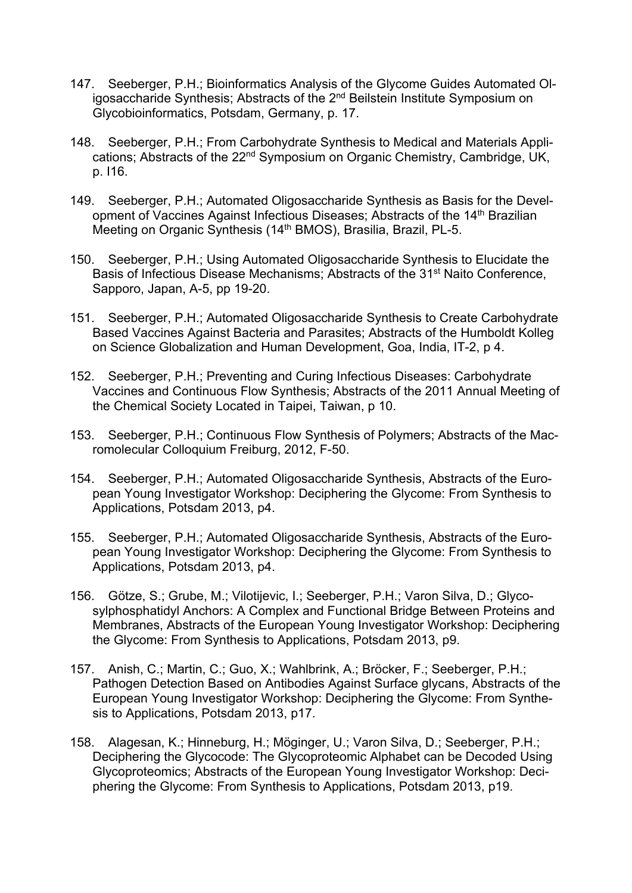- 147. Seeberger, P.H.; Bioinformatics Analysis of the Glycome Guides Automated Oligosaccharide Synthesis; Abstracts of the 2<sup>nd</sup> Beilstein Institute Symposium on Glycobioinformatics, Potsdam, Germany, p. 17.
- 148. Seeberger, P.H.; From Carbohydrate Synthesis to Medical and Materials Applications; Abstracts of the 22<sup>nd</sup> Symposium on Organic Chemistry, Cambridge, UK, p. I16.
- 149. Seeberger, P.H.; Automated Oligosaccharide Synthesis as Basis for the Development of Vaccines Against Infectious Diseases: Abstracts of the 14<sup>th</sup> Brazilian Meeting on Organic Synthesis (14<sup>th</sup> BMOS), Brasilia, Brazil, PL-5.
- 150. Seeberger, P.H.; Using Automated Oligosaccharide Synthesis to Elucidate the Basis of Infectious Disease Mechanisms; Abstracts of the 31st Naito Conference, Sapporo, Japan, A-5, pp 19-20.
- 151. Seeberger, P.H.; Automated Oligosaccharide Synthesis to Create Carbohydrate Based Vaccines Against Bacteria and Parasites; Abstracts of the Humboldt Kolleg on Science Globalization and Human Development, Goa, India, IT-2, p 4.
- 152. Seeberger, P.H.; Preventing and Curing Infectious Diseases: Carbohydrate Vaccines and Continuous Flow Synthesis; Abstracts of the 2011 Annual Meeting of the Chemical Society Located in Taipei, Taiwan, p 10.
- 153. Seeberger, P.H.; Continuous Flow Synthesis of Polymers; Abstracts of the Macromolecular Colloquium Freiburg, 2012, F-50.
- 154. Seeberger, P.H.; Automated Oligosaccharide Synthesis, Abstracts of the European Young Investigator Workshop: Deciphering the Glycome: From Synthesis to Applications, Potsdam 2013, p4.
- 155. Seeberger, P.H.; Automated Oligosaccharide Synthesis, Abstracts of the European Young Investigator Workshop: Deciphering the Glycome: From Synthesis to Applications, Potsdam 2013, p4.
- 156. Götze, S.; Grube, M.; Vilotijevic, I.; Seeberger, P.H.; Varon Silva, D.; Glycosylphosphatidyl Anchors: A Complex and Functional Bridge Between Proteins and Membranes, Abstracts of the European Young Investigator Workshop: Deciphering the Glycome: From Synthesis to Applications, Potsdam 2013, p9.
- 157. Anish, C.; Martin, C.; Guo, X.; Wahlbrink, A.; Bröcker, F.; Seeberger, P.H.; Pathogen Detection Based on Antibodies Against Surface glycans, Abstracts of the European Young Investigator Workshop: Deciphering the Glycome: From Synthesis to Applications, Potsdam 2013, p17.
- 158. Alagesan, K.; Hinneburg, H.; Möginger, U.; Varon Silva, D.; Seeberger, P.H.; Deciphering the Glycocode: The Glycoproteomic Alphabet can be Decoded Using Glycoproteomics; Abstracts of the European Young Investigator Workshop: Deciphering the Glycome: From Synthesis to Applications, Potsdam 2013, p19.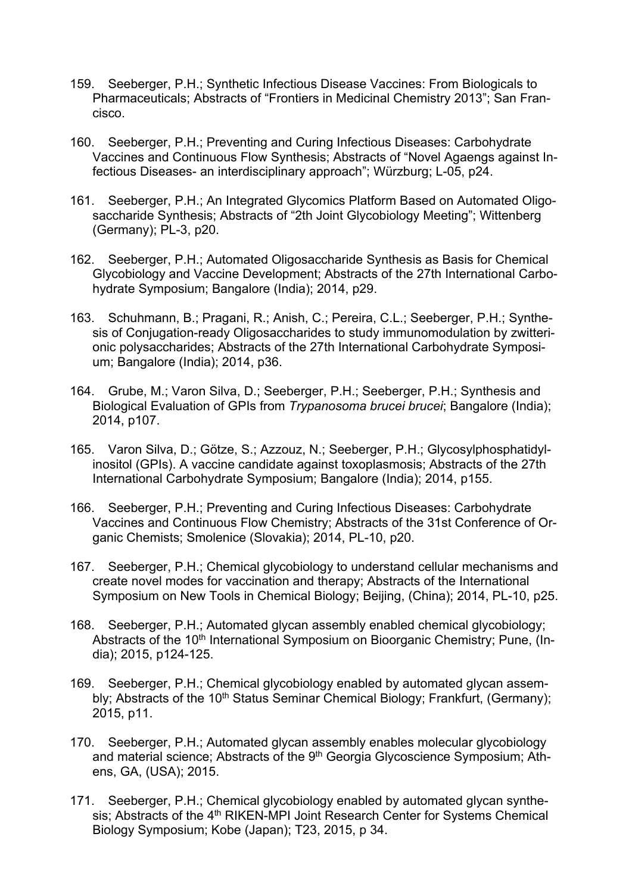- 159. Seeberger, P.H.; Synthetic Infectious Disease Vaccines: From Biologicals to Pharmaceuticals; Abstracts of "Frontiers in Medicinal Chemistry 2013"; San Francisco.
- 160. Seeberger, P.H.; Preventing and Curing Infectious Diseases: Carbohydrate Vaccines and Continuous Flow Synthesis; Abstracts of "Novel Agaengs against Infectious Diseases- an interdisciplinary approach"; Würzburg; L-05, p24.
- 161. Seeberger, P.H.; An Integrated Glycomics Platform Based on Automated Oligosaccharide Synthesis; Abstracts of "2th Joint Glycobiology Meeting"; Wittenberg (Germany); PL-3, p20.
- 162. Seeberger, P.H.; Automated Oligosaccharide Synthesis as Basis for Chemical Glycobiology and Vaccine Development; Abstracts of the 27th International Carbohydrate Symposium; Bangalore (India); 2014, p29.
- 163. Schuhmann, B.; Pragani, R.; Anish, C.; Pereira, C.L.; Seeberger, P.H.; Synthesis of Conjugation-ready Oligosaccharides to study immunomodulation by zwitterionic polysaccharides; Abstracts of the 27th International Carbohydrate Symposium; Bangalore (India); 2014, p36.
- 164. Grube, M.; Varon Silva, D.; Seeberger, P.H.; Seeberger, P.H.; Synthesis and Biological Evaluation of GPIs from *Trypanosoma brucei brucei*; Bangalore (India); 2014, p107.
- 165. Varon Silva, D.; Götze, S.; Azzouz, N.; Seeberger, P.H.; Glycosylphosphatidylinositol (GPIs). A vaccine candidate against toxoplasmosis; Abstracts of the 27th International Carbohydrate Symposium; Bangalore (India); 2014, p155.
- 166. Seeberger, P.H.; Preventing and Curing Infectious Diseases: Carbohydrate Vaccines and Continuous Flow Chemistry; Abstracts of the 31st Conference of Organic Chemists; Smolenice (Slovakia); 2014, PL-10, p20.
- 167. Seeberger, P.H.; Chemical glycobiology to understand cellular mechanisms and create novel modes for vaccination and therapy; Abstracts of the International Symposium on New Tools in Chemical Biology; Beijing, (China); 2014, PL-10, p25.
- 168. Seeberger, P.H.; Automated glycan assembly enabled chemical glycobiology; Abstracts of the 10<sup>th</sup> International Symposium on Bioorganic Chemistry; Pune, (India); 2015, p124-125.
- 169. Seeberger, P.H.; Chemical glycobiology enabled by automated glycan assembly; Abstracts of the 10<sup>th</sup> Status Seminar Chemical Biology; Frankfurt, (Germany); 2015, p11.
- 170. Seeberger, P.H.; Automated glycan assembly enables molecular glycobiology and material science; Abstracts of the 9<sup>th</sup> Georgia Glycoscience Symposium; Athens, GA, (USA); 2015.
- 171. Seeberger, P.H.; Chemical glycobiology enabled by automated glycan synthesis; Abstracts of the 4<sup>th</sup> RIKEN-MPI Joint Research Center for Systems Chemical Biology Symposium; Kobe (Japan); T23, 2015, p 34.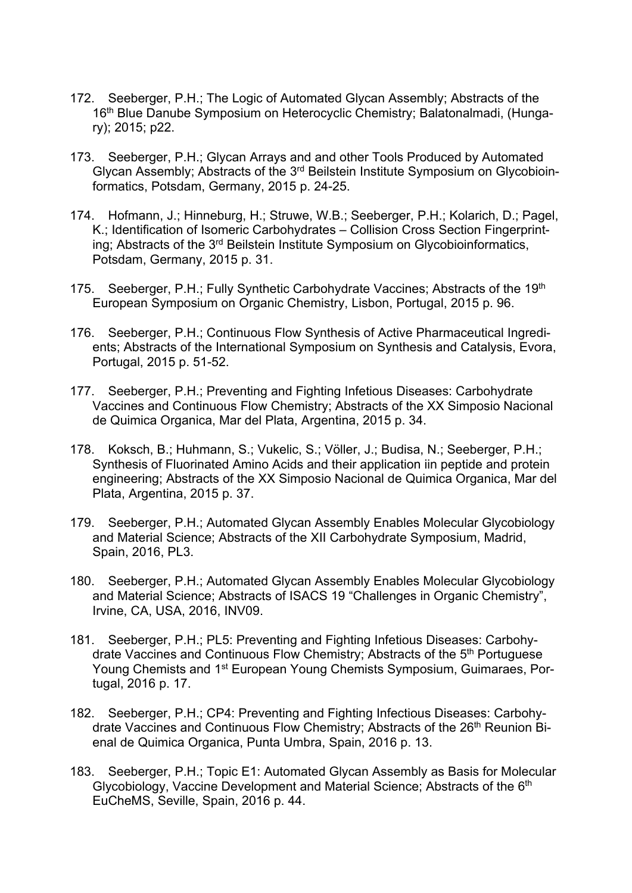- 172. Seeberger, P.H.; The Logic of Automated Glycan Assembly; Abstracts of the 16<sup>th</sup> Blue Danube Symposium on Heterocyclic Chemistry; Balatonalmadi, (Hungary); 2015; p22.
- 173. Seeberger, P.H.; Glycan Arrays and and other Tools Produced by Automated Glycan Assembly; Abstracts of the 3rd Beilstein Institute Symposium on Glycobioinformatics, Potsdam, Germany, 2015 p. 24-25.
- 174. Hofmann, J.; Hinneburg, H.; Struwe, W.B.; Seeberger, P.H.; Kolarich, D.; Pagel, K.; Identification of Isomeric Carbohydrates – Collision Cross Section Fingerprinting; Abstracts of the 3<sup>rd</sup> Beilstein Institute Symposium on Glycobioinformatics, Potsdam, Germany, 2015 p. 31.
- 175. Seeberger, P.H.; Fully Synthetic Carbohydrate Vaccines; Abstracts of the 19th European Symposium on Organic Chemistry, Lisbon, Portugal, 2015 p. 96.
- 176. Seeberger, P.H.; Continuous Flow Synthesis of Active Pharmaceutical Ingredients; Abstracts of the International Symposium on Synthesis and Catalysis, Evora, Portugal, 2015 p. 51-52.
- 177. Seeberger, P.H.; Preventing and Fighting Infetious Diseases: Carbohydrate Vaccines and Continuous Flow Chemistry; Abstracts of the XX Simposio Nacional de Quimica Organica, Mar del Plata, Argentina, 2015 p. 34.
- 178. Koksch, B.; Huhmann, S.; Vukelic, S.; Völler, J.; Budisa, N.; Seeberger, P.H.; Synthesis of Fluorinated Amino Acids and their application iin peptide and protein engineering; Abstracts of the XX Simposio Nacional de Quimica Organica, Mar del Plata, Argentina, 2015 p. 37.
- 179. Seeberger, P.H.; Automated Glycan Assembly Enables Molecular Glycobiology and Material Science; Abstracts of the XII Carbohydrate Symposium, Madrid, Spain, 2016, PL3.
- 180. Seeberger, P.H.; Automated Glycan Assembly Enables Molecular Glycobiology and Material Science; Abstracts of ISACS 19 "Challenges in Organic Chemistry", Irvine, CA, USA, 2016, INV09.
- 181. Seeberger, P.H.; PL5: Preventing and Fighting Infetious Diseases: Carbohydrate Vaccines and Continuous Flow Chemistry; Abstracts of the 5<sup>th</sup> Portuguese Young Chemists and 1<sup>st</sup> European Young Chemists Symposium, Guimaraes, Portugal, 2016 p. 17.
- 182. Seeberger, P.H.; CP4: Preventing and Fighting Infectious Diseases: Carbohydrate Vaccines and Continuous Flow Chemistry; Abstracts of the 26<sup>th</sup> Reunion Bienal de Quimica Organica, Punta Umbra, Spain, 2016 p. 13.
- 183. Seeberger, P.H.; Topic E1: Automated Glycan Assembly as Basis for Molecular Glycobiology, Vaccine Development and Material Science: Abstracts of the 6<sup>th</sup> EuCheMS, Seville, Spain, 2016 p. 44.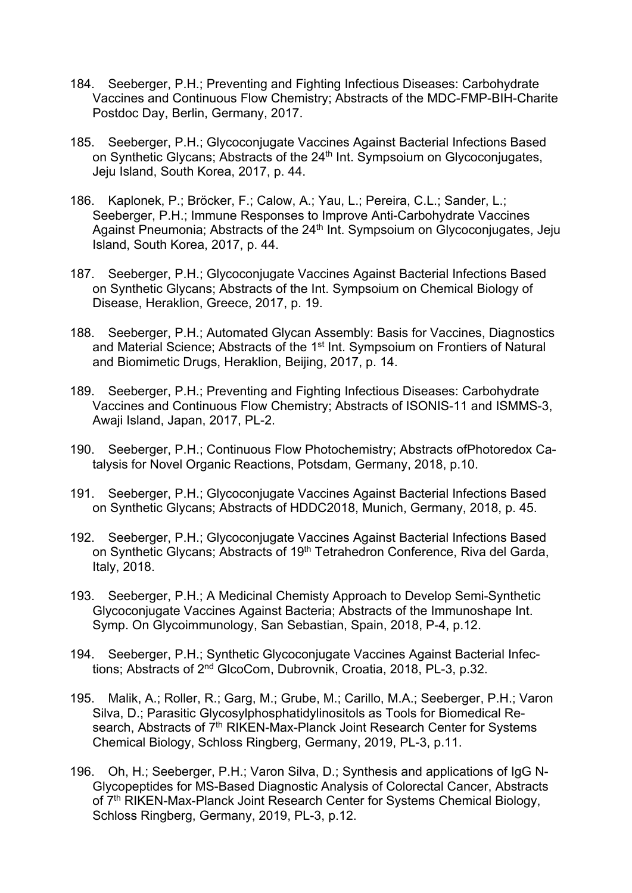- 184. Seeberger, P.H.; Preventing and Fighting Infectious Diseases: Carbohydrate Vaccines and Continuous Flow Chemistry; Abstracts of the MDC-FMP-BIH-Charite Postdoc Day, Berlin, Germany, 2017.
- 185. Seeberger, P.H.; Glycoconjugate Vaccines Against Bacterial Infections Based on Synthetic Glycans; Abstracts of the 24<sup>th</sup> Int. Sympsoium on Glycoconjugates, Jeju Island, South Korea, 2017, p. 44.
- 186. Kaplonek, P.; Bröcker, F.; Calow, A.; Yau, L.; Pereira, C.L.; Sander, L.; Seeberger, P.H.; Immune Responses to Improve Anti-Carbohydrate Vaccines Against Pneumonia; Abstracts of the 24<sup>th</sup> Int. Sympsoium on Glycoconjugates, Jeju Island, South Korea, 2017, p. 44.
- 187. Seeberger, P.H.; Glycoconjugate Vaccines Against Bacterial Infections Based on Synthetic Glycans; Abstracts of the Int. Sympsoium on Chemical Biology of Disease, Heraklion, Greece, 2017, p. 19.
- 188. Seeberger, P.H.; Automated Glycan Assembly: Basis for Vaccines, Diagnostics and Material Science; Abstracts of the 1<sup>st</sup> Int. Sympsoium on Frontiers of Natural and Biomimetic Drugs, Heraklion, Beijing, 2017, p. 14.
- 189. Seeberger, P.H.; Preventing and Fighting Infectious Diseases: Carbohydrate Vaccines and Continuous Flow Chemistry; Abstracts of ISONIS-11 and ISMMS-3, Awaji Island, Japan, 2017, PL-2.
- 190. Seeberger, P.H.; Continuous Flow Photochemistry; Abstracts ofPhotoredox Catalysis for Novel Organic Reactions, Potsdam, Germany, 2018, p.10.
- 191. Seeberger, P.H.; Glycoconjugate Vaccines Against Bacterial Infections Based on Synthetic Glycans; Abstracts of HDDC2018, Munich, Germany, 2018, p. 45.
- 192. Seeberger, P.H.; Glycoconjugate Vaccines Against Bacterial Infections Based on Synthetic Glycans; Abstracts of 19th Tetrahedron Conference, Riva del Garda, Italy, 2018.
- 193. Seeberger, P.H.; A Medicinal Chemisty Approach to Develop Semi-Synthetic Glycoconjugate Vaccines Against Bacteria; Abstracts of the Immunoshape Int. Symp. On Glycoimmunology, San Sebastian, Spain, 2018, P-4, p.12.
- 194. Seeberger, P.H.; Synthetic Glycoconjugate Vaccines Against Bacterial Infections; Abstracts of 2nd GlcoCom, Dubrovnik, Croatia, 2018, PL-3, p.32.
- 195. Malik, A.; Roller, R.; Garg, M.; Grube, M.; Carillo, M.A.; Seeberger, P.H.; Varon Silva, D.; Parasitic Glycosylphosphatidylinositols as Tools for Biomedical Research, Abstracts of 7<sup>th</sup> RIKEN-Max-Planck Joint Research Center for Systems Chemical Biology, Schloss Ringberg, Germany, 2019, PL-3, p.11.
- 196. Oh, H.; Seeberger, P.H.; Varon Silva, D.; Synthesis and applications of IgG N-Glycopeptides for MS-Based Diagnostic Analysis of Colorectal Cancer, Abstracts of 7<sup>th</sup> RIKEN-Max-Planck Joint Research Center for Systems Chemical Biology, Schloss Ringberg, Germany, 2019, PL-3, p.12.